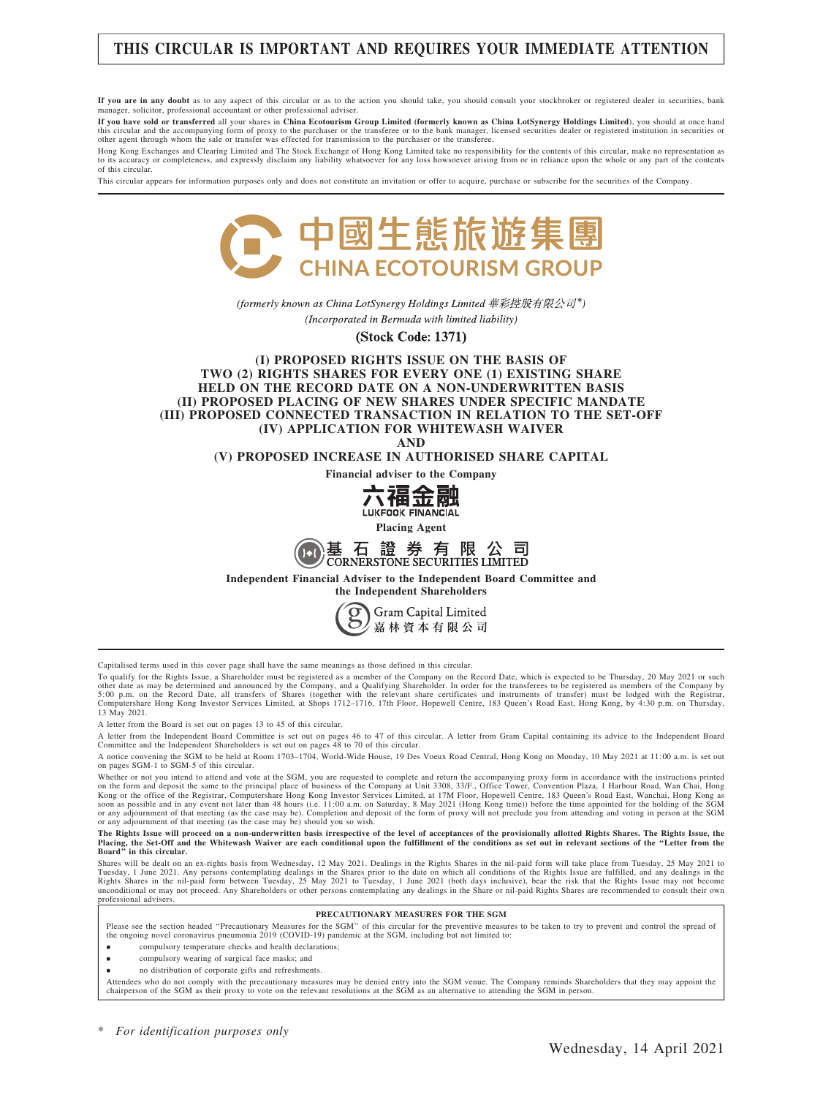# THIS CIRCULAR IS IMPORTANT AND REQUIRES YOUR IMMEDIATE ATTENTION

If you are in any doubt as to any aspect of this circular or as to the action you should take, you should consult your stockbroker or registered dealer in securities, bank manager, solicitor, professional accountant or other professional adviser.

If you have sold or transferred all your shares in China Ecotourism Group Limited (formerly known as China LotSynergy Holdings Limited), you should at once hand this circular and the accompanying form of proxy to the purchaser or the transferee or to the bank manager, licensed securities dealer or registered institution in securities or<br>other agent through whom the sale or transfe

Hong Kong Exchanges and Clearing Limited and The Stock Exchange of Hong Kong Limited take no responsibility for the contents of this circular, make no representation as<br>to its accuracy or completeness, and expressly discla of this circular.

This circular appears for information purposes only and does not constitute an invitation or offer to acquire, purchase or subscribe for the securities of the Company.



(formerly known as China LotSynergy Holdings Limited 華彩控股有限公司\*) (Incorporated in Bermuda with limited liability)

**(Stock Code: 1371)** 

#### (I) PROPOSED RIGHTS ISSUE ON THE BASIS OF TWO (2) RIGHTS SHARES FOR EVERY ONE (1) EXISTING SHARE HELD ON THE RECORD DATE ON A NON-UNDERWRITTEN BASIS (II) PROPOSED PLACING OF NEW SHARES UNDER SPECIFIC MANDATE (III) PROPOSED CONNECTED TRANSACTION IN RELATION TO THE SET-OFF (IV) APPLICATION FOR WHITEWASH WAIVER

AND

(V) PROPOSED INCREASE IN AUTHORISED SHARE CAPITAL

Financial adviser to the Company



Placing Agent



Independent Financial Adviser to the Independent Board Committee and



Capitalised terms used in this cover page shall have the same meanings as those defined in this circular.

To qualify for the Rights Issue, a Shareholder must be registered as a member of the Company on the Record Date, which is expected to be Thursday, 20 May 2021 or such other date as may be determined and announced by the Company, and a Qualifying Shareholder. In order for the transferees to be registered as members of the Company by<br>5:00 p.m. on the Record Date, all transfers of Shares ( 13 May 2021.

A letter from the Board is set out on pages 13 to 45 of this circular.

A letter from the Independent Board Committee is set out on pages 46 to 47 of this circular. A letter from Gram Capital containing its advice to the Independent Board Committee and the Independent Shareholders is set out on pages 48 to 70 of this circular.

A notice convening the SGM to be held at Room 1703–1704, World-Wide House, 19 Des Voeux Road Central, Hong Kong on Monday, 10 May 2021 at 11:00 a.m. is set out on pages SGM-1 to SGM-5 of this circular.

Whether or not you intend to attend and vote at the SGM, you are requested to complete and return the accompanying proxy form in accordance with the instructions printed<br>on the form and deposit the same to the principal pl or any adjournment of that meeting (as the case may be). Completion and deposit of the form of proxy will not preclude you from attending and voting in person at the SGM<br>or any adjournment of that meeting (as the case may

# The Rights Issue will proceed on a non-underwritten basis irrespective of the level of acceptances of the provisionally allotted Rights Shares. The Rights Issue, the<br>Placing, the Set-Off and the Whitewash Waiver are each c

Shares will be dealt on an ex-rights basis from Wednesday, 12 May 2021. Dealings in the Rights Shares in the nil-paid form will take place from Tuesday, 25 May 2021 to Tuesday, 1 June 2021. Any persons contemplating dealings in the Shares prior to the date on which all conditions of the Rights Issue are fulfilled, and any dealings in the<br>Rights Shares in the nil-paid form between Tuesday unconditional or may not proceed. Any Shareholders or other persons contemplating any dealings in the Share or nil-paid Rights Shares are recommended to consult their own professional advisers.

#### PRECAUTIONARY MEASURES FOR THE SGM

Please see the section headed "Precautionary Measures for the SGM" of this circular for the preventive measures to be taken to try to prevent and control the spread of the ongoing novel coronavirus pneumonia 2019 (COVID-19) pandemic at the SGM, including but not limited to:

- . compulsory temperature checks and health declarations;
- . compulsory wearing of surgical face masks; and
- . no distribution of corporate gifts and refreshments.

Attendees who do not comply with the precautionary measures may be denied entry into the SGM venue. The Company reminds Shareholders that they may appoint the<br>chairperson of the SGM as their proxy to vote on the relevant r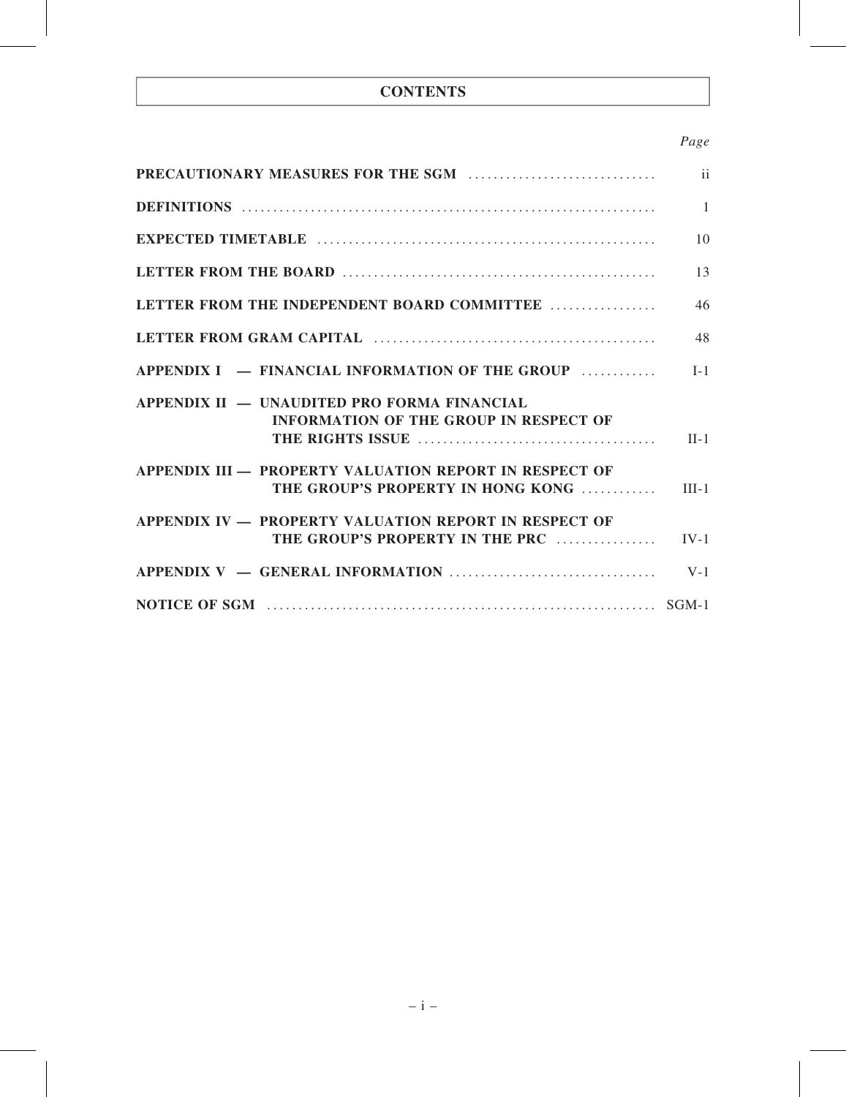# **CONTENTS**

# Page

|                                                                                              | $\mathbf{ii}$ |
|----------------------------------------------------------------------------------------------|---------------|
|                                                                                              | $\mathbf{1}$  |
|                                                                                              | 10            |
|                                                                                              | 13            |
| LETTER FROM THE INDEPENDENT BOARD COMMITTEE                                                  | 46            |
|                                                                                              | 48            |
| APPENDIX I — FINANCIAL INFORMATION OF THE GROUP                                              | $I-1$         |
| APPENDIX II — UNAUDITED PRO FORMA FINANCIAL<br><b>INFORMATION OF THE GROUP IN RESPECT OF</b> | $II-1$        |
| APPENDIX III — PROPERTY VALUATION REPORT IN RESPECT OF<br>THE GROUP'S PROPERTY IN HONG KONG  | $III-1$       |
| APPENDIX IV - PROPERTY VALUATION REPORT IN RESPECT OF<br>THE GROUP'S PROPERTY IN THE PRC     | $IV-1$        |
|                                                                                              | $V-1$         |
|                                                                                              |               |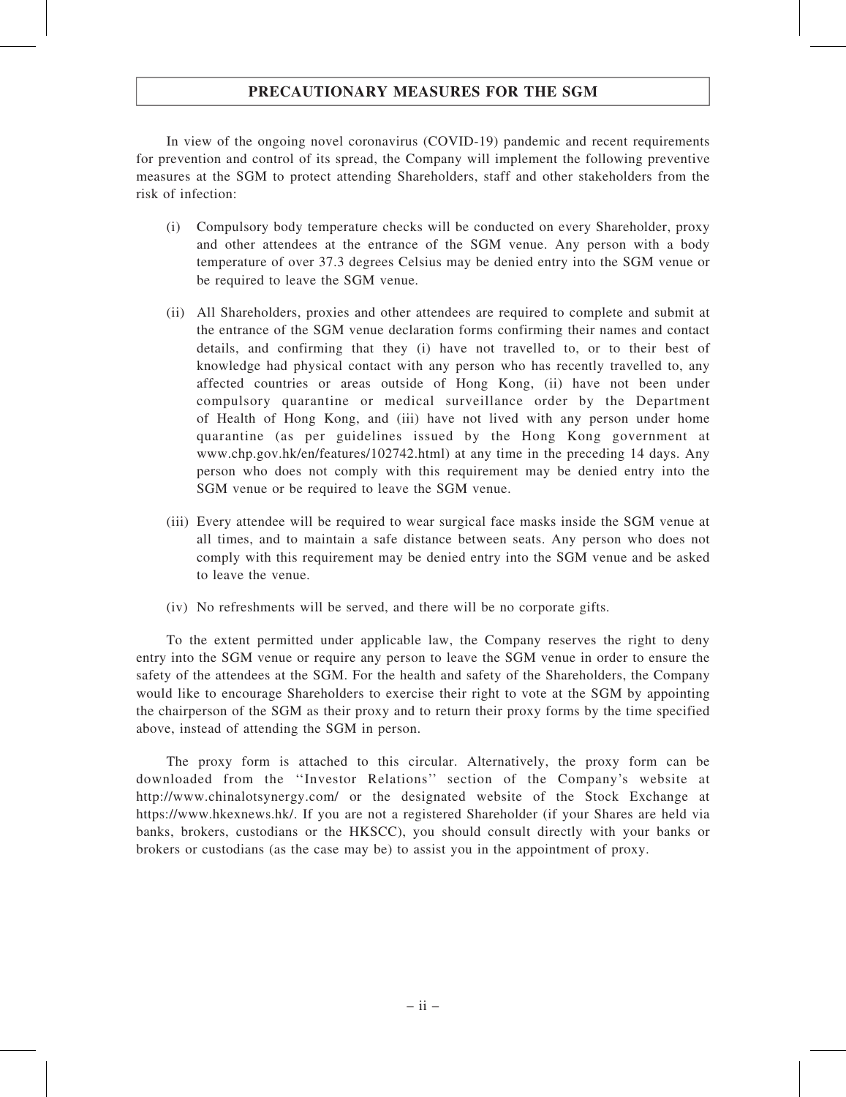# PRECAUTIONARY MEASURES FOR THE SGM

In view of the ongoing novel coronavirus (COVID-19) pandemic and recent requirements for prevention and control of its spread, the Company will implement the following preventive measures at the SGM to protect attending Shareholders, staff and other stakeholders from the risk of infection:

- (i) Compulsory body temperature checks will be conducted on every Shareholder, proxy and other attendees at the entrance of the SGM venue. Any person with a body temperature of over 37.3 degrees Celsius may be denied entry into the SGM venue or be required to leave the SGM venue.
- (ii) All Shareholders, proxies and other attendees are required to complete and submit at the entrance of the SGM venue declaration forms confirming their names and contact details, and confirming that they (i) have not travelled to, or to their best of knowledge had physical contact with any person who has recently travelled to, any affected countries or areas outside of Hong Kong, (ii) have not been under compulsory quarantine or medical surveillance order by the Department of Health of Hong Kong, and (iii) have not lived with any person under home quarantine (as per guidelines issued by the Hong Kong government at www.chp.gov.hk/en/features/102742.html) at any time in the preceding 14 days. Any person who does not comply with this requirement may be denied entry into the SGM venue or be required to leave the SGM venue.
- (iii) Every attendee will be required to wear surgical face masks inside the SGM venue at all times, and to maintain a safe distance between seats. Any person who does not comply with this requirement may be denied entry into the SGM venue and be asked to leave the venue.
- (iv) No refreshments will be served, and there will be no corporate gifts.

To the extent permitted under applicable law, the Company reserves the right to deny entry into the SGM venue or require any person to leave the SGM venue in order to ensure the safety of the attendees at the SGM. For the health and safety of the Shareholders, the Company would like to encourage Shareholders to exercise their right to vote at the SGM by appointing the chairperson of the SGM as their proxy and to return their proxy forms by the time specified above, instead of attending the SGM in person.

The proxy form is attached to this circular. Alternatively, the proxy form can be downloaded from the ''Investor Relations'' section of the Company's website at http://www.chinalotsynergy.com/ or the designated website of the Stock Exchange at https://www.hkexnews.hk/. If you are not a registered Shareholder (if your Shares are held via banks, brokers, custodians or the HKSCC), you should consult directly with your banks or brokers or custodians (as the case may be) to assist you in the appointment of proxy.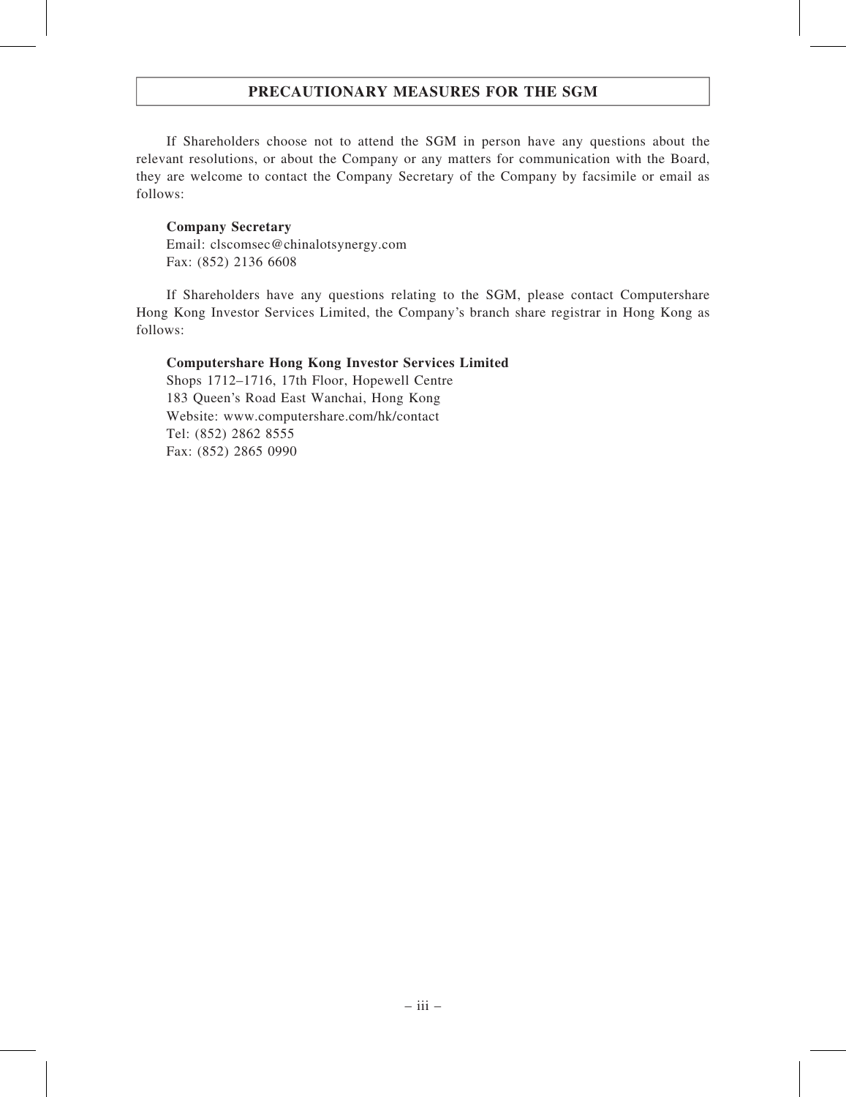# PRECAUTIONARY MEASURES FOR THE SGM

If Shareholders choose not to attend the SGM in person have any questions about the relevant resolutions, or about the Company or any matters for communication with the Board, they are welcome to contact the Company Secretary of the Company by facsimile or email as follows:

### Company Secretary

Email: clscomsec@chinalotsynergy.com Fax: (852) 2136 6608

If Shareholders have any questions relating to the SGM, please contact Computershare Hong Kong Investor Services Limited, the Company's branch share registrar in Hong Kong as follows:

### Computershare Hong Kong Investor Services Limited

Shops 1712–1716, 17th Floor, Hopewell Centre 183 Queen's Road East Wanchai, Hong Kong Website: www.computershare.com/hk/contact Tel: (852) 2862 8555 Fax: (852) 2865 0990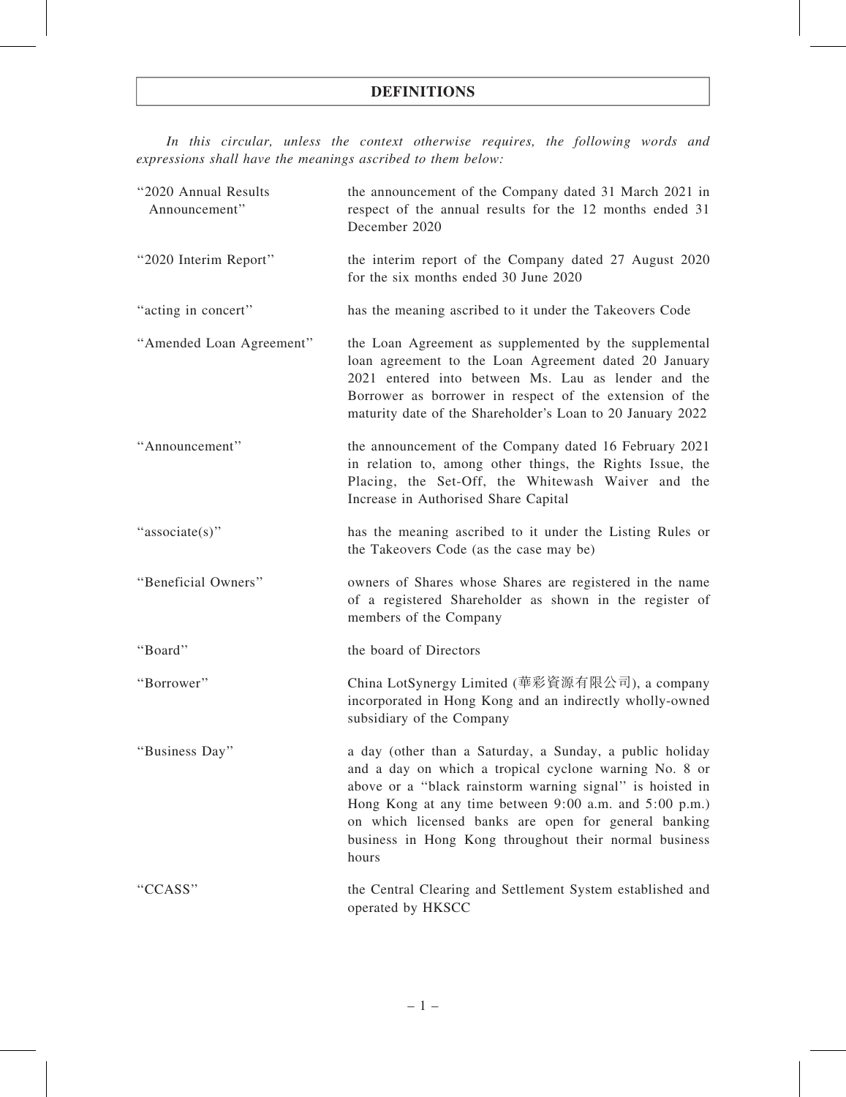In this circular, unless the context otherwise requires, the following words and expressions shall have the meanings ascribed to them below:

| "2020 Annual Results<br>Announcement" | the announcement of the Company dated 31 March 2021 in<br>respect of the annual results for the 12 months ended 31<br>December 2020                                                                                                                                                                                                                                  |
|---------------------------------------|----------------------------------------------------------------------------------------------------------------------------------------------------------------------------------------------------------------------------------------------------------------------------------------------------------------------------------------------------------------------|
| "2020 Interim Report"                 | the interim report of the Company dated 27 August 2020<br>for the six months ended 30 June 2020                                                                                                                                                                                                                                                                      |
| "acting in concert"                   | has the meaning ascribed to it under the Takeovers Code                                                                                                                                                                                                                                                                                                              |
| "Amended Loan Agreement"              | the Loan Agreement as supplemented by the supplemental<br>loan agreement to the Loan Agreement dated 20 January<br>2021 entered into between Ms. Lau as lender and the<br>Borrower as borrower in respect of the extension of the<br>maturity date of the Shareholder's Loan to 20 January 2022                                                                      |
| "Announcement"                        | the announcement of the Company dated 16 February 2021<br>in relation to, among other things, the Rights Issue, the<br>Placing, the Set-Off, the Whitewash Waiver and the<br>Increase in Authorised Share Capital                                                                                                                                                    |
| "associate(s)"                        | has the meaning ascribed to it under the Listing Rules or<br>the Takeovers Code (as the case may be)                                                                                                                                                                                                                                                                 |
| "Beneficial Owners"                   | owners of Shares whose Shares are registered in the name<br>of a registered Shareholder as shown in the register of<br>members of the Company                                                                                                                                                                                                                        |
| "Board"                               | the board of Directors                                                                                                                                                                                                                                                                                                                                               |
| "Borrower"                            | China LotSynergy Limited (華彩資源有限公司), a company<br>incorporated in Hong Kong and an indirectly wholly-owned<br>subsidiary of the Company                                                                                                                                                                                                                              |
| Business Day"                         | a day (other than a Saturday, a Sunday, a public holiday<br>and a day on which a tropical cyclone warning No. 8 or<br>above or a "black rainstorm warning signal" is hoisted in<br>Hong Kong at any time between 9:00 a.m. and 5:00 p.m.)<br>on which licensed banks are open for general banking<br>business in Hong Kong throughout their normal business<br>hours |
| "CCASS"                               | the Central Clearing and Settlement System established and<br>operated by HKSCC                                                                                                                                                                                                                                                                                      |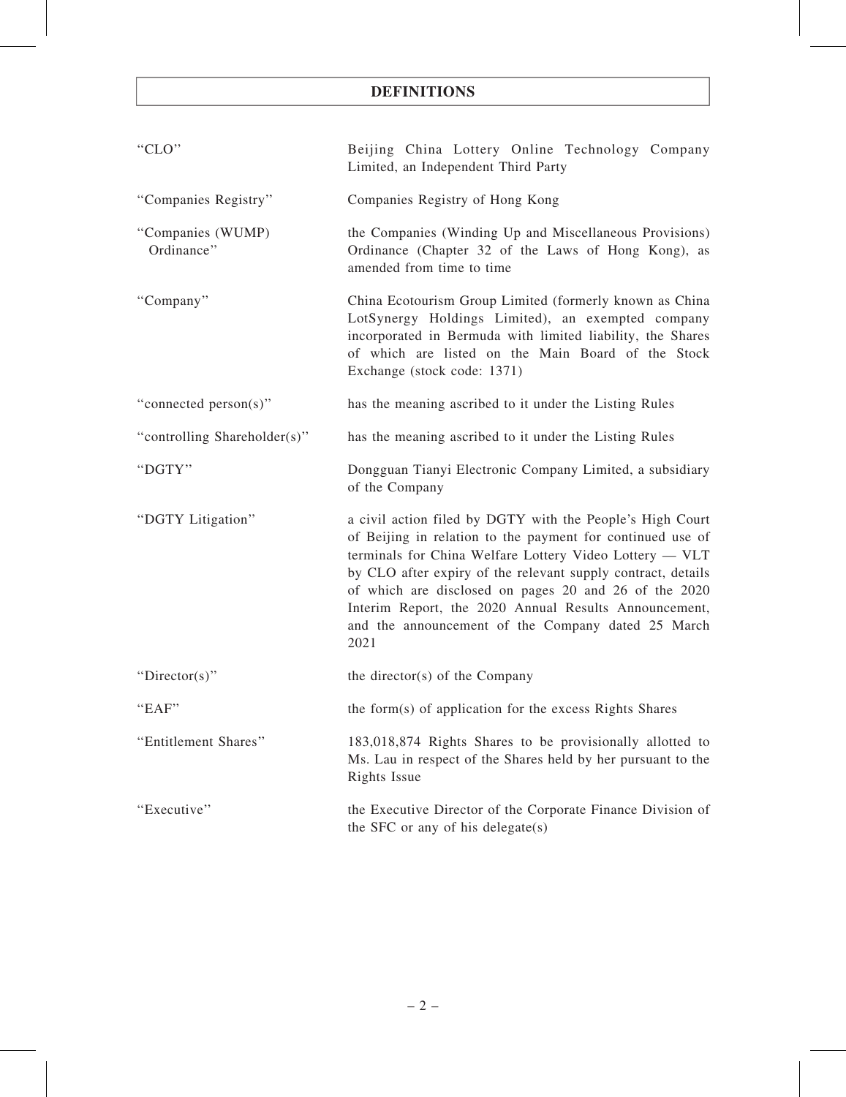| "CLO"                           | Beijing China Lottery Online Technology Company<br>Limited, an Independent Third Party                                                                                                                                                                                                                                                                                                                                             |
|---------------------------------|------------------------------------------------------------------------------------------------------------------------------------------------------------------------------------------------------------------------------------------------------------------------------------------------------------------------------------------------------------------------------------------------------------------------------------|
| "Companies Registry"            | Companies Registry of Hong Kong                                                                                                                                                                                                                                                                                                                                                                                                    |
| "Companies (WUMP)<br>Ordinance" | the Companies (Winding Up and Miscellaneous Provisions)<br>Ordinance (Chapter 32 of the Laws of Hong Kong), as<br>amended from time to time                                                                                                                                                                                                                                                                                        |
| "Company"                       | China Ecotourism Group Limited (formerly known as China<br>LotSynergy Holdings Limited), an exempted company<br>incorporated in Bermuda with limited liability, the Shares<br>of which are listed on the Main Board of the Stock<br>Exchange (stock code: 1371)                                                                                                                                                                    |
| "connected person(s)"           | has the meaning ascribed to it under the Listing Rules                                                                                                                                                                                                                                                                                                                                                                             |
| "controlling Shareholder(s)"    | has the meaning ascribed to it under the Listing Rules                                                                                                                                                                                                                                                                                                                                                                             |
| "DGTY"                          | Dongguan Tianyi Electronic Company Limited, a subsidiary<br>of the Company                                                                                                                                                                                                                                                                                                                                                         |
| "DGTY Litigation"               | a civil action filed by DGTY with the People's High Court<br>of Beijing in relation to the payment for continued use of<br>terminals for China Welfare Lottery Video Lottery - VLT<br>by CLO after expiry of the relevant supply contract, details<br>of which are disclosed on pages 20 and 26 of the 2020<br>Interim Report, the 2020 Annual Results Announcement,<br>and the announcement of the Company dated 25 March<br>2021 |
| "Director(s)"                   | the director(s) of the Company                                                                                                                                                                                                                                                                                                                                                                                                     |
| "EAF"                           | the form(s) of application for the excess Rights Shares                                                                                                                                                                                                                                                                                                                                                                            |
| "Entitlement Shares"            | 183,018,874 Rights Shares to be provisionally allotted to<br>Ms. Lau in respect of the Shares held by her pursuant to the<br>Rights Issue                                                                                                                                                                                                                                                                                          |
| "Executive"                     | the Executive Director of the Corporate Finance Division of<br>the SFC or any of his delegate(s)                                                                                                                                                                                                                                                                                                                                   |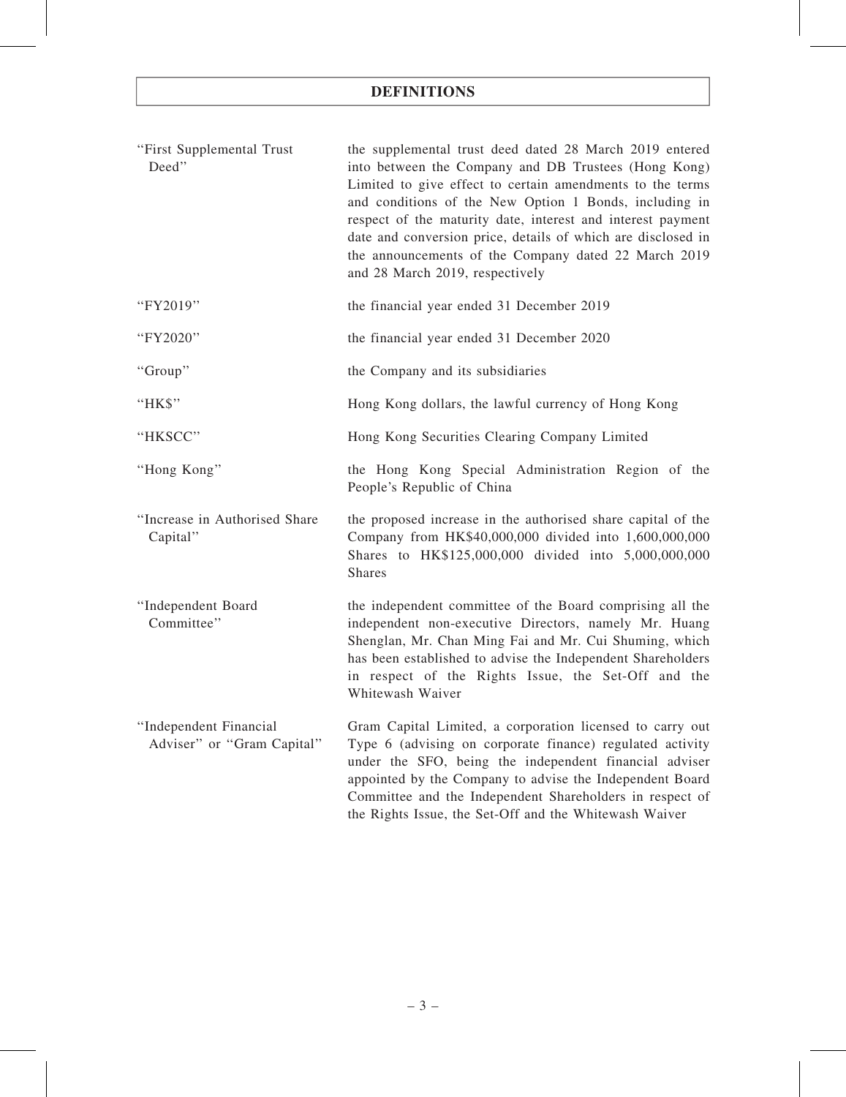| "First Supplemental Trust<br>Deed"                   | the supplemental trust deed dated 28 March 2019 entered<br>into between the Company and DB Trustees (Hong Kong)<br>Limited to give effect to certain amendments to the terms<br>and conditions of the New Option 1 Bonds, including in<br>respect of the maturity date, interest and interest payment<br>date and conversion price, details of which are disclosed in<br>the announcements of the Company dated 22 March 2019<br>and 28 March 2019, respectively |
|------------------------------------------------------|------------------------------------------------------------------------------------------------------------------------------------------------------------------------------------------------------------------------------------------------------------------------------------------------------------------------------------------------------------------------------------------------------------------------------------------------------------------|
| "FY2019"                                             | the financial year ended 31 December 2019                                                                                                                                                                                                                                                                                                                                                                                                                        |
| "FY2020"                                             | the financial year ended 31 December 2020                                                                                                                                                                                                                                                                                                                                                                                                                        |
| "Group"                                              | the Company and its subsidiaries                                                                                                                                                                                                                                                                                                                                                                                                                                 |
| "HK\$"                                               | Hong Kong dollars, the lawful currency of Hong Kong                                                                                                                                                                                                                                                                                                                                                                                                              |
| "HKSCC"                                              | Hong Kong Securities Clearing Company Limited                                                                                                                                                                                                                                                                                                                                                                                                                    |
| "Hong Kong"                                          | the Hong Kong Special Administration Region of the<br>People's Republic of China                                                                                                                                                                                                                                                                                                                                                                                 |
| "Increase in Authorised Share<br>Capital"            | the proposed increase in the authorised share capital of the<br>Company from HK\$40,000,000 divided into 1,600,000,000<br>Shares to HK\$125,000,000 divided into 5,000,000,000<br><b>Shares</b>                                                                                                                                                                                                                                                                  |
| "Independent Board<br>Committee"                     | the independent committee of the Board comprising all the<br>independent non-executive Directors, namely Mr. Huang<br>Shenglan, Mr. Chan Ming Fai and Mr. Cui Shuming, which<br>has been established to advise the Independent Shareholders<br>in respect of the Rights Issue, the Set-Off and the<br>Whitewash Waiver                                                                                                                                           |
| "Independent Financial<br>Adviser" or "Gram Capital" | Gram Capital Limited, a corporation licensed to carry out<br>Type 6 (advising on corporate finance) regulated activity<br>under the SFO, being the independent financial adviser<br>appointed by the Company to advise the Independent Board<br>Committee and the Independent Shareholders in respect of<br>the Rights Issue, the Set-Off and the Whitewash Waiver                                                                                               |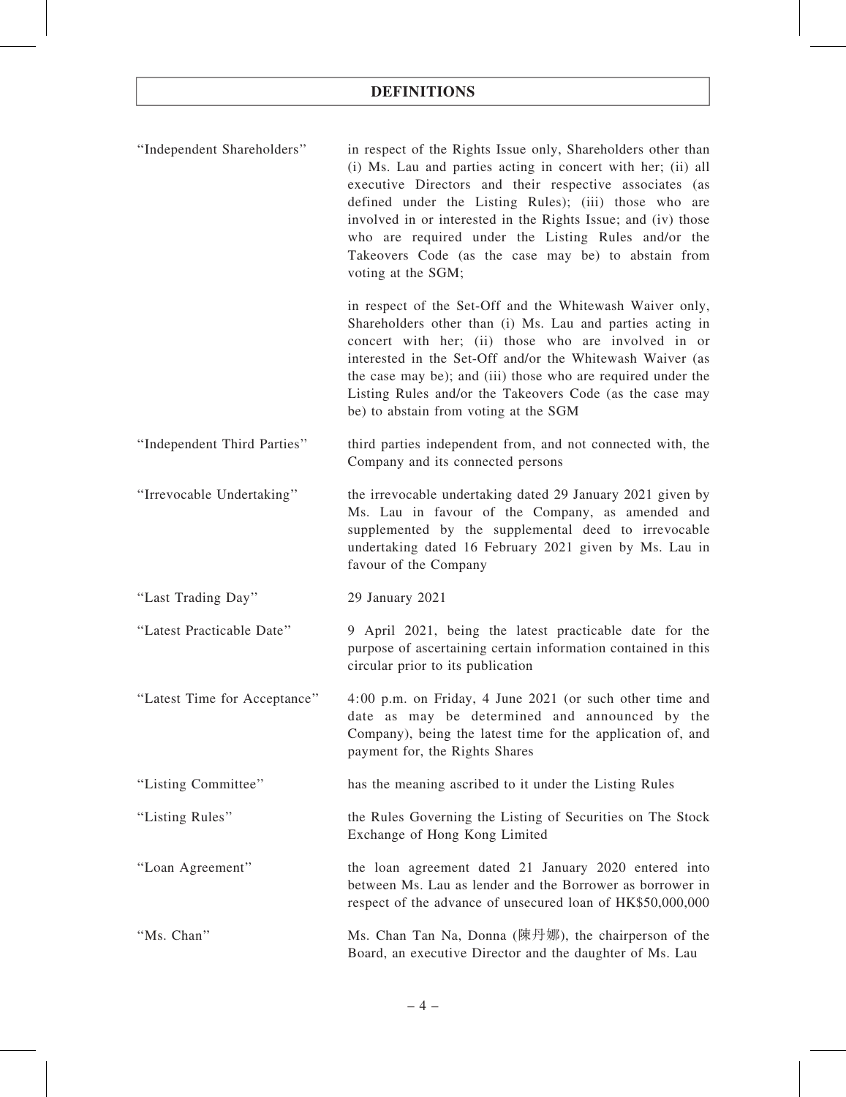| "Independent Shareholders" | in respect of the Rights Issue only, Shareholders other than<br>(i) Ms. Lau and parties acting in concert with her; (ii) all<br>executive Directors and their respective associates (as<br>defined under the Listing Rules); (iii) those who are<br>involved in or interested in the Rights Issue; and (iv) those<br>who are required under the Listing Rules and/or the<br>Takeovers Code (as the case may be) to abstain from<br>voting at the SGM; |
|----------------------------|-------------------------------------------------------------------------------------------------------------------------------------------------------------------------------------------------------------------------------------------------------------------------------------------------------------------------------------------------------------------------------------------------------------------------------------------------------|
|                            | in respect of the Set-Off and the Whitewash Waiver only,<br>Shareholders other than (i) Ms. Lau and parties acting in<br>concert with her; (ii) those who are involved in or<br>interested in the Set-Off and/or the Whitewash Waiver (as<br>the case may be); and (iii) those who are required under the                                                                                                                                             |

Listing Rules and/or the Takeovers Code (as the case may be) to abstain from voting at the SGM

- ''Independent Third Parties'' third parties independent from, and not connected with, the Company and its connected persons
- ''Irrevocable Undertaking'' the irrevocable undertaking dated 29 January 2021 given by Ms. Lau in favour of the Company, as amended and supplemented by the supplemental deed to irrevocable undertaking dated 16 February 2021 given by Ms. Lau in favour of the Company
- ''Last Trading Day'' 29 January 2021

''Latest Practicable Date'' 9 April 2021, being the latest practicable date for the purpose of ascertaining certain information contained in this circular prior to its publication

"Latest Time for Acceptance" 4:00 p.m. on Friday, 4 June 2021 (or such other time and date as may be determined and announced by the Company), being the latest time for the application of, and payment for, the Rights Shares

''Listing Committee'' has the meaning ascribed to it under the Listing Rules

- ''Listing Rules'' the Rules Governing the Listing of Securities on The Stock Exchange of Hong Kong Limited
- ''Loan Agreement'' the loan agreement dated 21 January 2020 entered into between Ms. Lau as lender and the Borrower as borrower in respect of the advance of unsecured loan of HK\$50,000,000

''Ms. Chan'' Ms. Chan Tan Na, Donna (陳丹娜), the chairperson of the Board, an executive Director and the daughter of Ms. Lau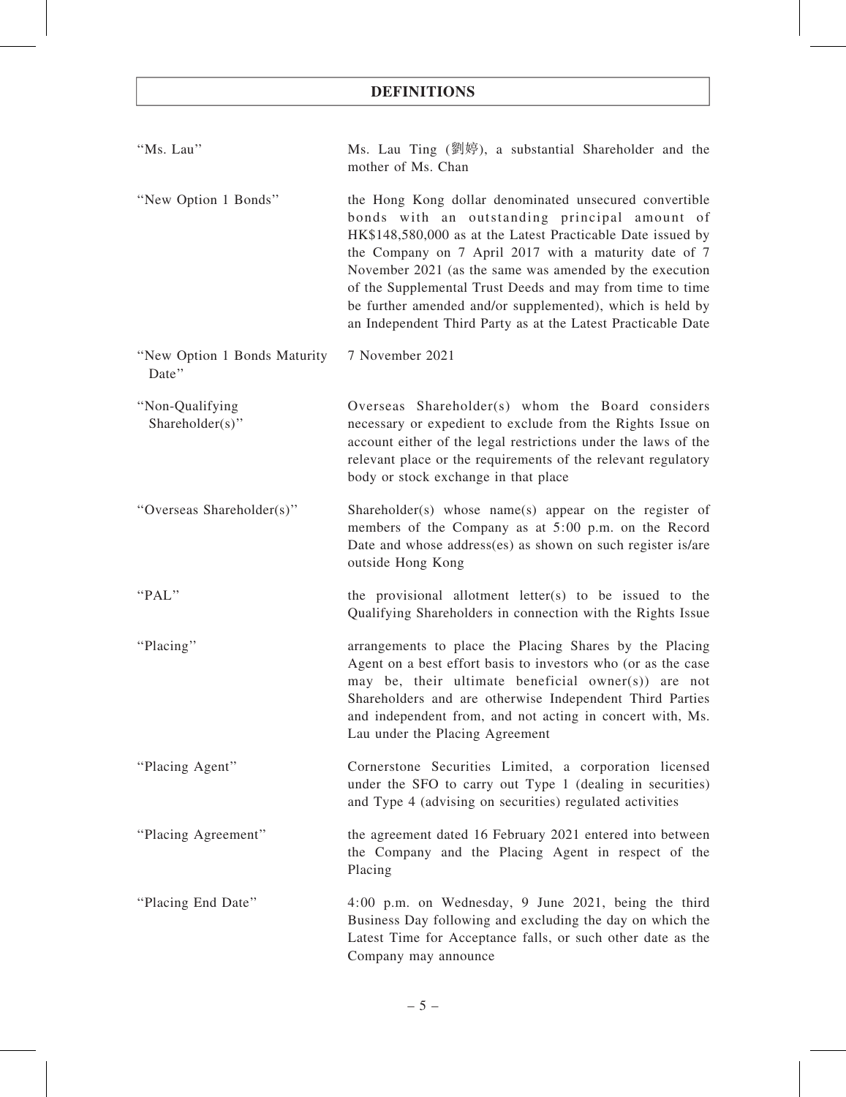| "Ms. Lau"                             | Ms. Lau Ting (劉婷), a substantial Shareholder and the<br>mother of Ms. Chan                                                                                                                                                                                                                                                                                                                                                                                                           |
|---------------------------------------|--------------------------------------------------------------------------------------------------------------------------------------------------------------------------------------------------------------------------------------------------------------------------------------------------------------------------------------------------------------------------------------------------------------------------------------------------------------------------------------|
| "New Option 1 Bonds"                  | the Hong Kong dollar denominated unsecured convertible<br>bonds with an outstanding principal amount of<br>HK\$148,580,000 as at the Latest Practicable Date issued by<br>the Company on 7 April 2017 with a maturity date of 7<br>November 2021 (as the same was amended by the execution<br>of the Supplemental Trust Deeds and may from time to time<br>be further amended and/or supplemented), which is held by<br>an Independent Third Party as at the Latest Practicable Date |
| "New Option 1 Bonds Maturity<br>Date" | 7 November 2021                                                                                                                                                                                                                                                                                                                                                                                                                                                                      |
| "Non-Qualifying<br>Shareholder(s)"    | Overseas Shareholder(s) whom the Board considers<br>necessary or expedient to exclude from the Rights Issue on<br>account either of the legal restrictions under the laws of the<br>relevant place or the requirements of the relevant regulatory<br>body or stock exchange in that place                                                                                                                                                                                            |
| "Overseas Shareholder(s)"             | Shareholder(s) whose name(s) appear on the register of<br>members of the Company as at 5:00 p.m. on the Record<br>Date and whose address(es) as shown on such register is/are<br>outside Hong Kong                                                                                                                                                                                                                                                                                   |
| "PAL"                                 | the provisional allotment letter(s) to be issued to the<br>Qualifying Shareholders in connection with the Rights Issue                                                                                                                                                                                                                                                                                                                                                               |
| "Placing"                             | arrangements to place the Placing Shares by the Placing<br>Agent on a best effort basis to investors who (or as the case<br>may be, their ultimate beneficial owner(s)) are not<br>Shareholders and are otherwise Independent Third Parties<br>and independent from, and not acting in concert with, Ms.<br>Lau under the Placing Agreement                                                                                                                                          |
| "Placing Agent"                       | Cornerstone Securities Limited, a corporation licensed<br>under the SFO to carry out Type 1 (dealing in securities)<br>and Type 4 (advising on securities) regulated activities                                                                                                                                                                                                                                                                                                      |
| "Placing Agreement"                   | the agreement dated 16 February 2021 entered into between<br>the Company and the Placing Agent in respect of the<br>Placing                                                                                                                                                                                                                                                                                                                                                          |
| "Placing End Date"                    | 4:00 p.m. on Wednesday, 9 June 2021, being the third<br>Business Day following and excluding the day on which the<br>Latest Time for Acceptance falls, or such other date as the<br>Company may announce                                                                                                                                                                                                                                                                             |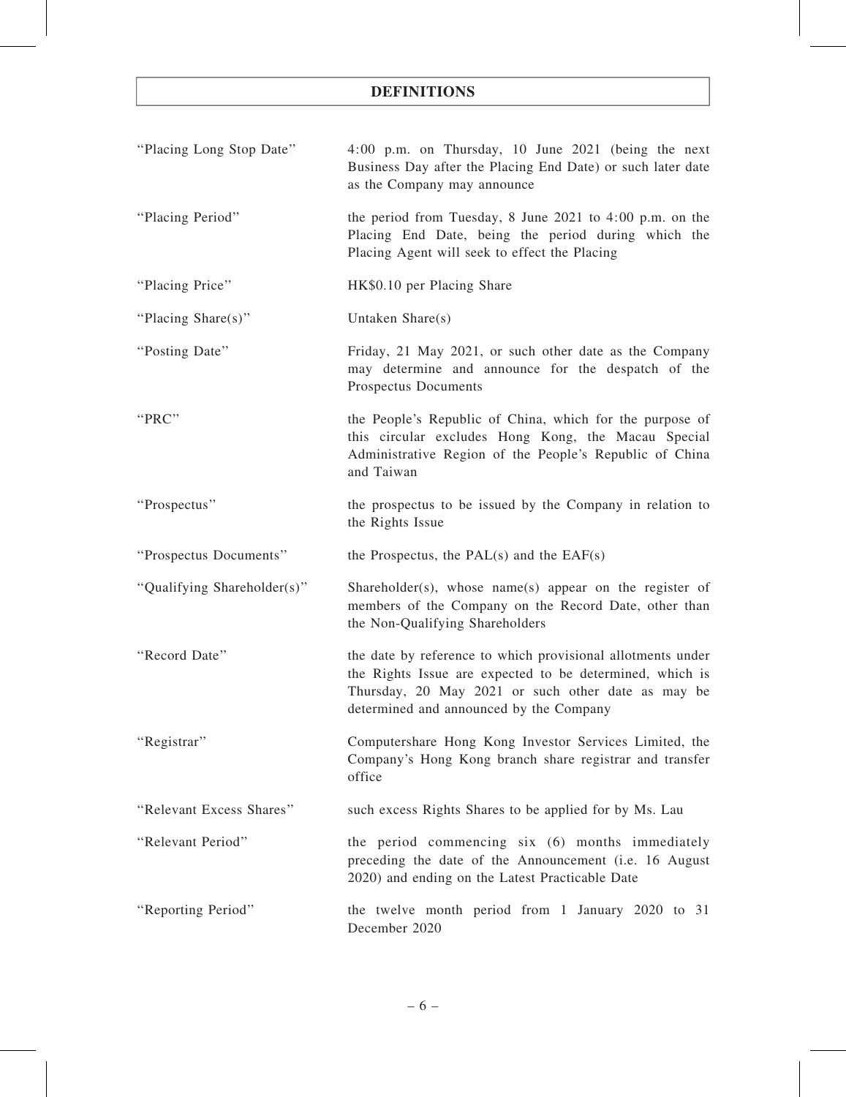| "Placing Long Stop Date"    | 4:00 p.m. on Thursday, 10 June 2021 (being the next<br>Business Day after the Placing End Date) or such later date<br>as the Company may announce                                                                        |
|-----------------------------|--------------------------------------------------------------------------------------------------------------------------------------------------------------------------------------------------------------------------|
| "Placing Period"            | the period from Tuesday, 8 June 2021 to $4:00$ p.m. on the<br>Placing End Date, being the period during which the<br>Placing Agent will seek to effect the Placing                                                       |
| "Placing Price"             | HK\$0.10 per Placing Share                                                                                                                                                                                               |
| "Placing Share(s)"          | Untaken Share(s)                                                                                                                                                                                                         |
| "Posting Date"              | Friday, 21 May 2021, or such other date as the Company<br>may determine and announce for the despatch of the<br>Prospectus Documents                                                                                     |
| "PRC"                       | the People's Republic of China, which for the purpose of<br>this circular excludes Hong Kong, the Macau Special<br>Administrative Region of the People's Republic of China<br>and Taiwan                                 |
| "Prospectus"                | the prospectus to be issued by the Company in relation to<br>the Rights Issue                                                                                                                                            |
| "Prospectus Documents"      | the Prospectus, the $PAL(s)$ and the $EAF(s)$                                                                                                                                                                            |
| "Qualifying Shareholder(s)" | Shareholder(s), whose name(s) appear on the register of<br>members of the Company on the Record Date, other than<br>the Non-Qualifying Shareholders                                                                      |
| "Record Date"               | the date by reference to which provisional allotments under<br>the Rights Issue are expected to be determined, which is<br>Thursday, 20 May 2021 or such other date as may be<br>determined and announced by the Company |
| "Registrar"                 | Computershare Hong Kong Investor Services Limited, the<br>Company's Hong Kong branch share registrar and transfer<br>office                                                                                              |
|                             |                                                                                                                                                                                                                          |
| "Relevant Excess Shares"    | such excess Rights Shares to be applied for by Ms. Lau                                                                                                                                                                   |
| "Relevant Period"           | the period commencing six (6) months immediately<br>preceding the date of the Announcement (i.e. 16 August<br>2020) and ending on the Latest Practicable Date                                                            |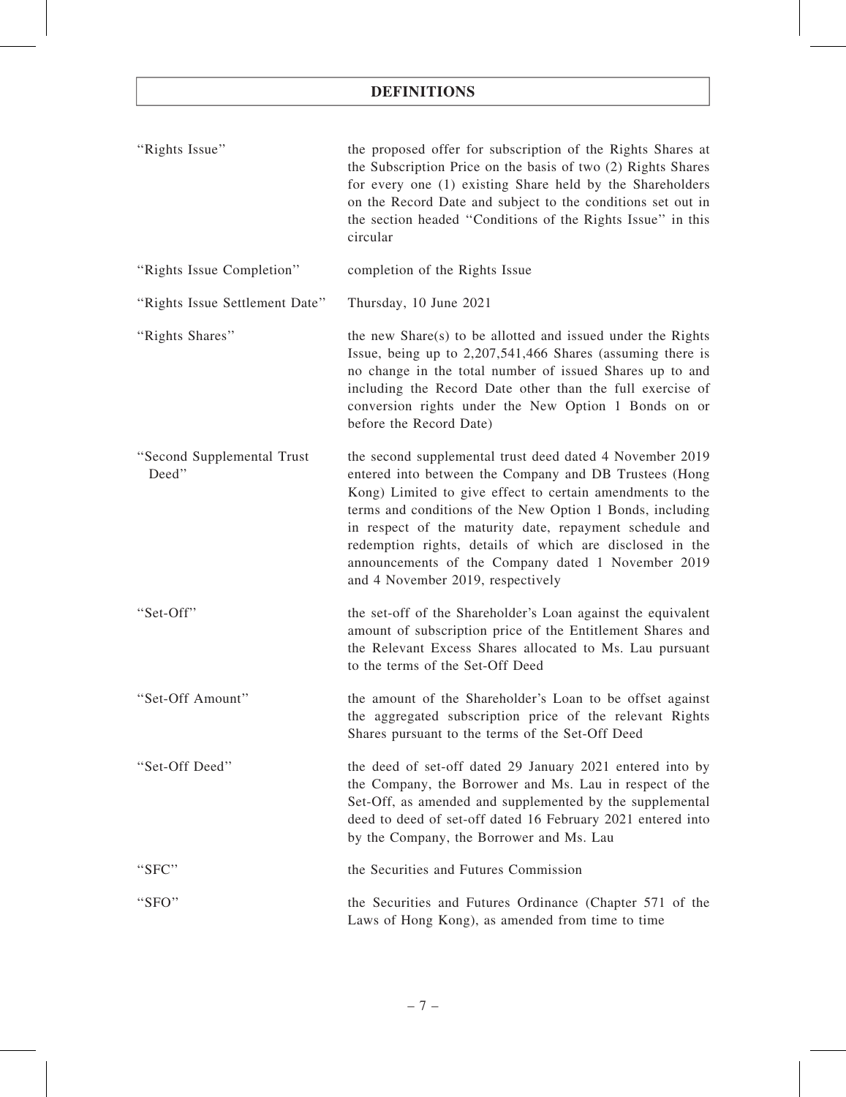| "Rights Issue"                      | the proposed offer for subscription of the Rights Shares at<br>the Subscription Price on the basis of two (2) Rights Shares<br>for every one (1) existing Share held by the Shareholders<br>on the Record Date and subject to the conditions set out in<br>the section headed "Conditions of the Rights Issue" in this<br>circular                                                                                                                             |
|-------------------------------------|----------------------------------------------------------------------------------------------------------------------------------------------------------------------------------------------------------------------------------------------------------------------------------------------------------------------------------------------------------------------------------------------------------------------------------------------------------------|
| "Rights Issue Completion"           | completion of the Rights Issue                                                                                                                                                                                                                                                                                                                                                                                                                                 |
| "Rights Issue Settlement Date"      | Thursday, 10 June 2021                                                                                                                                                                                                                                                                                                                                                                                                                                         |
| "Rights Shares"                     | the new Share(s) to be allotted and issued under the Rights<br>Issue, being up to 2,207,541,466 Shares (assuming there is<br>no change in the total number of issued Shares up to and<br>including the Record Date other than the full exercise of<br>conversion rights under the New Option 1 Bonds on or<br>before the Record Date)                                                                                                                          |
| "Second Supplemental Trust<br>Deed" | the second supplemental trust deed dated 4 November 2019<br>entered into between the Company and DB Trustees (Hong<br>Kong) Limited to give effect to certain amendments to the<br>terms and conditions of the New Option 1 Bonds, including<br>in respect of the maturity date, repayment schedule and<br>redemption rights, details of which are disclosed in the<br>announcements of the Company dated 1 November 2019<br>and 4 November 2019, respectively |
| "Set-Off"                           | the set-off of the Shareholder's Loan against the equivalent<br>amount of subscription price of the Entitlement Shares and<br>the Relevant Excess Shares allocated to Ms. Lau pursuant<br>to the terms of the Set-Off Deed                                                                                                                                                                                                                                     |
| "Set-Off Amount"                    | the amount of the Shareholder's Loan to be offset against<br>the aggregated subscription price of the relevant Rights<br>Shares pursuant to the terms of the Set-Off Deed                                                                                                                                                                                                                                                                                      |
| "Set-Off Deed"                      | the deed of set-off dated 29 January 2021 entered into by<br>the Company, the Borrower and Ms. Lau in respect of the<br>Set-Off, as amended and supplemented by the supplemental<br>deed to deed of set-off dated 16 February 2021 entered into<br>by the Company, the Borrower and Ms. Lau                                                                                                                                                                    |
| "SFC"                               | the Securities and Futures Commission                                                                                                                                                                                                                                                                                                                                                                                                                          |
| "SFO"                               | the Securities and Futures Ordinance (Chapter 571 of the<br>Laws of Hong Kong), as amended from time to time                                                                                                                                                                                                                                                                                                                                                   |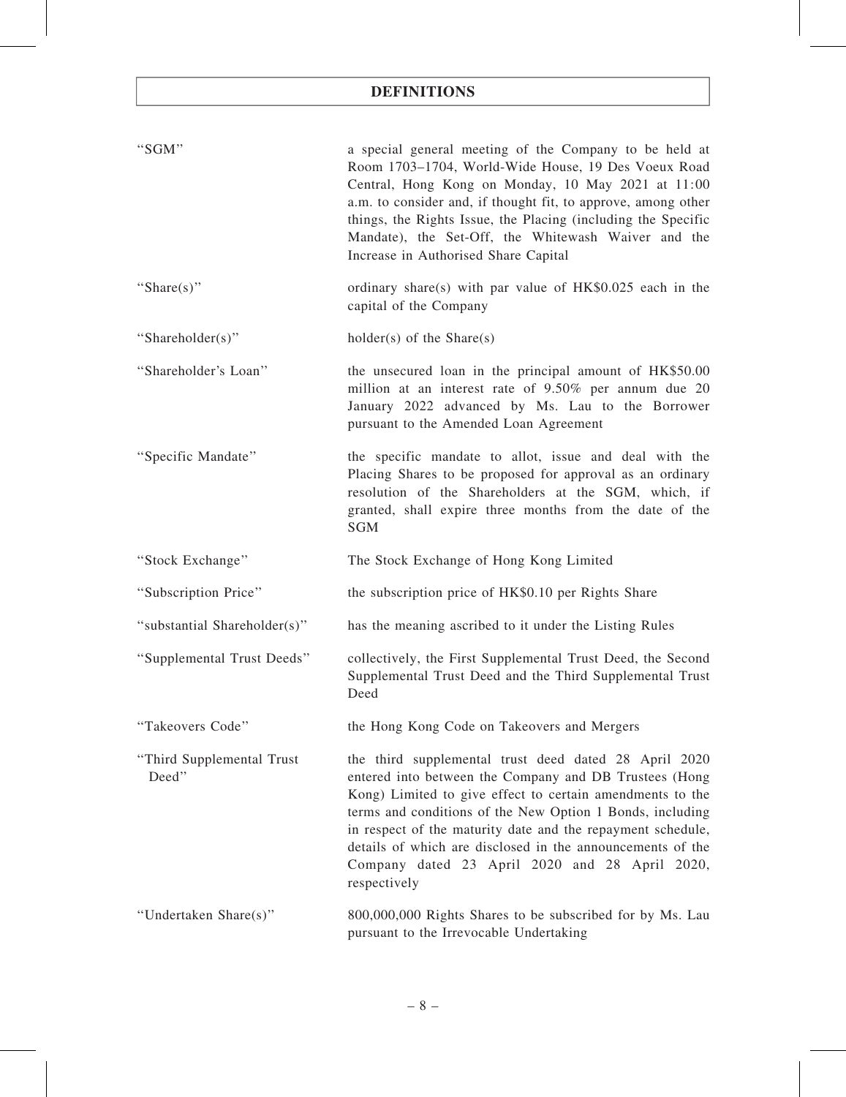| "SGM"                              | a special general meeting of the Company to be held at<br>Room 1703-1704, World-Wide House, 19 Des Voeux Road<br>Central, Hong Kong on Monday, 10 May 2021 at 11:00<br>a.m. to consider and, if thought fit, to approve, among other<br>things, the Rights Issue, the Placing (including the Specific<br>Mandate), the Set-Off, the Whitewash Waiver and the<br>Increase in Authorised Share Capital                                     |
|------------------------------------|------------------------------------------------------------------------------------------------------------------------------------------------------------------------------------------------------------------------------------------------------------------------------------------------------------------------------------------------------------------------------------------------------------------------------------------|
| "Share(s)"                         | ordinary share(s) with par value of $HK$0.025$ each in the<br>capital of the Company                                                                                                                                                                                                                                                                                                                                                     |
| "Shareholder(s)"                   | $holder(s)$ of the Share(s)                                                                                                                                                                                                                                                                                                                                                                                                              |
| "Shareholder's Loan"               | the unsecured loan in the principal amount of HK\$50.00<br>million at an interest rate of 9.50% per annum due 20<br>January 2022 advanced by Ms. Lau to the Borrower<br>pursuant to the Amended Loan Agreement                                                                                                                                                                                                                           |
| "Specific Mandate"                 | the specific mandate to allot, issue and deal with the<br>Placing Shares to be proposed for approval as an ordinary<br>resolution of the Shareholders at the SGM, which, if<br>granted, shall expire three months from the date of the<br><b>SGM</b>                                                                                                                                                                                     |
| "Stock Exchange"                   | The Stock Exchange of Hong Kong Limited                                                                                                                                                                                                                                                                                                                                                                                                  |
| "Subscription Price"               | the subscription price of HK\$0.10 per Rights Share                                                                                                                                                                                                                                                                                                                                                                                      |
| "substantial Shareholder(s)"       | has the meaning ascribed to it under the Listing Rules                                                                                                                                                                                                                                                                                                                                                                                   |
|                                    |                                                                                                                                                                                                                                                                                                                                                                                                                                          |
| "Supplemental Trust Deeds"         | collectively, the First Supplemental Trust Deed, the Second<br>Supplemental Trust Deed and the Third Supplemental Trust<br>Deed                                                                                                                                                                                                                                                                                                          |
| "Takeovers Code"                   | the Hong Kong Code on Takeovers and Mergers                                                                                                                                                                                                                                                                                                                                                                                              |
| "Third Supplemental Trust<br>Deed" | the third supplemental trust deed dated 28 April 2020<br>entered into between the Company and DB Trustees (Hong<br>Kong) Limited to give effect to certain amendments to the<br>terms and conditions of the New Option 1 Bonds, including<br>in respect of the maturity date and the repayment schedule,<br>details of which are disclosed in the announcements of the<br>Company dated 23 April 2020 and 28 April 2020,<br>respectively |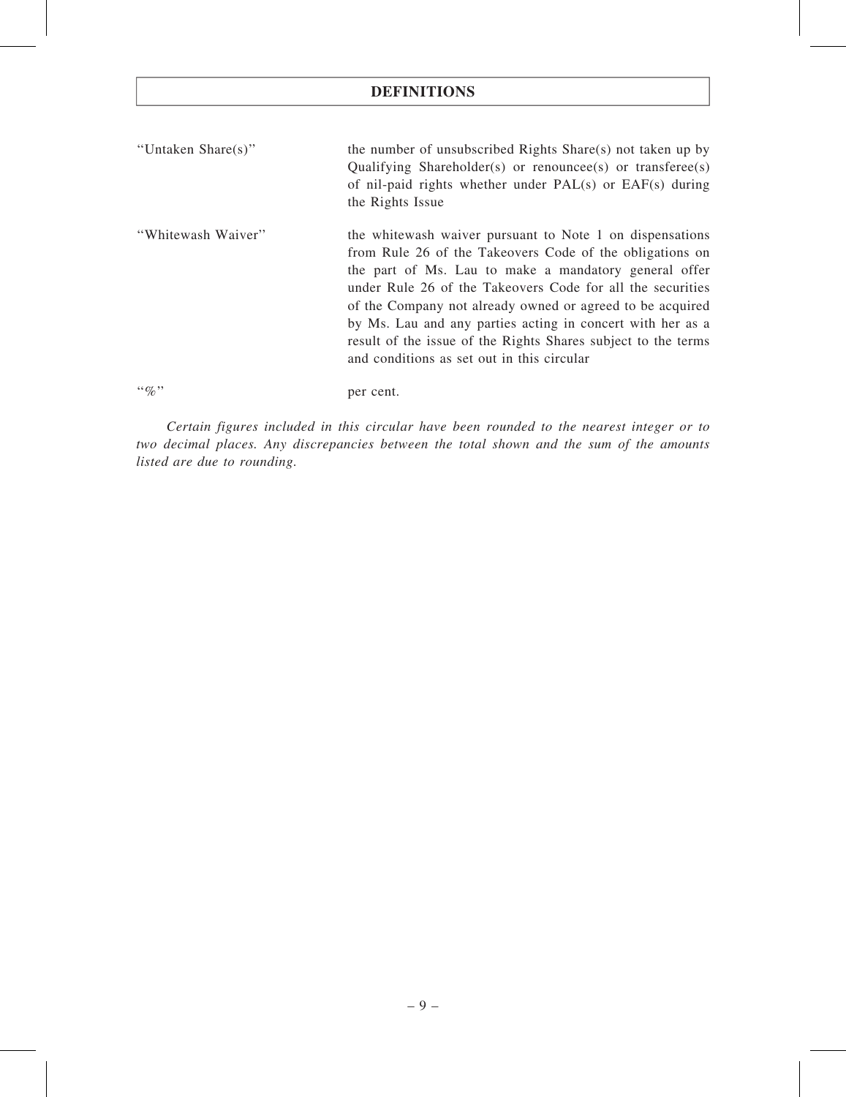| "Untaken Share(s)" | the number of unsubscribed Rights Share(s) not taken up by   |
|--------------------|--------------------------------------------------------------|
|                    | Qualifying Shareholder(s) or renounces of transferee $(s)$   |
|                    | of nil-paid rights whether under $PAL(s)$ or $EAF(s)$ during |
|                    | the Rights Issue                                             |
| "Whitewash Waiver" | the whitewash waiver pursuant to Note 1 on dispensations     |
|                    | from Rule 26 of the Takeovers Code of the obligations on     |
|                    | the part of Ms. Lau to make a mandatory general offer        |

under Rule 26 of the Takeovers Code for all the securities of the Company not already owned or agreed to be acquired by Ms. Lau and any parties acting in concert with her as a result of the issue of the Rights Shares subject to the terms and conditions as set out in this circular

"%" per cent.

Certain figures included in this circular have been rounded to the nearest integer or to two decimal places. Any discrepancies between the total shown and the sum of the amounts listed are due to rounding.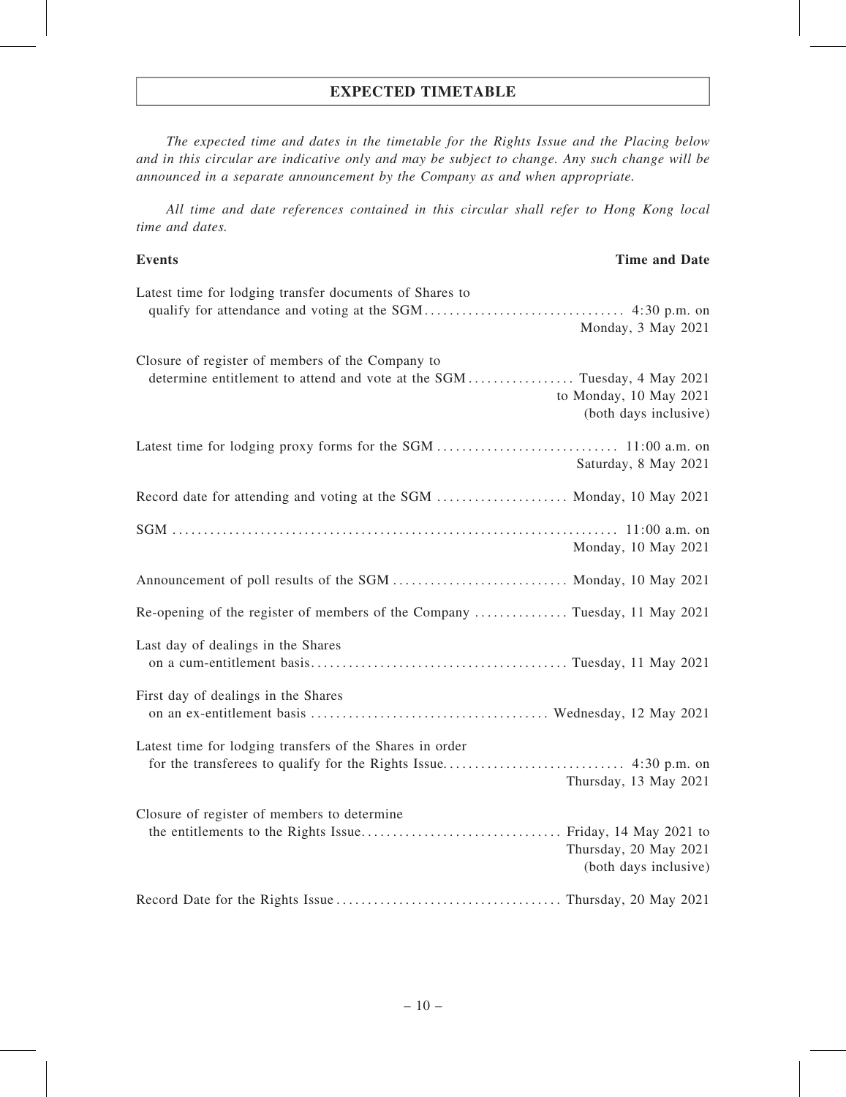# EXPECTED TIMETABLE

The expected time and dates in the timetable for the Rights Issue and the Placing below and in this circular are indicative only and may be subject to change. Any such change will be announced in a separate announcement by the Company as and when appropriate.

All time and date references contained in this circular shall refer to Hong Kong local time and dates.

Events **Exercise 2.1 Time and Date** 

# Latest time for lodging transfer documents of Shares to qualify for attendance and voting at the SGM. . . . . . . . . . . . . . . . . . . . . . . . . . . . . . . . 4:30 p.m. on Monday, 3 May 2021 Closure of register of members of the Company to determine entitlement to attend and vote at the SGM . . . . . . . . . . . . . . Tuesday, 4 May 2021 to Monday, 10 May 2021 (both days inclusive) Latest time for lodging proxy forms for the SGM . . . . . . . . . . . . . . . . . . . . . . . . . . . . . 11:00 a.m. on Saturday, 8 May 2021 Record date for attending and voting at the SGM ......................... Monday, 10 May 2021 SGM . . . . . . . . . . . . . . . . . . . . . . . . . . . . . . . . . . . . . . . . . . . . . . . . . . . . . . . . . . . . . . . . . . . . . . . 11:00 a.m. on Monday, 10 May 2021 Announcement of poll results of the SGM . ........................... Monday, 10 May 2021 Re-opening of the register of members of the Company . . . . . . . . . . . . . . . Tuesday, 11 May 2021 Last day of dealings in the Shares on a cum-entitlement basis. . . . . . . . . . . . . . . . . . . . . . . . . . . . . . . . . . . . . . . . . Tuesday, 11 May 2021 First day of dealings in the Shares on an ex-entitlement basis . . . . . . . . . . . . . . . . . . . . . . . . . . . . . . . . . . . . . . Wednesday, 12 May 2021 Latest time for lodging transfers of the Shares in order for the transferees to qualify for the Rights Issue. . . . . . . . . . . . . . . . . . . . . . . . . . . . . 4:30 p.m. on Thursday, 13 May 2021 Closure of register of members to determine the entitlements to the Rights Issue. . . . . . . . . . . . . . . . . . . . . . . . . . . . . . . . Friday, 14 May 2021 to Thursday, 20 May 2021 (both days inclusive) Record Date for the Rights Issue . . . . . . . . . . . . . . . . . . . . . . . . . . . . . . . . . . . . Thursday, 20 May 2021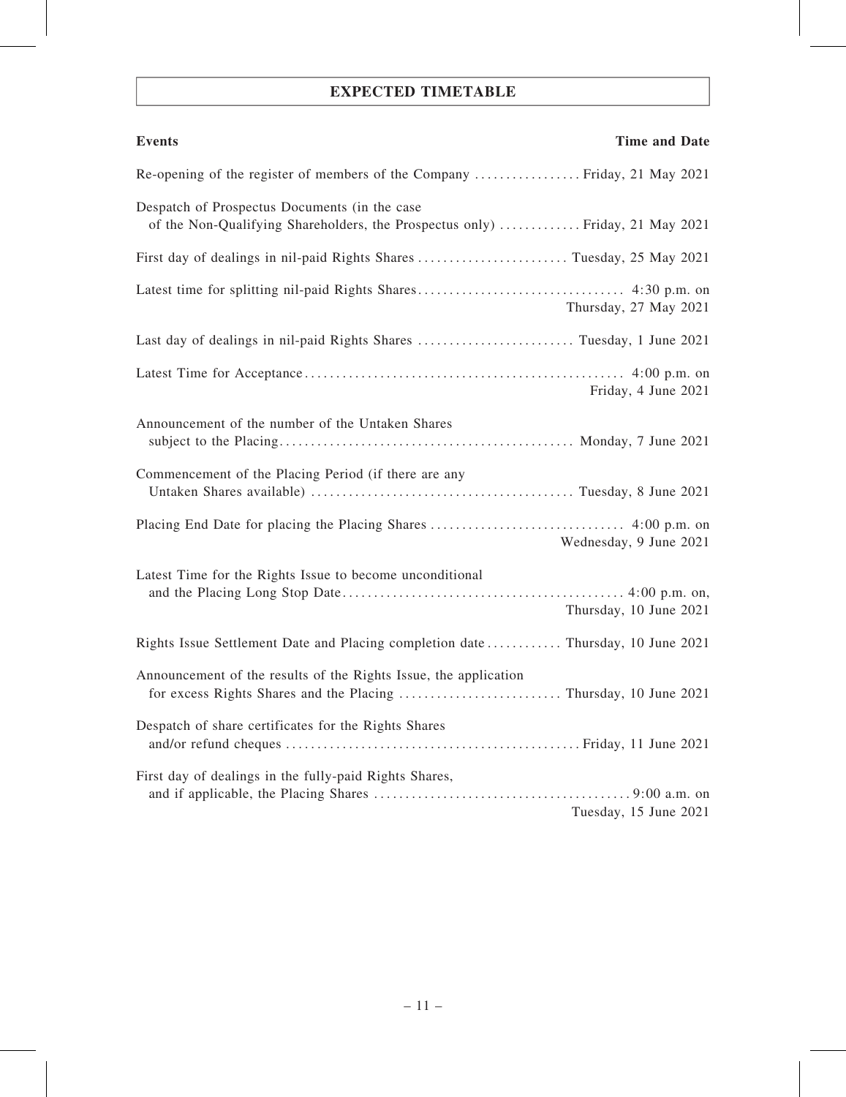# EXPECTED TIMETABLE

| <b>Events</b><br><b>Time and Date</b>                                                                                          |
|--------------------------------------------------------------------------------------------------------------------------------|
|                                                                                                                                |
| Despatch of Prospectus Documents (in the case<br>of the Non-Qualifying Shareholders, the Prospectus only)  Friday, 21 May 2021 |
|                                                                                                                                |
| Thursday, 27 May 2021                                                                                                          |
|                                                                                                                                |
| Friday, 4 June 2021                                                                                                            |
| Announcement of the number of the Untaken Shares                                                                               |
| Commencement of the Placing Period (if there are any                                                                           |
| Wednesday, 9 June 2021                                                                                                         |
| Latest Time for the Rights Issue to become unconditional<br>Thursday, 10 June 2021                                             |
| Rights Issue Settlement Date and Placing completion date  Thursday, 10 June 2021                                               |
| Announcement of the results of the Rights Issue, the application                                                               |
| Despatch of share certificates for the Rights Shares                                                                           |
| First day of dealings in the fully-paid Rights Shares,                                                                         |
| Tuesday, 15 June 2021                                                                                                          |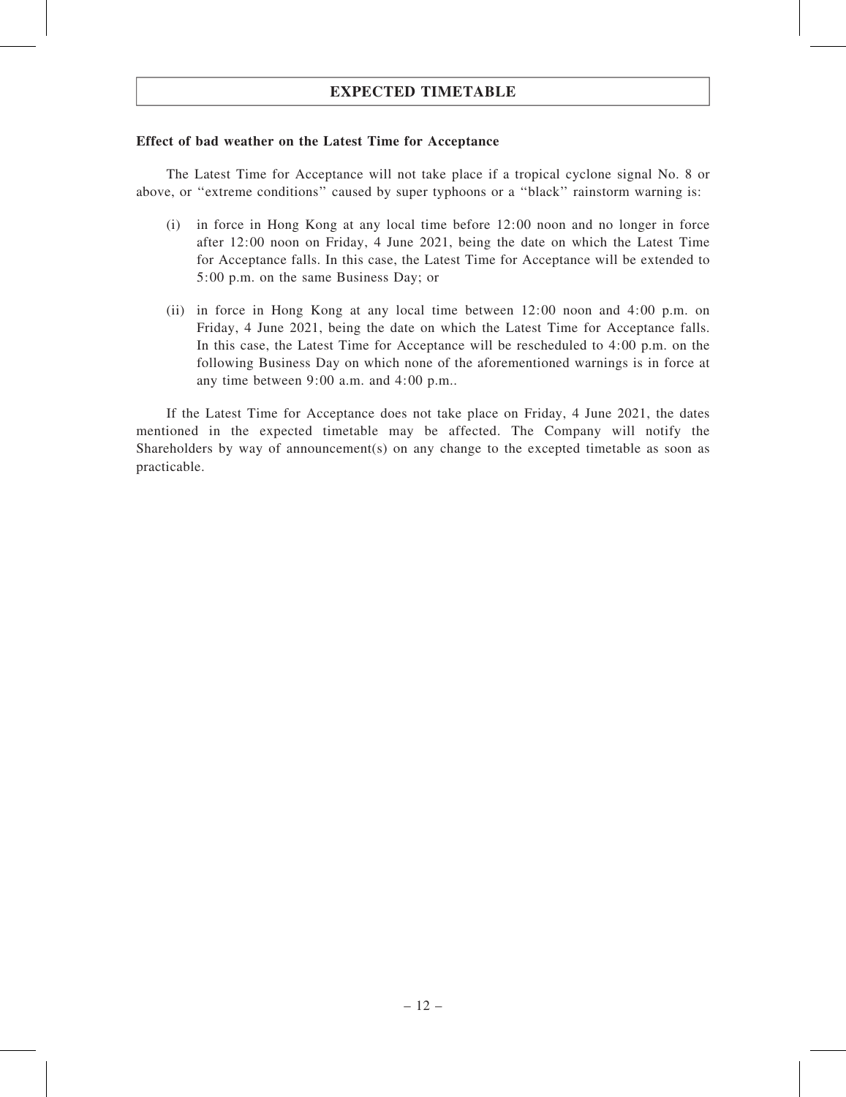# EXPECTED TIMETABLE

### Effect of bad weather on the Latest Time for Acceptance

The Latest Time for Acceptance will not take place if a tropical cyclone signal No. 8 or above, or ''extreme conditions'' caused by super typhoons or a ''black'' rainstorm warning is:

- (i) in force in Hong Kong at any local time before 12:00 noon and no longer in force after 12:00 noon on Friday, 4 June 2021, being the date on which the Latest Time for Acceptance falls. In this case, the Latest Time for Acceptance will be extended to 5:00 p.m. on the same Business Day; or
- (ii) in force in Hong Kong at any local time between 12:00 noon and 4:00 p.m. on Friday, 4 June 2021, being the date on which the Latest Time for Acceptance falls. In this case, the Latest Time for Acceptance will be rescheduled to 4:00 p.m. on the following Business Day on which none of the aforementioned warnings is in force at any time between 9:00 a.m. and 4:00 p.m..

If the Latest Time for Acceptance does not take place on Friday, 4 June 2021, the dates mentioned in the expected timetable may be affected. The Company will notify the Shareholders by way of announcement(s) on any change to the excepted timetable as soon as practicable.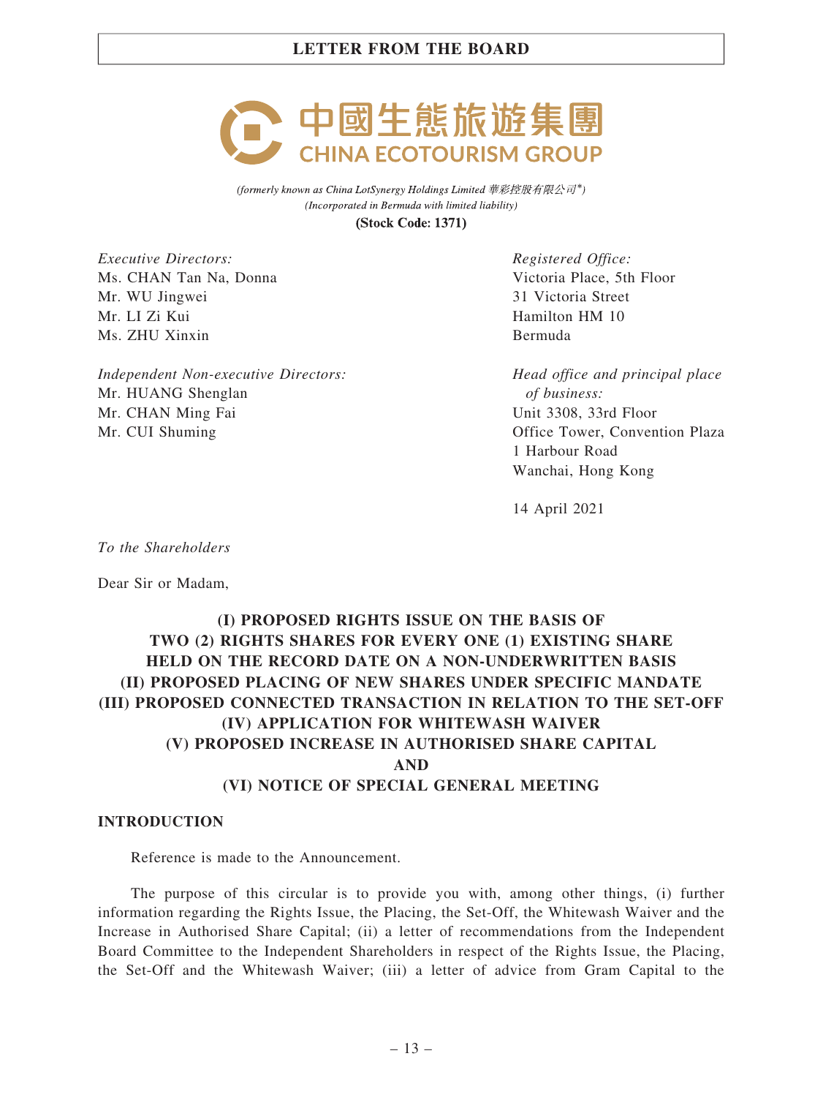

(formerly known as China LotSynergy Holdings Limited 華彩控股有限公司\*) (Incorporated in Bermuda with limited liability)

**(Stock Code: 1371)** 

Executive Directors: Ms. CHAN Tan Na, Donna Mr. WU Jingwei Mr. LI Zi Kui Ms. ZHU Xinxin

Independent Non-executive Directors: Mr. HUANG Shenglan Mr. CHAN Ming Fai Mr. CUI Shuming

Registered Office: Victoria Place, 5th Floor 31 Victoria Street Hamilton HM 10 Bermuda

Head office and principal place of business: Unit 3308, 33rd Floor Office Tower, Convention Plaza 1 Harbour Road Wanchai, Hong Kong

14 April 2021

To the Shareholders

Dear Sir or Madam,

# (I) PROPOSED RIGHTS ISSUE ON THE BASIS OF TWO (2) RIGHTS SHARES FOR EVERY ONE (1) EXISTING SHARE HELD ON THE RECORD DATE ON A NON-UNDERWRITTEN BASIS (II) PROPOSED PLACING OF NEW SHARES UNDER SPECIFIC MANDATE (III) PROPOSED CONNECTED TRANSACTION IN RELATION TO THE SET-OFF (IV) APPLICATION FOR WHITEWASH WAIVER (V) PROPOSED INCREASE IN AUTHORISED SHARE CAPITAL AND (VI) NOTICE OF SPECIAL GENERAL MEETING

### INTRODUCTION

Reference is made to the Announcement.

The purpose of this circular is to provide you with, among other things, (i) further information regarding the Rights Issue, the Placing, the Set-Off, the Whitewash Waiver and the Increase in Authorised Share Capital; (ii) a letter of recommendations from the Independent Board Committee to the Independent Shareholders in respect of the Rights Issue, the Placing, the Set-Off and the Whitewash Waiver; (iii) a letter of advice from Gram Capital to the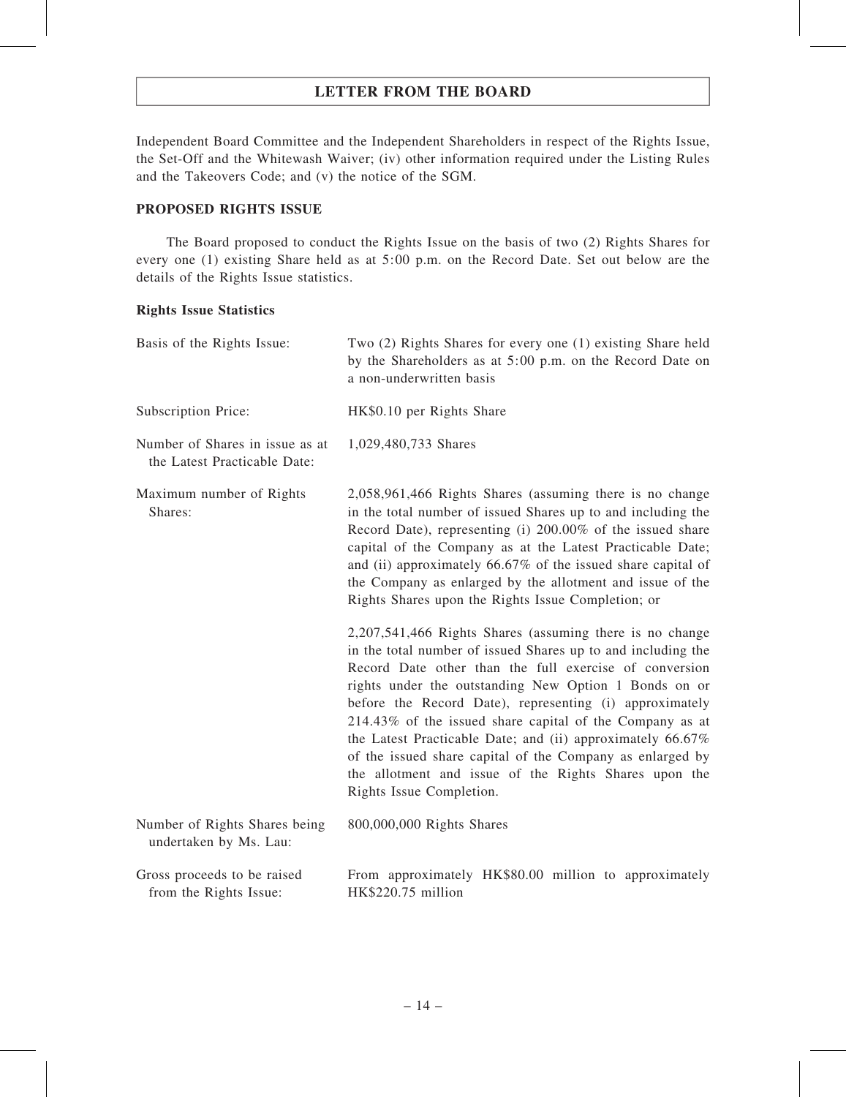Independent Board Committee and the Independent Shareholders in respect of the Rights Issue, the Set-Off and the Whitewash Waiver; (iv) other information required under the Listing Rules and the Takeovers Code; and (v) the notice of the SGM.

### PROPOSED RIGHTS ISSUE

The Board proposed to conduct the Rights Issue on the basis of two (2) Rights Shares for every one (1) existing Share held as at 5:00 p.m. on the Record Date. Set out below are the details of the Rights Issue statistics.

### Rights Issue Statistics

| Basis of the Rights Issue:                                      | Two (2) Rights Shares for every one (1) existing Share held<br>by the Shareholders as at 5:00 p.m. on the Record Date on<br>a non-underwritten basis                                                                                                                                                                                                                                                                                                                                                                                                                               |
|-----------------------------------------------------------------|------------------------------------------------------------------------------------------------------------------------------------------------------------------------------------------------------------------------------------------------------------------------------------------------------------------------------------------------------------------------------------------------------------------------------------------------------------------------------------------------------------------------------------------------------------------------------------|
| Subscription Price:                                             | HK\$0.10 per Rights Share                                                                                                                                                                                                                                                                                                                                                                                                                                                                                                                                                          |
| Number of Shares in issue as at<br>the Latest Practicable Date: | 1,029,480,733 Shares                                                                                                                                                                                                                                                                                                                                                                                                                                                                                                                                                               |
| Maximum number of Rights<br>Shares:                             | 2,058,961,466 Rights Shares (assuming there is no change<br>in the total number of issued Shares up to and including the<br>Record Date), representing (i) 200.00% of the issued share<br>capital of the Company as at the Latest Practicable Date;<br>and (ii) approximately $66.67\%$ of the issued share capital of<br>the Company as enlarged by the allotment and issue of the<br>Rights Shares upon the Rights Issue Completion; or                                                                                                                                          |
|                                                                 | 2,207,541,466 Rights Shares (assuming there is no change<br>in the total number of issued Shares up to and including the<br>Record Date other than the full exercise of conversion<br>rights under the outstanding New Option 1 Bonds on or<br>before the Record Date), representing (i) approximately<br>214.43% of the issued share capital of the Company as at<br>the Latest Practicable Date; and (ii) approximately 66.67%<br>of the issued share capital of the Company as enlarged by<br>the allotment and issue of the Rights Shares upon the<br>Rights Issue Completion. |
| Number of Rights Shares being<br>undertaken by Ms. Lau:         | 800,000,000 Rights Shares                                                                                                                                                                                                                                                                                                                                                                                                                                                                                                                                                          |
| Gross proceeds to be raised<br>from the Rights Issue:           | From approximately HK\$80.00 million to approximately<br>HK\$220.75 million                                                                                                                                                                                                                                                                                                                                                                                                                                                                                                        |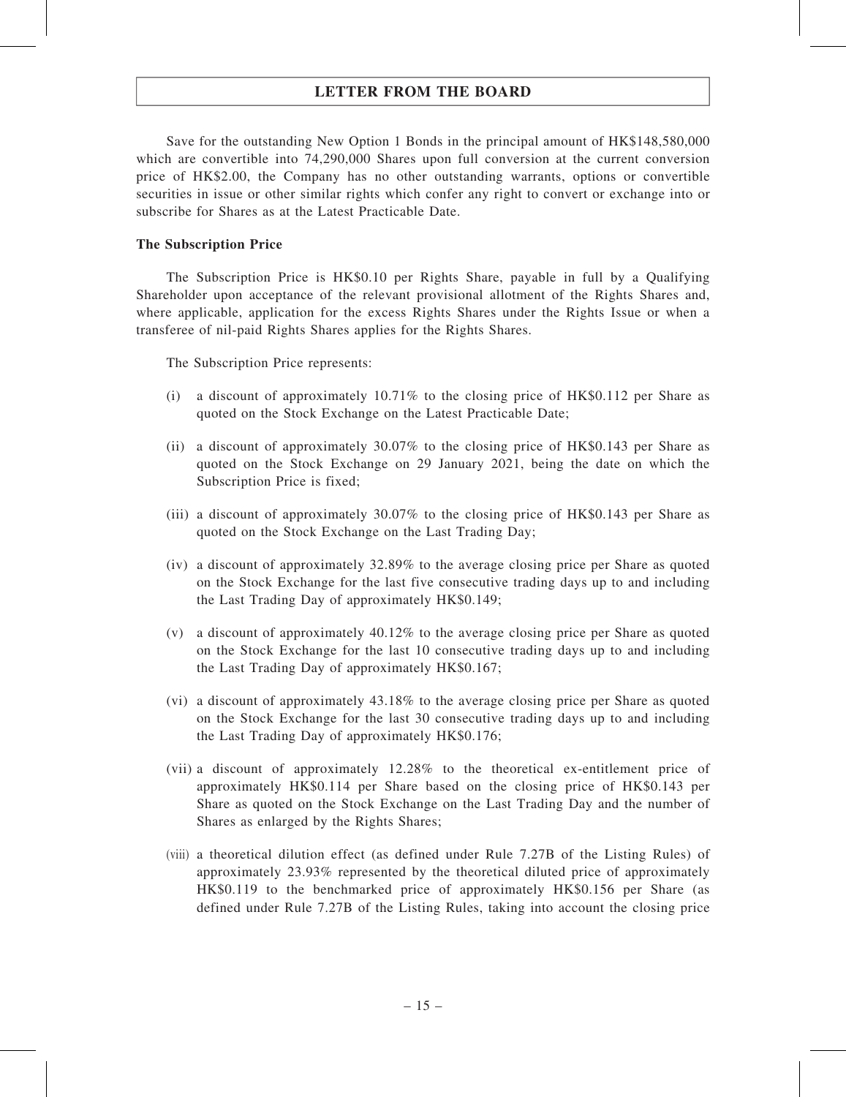Save for the outstanding New Option 1 Bonds in the principal amount of HK\$148,580,000 which are convertible into 74,290,000 Shares upon full conversion at the current conversion price of HK\$2.00, the Company has no other outstanding warrants, options or convertible securities in issue or other similar rights which confer any right to convert or exchange into or subscribe for Shares as at the Latest Practicable Date.

### The Subscription Price

The Subscription Price is HK\$0.10 per Rights Share, payable in full by a Qualifying Shareholder upon acceptance of the relevant provisional allotment of the Rights Shares and, where applicable, application for the excess Rights Shares under the Rights Issue or when a transferee of nil-paid Rights Shares applies for the Rights Shares.

The Subscription Price represents:

- (i) a discount of approximately 10.71% to the closing price of HK\$0.112 per Share as quoted on the Stock Exchange on the Latest Practicable Date;
- (ii) a discount of approximately 30.07% to the closing price of HK\$0.143 per Share as quoted on the Stock Exchange on 29 January 2021, being the date on which the Subscription Price is fixed;
- (iii) a discount of approximately 30.07% to the closing price of HK\$0.143 per Share as quoted on the Stock Exchange on the Last Trading Day;
- (iv) a discount of approximately 32.89% to the average closing price per Share as quoted on the Stock Exchange for the last five consecutive trading days up to and including the Last Trading Day of approximately HK\$0.149;
- (v) a discount of approximately 40.12% to the average closing price per Share as quoted on the Stock Exchange for the last 10 consecutive trading days up to and including the Last Trading Day of approximately HK\$0.167;
- (vi) a discount of approximately 43.18% to the average closing price per Share as quoted on the Stock Exchange for the last 30 consecutive trading days up to and including the Last Trading Day of approximately HK\$0.176;
- (vii) a discount of approximately 12.28% to the theoretical ex-entitlement price of approximately HK\$0.114 per Share based on the closing price of HK\$0.143 per Share as quoted on the Stock Exchange on the Last Trading Day and the number of Shares as enlarged by the Rights Shares;
- (viii) a theoretical dilution effect (as defined under Rule 7.27B of the Listing Rules) of approximately 23.93% represented by the theoretical diluted price of approximately HK\$0.119 to the benchmarked price of approximately HK\$0.156 per Share (as defined under Rule 7.27B of the Listing Rules, taking into account the closing price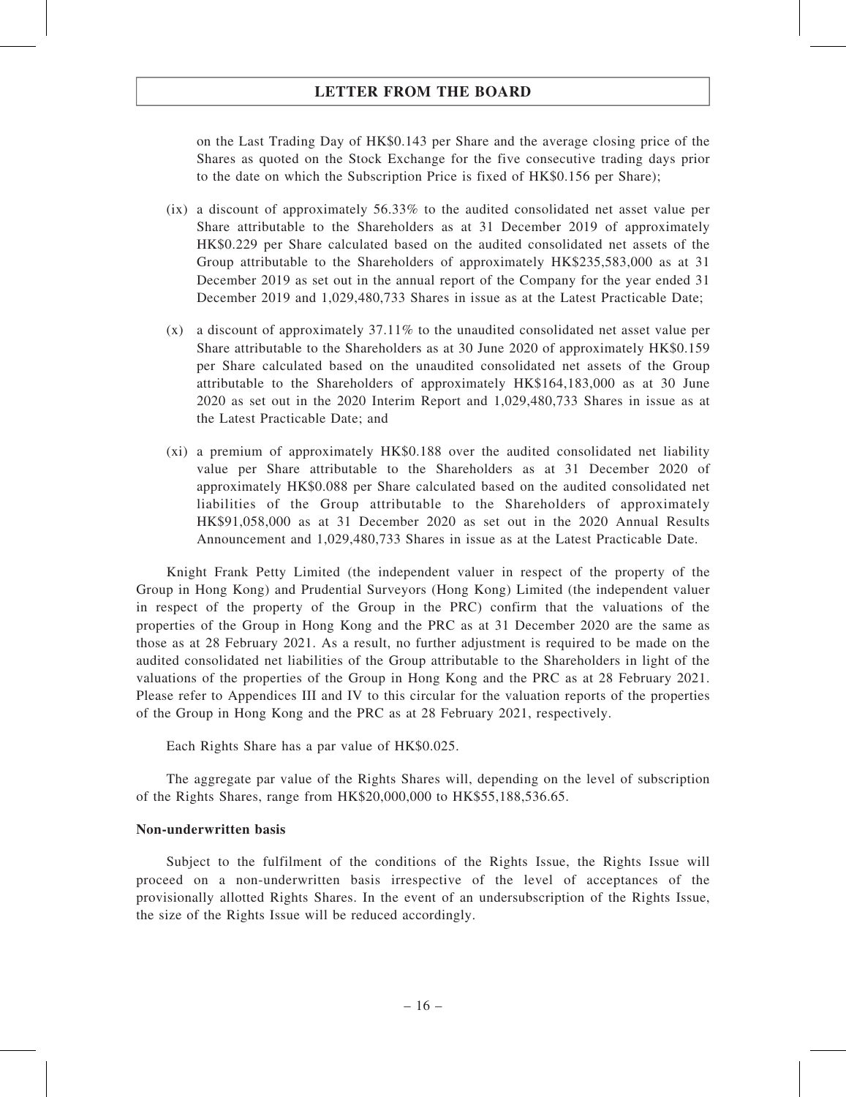on the Last Trading Day of HK\$0.143 per Share and the average closing price of the Shares as quoted on the Stock Exchange for the five consecutive trading days prior to the date on which the Subscription Price is fixed of HK\$0.156 per Share);

- $(ix)$  a discount of approximately 56.33% to the audited consolidated net asset value per Share attributable to the Shareholders as at 31 December 2019 of approximately HK\$0.229 per Share calculated based on the audited consolidated net assets of the Group attributable to the Shareholders of approximately HK\$235,583,000 as at 31 December 2019 as set out in the annual report of the Company for the year ended 31 December 2019 and 1,029,480,733 Shares in issue as at the Latest Practicable Date;
- (x) a discount of approximately 37.11% to the unaudited consolidated net asset value per Share attributable to the Shareholders as at 30 June 2020 of approximately HK\$0.159 per Share calculated based on the unaudited consolidated net assets of the Group attributable to the Shareholders of approximately HK\$164,183,000 as at 30 June 2020 as set out in the 2020 Interim Report and 1,029,480,733 Shares in issue as at the Latest Practicable Date; and
- (xi) a premium of approximately HK\$0.188 over the audited consolidated net liability value per Share attributable to the Shareholders as at 31 December 2020 of approximately HK\$0.088 per Share calculated based on the audited consolidated net liabilities of the Group attributable to the Shareholders of approximately HK\$91,058,000 as at 31 December 2020 as set out in the 2020 Annual Results Announcement and 1,029,480,733 Shares in issue as at the Latest Practicable Date.

Knight Frank Petty Limited (the independent valuer in respect of the property of the Group in Hong Kong) and Prudential Surveyors (Hong Kong) Limited (the independent valuer in respect of the property of the Group in the PRC) confirm that the valuations of the properties of the Group in Hong Kong and the PRC as at 31 December 2020 are the same as those as at 28 February 2021. As a result, no further adjustment is required to be made on the audited consolidated net liabilities of the Group attributable to the Shareholders in light of the valuations of the properties of the Group in Hong Kong and the PRC as at 28 February 2021. Please refer to Appendices III and IV to this circular for the valuation reports of the properties of the Group in Hong Kong and the PRC as at 28 February 2021, respectively.

Each Rights Share has a par value of HK\$0.025.

The aggregate par value of the Rights Shares will, depending on the level of subscription of the Rights Shares, range from HK\$20,000,000 to HK\$55,188,536.65.

### Non-underwritten basis

Subject to the fulfilment of the conditions of the Rights Issue, the Rights Issue will proceed on a non-underwritten basis irrespective of the level of acceptances of the provisionally allotted Rights Shares. In the event of an undersubscription of the Rights Issue, the size of the Rights Issue will be reduced accordingly.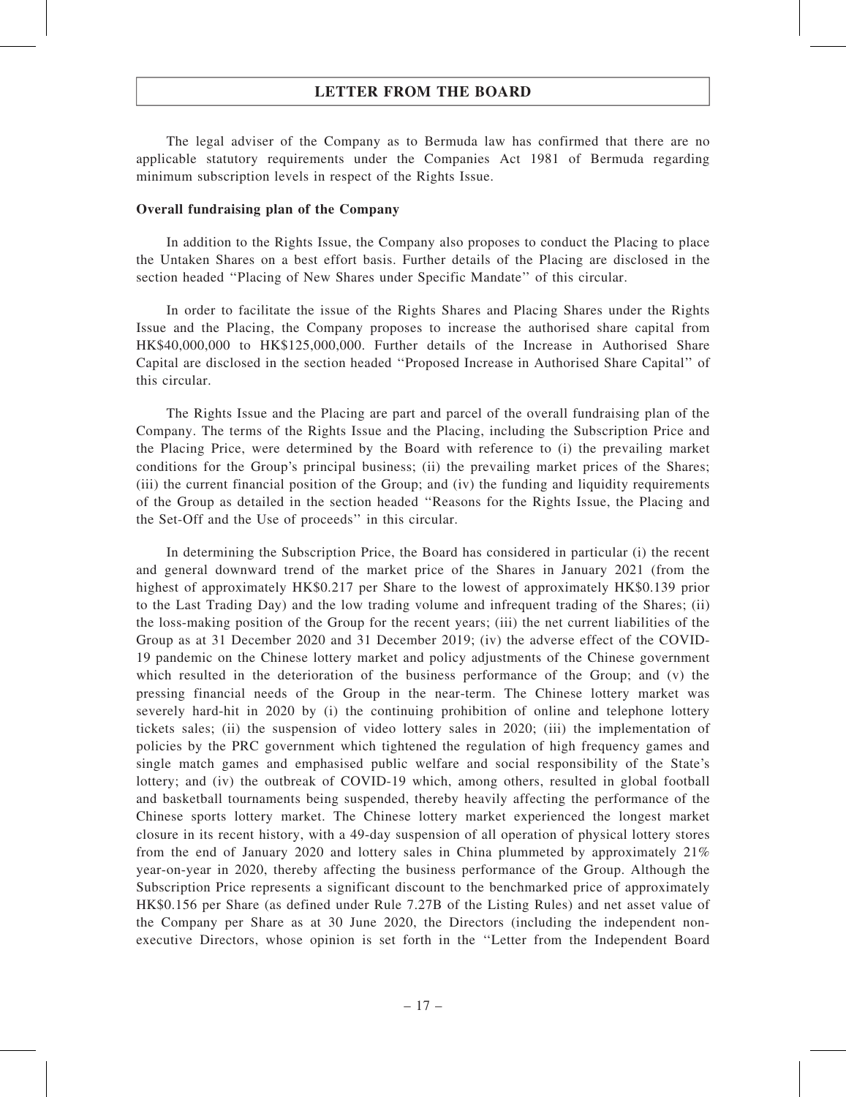The legal adviser of the Company as to Bermuda law has confirmed that there are no applicable statutory requirements under the Companies Act 1981 of Bermuda regarding minimum subscription levels in respect of the Rights Issue.

#### Overall fundraising plan of the Company

In addition to the Rights Issue, the Company also proposes to conduct the Placing to place the Untaken Shares on a best effort basis. Further details of the Placing are disclosed in the section headed ''Placing of New Shares under Specific Mandate'' of this circular.

In order to facilitate the issue of the Rights Shares and Placing Shares under the Rights Issue and the Placing, the Company proposes to increase the authorised share capital from HK\$40,000,000 to HK\$125,000,000. Further details of the Increase in Authorised Share Capital are disclosed in the section headed ''Proposed Increase in Authorised Share Capital'' of this circular.

The Rights Issue and the Placing are part and parcel of the overall fundraising plan of the Company. The terms of the Rights Issue and the Placing, including the Subscription Price and the Placing Price, were determined by the Board with reference to (i) the prevailing market conditions for the Group's principal business; (ii) the prevailing market prices of the Shares; (iii) the current financial position of the Group; and (iv) the funding and liquidity requirements of the Group as detailed in the section headed ''Reasons for the Rights Issue, the Placing and the Set-Off and the Use of proceeds'' in this circular.

In determining the Subscription Price, the Board has considered in particular (i) the recent and general downward trend of the market price of the Shares in January 2021 (from the highest of approximately HK\$0.217 per Share to the lowest of approximately HK\$0.139 prior to the Last Trading Day) and the low trading volume and infrequent trading of the Shares; (ii) the loss-making position of the Group for the recent years; (iii) the net current liabilities of the Group as at 31 December 2020 and 31 December 2019; (iv) the adverse effect of the COVID‐ 19 pandemic on the Chinese lottery market and policy adjustments of the Chinese government which resulted in the deterioration of the business performance of the Group; and (v) the pressing financial needs of the Group in the near-term. The Chinese lottery market was severely hard-hit in 2020 by (i) the continuing prohibition of online and telephone lottery tickets sales; (ii) the suspension of video lottery sales in 2020; (iii) the implementation of policies by the PRC government which tightened the regulation of high frequency games and single match games and emphasised public welfare and social responsibility of the State's lottery; and (iv) the outbreak of COVID-19 which, among others, resulted in global football and basketball tournaments being suspended, thereby heavily affecting the performance of the Chinese sports lottery market. The Chinese lottery market experienced the longest market closure in its recent history, with a 49-day suspension of all operation of physical lottery stores from the end of January 2020 and lottery sales in China plummeted by approximately 21% year-on-year in 2020, thereby affecting the business performance of the Group. Although the Subscription Price represents a significant discount to the benchmarked price of approximately HK\$0.156 per Share (as defined under Rule 7.27B of the Listing Rules) and net asset value of the Company per Share as at 30 June 2020, the Directors (including the independent nonexecutive Directors, whose opinion is set forth in the ''Letter from the Independent Board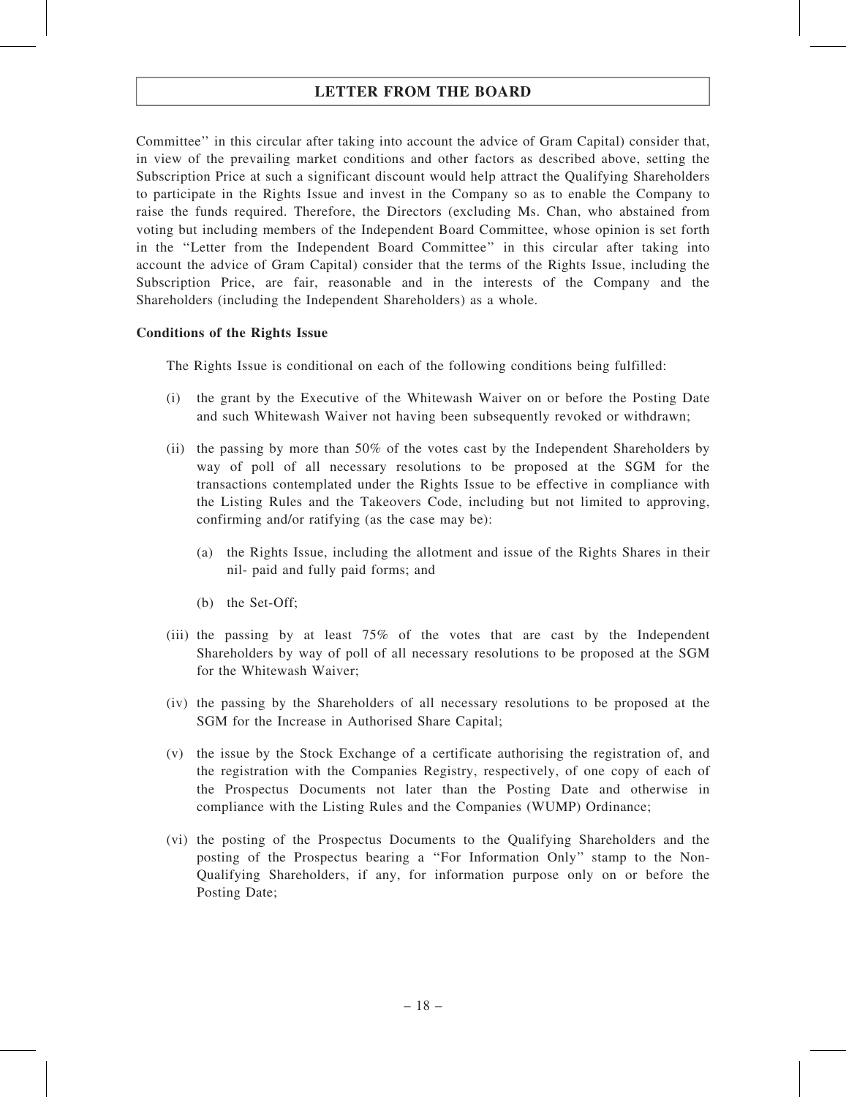Committee'' in this circular after taking into account the advice of Gram Capital) consider that, in view of the prevailing market conditions and other factors as described above, setting the Subscription Price at such a significant discount would help attract the Qualifying Shareholders to participate in the Rights Issue and invest in the Company so as to enable the Company to raise the funds required. Therefore, the Directors (excluding Ms. Chan, who abstained from voting but including members of the Independent Board Committee, whose opinion is set forth in the ''Letter from the Independent Board Committee'' in this circular after taking into account the advice of Gram Capital) consider that the terms of the Rights Issue, including the Subscription Price, are fair, reasonable and in the interests of the Company and the Shareholders (including the Independent Shareholders) as a whole.

### Conditions of the Rights Issue

The Rights Issue is conditional on each of the following conditions being fulfilled:

- (i) the grant by the Executive of the Whitewash Waiver on or before the Posting Date and such Whitewash Waiver not having been subsequently revoked or withdrawn;
- (ii) the passing by more than 50% of the votes cast by the Independent Shareholders by way of poll of all necessary resolutions to be proposed at the SGM for the transactions contemplated under the Rights Issue to be effective in compliance with the Listing Rules and the Takeovers Code, including but not limited to approving, confirming and/or ratifying (as the case may be):
	- (a) the Rights Issue, including the allotment and issue of the Rights Shares in their nil- paid and fully paid forms; and
	- (b) the Set-Off;
- (iii) the passing by at least 75% of the votes that are cast by the Independent Shareholders by way of poll of all necessary resolutions to be proposed at the SGM for the Whitewash Waiver;
- (iv) the passing by the Shareholders of all necessary resolutions to be proposed at the SGM for the Increase in Authorised Share Capital;
- (v) the issue by the Stock Exchange of a certificate authorising the registration of, and the registration with the Companies Registry, respectively, of one copy of each of the Prospectus Documents not later than the Posting Date and otherwise in compliance with the Listing Rules and the Companies (WUMP) Ordinance;
- (vi) the posting of the Prospectus Documents to the Qualifying Shareholders and the posting of the Prospectus bearing a ''For Information Only'' stamp to the Non-Qualifying Shareholders, if any, for information purpose only on or before the Posting Date;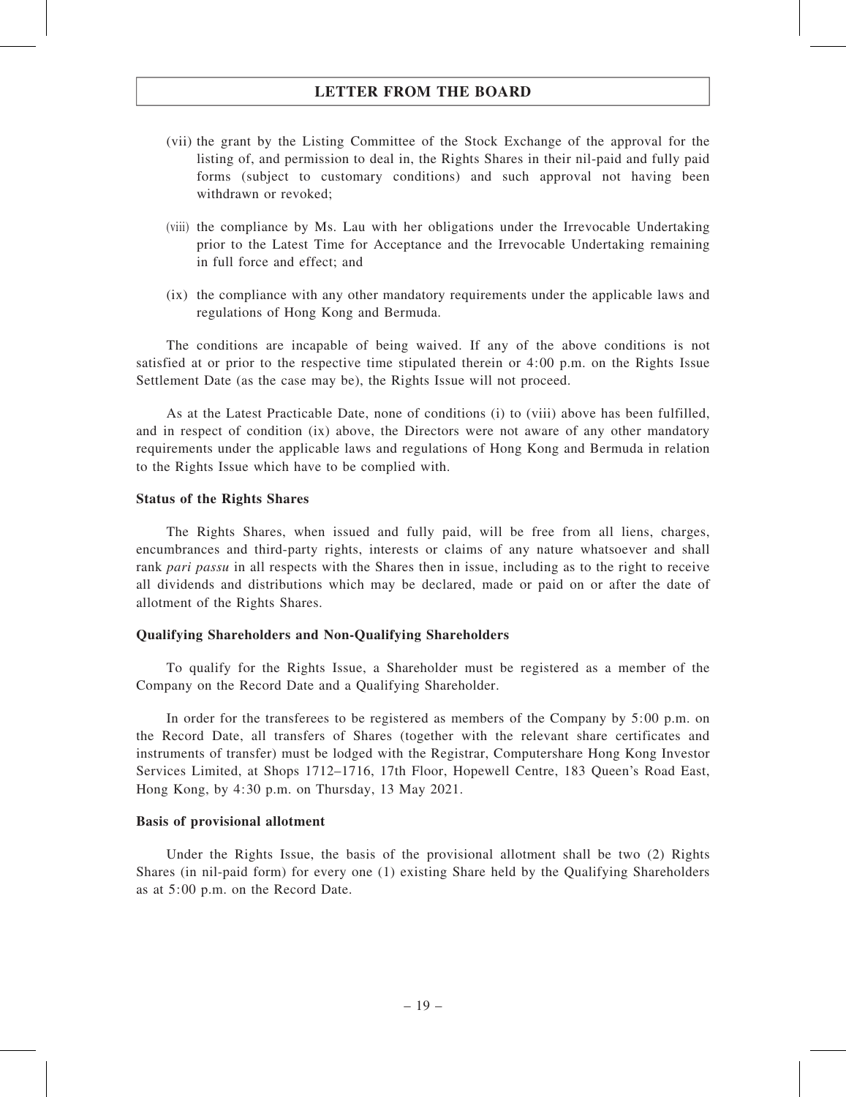- (vii) the grant by the Listing Committee of the Stock Exchange of the approval for the listing of, and permission to deal in, the Rights Shares in their nil-paid and fully paid forms (subject to customary conditions) and such approval not having been withdrawn or revoked;
- (viii) the compliance by Ms. Lau with her obligations under the Irrevocable Undertaking prior to the Latest Time for Acceptance and the Irrevocable Undertaking remaining in full force and effect; and
- (ix) the compliance with any other mandatory requirements under the applicable laws and regulations of Hong Kong and Bermuda.

The conditions are incapable of being waived. If any of the above conditions is not satisfied at or prior to the respective time stipulated therein or 4:00 p.m. on the Rights Issue Settlement Date (as the case may be), the Rights Issue will not proceed.

As at the Latest Practicable Date, none of conditions (i) to (viii) above has been fulfilled, and in respect of condition (ix) above, the Directors were not aware of any other mandatory requirements under the applicable laws and regulations of Hong Kong and Bermuda in relation to the Rights Issue which have to be complied with.

#### Status of the Rights Shares

The Rights Shares, when issued and fully paid, will be free from all liens, charges, encumbrances and third-party rights, interests or claims of any nature whatsoever and shall rank pari passu in all respects with the Shares then in issue, including as to the right to receive all dividends and distributions which may be declared, made or paid on or after the date of allotment of the Rights Shares.

#### Qualifying Shareholders and Non-Qualifying Shareholders

To qualify for the Rights Issue, a Shareholder must be registered as a member of the Company on the Record Date and a Qualifying Shareholder.

In order for the transferees to be registered as members of the Company by 5:00 p.m. on the Record Date, all transfers of Shares (together with the relevant share certificates and instruments of transfer) must be lodged with the Registrar, Computershare Hong Kong Investor Services Limited, at Shops 1712–1716, 17th Floor, Hopewell Centre, 183 Queen's Road East, Hong Kong, by 4:30 p.m. on Thursday, 13 May 2021.

#### Basis of provisional allotment

Under the Rights Issue, the basis of the provisional allotment shall be two (2) Rights Shares (in nil-paid form) for every one (1) existing Share held by the Qualifying Shareholders as at 5:00 p.m. on the Record Date.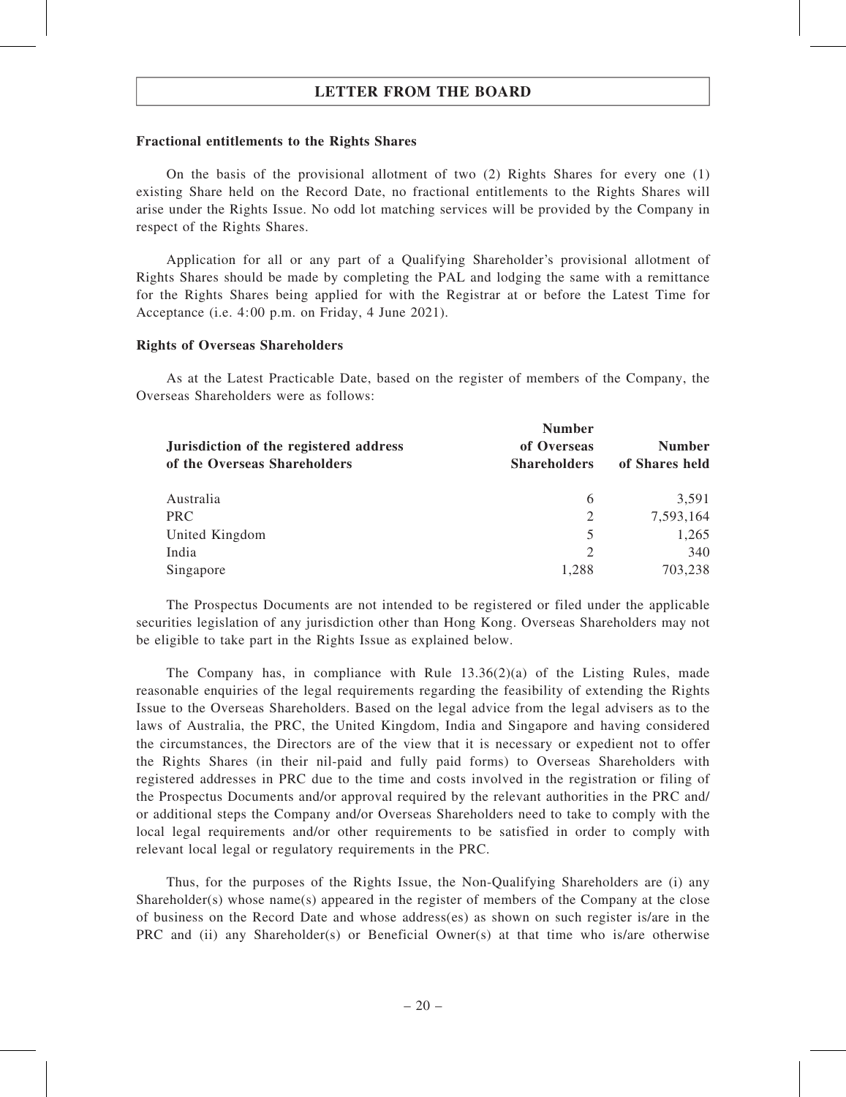#### Fractional entitlements to the Rights Shares

On the basis of the provisional allotment of two (2) Rights Shares for every one (1) existing Share held on the Record Date, no fractional entitlements to the Rights Shares will arise under the Rights Issue. No odd lot matching services will be provided by the Company in respect of the Rights Shares.

Application for all or any part of a Qualifying Shareholder's provisional allotment of Rights Shares should be made by completing the PAL and lodging the same with a remittance for the Rights Shares being applied for with the Registrar at or before the Latest Time for Acceptance (i.e. 4:00 p.m. on Friday, 4 June 2021).

#### Rights of Overseas Shareholders

As at the Latest Practicable Date, based on the register of members of the Company, the Overseas Shareholders were as follows:

| Jurisdiction of the registered address | <b>Number</b>       | <b>Number</b>  |
|----------------------------------------|---------------------|----------------|
|                                        | of Overseas         |                |
| of the Overseas Shareholders           | <b>Shareholders</b> | of Shares held |
| Australia                              | 6                   | 3,591          |
| <b>PRC</b>                             | 2                   | 7,593,164      |
| United Kingdom                         | 5                   | 1,265          |
| India                                  | 2                   | 340            |
| Singapore                              | 1,288               | 703,238        |

The Prospectus Documents are not intended to be registered or filed under the applicable securities legislation of any jurisdiction other than Hong Kong. Overseas Shareholders may not be eligible to take part in the Rights Issue as explained below.

The Company has, in compliance with Rule 13.36(2)(a) of the Listing Rules, made reasonable enquiries of the legal requirements regarding the feasibility of extending the Rights Issue to the Overseas Shareholders. Based on the legal advice from the legal advisers as to the laws of Australia, the PRC, the United Kingdom, India and Singapore and having considered the circumstances, the Directors are of the view that it is necessary or expedient not to offer the Rights Shares (in their nil-paid and fully paid forms) to Overseas Shareholders with registered addresses in PRC due to the time and costs involved in the registration or filing of the Prospectus Documents and/or approval required by the relevant authorities in the PRC and/ or additional steps the Company and/or Overseas Shareholders need to take to comply with the local legal requirements and/or other requirements to be satisfied in order to comply with relevant local legal or regulatory requirements in the PRC.

Thus, for the purposes of the Rights Issue, the Non-Qualifying Shareholders are (i) any Shareholder(s) whose name(s) appeared in the register of members of the Company at the close of business on the Record Date and whose address(es) as shown on such register is/are in the PRC and (ii) any Shareholder(s) or Beneficial Owner(s) at that time who is/are otherwise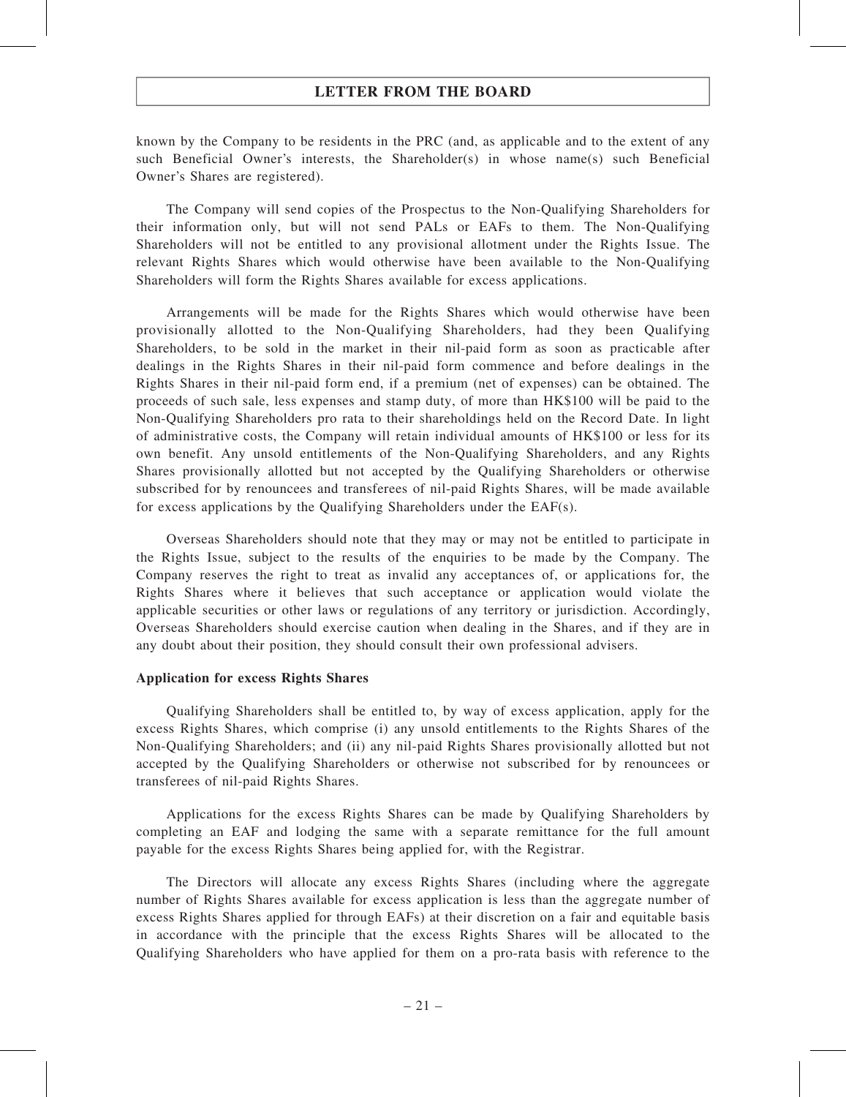known by the Company to be residents in the PRC (and, as applicable and to the extent of any such Beneficial Owner's interests, the Shareholder(s) in whose name(s) such Beneficial Owner's Shares are registered).

The Company will send copies of the Prospectus to the Non-Qualifying Shareholders for their information only, but will not send PALs or EAFs to them. The Non-Qualifying Shareholders will not be entitled to any provisional allotment under the Rights Issue. The relevant Rights Shares which would otherwise have been available to the Non-Qualifying Shareholders will form the Rights Shares available for excess applications.

Arrangements will be made for the Rights Shares which would otherwise have been provisionally allotted to the Non-Qualifying Shareholders, had they been Qualifying Shareholders, to be sold in the market in their nil-paid form as soon as practicable after dealings in the Rights Shares in their nil-paid form commence and before dealings in the Rights Shares in their nil-paid form end, if a premium (net of expenses) can be obtained. The proceeds of such sale, less expenses and stamp duty, of more than HK\$100 will be paid to the Non-Qualifying Shareholders pro rata to their shareholdings held on the Record Date. In light of administrative costs, the Company will retain individual amounts of HK\$100 or less for its own benefit. Any unsold entitlements of the Non-Qualifying Shareholders, and any Rights Shares provisionally allotted but not accepted by the Qualifying Shareholders or otherwise subscribed for by renouncees and transferees of nil-paid Rights Shares, will be made available for excess applications by the Qualifying Shareholders under the EAF(s).

Overseas Shareholders should note that they may or may not be entitled to participate in the Rights Issue, subject to the results of the enquiries to be made by the Company. The Company reserves the right to treat as invalid any acceptances of, or applications for, the Rights Shares where it believes that such acceptance or application would violate the applicable securities or other laws or regulations of any territory or jurisdiction. Accordingly, Overseas Shareholders should exercise caution when dealing in the Shares, and if they are in any doubt about their position, they should consult their own professional advisers.

#### Application for excess Rights Shares

Qualifying Shareholders shall be entitled to, by way of excess application, apply for the excess Rights Shares, which comprise (i) any unsold entitlements to the Rights Shares of the Non-Qualifying Shareholders; and (ii) any nil-paid Rights Shares provisionally allotted but not accepted by the Qualifying Shareholders or otherwise not subscribed for by renouncees or transferees of nil-paid Rights Shares.

Applications for the excess Rights Shares can be made by Qualifying Shareholders by completing an EAF and lodging the same with a separate remittance for the full amount payable for the excess Rights Shares being applied for, with the Registrar.

The Directors will allocate any excess Rights Shares (including where the aggregate number of Rights Shares available for excess application is less than the aggregate number of excess Rights Shares applied for through EAFs) at their discretion on a fair and equitable basis in accordance with the principle that the excess Rights Shares will be allocated to the Qualifying Shareholders who have applied for them on a pro-rata basis with reference to the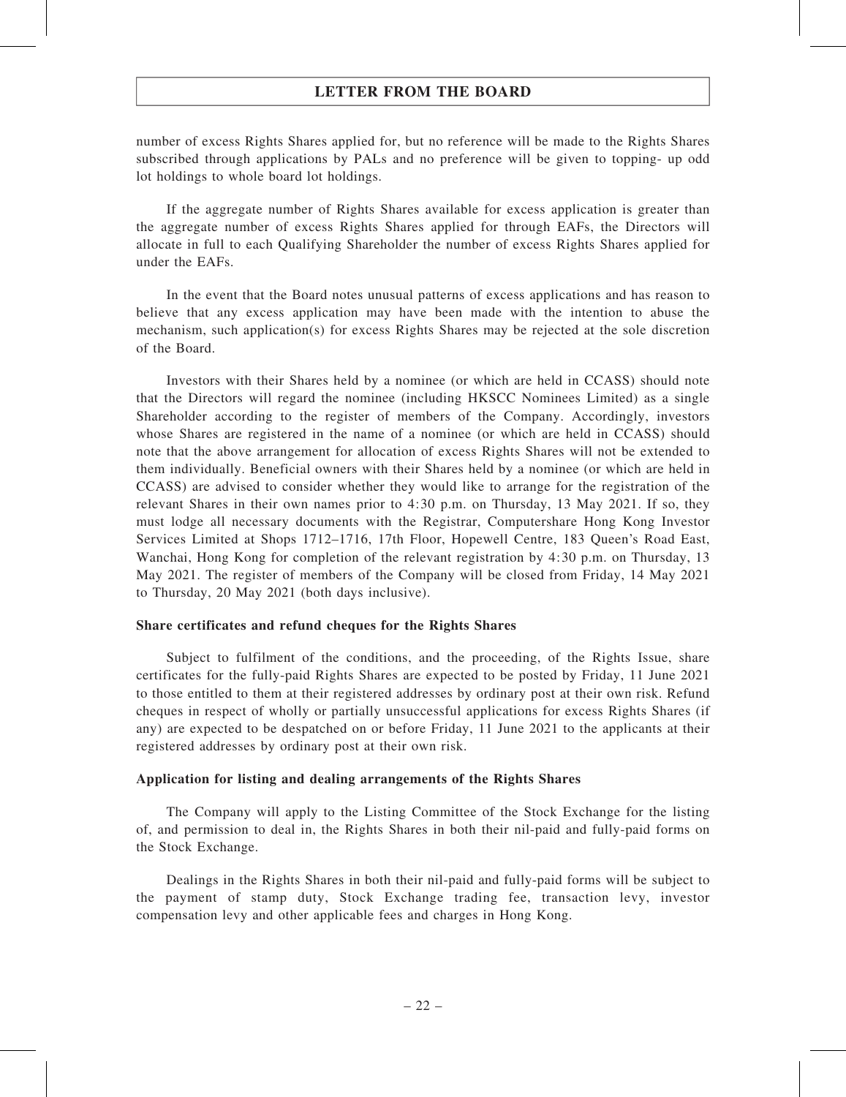number of excess Rights Shares applied for, but no reference will be made to the Rights Shares subscribed through applications by PALs and no preference will be given to topping- up odd lot holdings to whole board lot holdings.

If the aggregate number of Rights Shares available for excess application is greater than the aggregate number of excess Rights Shares applied for through EAFs, the Directors will allocate in full to each Qualifying Shareholder the number of excess Rights Shares applied for under the EAFs.

In the event that the Board notes unusual patterns of excess applications and has reason to believe that any excess application may have been made with the intention to abuse the mechanism, such application(s) for excess Rights Shares may be rejected at the sole discretion of the Board.

Investors with their Shares held by a nominee (or which are held in CCASS) should note that the Directors will regard the nominee (including HKSCC Nominees Limited) as a single Shareholder according to the register of members of the Company. Accordingly, investors whose Shares are registered in the name of a nominee (or which are held in CCASS) should note that the above arrangement for allocation of excess Rights Shares will not be extended to them individually. Beneficial owners with their Shares held by a nominee (or which are held in CCASS) are advised to consider whether they would like to arrange for the registration of the relevant Shares in their own names prior to 4:30 p.m. on Thursday, 13 May 2021. If so, they must lodge all necessary documents with the Registrar, Computershare Hong Kong Investor Services Limited at Shops 1712–1716, 17th Floor, Hopewell Centre, 183 Queen's Road East, Wanchai, Hong Kong for completion of the relevant registration by 4:30 p.m. on Thursday, 13 May 2021. The register of members of the Company will be closed from Friday, 14 May 2021 to Thursday, 20 May 2021 (both days inclusive).

#### Share certificates and refund cheques for the Rights Shares

Subject to fulfilment of the conditions, and the proceeding, of the Rights Issue, share certificates for the fully-paid Rights Shares are expected to be posted by Friday, 11 June 2021 to those entitled to them at their registered addresses by ordinary post at their own risk. Refund cheques in respect of wholly or partially unsuccessful applications for excess Rights Shares (if any) are expected to be despatched on or before Friday, 11 June 2021 to the applicants at their registered addresses by ordinary post at their own risk.

#### Application for listing and dealing arrangements of the Rights Shares

The Company will apply to the Listing Committee of the Stock Exchange for the listing of, and permission to deal in, the Rights Shares in both their nil-paid and fully-paid forms on the Stock Exchange.

Dealings in the Rights Shares in both their nil-paid and fully-paid forms will be subject to the payment of stamp duty, Stock Exchange trading fee, transaction levy, investor compensation levy and other applicable fees and charges in Hong Kong.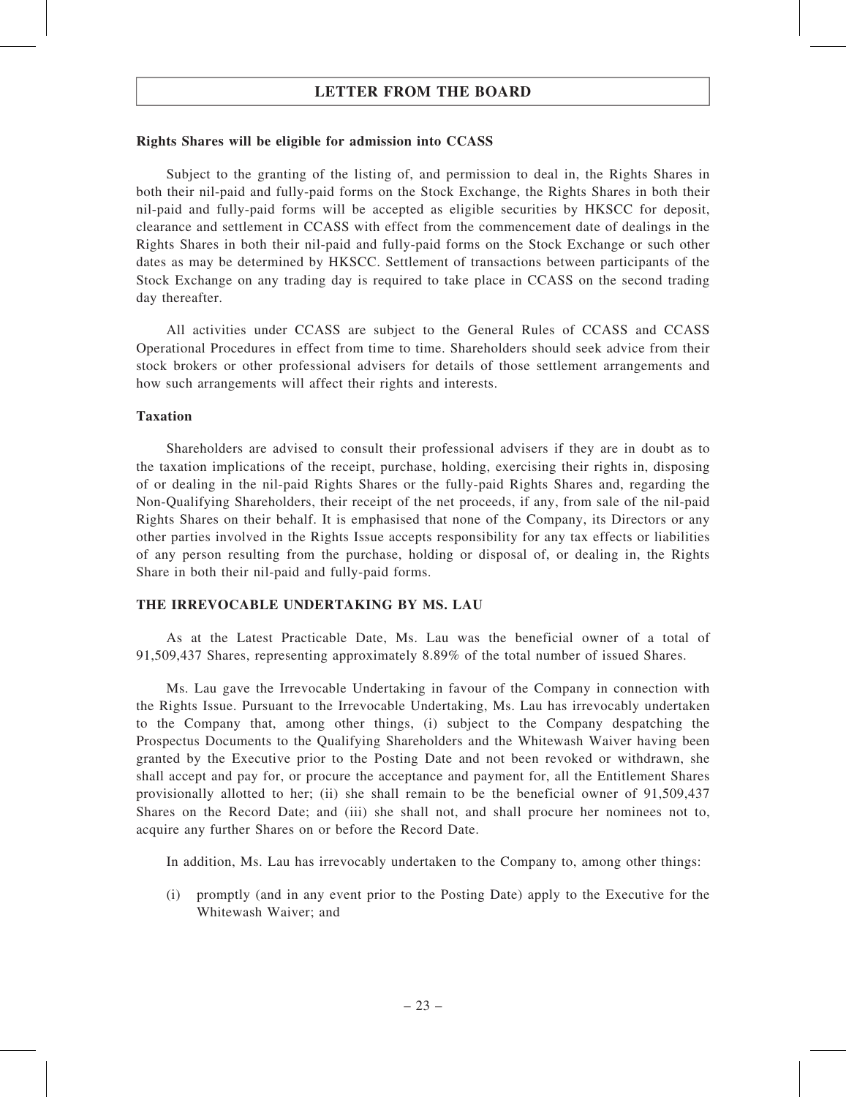#### Rights Shares will be eligible for admission into CCASS

Subject to the granting of the listing of, and permission to deal in, the Rights Shares in both their nil-paid and fully-paid forms on the Stock Exchange, the Rights Shares in both their nil-paid and fully-paid forms will be accepted as eligible securities by HKSCC for deposit, clearance and settlement in CCASS with effect from the commencement date of dealings in the Rights Shares in both their nil-paid and fully-paid forms on the Stock Exchange or such other dates as may be determined by HKSCC. Settlement of transactions between participants of the Stock Exchange on any trading day is required to take place in CCASS on the second trading day thereafter.

All activities under CCASS are subject to the General Rules of CCASS and CCASS Operational Procedures in effect from time to time. Shareholders should seek advice from their stock brokers or other professional advisers for details of those settlement arrangements and how such arrangements will affect their rights and interests.

### Taxation

Shareholders are advised to consult their professional advisers if they are in doubt as to the taxation implications of the receipt, purchase, holding, exercising their rights in, disposing of or dealing in the nil-paid Rights Shares or the fully-paid Rights Shares and, regarding the Non-Qualifying Shareholders, their receipt of the net proceeds, if any, from sale of the nil-paid Rights Shares on their behalf. It is emphasised that none of the Company, its Directors or any other parties involved in the Rights Issue accepts responsibility for any tax effects or liabilities of any person resulting from the purchase, holding or disposal of, or dealing in, the Rights Share in both their nil-paid and fully-paid forms.

### THE IRREVOCABLE UNDERTAKING BY MS. LAU

As at the Latest Practicable Date, Ms. Lau was the beneficial owner of a total of 91,509,437 Shares, representing approximately 8.89% of the total number of issued Shares.

Ms. Lau gave the Irrevocable Undertaking in favour of the Company in connection with the Rights Issue. Pursuant to the Irrevocable Undertaking, Ms. Lau has irrevocably undertaken to the Company that, among other things, (i) subject to the Company despatching the Prospectus Documents to the Qualifying Shareholders and the Whitewash Waiver having been granted by the Executive prior to the Posting Date and not been revoked or withdrawn, she shall accept and pay for, or procure the acceptance and payment for, all the Entitlement Shares provisionally allotted to her; (ii) she shall remain to be the beneficial owner of 91,509,437 Shares on the Record Date; and (iii) she shall not, and shall procure her nominees not to, acquire any further Shares on or before the Record Date.

In addition, Ms. Lau has irrevocably undertaken to the Company to, among other things:

(i) promptly (and in any event prior to the Posting Date) apply to the Executive for the Whitewash Waiver; and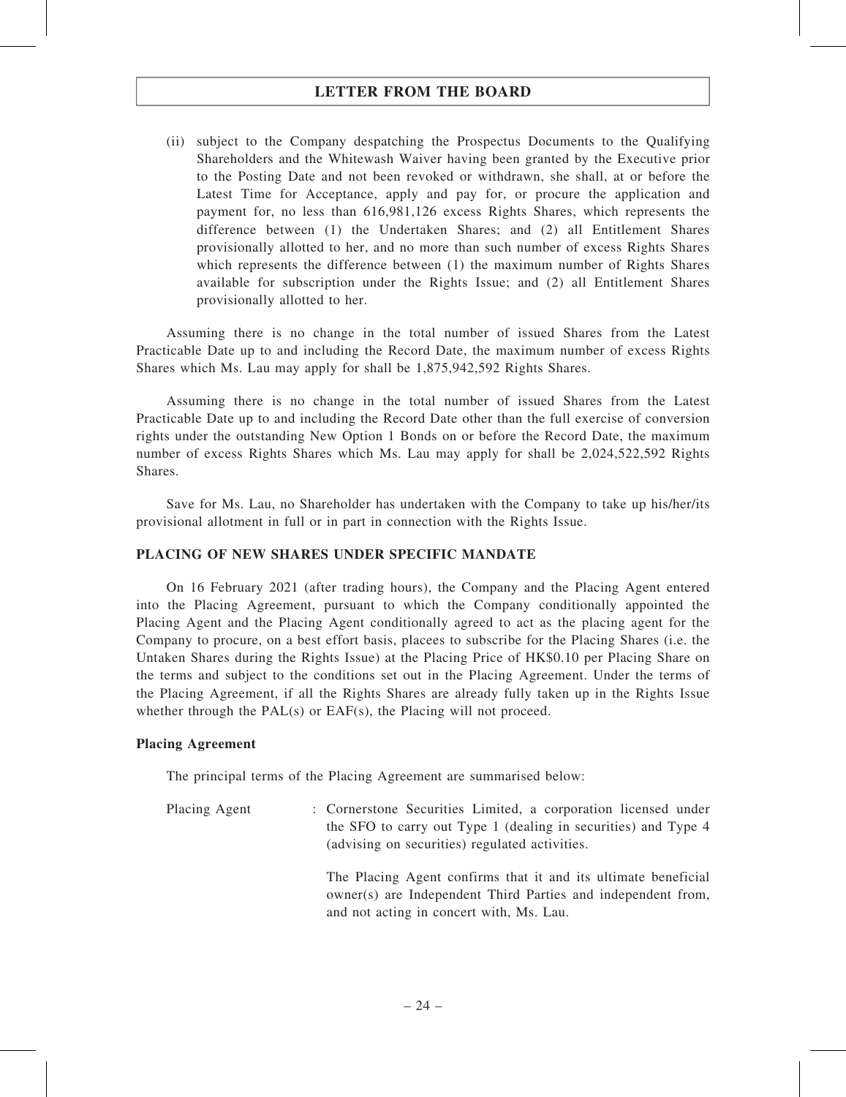(ii) subject to the Company despatching the Prospectus Documents to the Qualifying Shareholders and the Whitewash Waiver having been granted by the Executive prior to the Posting Date and not been revoked or withdrawn, she shall, at or before the Latest Time for Acceptance, apply and pay for, or procure the application and payment for, no less than 616,981,126 excess Rights Shares, which represents the difference between (1) the Undertaken Shares; and (2) all Entitlement Shares provisionally allotted to her, and no more than such number of excess Rights Shares which represents the difference between (1) the maximum number of Rights Shares available for subscription under the Rights Issue; and (2) all Entitlement Shares provisionally allotted to her.

Assuming there is no change in the total number of issued Shares from the Latest Practicable Date up to and including the Record Date, the maximum number of excess Rights Shares which Ms. Lau may apply for shall be 1,875,942,592 Rights Shares.

Assuming there is no change in the total number of issued Shares from the Latest Practicable Date up to and including the Record Date other than the full exercise of conversion rights under the outstanding New Option 1 Bonds on or before the Record Date, the maximum number of excess Rights Shares which Ms. Lau may apply for shall be 2,024,522,592 Rights Shares.

Save for Ms. Lau, no Shareholder has undertaken with the Company to take up his/her/its provisional allotment in full or in part in connection with the Rights Issue.

### PLACING OF NEW SHARES UNDER SPECIFIC MANDATE

On 16 February 2021 (after trading hours), the Company and the Placing Agent entered into the Placing Agreement, pursuant to which the Company conditionally appointed the Placing Agent and the Placing Agent conditionally agreed to act as the placing agent for the Company to procure, on a best effort basis, placees to subscribe for the Placing Shares (i.e. the Untaken Shares during the Rights Issue) at the Placing Price of HK\$0.10 per Placing Share on the terms and subject to the conditions set out in the Placing Agreement. Under the terms of the Placing Agreement, if all the Rights Shares are already fully taken up in the Rights Issue whether through the PAL(s) or EAF(s), the Placing will not proceed.

### Placing Agreement

The principal terms of the Placing Agreement are summarised below:

Placing Agent : Cornerstone Securities Limited, a corporation licensed under the SFO to carry out Type 1 (dealing in securities) and Type 4 (advising on securities) regulated activities. The Placing Agent confirms that it and its ultimate beneficial owner(s) are Independent Third Parties and independent from, and not acting in concert with, Ms. Lau.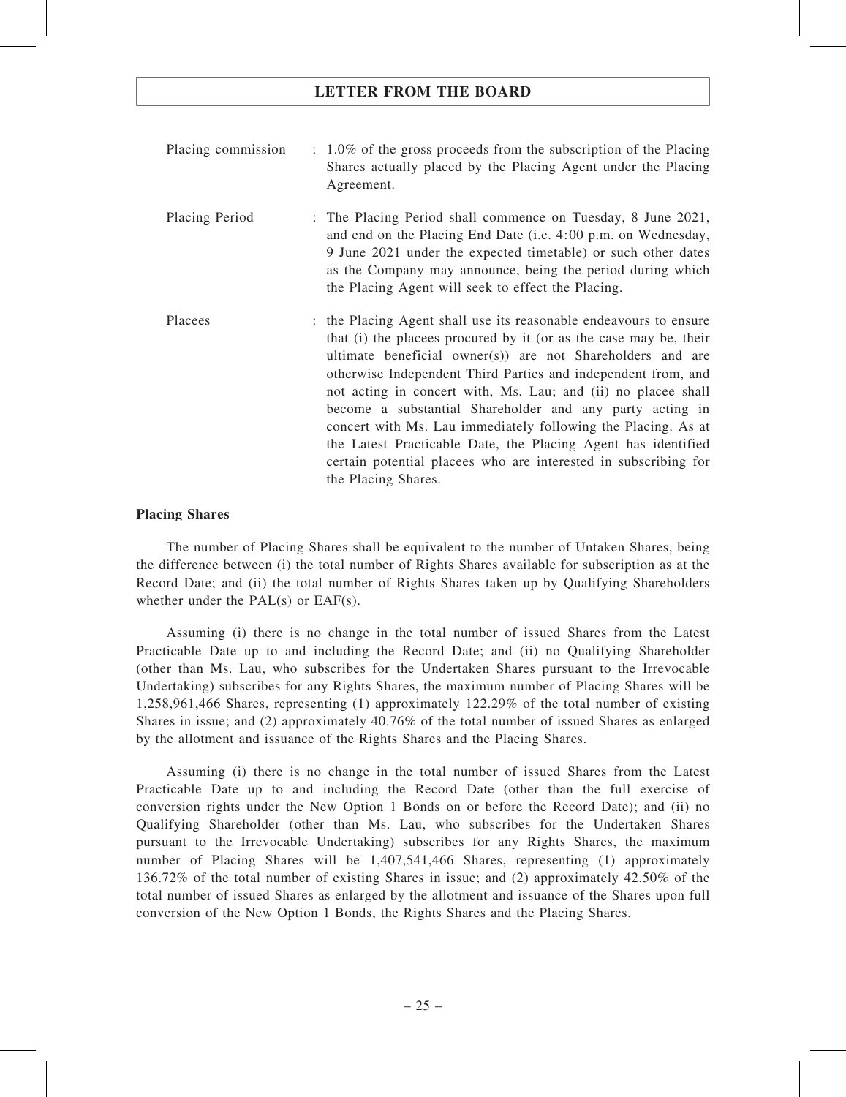| Placing commission | $\therefore$ 1.0% of the gross proceeds from the subscription of the Placing<br>Shares actually placed by the Placing Agent under the Placing<br>Agreement.                                                                                                                                                                                                                                                                                                                                                                                                                                                                    |
|--------------------|--------------------------------------------------------------------------------------------------------------------------------------------------------------------------------------------------------------------------------------------------------------------------------------------------------------------------------------------------------------------------------------------------------------------------------------------------------------------------------------------------------------------------------------------------------------------------------------------------------------------------------|
| Placing Period     | : The Placing Period shall commence on Tuesday, 8 June 2021,<br>and end on the Placing End Date (i.e. 4:00 p.m. on Wednesday,<br>9 June 2021 under the expected timetable) or such other dates<br>as the Company may announce, being the period during which<br>the Placing Agent will seek to effect the Placing.                                                                                                                                                                                                                                                                                                             |
| Placees            | : the Placing Agent shall use its reasonable endeavours to ensure<br>that (i) the placees procured by it (or as the case may be, their<br>ultimate beneficial owner(s)) are not Shareholders and are<br>otherwise Independent Third Parties and independent from, and<br>not acting in concert with, Ms. Lau; and (ii) no placee shall<br>become a substantial Shareholder and any party acting in<br>concert with Ms. Lau immediately following the Placing. As at<br>the Latest Practicable Date, the Placing Agent has identified<br>certain potential placees who are interested in subscribing for<br>the Placing Shares. |

### Placing Shares

The number of Placing Shares shall be equivalent to the number of Untaken Shares, being the difference between (i) the total number of Rights Shares available for subscription as at the Record Date; and (ii) the total number of Rights Shares taken up by Qualifying Shareholders whether under the PAL(s) or EAF(s).

Assuming (i) there is no change in the total number of issued Shares from the Latest Practicable Date up to and including the Record Date; and (ii) no Qualifying Shareholder (other than Ms. Lau, who subscribes for the Undertaken Shares pursuant to the Irrevocable Undertaking) subscribes for any Rights Shares, the maximum number of Placing Shares will be 1,258,961,466 Shares, representing (1) approximately 122.29% of the total number of existing Shares in issue; and (2) approximately 40.76% of the total number of issued Shares as enlarged by the allotment and issuance of the Rights Shares and the Placing Shares.

Assuming (i) there is no change in the total number of issued Shares from the Latest Practicable Date up to and including the Record Date (other than the full exercise of conversion rights under the New Option 1 Bonds on or before the Record Date); and (ii) no Qualifying Shareholder (other than Ms. Lau, who subscribes for the Undertaken Shares pursuant to the Irrevocable Undertaking) subscribes for any Rights Shares, the maximum number of Placing Shares will be 1,407,541,466 Shares, representing (1) approximately 136.72% of the total number of existing Shares in issue; and (2) approximately 42.50% of the total number of issued Shares as enlarged by the allotment and issuance of the Shares upon full conversion of the New Option 1 Bonds, the Rights Shares and the Placing Shares.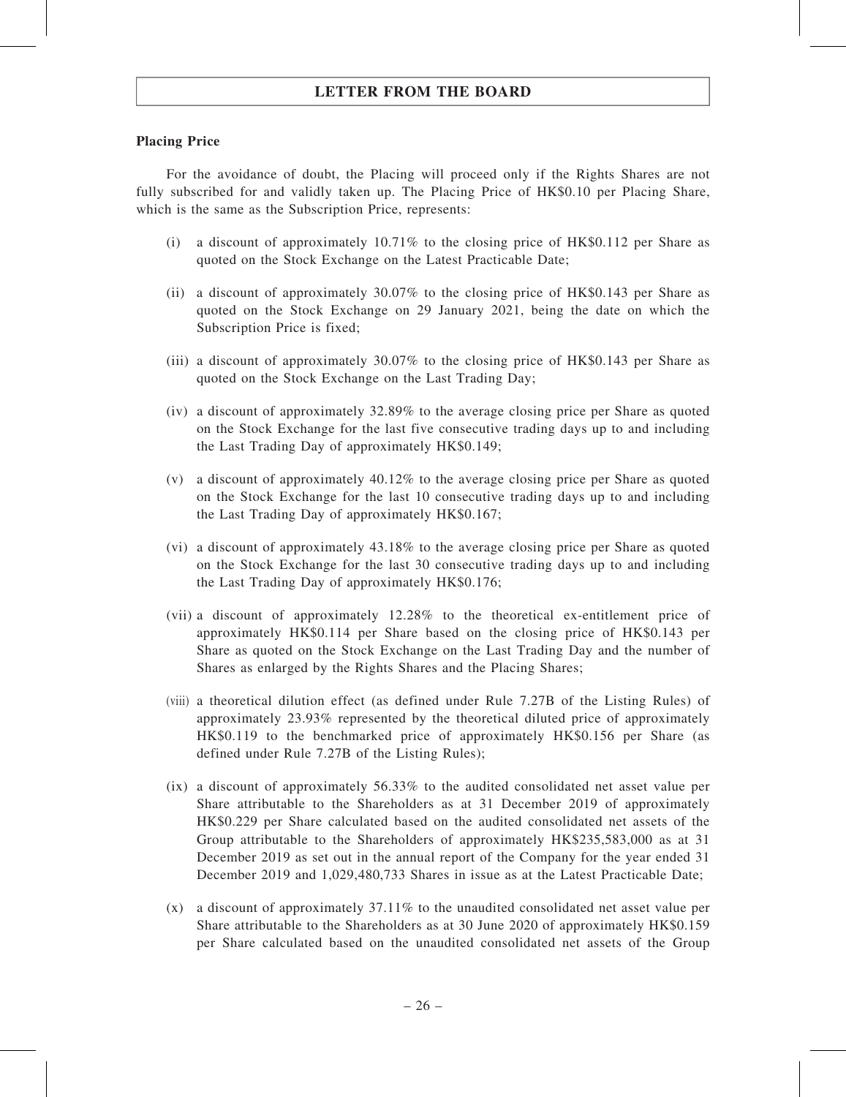### Placing Price

For the avoidance of doubt, the Placing will proceed only if the Rights Shares are not fully subscribed for and validly taken up. The Placing Price of HK\$0.10 per Placing Share, which is the same as the Subscription Price, represents:

- (i) a discount of approximately 10.71% to the closing price of HK\$0.112 per Share as quoted on the Stock Exchange on the Latest Practicable Date;
- (ii) a discount of approximately 30.07% to the closing price of HK\$0.143 per Share as quoted on the Stock Exchange on 29 January 2021, being the date on which the Subscription Price is fixed;
- (iii) a discount of approximately 30.07% to the closing price of HK\$0.143 per Share as quoted on the Stock Exchange on the Last Trading Day;
- (iv) a discount of approximately 32.89% to the average closing price per Share as quoted on the Stock Exchange for the last five consecutive trading days up to and including the Last Trading Day of approximately HK\$0.149;
- (v) a discount of approximately 40.12% to the average closing price per Share as quoted on the Stock Exchange for the last 10 consecutive trading days up to and including the Last Trading Day of approximately HK\$0.167;
- (vi) a discount of approximately 43.18% to the average closing price per Share as quoted on the Stock Exchange for the last 30 consecutive trading days up to and including the Last Trading Day of approximately HK\$0.176;
- (vii) a discount of approximately 12.28% to the theoretical ex-entitlement price of approximately HK\$0.114 per Share based on the closing price of HK\$0.143 per Share as quoted on the Stock Exchange on the Last Trading Day and the number of Shares as enlarged by the Rights Shares and the Placing Shares;
- (viii) a theoretical dilution effect (as defined under Rule 7.27B of the Listing Rules) of approximately 23.93% represented by the theoretical diluted price of approximately HK\$0.119 to the benchmarked price of approximately HK\$0.156 per Share (as defined under Rule 7.27B of the Listing Rules);
- $(ix)$  a discount of approximately 56.33% to the audited consolidated net asset value per Share attributable to the Shareholders as at 31 December 2019 of approximately HK\$0.229 per Share calculated based on the audited consolidated net assets of the Group attributable to the Shareholders of approximately HK\$235,583,000 as at 31 December 2019 as set out in the annual report of the Company for the year ended 31 December 2019 and 1,029,480,733 Shares in issue as at the Latest Practicable Date;
- (x) a discount of approximately 37.11% to the unaudited consolidated net asset value per Share attributable to the Shareholders as at 30 June 2020 of approximately HK\$0.159 per Share calculated based on the unaudited consolidated net assets of the Group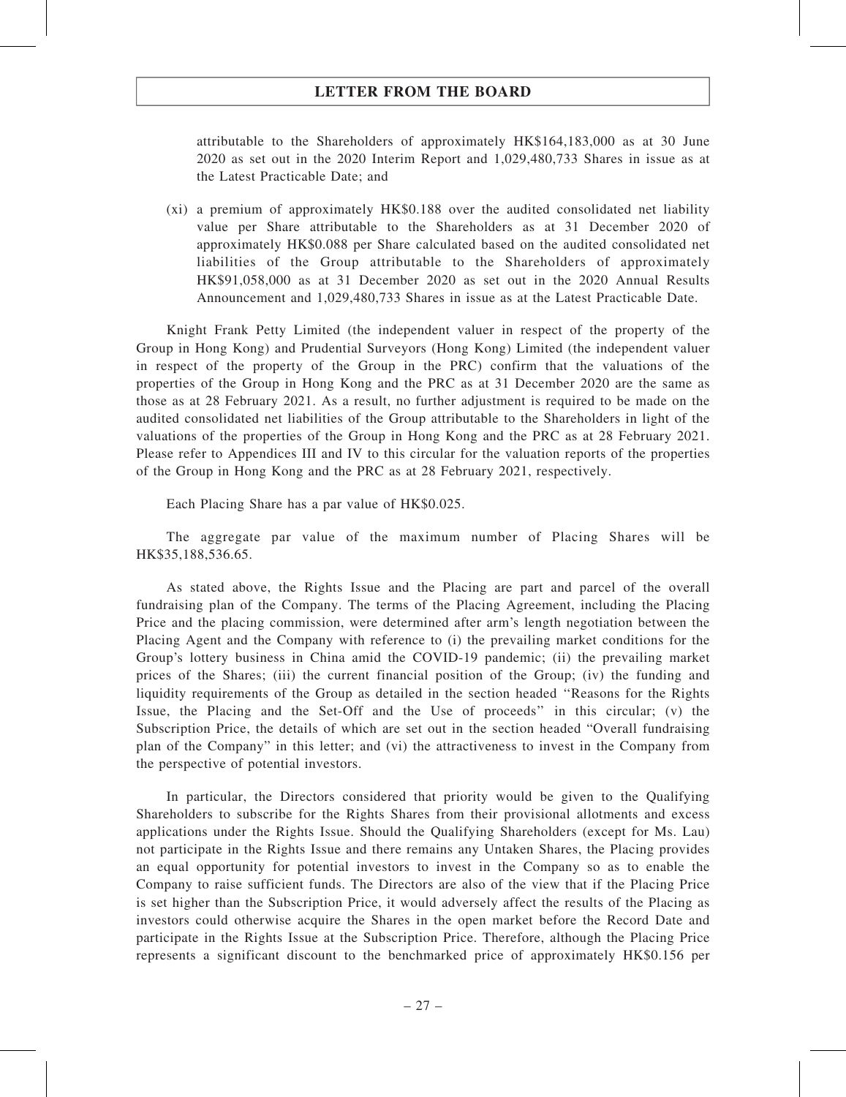attributable to the Shareholders of approximately HK\$164,183,000 as at 30 June 2020 as set out in the 2020 Interim Report and 1,029,480,733 Shares in issue as at the Latest Practicable Date; and

(xi) a premium of approximately HK\$0.188 over the audited consolidated net liability value per Share attributable to the Shareholders as at 31 December 2020 of approximately HK\$0.088 per Share calculated based on the audited consolidated net liabilities of the Group attributable to the Shareholders of approximately HK\$91,058,000 as at 31 December 2020 as set out in the 2020 Annual Results Announcement and 1,029,480,733 Shares in issue as at the Latest Practicable Date.

Knight Frank Petty Limited (the independent valuer in respect of the property of the Group in Hong Kong) and Prudential Surveyors (Hong Kong) Limited (the independent valuer in respect of the property of the Group in the PRC) confirm that the valuations of the properties of the Group in Hong Kong and the PRC as at 31 December 2020 are the same as those as at 28 February 2021. As a result, no further adjustment is required to be made on the audited consolidated net liabilities of the Group attributable to the Shareholders in light of the valuations of the properties of the Group in Hong Kong and the PRC as at 28 February 2021. Please refer to Appendices III and IV to this circular for the valuation reports of the properties of the Group in Hong Kong and the PRC as at 28 February 2021, respectively.

Each Placing Share has a par value of HK\$0.025.

The aggregate par value of the maximum number of Placing Shares will be HK\$35,188,536.65.

As stated above, the Rights Issue and the Placing are part and parcel of the overall fundraising plan of the Company. The terms of the Placing Agreement, including the Placing Price and the placing commission, were determined after arm's length negotiation between the Placing Agent and the Company with reference to (i) the prevailing market conditions for the Group's lottery business in China amid the COVID-19 pandemic; (ii) the prevailing market prices of the Shares; (iii) the current financial position of the Group; (iv) the funding and liquidity requirements of the Group as detailed in the section headed ''Reasons for the Rights Issue, the Placing and the Set-Off and the Use of proceeds'' in this circular; (v) the Subscription Price, the details of which are set out in the section headed "Overall fundraising plan of the Company" in this letter; and (vi) the attractiveness to invest in the Company from the perspective of potential investors.

In particular, the Directors considered that priority would be given to the Qualifying Shareholders to subscribe for the Rights Shares from their provisional allotments and excess applications under the Rights Issue. Should the Qualifying Shareholders (except for Ms. Lau) not participate in the Rights Issue and there remains any Untaken Shares, the Placing provides an equal opportunity for potential investors to invest in the Company so as to enable the Company to raise sufficient funds. The Directors are also of the view that if the Placing Price is set higher than the Subscription Price, it would adversely affect the results of the Placing as investors could otherwise acquire the Shares in the open market before the Record Date and participate in the Rights Issue at the Subscription Price. Therefore, although the Placing Price represents a significant discount to the benchmarked price of approximately HK\$0.156 per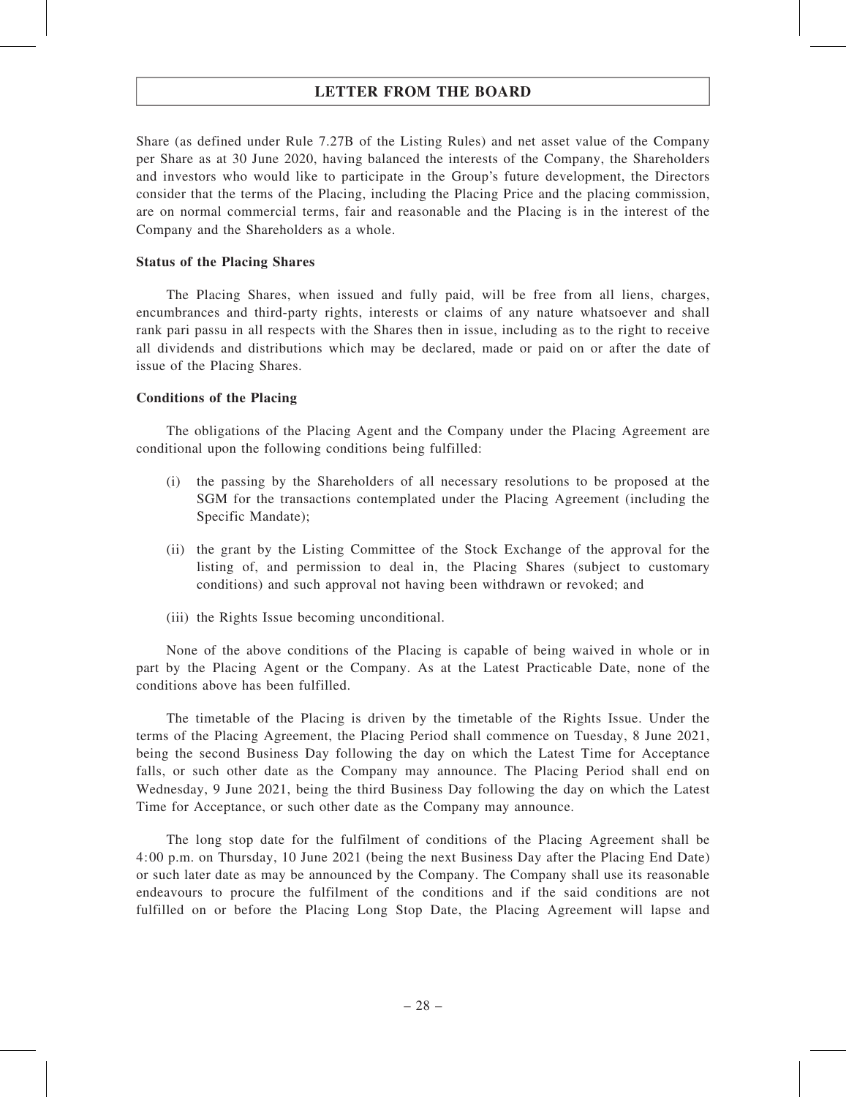Share (as defined under Rule 7.27B of the Listing Rules) and net asset value of the Company per Share as at 30 June 2020, having balanced the interests of the Company, the Shareholders and investors who would like to participate in the Group's future development, the Directors consider that the terms of the Placing, including the Placing Price and the placing commission, are on normal commercial terms, fair and reasonable and the Placing is in the interest of the Company and the Shareholders as a whole.

#### Status of the Placing Shares

The Placing Shares, when issued and fully paid, will be free from all liens, charges, encumbrances and third-party rights, interests or claims of any nature whatsoever and shall rank pari passu in all respects with the Shares then in issue, including as to the right to receive all dividends and distributions which may be declared, made or paid on or after the date of issue of the Placing Shares.

### Conditions of the Placing

The obligations of the Placing Agent and the Company under the Placing Agreement are conditional upon the following conditions being fulfilled:

- (i) the passing by the Shareholders of all necessary resolutions to be proposed at the SGM for the transactions contemplated under the Placing Agreement (including the Specific Mandate);
- (ii) the grant by the Listing Committee of the Stock Exchange of the approval for the listing of, and permission to deal in, the Placing Shares (subject to customary conditions) and such approval not having been withdrawn or revoked; and
- (iii) the Rights Issue becoming unconditional.

None of the above conditions of the Placing is capable of being waived in whole or in part by the Placing Agent or the Company. As at the Latest Practicable Date, none of the conditions above has been fulfilled.

The timetable of the Placing is driven by the timetable of the Rights Issue. Under the terms of the Placing Agreement, the Placing Period shall commence on Tuesday, 8 June 2021, being the second Business Day following the day on which the Latest Time for Acceptance falls, or such other date as the Company may announce. The Placing Period shall end on Wednesday, 9 June 2021, being the third Business Day following the day on which the Latest Time for Acceptance, or such other date as the Company may announce.

The long stop date for the fulfilment of conditions of the Placing Agreement shall be 4:00 p.m. on Thursday, 10 June 2021 (being the next Business Day after the Placing End Date) or such later date as may be announced by the Company. The Company shall use its reasonable endeavours to procure the fulfilment of the conditions and if the said conditions are not fulfilled on or before the Placing Long Stop Date, the Placing Agreement will lapse and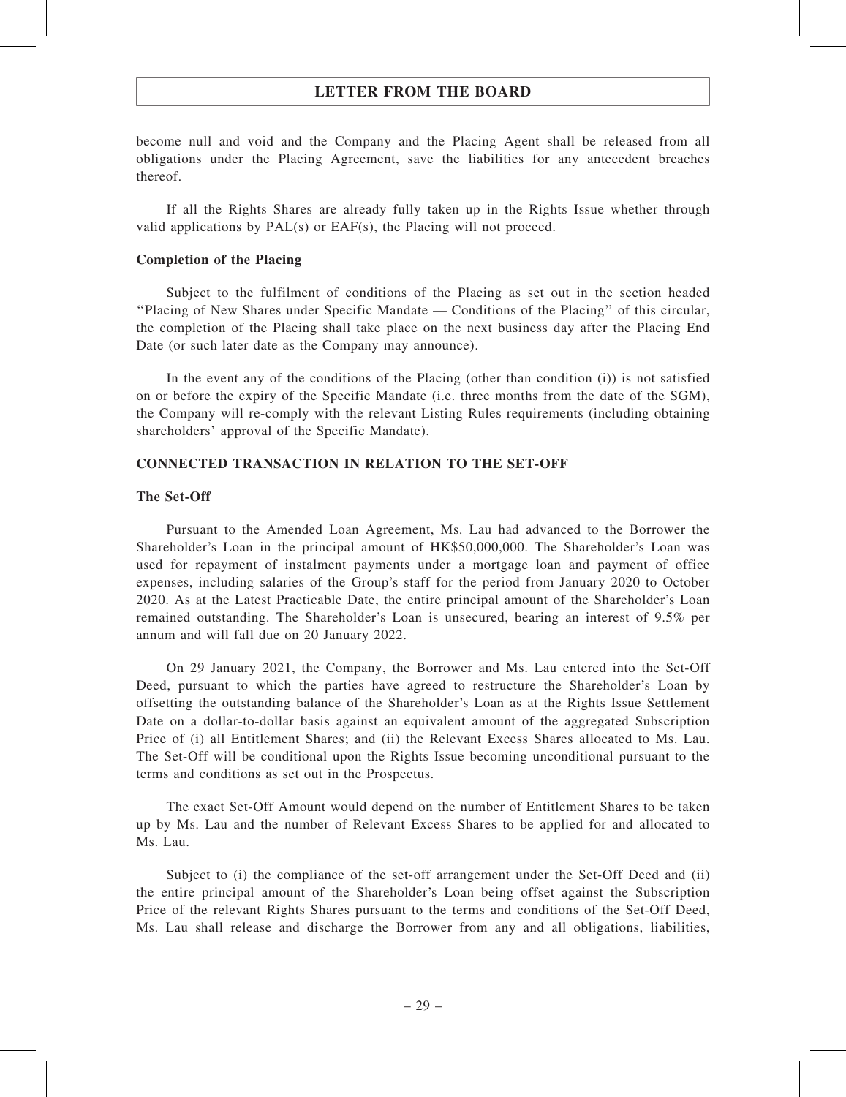become null and void and the Company and the Placing Agent shall be released from all obligations under the Placing Agreement, save the liabilities for any antecedent breaches thereof.

If all the Rights Shares are already fully taken up in the Rights Issue whether through valid applications by PAL(s) or EAF(s), the Placing will not proceed.

### Completion of the Placing

Subject to the fulfilment of conditions of the Placing as set out in the section headed ''Placing of New Shares under Specific Mandate — Conditions of the Placing'' of this circular, the completion of the Placing shall take place on the next business day after the Placing End Date (or such later date as the Company may announce).

In the event any of the conditions of the Placing (other than condition (i)) is not satisfied on or before the expiry of the Specific Mandate (i.e. three months from the date of the SGM), the Company will re-comply with the relevant Listing Rules requirements (including obtaining shareholders' approval of the Specific Mandate).

### CONNECTED TRANSACTION IN RELATION TO THE SET-OFF

### The Set-Off

Pursuant to the Amended Loan Agreement, Ms. Lau had advanced to the Borrower the Shareholder's Loan in the principal amount of HK\$50,000,000. The Shareholder's Loan was used for repayment of instalment payments under a mortgage loan and payment of office expenses, including salaries of the Group's staff for the period from January 2020 to October 2020. As at the Latest Practicable Date, the entire principal amount of the Shareholder's Loan remained outstanding. The Shareholder's Loan is unsecured, bearing an interest of 9.5% per annum and will fall due on 20 January 2022.

On 29 January 2021, the Company, the Borrower and Ms. Lau entered into the Set-Off Deed, pursuant to which the parties have agreed to restructure the Shareholder's Loan by offsetting the outstanding balance of the Shareholder's Loan as at the Rights Issue Settlement Date on a dollar-to-dollar basis against an equivalent amount of the aggregated Subscription Price of (i) all Entitlement Shares; and (ii) the Relevant Excess Shares allocated to Ms. Lau. The Set-Off will be conditional upon the Rights Issue becoming unconditional pursuant to the terms and conditions as set out in the Prospectus.

The exact Set-Off Amount would depend on the number of Entitlement Shares to be taken up by Ms. Lau and the number of Relevant Excess Shares to be applied for and allocated to Ms. Lau.

Subject to (i) the compliance of the set-off arrangement under the Set-Off Deed and (ii) the entire principal amount of the Shareholder's Loan being offset against the Subscription Price of the relevant Rights Shares pursuant to the terms and conditions of the Set-Off Deed, Ms. Lau shall release and discharge the Borrower from any and all obligations, liabilities,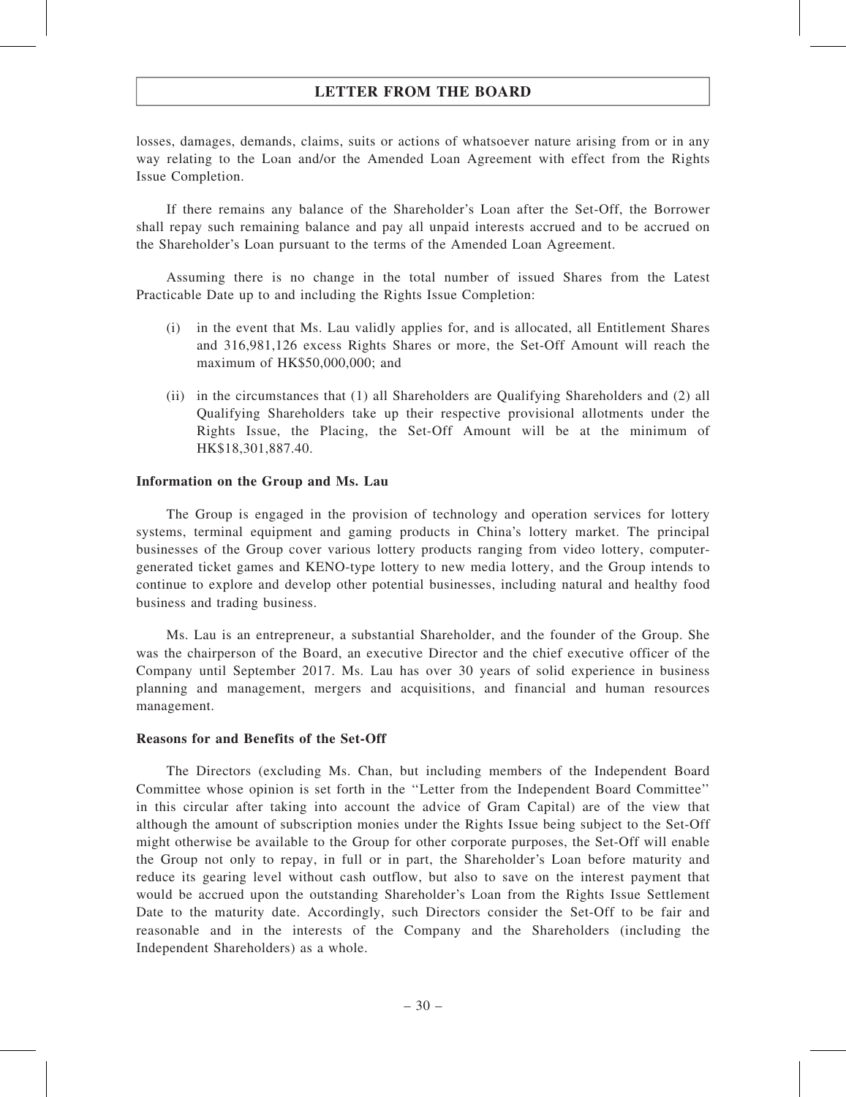losses, damages, demands, claims, suits or actions of whatsoever nature arising from or in any way relating to the Loan and/or the Amended Loan Agreement with effect from the Rights Issue Completion.

If there remains any balance of the Shareholder's Loan after the Set-Off, the Borrower shall repay such remaining balance and pay all unpaid interests accrued and to be accrued on the Shareholder's Loan pursuant to the terms of the Amended Loan Agreement.

Assuming there is no change in the total number of issued Shares from the Latest Practicable Date up to and including the Rights Issue Completion:

- (i) in the event that Ms. Lau validly applies for, and is allocated, all Entitlement Shares and 316,981,126 excess Rights Shares or more, the Set-Off Amount will reach the maximum of HK\$50,000,000; and
- (ii) in the circumstances that (1) all Shareholders are Qualifying Shareholders and (2) all Qualifying Shareholders take up their respective provisional allotments under the Rights Issue, the Placing, the Set-Off Amount will be at the minimum of HK\$18,301,887.40.

### Information on the Group and Ms. Lau

The Group is engaged in the provision of technology and operation services for lottery systems, terminal equipment and gaming products in China's lottery market. The principal businesses of the Group cover various lottery products ranging from video lottery, computergenerated ticket games and KENO-type lottery to new media lottery, and the Group intends to continue to explore and develop other potential businesses, including natural and healthy food business and trading business.

Ms. Lau is an entrepreneur, a substantial Shareholder, and the founder of the Group. She was the chairperson of the Board, an executive Director and the chief executive officer of the Company until September 2017. Ms. Lau has over 30 years of solid experience in business planning and management, mergers and acquisitions, and financial and human resources management.

### Reasons for and Benefits of the Set-Off

The Directors (excluding Ms. Chan, but including members of the Independent Board Committee whose opinion is set forth in the ''Letter from the Independent Board Committee'' in this circular after taking into account the advice of Gram Capital) are of the view that although the amount of subscription monies under the Rights Issue being subject to the Set‐Off might otherwise be available to the Group for other corporate purposes, the Set-Off will enable the Group not only to repay, in full or in part, the Shareholder's Loan before maturity and reduce its gearing level without cash outflow, but also to save on the interest payment that would be accrued upon the outstanding Shareholder's Loan from the Rights Issue Settlement Date to the maturity date. Accordingly, such Directors consider the Set-Off to be fair and reasonable and in the interests of the Company and the Shareholders (including the Independent Shareholders) as a whole.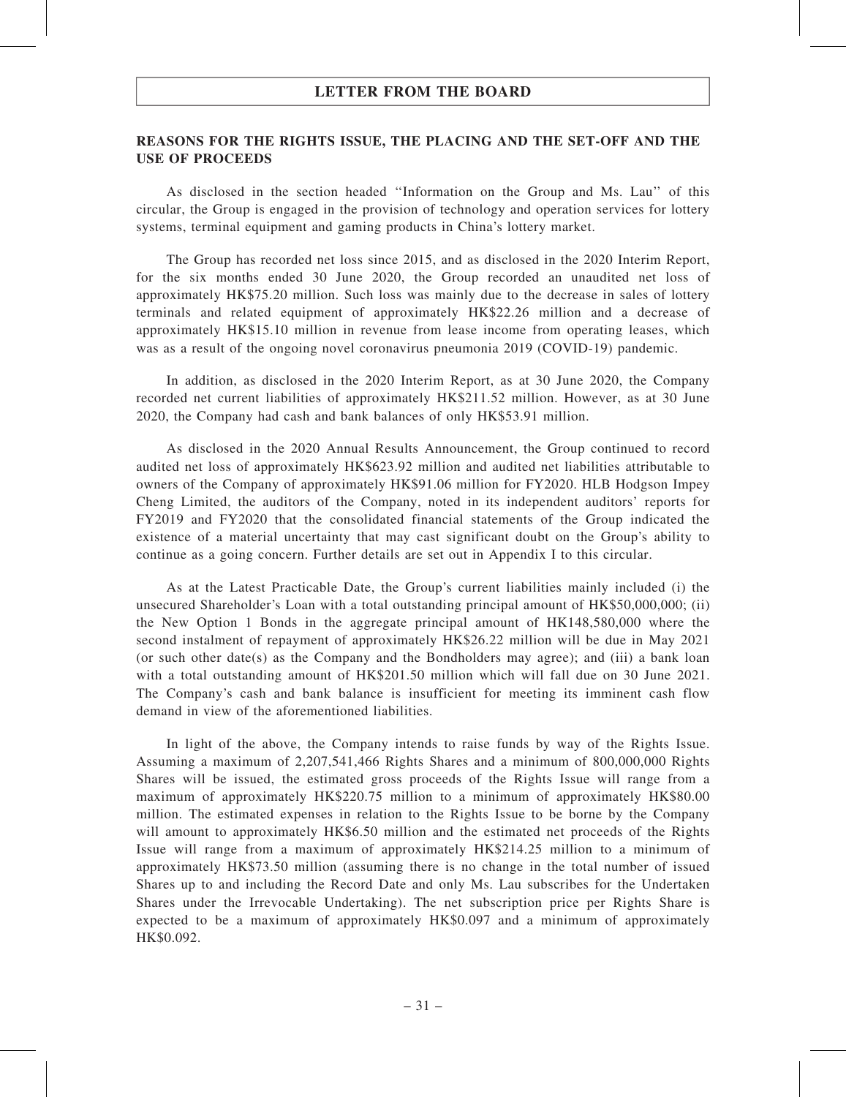### REASONS FOR THE RIGHTS ISSUE, THE PLACING AND THE SET-OFF AND THE USE OF PROCEEDS

As disclosed in the section headed ''Information on the Group and Ms. Lau'' of this circular, the Group is engaged in the provision of technology and operation services for lottery systems, terminal equipment and gaming products in China's lottery market.

The Group has recorded net loss since 2015, and as disclosed in the 2020 Interim Report, for the six months ended 30 June 2020, the Group recorded an unaudited net loss of approximately HK\$75.20 million. Such loss was mainly due to the decrease in sales of lottery terminals and related equipment of approximately HK\$22.26 million and a decrease of approximately HK\$15.10 million in revenue from lease income from operating leases, which was as a result of the ongoing novel coronavirus pneumonia 2019 (COVID-19) pandemic.

In addition, as disclosed in the 2020 Interim Report, as at 30 June 2020, the Company recorded net current liabilities of approximately HK\$211.52 million. However, as at 30 June 2020, the Company had cash and bank balances of only HK\$53.91 million.

As disclosed in the 2020 Annual Results Announcement, the Group continued to record audited net loss of approximately HK\$623.92 million and audited net liabilities attributable to owners of the Company of approximately HK\$91.06 million for FY2020. HLB Hodgson Impey Cheng Limited, the auditors of the Company, noted in its independent auditors' reports for FY2019 and FY2020 that the consolidated financial statements of the Group indicated the existence of a material uncertainty that may cast significant doubt on the Group's ability to continue as a going concern. Further details are set out in Appendix I to this circular.

As at the Latest Practicable Date, the Group's current liabilities mainly included (i) the unsecured Shareholder's Loan with a total outstanding principal amount of HK\$50,000,000; (ii) the New Option 1 Bonds in the aggregate principal amount of HK148,580,000 where the second instalment of repayment of approximately HK\$26.22 million will be due in May 2021 (or such other date(s) as the Company and the Bondholders may agree); and (iii) a bank loan with a total outstanding amount of HK\$201.50 million which will fall due on 30 June 2021. The Company's cash and bank balance is insufficient for meeting its imminent cash flow demand in view of the aforementioned liabilities.

In light of the above, the Company intends to raise funds by way of the Rights Issue. Assuming a maximum of 2,207,541,466 Rights Shares and a minimum of 800,000,000 Rights Shares will be issued, the estimated gross proceeds of the Rights Issue will range from a maximum of approximately HK\$220.75 million to a minimum of approximately HK\$80.00 million. The estimated expenses in relation to the Rights Issue to be borne by the Company will amount to approximately HK\$6.50 million and the estimated net proceeds of the Rights Issue will range from a maximum of approximately HK\$214.25 million to a minimum of approximately HK\$73.50 million (assuming there is no change in the total number of issued Shares up to and including the Record Date and only Ms. Lau subscribes for the Undertaken Shares under the Irrevocable Undertaking). The net subscription price per Rights Share is expected to be a maximum of approximately HK\$0.097 and a minimum of approximately HK\$0.092.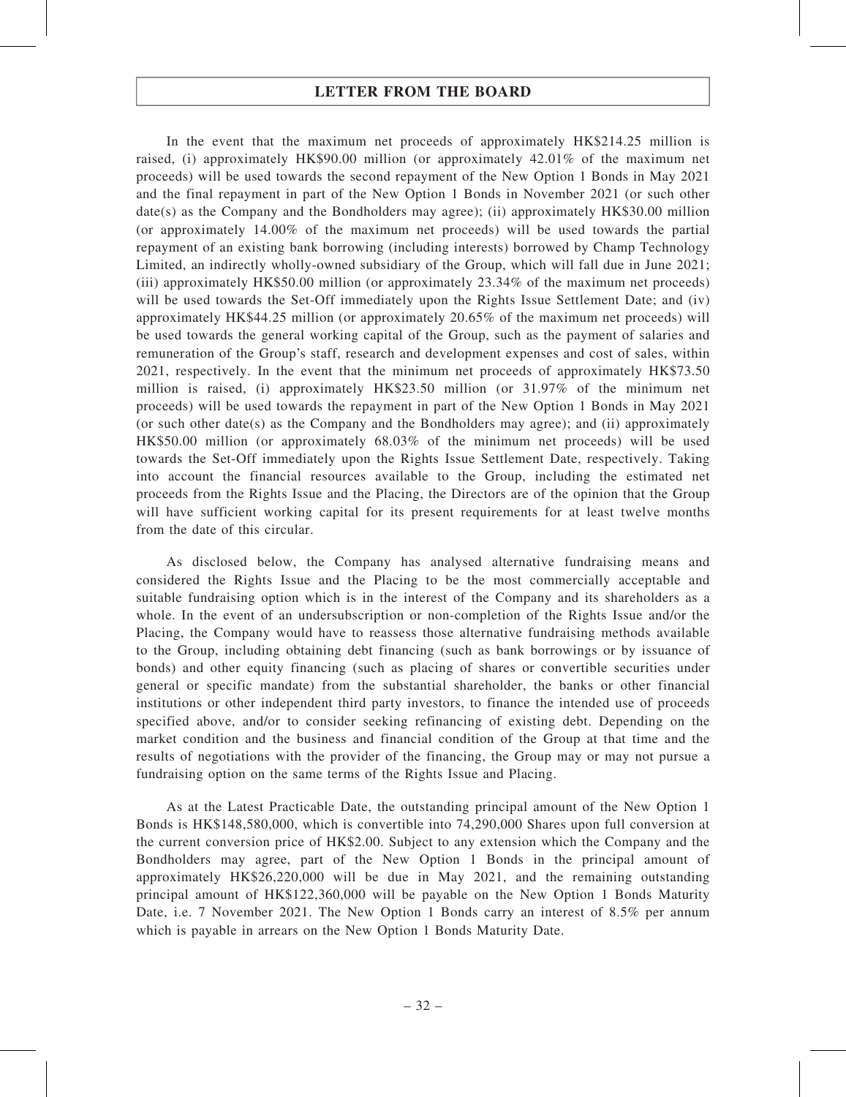In the event that the maximum net proceeds of approximately HK\$214.25 million is raised, (i) approximately HK\$90.00 million (or approximately 42.01% of the maximum net proceeds) will be used towards the second repayment of the New Option 1 Bonds in May 2021 and the final repayment in part of the New Option 1 Bonds in November 2021 (or such other date(s) as the Company and the Bondholders may agree); (ii) approximately HK\$30.00 million (or approximately 14.00% of the maximum net proceeds) will be used towards the partial repayment of an existing bank borrowing (including interests) borrowed by Champ Technology Limited, an indirectly wholly-owned subsidiary of the Group, which will fall due in June 2021; (iii) approximately HK\$50.00 million (or approximately 23.34% of the maximum net proceeds) will be used towards the Set-Off immediately upon the Rights Issue Settlement Date; and (iv) approximately HK\$44.25 million (or approximately 20.65% of the maximum net proceeds) will be used towards the general working capital of the Group, such as the payment of salaries and remuneration of the Group's staff, research and development expenses and cost of sales, within 2021, respectively. In the event that the minimum net proceeds of approximately HK\$73.50 million is raised, (i) approximately HK\$23.50 million (or 31.97% of the minimum net proceeds) will be used towards the repayment in part of the New Option 1 Bonds in May 2021 (or such other date(s) as the Company and the Bondholders may agree); and (ii) approximately HK\$50.00 million (or approximately 68.03% of the minimum net proceeds) will be used towards the Set-Off immediately upon the Rights Issue Settlement Date, respectively. Taking into account the financial resources available to the Group, including the estimated net proceeds from the Rights Issue and the Placing, the Directors are of the opinion that the Group will have sufficient working capital for its present requirements for at least twelve months from the date of this circular.

As disclosed below, the Company has analysed alternative fundraising means and considered the Rights Issue and the Placing to be the most commercially acceptable and suitable fundraising option which is in the interest of the Company and its shareholders as a whole. In the event of an undersubscription or non-completion of the Rights Issue and/or the Placing, the Company would have to reassess those alternative fundraising methods available to the Group, including obtaining debt financing (such as bank borrowings or by issuance of bonds) and other equity financing (such as placing of shares or convertible securities under general or specific mandate) from the substantial shareholder, the banks or other financial institutions or other independent third party investors, to finance the intended use of proceeds specified above, and/or to consider seeking refinancing of existing debt. Depending on the market condition and the business and financial condition of the Group at that time and the results of negotiations with the provider of the financing, the Group may or may not pursue a fundraising option on the same terms of the Rights Issue and Placing.

As at the Latest Practicable Date, the outstanding principal amount of the New Option 1 Bonds is HK\$148,580,000, which is convertible into 74,290,000 Shares upon full conversion at the current conversion price of HK\$2.00. Subject to any extension which the Company and the Bondholders may agree, part of the New Option 1 Bonds in the principal amount of approximately HK\$26,220,000 will be due in May 2021, and the remaining outstanding principal amount of HK\$122,360,000 will be payable on the New Option 1 Bonds Maturity Date, i.e. 7 November 2021. The New Option 1 Bonds carry an interest of 8.5% per annum which is payable in arrears on the New Option 1 Bonds Maturity Date.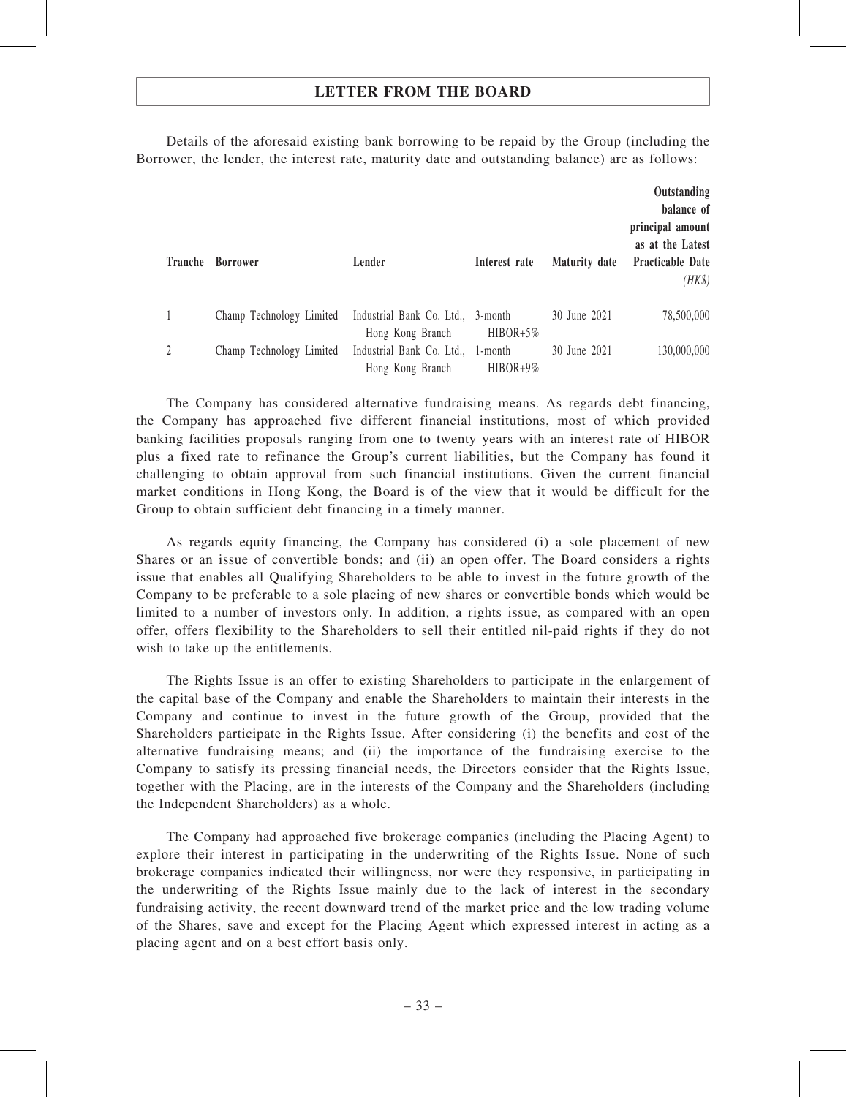Details of the aforesaid existing bank borrowing to be repaid by the Group (including the Borrower, the lender, the interest rate, maturity date and outstanding balance) are as follows:

| Tranche | <b>Borrower</b>          | Lender                                                | Interest rate         | <b>Maturity date</b> | Outstanding<br>balance of<br>principal amount<br>as at the Latest<br><b>Practicable Date</b><br>$(HK\$ |
|---------|--------------------------|-------------------------------------------------------|-----------------------|----------------------|--------------------------------------------------------------------------------------------------------|
|         | Champ Technology Limited | Industrial Bank Co. Ltd., 3-month<br>Hong Kong Branch | $HIBOR+5%$            | 30 June 2021         | 78,500,000                                                                                             |
| 2       | Champ Technology Limited | Industrial Bank Co. Ltd.,<br>Hong Kong Branch         | 1-month<br>$HIBOR+9%$ | 30 June 2021         | 130,000,000                                                                                            |

The Company has considered alternative fundraising means. As regards debt financing, the Company has approached five different financial institutions, most of which provided banking facilities proposals ranging from one to twenty years with an interest rate of HIBOR plus a fixed rate to refinance the Group's current liabilities, but the Company has found it challenging to obtain approval from such financial institutions. Given the current financial market conditions in Hong Kong, the Board is of the view that it would be difficult for the Group to obtain sufficient debt financing in a timely manner.

As regards equity financing, the Company has considered (i) a sole placement of new Shares or an issue of convertible bonds; and (ii) an open offer. The Board considers a rights issue that enables all Qualifying Shareholders to be able to invest in the future growth of the Company to be preferable to a sole placing of new shares or convertible bonds which would be limited to a number of investors only. In addition, a rights issue, as compared with an open offer, offers flexibility to the Shareholders to sell their entitled nil-paid rights if they do not wish to take up the entitlements.

The Rights Issue is an offer to existing Shareholders to participate in the enlargement of the capital base of the Company and enable the Shareholders to maintain their interests in the Company and continue to invest in the future growth of the Group, provided that the Shareholders participate in the Rights Issue. After considering (i) the benefits and cost of the alternative fundraising means; and (ii) the importance of the fundraising exercise to the Company to satisfy its pressing financial needs, the Directors consider that the Rights Issue, together with the Placing, are in the interests of the Company and the Shareholders (including the Independent Shareholders) as a whole.

The Company had approached five brokerage companies (including the Placing Agent) to explore their interest in participating in the underwriting of the Rights Issue. None of such brokerage companies indicated their willingness, nor were they responsive, in participating in the underwriting of the Rights Issue mainly due to the lack of interest in the secondary fundraising activity, the recent downward trend of the market price and the low trading volume of the Shares, save and except for the Placing Agent which expressed interest in acting as a placing agent and on a best effort basis only.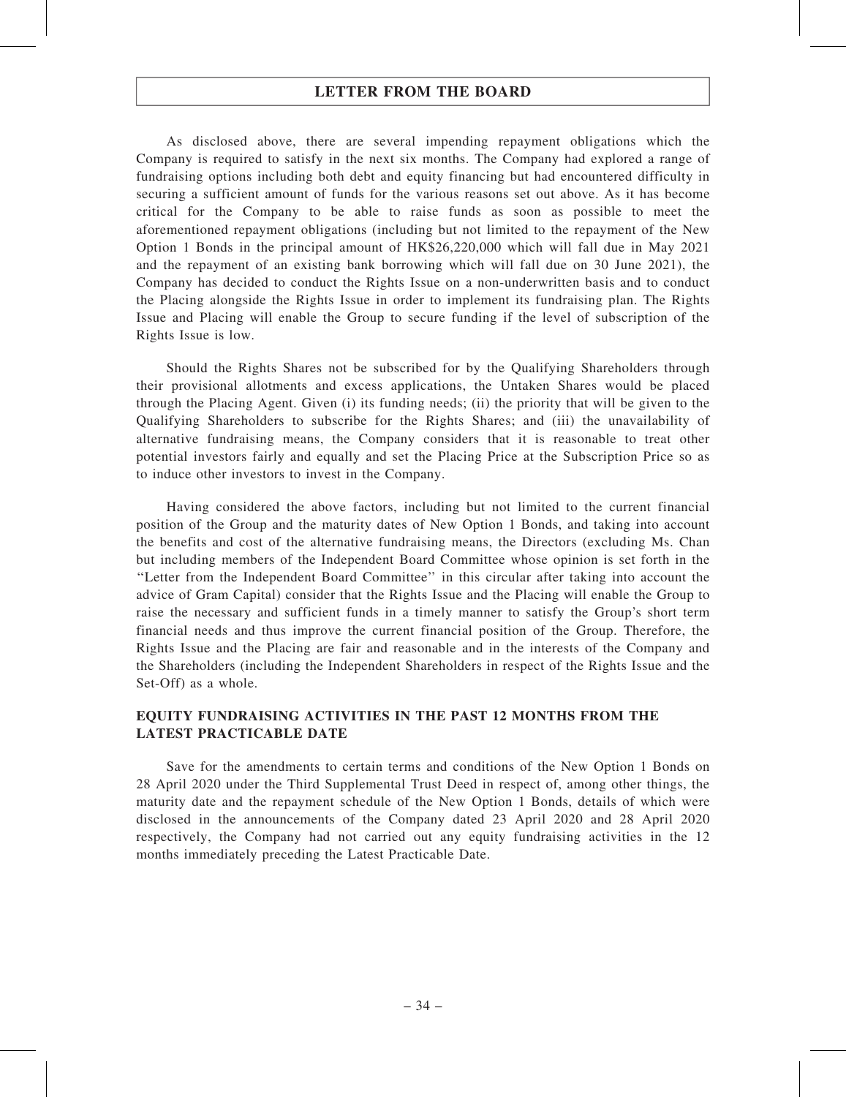As disclosed above, there are several impending repayment obligations which the Company is required to satisfy in the next six months. The Company had explored a range of fundraising options including both debt and equity financing but had encountered difficulty in securing a sufficient amount of funds for the various reasons set out above. As it has become critical for the Company to be able to raise funds as soon as possible to meet the aforementioned repayment obligations (including but not limited to the repayment of the New Option 1 Bonds in the principal amount of HK\$26,220,000 which will fall due in May 2021 and the repayment of an existing bank borrowing which will fall due on 30 June 2021), the Company has decided to conduct the Rights Issue on a non-underwritten basis and to conduct the Placing alongside the Rights Issue in order to implement its fundraising plan. The Rights Issue and Placing will enable the Group to secure funding if the level of subscription of the Rights Issue is low.

Should the Rights Shares not be subscribed for by the Qualifying Shareholders through their provisional allotments and excess applications, the Untaken Shares would be placed through the Placing Agent. Given (i) its funding needs; (ii) the priority that will be given to the Qualifying Shareholders to subscribe for the Rights Shares; and (iii) the unavailability of alternative fundraising means, the Company considers that it is reasonable to treat other potential investors fairly and equally and set the Placing Price at the Subscription Price so as to induce other investors to invest in the Company.

Having considered the above factors, including but not limited to the current financial position of the Group and the maturity dates of New Option 1 Bonds, and taking into account the benefits and cost of the alternative fundraising means, the Directors (excluding Ms. Chan but including members of the Independent Board Committee whose opinion is set forth in the ''Letter from the Independent Board Committee'' in this circular after taking into account the advice of Gram Capital) consider that the Rights Issue and the Placing will enable the Group to raise the necessary and sufficient funds in a timely manner to satisfy the Group's short term financial needs and thus improve the current financial position of the Group. Therefore, the Rights Issue and the Placing are fair and reasonable and in the interests of the Company and the Shareholders (including the Independent Shareholders in respect of the Rights Issue and the Set-Off) as a whole.

### EQUITY FUNDRAISING ACTIVITIES IN THE PAST 12 MONTHS FROM THE LATEST PRACTICABLE DATE

Save for the amendments to certain terms and conditions of the New Option 1 Bonds on 28 April 2020 under the Third Supplemental Trust Deed in respect of, among other things, the maturity date and the repayment schedule of the New Option 1 Bonds, details of which were disclosed in the announcements of the Company dated 23 April 2020 and 28 April 2020 respectively, the Company had not carried out any equity fundraising activities in the 12 months immediately preceding the Latest Practicable Date.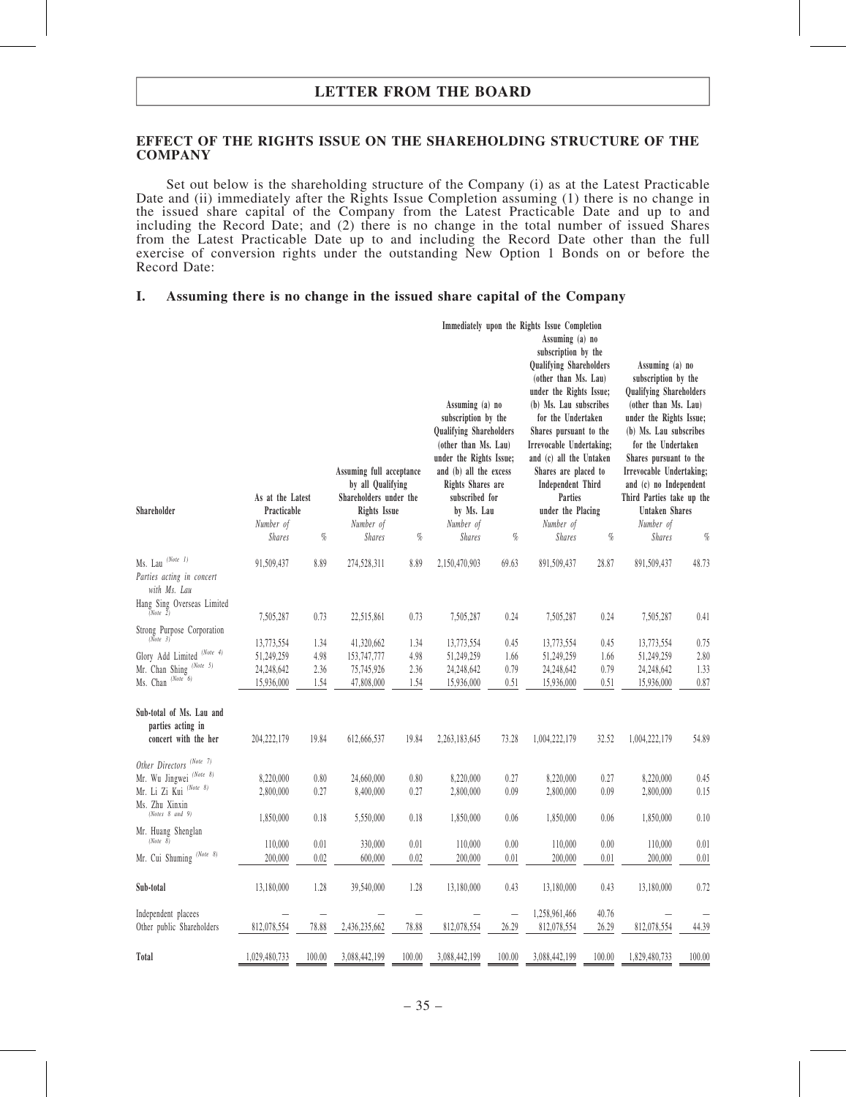#### EFFECT OF THE RIGHTS ISSUE ON THE SHAREHOLDING STRUCTURE OF THE **COMPANY**

Set out below is the shareholding structure of the Company (i) as at the Latest Practicable Date and (ii) immediately after the Rights Issue Completion assuming (1) there is no change in the issued share capital of the Company from the Latest Practicable Date and up to and including the Record Date; and (2) there is no change in the total number of issued Shares from the Latest Practicable Date up to and including the Record Date other than the full exercise of conversion rights under the outstanding New Option 1 Bonds on or before the Record Date:

#### I. Assuming there is no change in the issued share capital of the Company

|                                                                       | As at the Latest |        | Assuming full acceptance<br>by all Qualifying<br>Shareholders under the |          | Assuming (a) no<br>subscription by the<br><b>Qualifying Shareholders</b><br>(other than Ms. Lau)<br>under the Rights Issue;<br>and (b) all the excess<br>Rights Shares are<br>subscribed for |                              | Immediately upon the Rights Issue Completion<br>Assuming (a) no<br>subscription by the<br><b>Qualifying Shareholders</b><br>(other than Ms. Lau)<br>under the Rights Issue;<br>(b) Ms. Lau subscribes<br>for the Undertaken<br>Shares pursuant to the<br>Irrevocable Undertaking;<br>and (c) all the Untaken<br>Shares are placed to<br>Independent Third<br>Parties |                              | Assuming (a) no<br>subscription by the<br><b>Qualifying Shareholders</b><br>(other than Ms. Lau)<br>under the Rights Issue;<br>(b) Ms. Lau subscribes<br>for the Undertaken<br>Shares pursuant to the<br>Irrevocable Undertaking;<br>and (c) no Independent<br>Third Parties take up the |                              |
|-----------------------------------------------------------------------|------------------|--------|-------------------------------------------------------------------------|----------|----------------------------------------------------------------------------------------------------------------------------------------------------------------------------------------------|------------------------------|----------------------------------------------------------------------------------------------------------------------------------------------------------------------------------------------------------------------------------------------------------------------------------------------------------------------------------------------------------------------|------------------------------|------------------------------------------------------------------------------------------------------------------------------------------------------------------------------------------------------------------------------------------------------------------------------------------|------------------------------|
| Shareholder                                                           | Practicable      |        | <b>Rights Issue</b>                                                     |          | by Ms. Lau                                                                                                                                                                                   |                              | under the Placing                                                                                                                                                                                                                                                                                                                                                    |                              | Untaken Shares                                                                                                                                                                                                                                                                           |                              |
|                                                                       | Number of        |        | Number of                                                               |          | Number of                                                                                                                                                                                    |                              | Number of                                                                                                                                                                                                                                                                                                                                                            |                              | Number of                                                                                                                                                                                                                                                                                |                              |
|                                                                       | <b>Shares</b>    | $\%$   | <b>Shares</b>                                                           | $\%$     | <b>Shares</b>                                                                                                                                                                                | $q_{\!\scriptscriptstyle 0}$ | <b>Shares</b>                                                                                                                                                                                                                                                                                                                                                        | $q_{\!\scriptscriptstyle 0}$ | <b>Shares</b>                                                                                                                                                                                                                                                                            | $q_{\!\scriptscriptstyle 0}$ |
| Ms. Lau (Note 1)<br>Parties acting in concert<br>with Ms. Lau         | 91,509,437       | 8.89   | 274,528,311                                                             | 8.89     | 2,150,470,903                                                                                                                                                                                | 69.63                        | 891,509,437                                                                                                                                                                                                                                                                                                                                                          | 28.87                        | 891,509,437                                                                                                                                                                                                                                                                              | 48.73                        |
| Hang Sing Overseas Limited                                            | 7,505,287        | 0.73   | 22,515,861                                                              | 0.73     | 7,505,287                                                                                                                                                                                    | 0.24                         | 7,505,287                                                                                                                                                                                                                                                                                                                                                            | 0.24                         | 7,505,287                                                                                                                                                                                                                                                                                | 0.41                         |
| Strong Purpose Corporation<br>(Note 3)                                | 13,773,554       | 1.34   | 41,320,662                                                              | 1.34     | 13,773,554                                                                                                                                                                                   | 0.45                         | 13,773,554                                                                                                                                                                                                                                                                                                                                                           | 0.45                         | 13,773,554                                                                                                                                                                                                                                                                               | 0.75                         |
| Glory Add Limited $^{(Note 4)}$                                       |                  | 4.98   | 153,747,777                                                             | 4.98     | 51,249,259                                                                                                                                                                                   | 1.66                         | 51,249,259                                                                                                                                                                                                                                                                                                                                                           | 1.66                         |                                                                                                                                                                                                                                                                                          | 2.80                         |
| Mr. Chan Shing (Note 5)                                               | 51,249,259       |        |                                                                         |          |                                                                                                                                                                                              |                              |                                                                                                                                                                                                                                                                                                                                                                      |                              | 51,249,259                                                                                                                                                                                                                                                                               |                              |
|                                                                       | 24,248,642       | 2.36   | 75,745,926                                                              | 2.36     | 24,248,642                                                                                                                                                                                   | 0.79                         | 24,248,642                                                                                                                                                                                                                                                                                                                                                           | 0.79                         | 24,248,642                                                                                                                                                                                                                                                                               | 1.33                         |
| Ms. Chan (Note 6)                                                     | 15,936,000       | 1.54   | 47,808,000                                                              | 1.54     | 15,936,000                                                                                                                                                                                   | 0.51                         | 15,936,000                                                                                                                                                                                                                                                                                                                                                           | 0.51                         | 15,936,000                                                                                                                                                                                                                                                                               | 0.87                         |
| Sub-total of Ms. Lau and<br>parties acting in<br>concert with the her | 204, 222, 179    | 19.84  | 612,666,537                                                             | 19.84    | 2,263,183,645                                                                                                                                                                                | 73.28                        | 1,004,222,179                                                                                                                                                                                                                                                                                                                                                        | 32.52                        | 1,004,222,179                                                                                                                                                                                                                                                                            | 54.89                        |
| Other Directors (Note 7)                                              |                  |        |                                                                         |          |                                                                                                                                                                                              |                              |                                                                                                                                                                                                                                                                                                                                                                      |                              |                                                                                                                                                                                                                                                                                          |                              |
| Mr. Wu Jingwei <sup>(Note 8)</sup>                                    | 8,220,000        | 0.80   | 24,660,000                                                              | 0.80     | 8,220,000                                                                                                                                                                                    | 0.27                         | 8,220,000                                                                                                                                                                                                                                                                                                                                                            | 0.27                         | 8,220,000                                                                                                                                                                                                                                                                                | 0.45                         |
| Mr. Li Zi Kui <sup>(Note 8)</sup><br>Ms. Zhu Xinxin                   | 2,800,000        | 0.27   | 8,400,000                                                               | 0.27     | 2,800,000                                                                                                                                                                                    | 0.09                         | 2,800,000                                                                                                                                                                                                                                                                                                                                                            | 0.09                         | 2,800,000                                                                                                                                                                                                                                                                                | 0.15                         |
| (Notes 8 and 9)<br>Mr. Huang Shenglan                                 | 1,850,000        | 0.18   | 5,550,000                                                               | 0.18     | 1,850,000                                                                                                                                                                                    | 0.06                         | 1,850,000                                                                                                                                                                                                                                                                                                                                                            | 0.06                         | 1,850,000                                                                                                                                                                                                                                                                                | 0.10                         |
| (Note 8)                                                              | 110,000          | 0.01   | 330,000                                                                 | 0.01     | 110,000                                                                                                                                                                                      | 0.00                         | 110,000                                                                                                                                                                                                                                                                                                                                                              | 0.00                         | 110,000                                                                                                                                                                                                                                                                                  | 0.01                         |
| Mr. Cui Shuming <sup>(Note 8)</sup>                                   | 200,000          | 0.02   | 600,000                                                                 | $0.02\,$ | 200,000                                                                                                                                                                                      | 0.01                         | 200,000                                                                                                                                                                                                                                                                                                                                                              | 0.01                         | 200,000                                                                                                                                                                                                                                                                                  | 0.01                         |
|                                                                       |                  |        |                                                                         |          |                                                                                                                                                                                              |                              |                                                                                                                                                                                                                                                                                                                                                                      |                              |                                                                                                                                                                                                                                                                                          |                              |
| Sub-total                                                             | 13,180,000       | 1.28   | 39,540,000                                                              | 1.28     | 13,180,000                                                                                                                                                                                   | 0.43                         | 13,180,000                                                                                                                                                                                                                                                                                                                                                           | 0.43                         | 13,180,000                                                                                                                                                                                                                                                                               | 0.72                         |
| Independent placees                                                   |                  |        |                                                                         |          |                                                                                                                                                                                              | $\overline{\phantom{0}}$     | 1,258,961,466                                                                                                                                                                                                                                                                                                                                                        | 40.76                        |                                                                                                                                                                                                                                                                                          |                              |
| Other public Shareholders                                             | 812,078,554      | 78.88  | 2,436,235,662                                                           | 78.88    | 812,078,554                                                                                                                                                                                  | 26.29                        | 812,078,554                                                                                                                                                                                                                                                                                                                                                          | 26.29                        | 812,078,554                                                                                                                                                                                                                                                                              | 44.39                        |
| Total                                                                 | 1,029,480,733    | 100.00 | 3,088,442,199                                                           | 100.00   | 3,088,442,199                                                                                                                                                                                | 100.00                       | 3,088,442,199                                                                                                                                                                                                                                                                                                                                                        | 100.00                       | 1,829,480,733                                                                                                                                                                                                                                                                            | 100.00                       |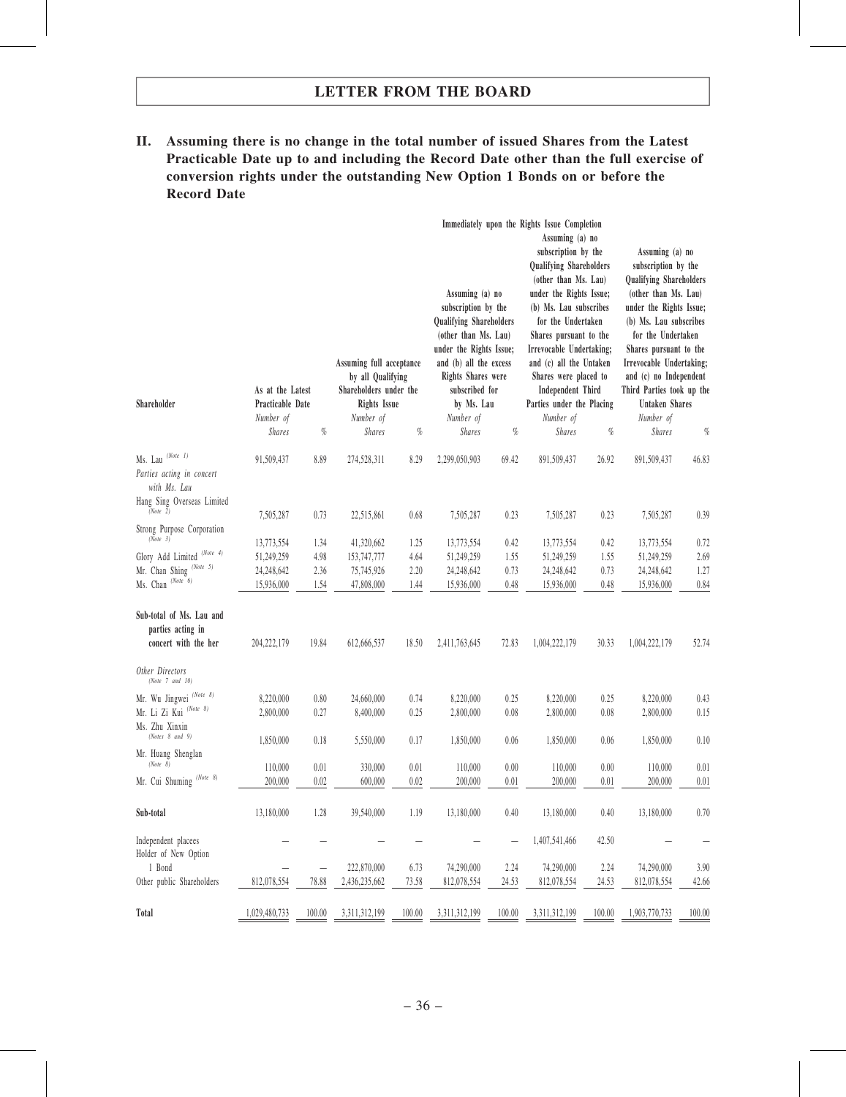II. Assuming there is no change in the total number of issued Shares from the Latest Practicable Date up to and including the Record Date other than the full exercise of conversion rights under the outstanding New Option 1 Bonds on or before the Record Date

|                                                                       |                               |                              | Assuming full acceptance<br>by all Qualifying |              | Assuming (a) no<br>subscription by the<br><b>Qualifying Shareholders</b><br>(other than Ms. Lau)<br>under the Rights Issue;<br>and (b) all the excess<br><b>Rights Shares were</b> |              | Immediately upon the Rights Issue Completion<br>Assuming (a) no<br>subscription by the<br>Qualifying Shareholders<br>(other than Ms. Lau)<br>under the Rights Issue;<br>(b) Ms. Lau subscribes<br>for the Undertaken<br>Shares pursuant to the<br>Irrevocable Undertaking;<br>and (c) all the Untaken<br>Shares were placed to |              | Assuming (a) no<br>subscription by the<br><b>Qualifying Shareholders</b><br>(other than Ms. Lau)<br>under the Rights Issue;<br>(b) Ms. Lau subscribes<br>for the Undertaken<br>Shares pursuant to the<br>Irrevocable Undertaking;<br>and (c) no Independent |              |
|-----------------------------------------------------------------------|-------------------------------|------------------------------|-----------------------------------------------|--------------|------------------------------------------------------------------------------------------------------------------------------------------------------------------------------------|--------------|--------------------------------------------------------------------------------------------------------------------------------------------------------------------------------------------------------------------------------------------------------------------------------------------------------------------------------|--------------|-------------------------------------------------------------------------------------------------------------------------------------------------------------------------------------------------------------------------------------------------------------|--------------|
|                                                                       | As at the Latest              |                              | Shareholders under the                        |              | subscribed for                                                                                                                                                                     |              | <b>Independent Third</b>                                                                                                                                                                                                                                                                                                       |              | Third Parties took up the                                                                                                                                                                                                                                   |              |
| Shareholder                                                           | Practicable Date<br>Number of |                              | Rights Issue<br>Number of                     |              | by Ms. Lau<br>Number of                                                                                                                                                            |              | Parties under the Placing<br>Number of                                                                                                                                                                                                                                                                                         |              | Untaken Shares<br>Number of                                                                                                                                                                                                                                 |              |
|                                                                       | <b>Shares</b>                 | $q_{\!\scriptscriptstyle 0}$ | <b>Shares</b>                                 | $\%$         | <b>Shares</b>                                                                                                                                                                      | $\%$         | <b>Shares</b>                                                                                                                                                                                                                                                                                                                  | $\%$         | <b>Shares</b>                                                                                                                                                                                                                                               | $\%$         |
| Ms. Lau $(Note 1)$<br>Parties acting in concert<br>with Ms. Lau       | 91,509,437                    | 8.89                         | 274,528,311                                   | 8.29         | 2,299,050,903                                                                                                                                                                      | 69.42        | 891,509,437                                                                                                                                                                                                                                                                                                                    | 26.92        | 891,509,437                                                                                                                                                                                                                                                 | 46.83        |
| Hang Sing Overseas Limited<br>(Note 2)                                | 7,505,287                     | 0.73                         | 22,515,861                                    | 0.68         | 7,505,287                                                                                                                                                                          | 0.23         | 7,505,287                                                                                                                                                                                                                                                                                                                      | 0.23         | 7,505,287                                                                                                                                                                                                                                                   | 0.39         |
| Strong Purpose Corporation<br>(Note 3)                                |                               |                              |                                               |              |                                                                                                                                                                                    |              |                                                                                                                                                                                                                                                                                                                                |              |                                                                                                                                                                                                                                                             |              |
| Glory Add Limited (Note 4)                                            | 13,773,554                    | 1.34                         | 41,320,662<br>153,747,777                     | 1.25         | 13,773,554                                                                                                                                                                         | 0.42         | 13,773,554                                                                                                                                                                                                                                                                                                                     | 0.42         | 13,773,554                                                                                                                                                                                                                                                  | 0.72         |
| Mr. Chan Shing (Note 5)                                               | 51,249,259<br>24,248,642      | 4.98<br>2.36                 | 75,745,926                                    | 4.64<br>2.20 | 51,249,259<br>24,248,642                                                                                                                                                           | 1.55<br>0.73 | 51,249,259<br>24, 248, 642                                                                                                                                                                                                                                                                                                     | 1.55<br>0.73 | 51,249,259<br>24,248,642                                                                                                                                                                                                                                    | 2.69<br>1.27 |
| Ms. Chan (Note 6)                                                     | 15,936,000                    | 1.54                         | 47,808,000                                    | 1.44         | 15,936,000                                                                                                                                                                         | 0.48         | 15,936,000                                                                                                                                                                                                                                                                                                                     | 0.48         | 15,936,000                                                                                                                                                                                                                                                  | 0.84         |
| Sub-total of Ms. Lau and<br>parties acting in<br>concert with the her | 204, 222, 179                 | 19.84                        | 612,666,537                                   | 18.50        | 2,411,763,645                                                                                                                                                                      | 72.83        | 1,004,222,179                                                                                                                                                                                                                                                                                                                  | 30.33        | 1,004,222,179                                                                                                                                                                                                                                               | 52.74        |
| Other Directors<br>(Note 7 and 10)                                    |                               |                              |                                               |              |                                                                                                                                                                                    |              |                                                                                                                                                                                                                                                                                                                                |              |                                                                                                                                                                                                                                                             |              |
| Mr. Wu Jingwei <sup>(Note 8)</sup>                                    | 8,220,000                     | 0.80                         | 24,660,000                                    | 0.74         | 8,220,000                                                                                                                                                                          | 0.25         | 8,220,000                                                                                                                                                                                                                                                                                                                      | 0.25         | 8,220,000                                                                                                                                                                                                                                                   | 0.43         |
| Mr. Li Zi Kui <sup>(Note 8)</sup><br>Ms. Zhu Xinxin                   | 2,800,000                     | 0.27                         | 8,400,000                                     | 0.25         | 2,800,000                                                                                                                                                                          | 0.08         | 2,800,000                                                                                                                                                                                                                                                                                                                      | 0.08         | 2,800,000                                                                                                                                                                                                                                                   | 0.15         |
| (Notes 8 and 9)                                                       | 1,850,000                     | 0.18                         | 5,550,000                                     | 0.17         | 1,850,000                                                                                                                                                                          | 0.06         | 1,850,000                                                                                                                                                                                                                                                                                                                      | 0.06         | 1,850,000                                                                                                                                                                                                                                                   | 0.10         |
| Mr. Huang Shenglan<br>(Note 8)                                        | 110,000                       | 0.01                         | 330,000                                       | 0.01         | 110,000                                                                                                                                                                            | 0.00         | 110,000                                                                                                                                                                                                                                                                                                                        | 0.00         | 110,000                                                                                                                                                                                                                                                     | 0.01         |
| Mr. Cui Shuming <sup>(Note 8)</sup>                                   | 200,000                       | 0.02                         | 600,000                                       | $0.02\,$     | 200,000                                                                                                                                                                            | $0.01\,$     | 200,000                                                                                                                                                                                                                                                                                                                        | $0.01\,$     | 200,000                                                                                                                                                                                                                                                     | $0.01\,$     |
| Sub-total                                                             | 13,180,000                    | 1.28                         | 39,540,000                                    | 1.19         | 13,180,000                                                                                                                                                                         | 0.40         | 13,180,000                                                                                                                                                                                                                                                                                                                     | $0.40\,$     | 13,180,000                                                                                                                                                                                                                                                  | 0.70         |
| Independent placees<br>Holder of New Option                           |                               |                              |                                               |              |                                                                                                                                                                                    |              | 1,407,541,466                                                                                                                                                                                                                                                                                                                  | 42.50        |                                                                                                                                                                                                                                                             |              |
| 1 Bond                                                                |                               | —                            | 222,870,000                                   | 6.73         | 74,290,000                                                                                                                                                                         | 2.24         | 74,290,000                                                                                                                                                                                                                                                                                                                     | 2.24         | 74,290,000                                                                                                                                                                                                                                                  | 3.90         |
| Other public Shareholders                                             | 812,078,554                   | 78.88                        | 2,436,235,662                                 | 73.58        | 812,078,554                                                                                                                                                                        | 24.53        | 812,078,554                                                                                                                                                                                                                                                                                                                    | 24.53        | 812,078,554                                                                                                                                                                                                                                                 | 42.66        |
| Total                                                                 | 1,029,480,733                 | 100.00                       | 3,311,312,199                                 | 100.00       | 3,311,312,199                                                                                                                                                                      | 100.00       | 3,311,312,199                                                                                                                                                                                                                                                                                                                  | 100.00       | 1,903,770,733                                                                                                                                                                                                                                               | 100.00       |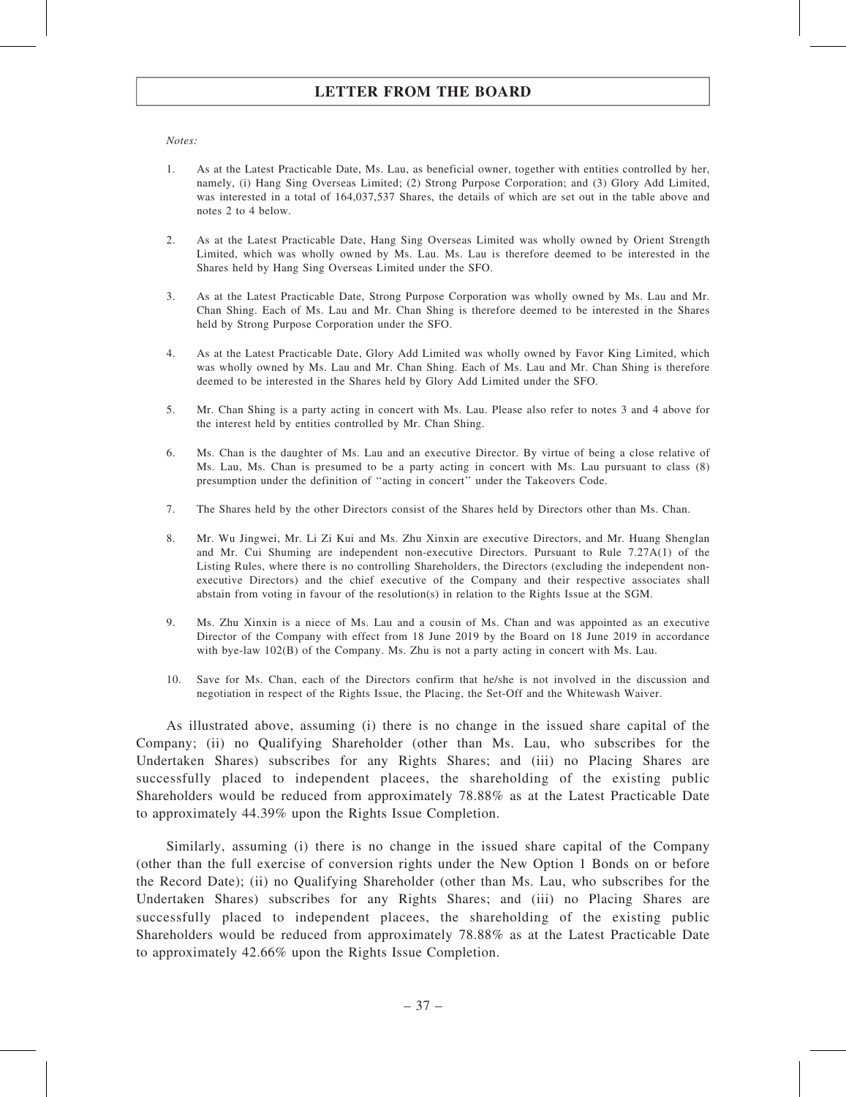#### Notes:

- 1. As at the Latest Practicable Date, Ms. Lau, as beneficial owner, together with entities controlled by her, namely, (i) Hang Sing Overseas Limited; (2) Strong Purpose Corporation; and (3) Glory Add Limited, was interested in a total of 164,037,537 Shares, the details of which are set out in the table above and notes 2 to 4 below.
- 2. As at the Latest Practicable Date, Hang Sing Overseas Limited was wholly owned by Orient Strength Limited, which was wholly owned by Ms. Lau. Ms. Lau is therefore deemed to be interested in the Shares held by Hang Sing Overseas Limited under the SFO.
- 3. As at the Latest Practicable Date, Strong Purpose Corporation was wholly owned by Ms. Lau and Mr. Chan Shing. Each of Ms. Lau and Mr. Chan Shing is therefore deemed to be interested in the Shares held by Strong Purpose Corporation under the SFO.
- 4. As at the Latest Practicable Date, Glory Add Limited was wholly owned by Favor King Limited, which was wholly owned by Ms. Lau and Mr. Chan Shing. Each of Ms. Lau and Mr. Chan Shing is therefore deemed to be interested in the Shares held by Glory Add Limited under the SFO.
- 5. Mr. Chan Shing is a party acting in concert with Ms. Lau. Please also refer to notes 3 and 4 above for the interest held by entities controlled by Mr. Chan Shing.
- 6. Ms. Chan is the daughter of Ms. Lau and an executive Director. By virtue of being a close relative of Ms. Lau, Ms. Chan is presumed to be a party acting in concert with Ms. Lau pursuant to class (8) presumption under the definition of ''acting in concert'' under the Takeovers Code.
- 7. The Shares held by the other Directors consist of the Shares held by Directors other than Ms. Chan.
- 8. Mr. Wu Jingwei, Mr. Li Zi Kui and Ms. Zhu Xinxin are executive Directors, and Mr. Huang Shenglan and Mr. Cui Shuming are independent non-executive Directors. Pursuant to Rule 7.27A(1) of the Listing Rules, where there is no controlling Shareholders, the Directors (excluding the independent nonexecutive Directors) and the chief executive of the Company and their respective associates shall abstain from voting in favour of the resolution(s) in relation to the Rights Issue at the SGM.
- 9. Ms. Zhu Xinxin is a niece of Ms. Lau and a cousin of Ms. Chan and was appointed as an executive Director of the Company with effect from 18 June 2019 by the Board on 18 June 2019 in accordance with bye-law 102(B) of the Company. Ms. Zhu is not a party acting in concert with Ms. Lau.
- 10. Save for Ms. Chan, each of the Directors confirm that he/she is not involved in the discussion and negotiation in respect of the Rights Issue, the Placing, the Set-Off and the Whitewash Waiver.

As illustrated above, assuming (i) there is no change in the issued share capital of the Company; (ii) no Qualifying Shareholder (other than Ms. Lau, who subscribes for the Undertaken Shares) subscribes for any Rights Shares; and (iii) no Placing Shares are successfully placed to independent placees, the shareholding of the existing public Shareholders would be reduced from approximately 78.88% as at the Latest Practicable Date to approximately 44.39% upon the Rights Issue Completion.

Similarly, assuming (i) there is no change in the issued share capital of the Company (other than the full exercise of conversion rights under the New Option 1 Bonds on or before the Record Date); (ii) no Qualifying Shareholder (other than Ms. Lau, who subscribes for the Undertaken Shares) subscribes for any Rights Shares; and (iii) no Placing Shares are successfully placed to independent placees, the shareholding of the existing public Shareholders would be reduced from approximately 78.88% as at the Latest Practicable Date to approximately 42.66% upon the Rights Issue Completion.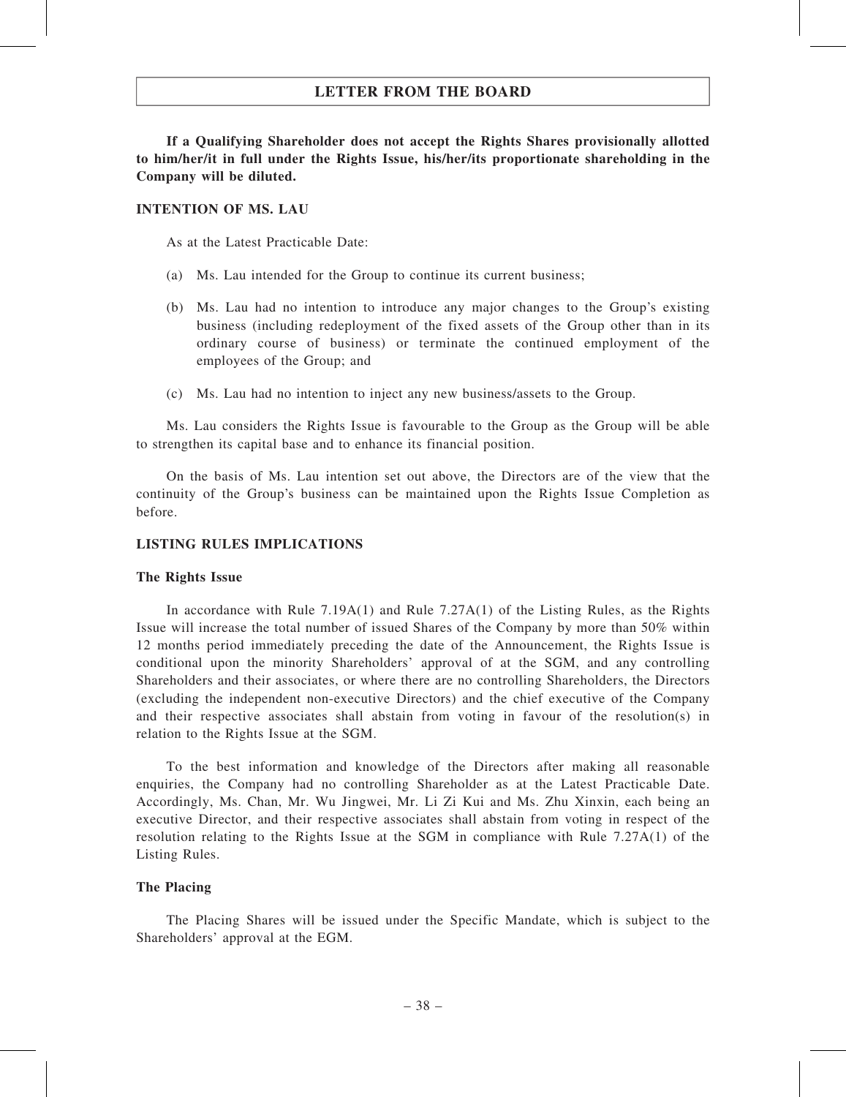If a Qualifying Shareholder does not accept the Rights Shares provisionally allotted to him/her/it in full under the Rights Issue, his/her/its proportionate shareholding in the Company will be diluted.

### INTENTION OF MS. LAU

As at the Latest Practicable Date:

- (a) Ms. Lau intended for the Group to continue its current business;
- (b) Ms. Lau had no intention to introduce any major changes to the Group's existing business (including redeployment of the fixed assets of the Group other than in its ordinary course of business) or terminate the continued employment of the employees of the Group; and
- (c) Ms. Lau had no intention to inject any new business/assets to the Group.

Ms. Lau considers the Rights Issue is favourable to the Group as the Group will be able to strengthen its capital base and to enhance its financial position.

On the basis of Ms. Lau intention set out above, the Directors are of the view that the continuity of the Group's business can be maintained upon the Rights Issue Completion as before.

### LISTING RULES IMPLICATIONS

#### The Rights Issue

In accordance with Rule 7.19A(1) and Rule 7.27A(1) of the Listing Rules, as the Rights Issue will increase the total number of issued Shares of the Company by more than 50% within 12 months period immediately preceding the date of the Announcement, the Rights Issue is conditional upon the minority Shareholders' approval of at the SGM, and any controlling Shareholders and their associates, or where there are no controlling Shareholders, the Directors (excluding the independent non-executive Directors) and the chief executive of the Company and their respective associates shall abstain from voting in favour of the resolution(s) in relation to the Rights Issue at the SGM.

To the best information and knowledge of the Directors after making all reasonable enquiries, the Company had no controlling Shareholder as at the Latest Practicable Date. Accordingly, Ms. Chan, Mr. Wu Jingwei, Mr. Li Zi Kui and Ms. Zhu Xinxin, each being an executive Director, and their respective associates shall abstain from voting in respect of the resolution relating to the Rights Issue at the SGM in compliance with Rule 7.27A(1) of the Listing Rules.

#### The Placing

The Placing Shares will be issued under the Specific Mandate, which is subject to the Shareholders' approval at the EGM.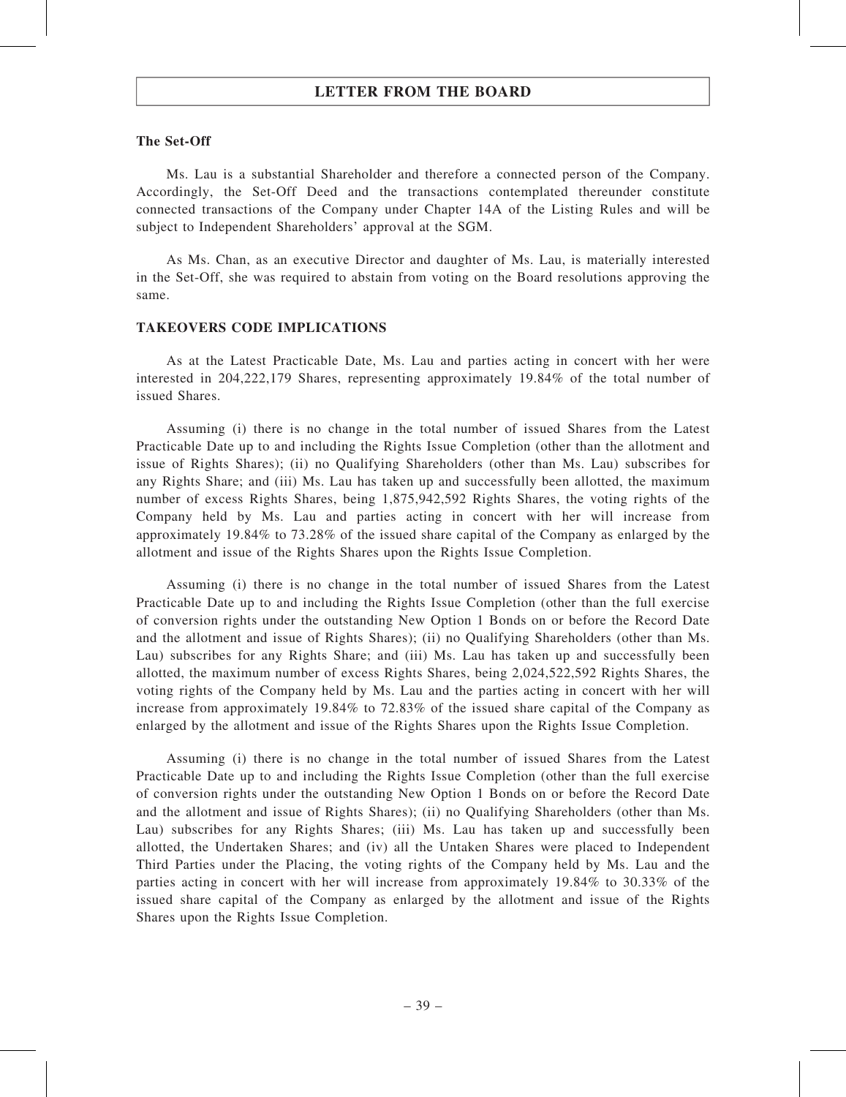### The Set-Off

Ms. Lau is a substantial Shareholder and therefore a connected person of the Company. Accordingly, the Set-Off Deed and the transactions contemplated thereunder constitute connected transactions of the Company under Chapter 14A of the Listing Rules and will be subject to Independent Shareholders' approval at the SGM.

As Ms. Chan, as an executive Director and daughter of Ms. Lau, is materially interested in the Set-Off, she was required to abstain from voting on the Board resolutions approving the same.

#### TAKEOVERS CODE IMPLICATIONS

As at the Latest Practicable Date, Ms. Lau and parties acting in concert with her were interested in 204,222,179 Shares, representing approximately 19.84% of the total number of issued Shares.

Assuming (i) there is no change in the total number of issued Shares from the Latest Practicable Date up to and including the Rights Issue Completion (other than the allotment and issue of Rights Shares); (ii) no Qualifying Shareholders (other than Ms. Lau) subscribes for any Rights Share; and (iii) Ms. Lau has taken up and successfully been allotted, the maximum number of excess Rights Shares, being 1,875,942,592 Rights Shares, the voting rights of the Company held by Ms. Lau and parties acting in concert with her will increase from approximately 19.84% to 73.28% of the issued share capital of the Company as enlarged by the allotment and issue of the Rights Shares upon the Rights Issue Completion.

Assuming (i) there is no change in the total number of issued Shares from the Latest Practicable Date up to and including the Rights Issue Completion (other than the full exercise of conversion rights under the outstanding New Option 1 Bonds on or before the Record Date and the allotment and issue of Rights Shares); (ii) no Qualifying Shareholders (other than Ms. Lau) subscribes for any Rights Share; and (iii) Ms. Lau has taken up and successfully been allotted, the maximum number of excess Rights Shares, being 2,024,522,592 Rights Shares, the voting rights of the Company held by Ms. Lau and the parties acting in concert with her will increase from approximately 19.84% to 72.83% of the issued share capital of the Company as enlarged by the allotment and issue of the Rights Shares upon the Rights Issue Completion.

Assuming (i) there is no change in the total number of issued Shares from the Latest Practicable Date up to and including the Rights Issue Completion (other than the full exercise of conversion rights under the outstanding New Option 1 Bonds on or before the Record Date and the allotment and issue of Rights Shares); (ii) no Qualifying Shareholders (other than Ms. Lau) subscribes for any Rights Shares; (iii) Ms. Lau has taken up and successfully been allotted, the Undertaken Shares; and (iv) all the Untaken Shares were placed to Independent Third Parties under the Placing, the voting rights of the Company held by Ms. Lau and the parties acting in concert with her will increase from approximately 19.84% to 30.33% of the issued share capital of the Company as enlarged by the allotment and issue of the Rights Shares upon the Rights Issue Completion.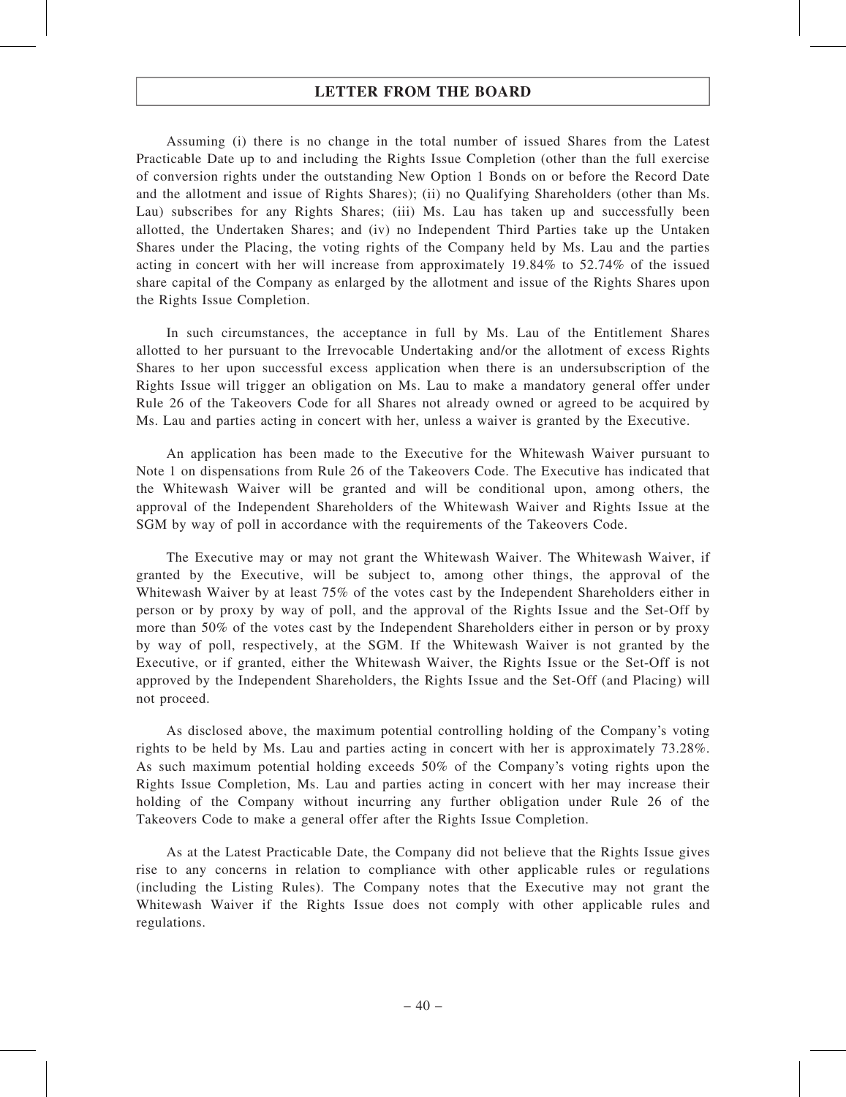Assuming (i) there is no change in the total number of issued Shares from the Latest Practicable Date up to and including the Rights Issue Completion (other than the full exercise of conversion rights under the outstanding New Option 1 Bonds on or before the Record Date and the allotment and issue of Rights Shares); (ii) no Qualifying Shareholders (other than Ms. Lau) subscribes for any Rights Shares; (iii) Ms. Lau has taken up and successfully been allotted, the Undertaken Shares; and (iv) no Independent Third Parties take up the Untaken Shares under the Placing, the voting rights of the Company held by Ms. Lau and the parties acting in concert with her will increase from approximately 19.84% to 52.74% of the issued share capital of the Company as enlarged by the allotment and issue of the Rights Shares upon the Rights Issue Completion.

In such circumstances, the acceptance in full by Ms. Lau of the Entitlement Shares allotted to her pursuant to the Irrevocable Undertaking and/or the allotment of excess Rights Shares to her upon successful excess application when there is an undersubscription of the Rights Issue will trigger an obligation on Ms. Lau to make a mandatory general offer under Rule 26 of the Takeovers Code for all Shares not already owned or agreed to be acquired by Ms. Lau and parties acting in concert with her, unless a waiver is granted by the Executive.

An application has been made to the Executive for the Whitewash Waiver pursuant to Note 1 on dispensations from Rule 26 of the Takeovers Code. The Executive has indicated that the Whitewash Waiver will be granted and will be conditional upon, among others, the approval of the Independent Shareholders of the Whitewash Waiver and Rights Issue at the SGM by way of poll in accordance with the requirements of the Takeovers Code.

The Executive may or may not grant the Whitewash Waiver. The Whitewash Waiver, if granted by the Executive, will be subject to, among other things, the approval of the Whitewash Waiver by at least 75% of the votes cast by the Independent Shareholders either in person or by proxy by way of poll, and the approval of the Rights Issue and the Set‐Off by more than 50% of the votes cast by the Independent Shareholders either in person or by proxy by way of poll, respectively, at the SGM. If the Whitewash Waiver is not granted by the Executive, or if granted, either the Whitewash Waiver, the Rights Issue or the Set-Off is not approved by the Independent Shareholders, the Rights Issue and the Set‐Off (and Placing) will not proceed.

As disclosed above, the maximum potential controlling holding of the Company's voting rights to be held by Ms. Lau and parties acting in concert with her is approximately 73.28%. As such maximum potential holding exceeds 50% of the Company's voting rights upon the Rights Issue Completion, Ms. Lau and parties acting in concert with her may increase their holding of the Company without incurring any further obligation under Rule 26 of the Takeovers Code to make a general offer after the Rights Issue Completion.

As at the Latest Practicable Date, the Company did not believe that the Rights Issue gives rise to any concerns in relation to compliance with other applicable rules or regulations (including the Listing Rules). The Company notes that the Executive may not grant the Whitewash Waiver if the Rights Issue does not comply with other applicable rules and regulations.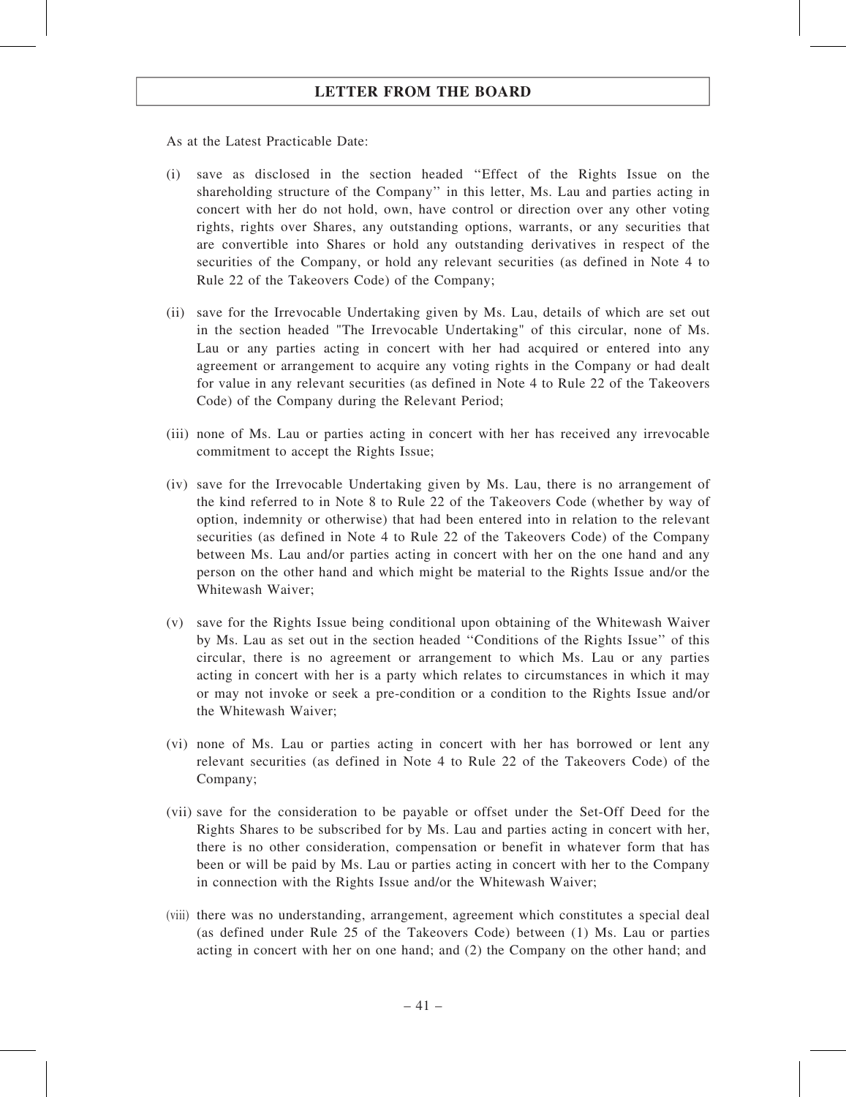As at the Latest Practicable Date:

- (i) save as disclosed in the section headed ''Effect of the Rights Issue on the shareholding structure of the Company'' in this letter, Ms. Lau and parties acting in concert with her do not hold, own, have control or direction over any other voting rights, rights over Shares, any outstanding options, warrants, or any securities that are convertible into Shares or hold any outstanding derivatives in respect of the securities of the Company, or hold any relevant securities (as defined in Note 4 to Rule 22 of the Takeovers Code) of the Company;
- (ii) save for the Irrevocable Undertaking given by Ms. Lau, details of which are set out in the section headed "The Irrevocable Undertaking" of this circular, none of Ms. Lau or any parties acting in concert with her had acquired or entered into any agreement or arrangement to acquire any voting rights in the Company or had dealt for value in any relevant securities (as defined in Note 4 to Rule 22 of the Takeovers Code) of the Company during the Relevant Period;
- (iii) none of Ms. Lau or parties acting in concert with her has received any irrevocable commitment to accept the Rights Issue;
- (iv) save for the Irrevocable Undertaking given by Ms. Lau, there is no arrangement of the kind referred to in Note 8 to Rule 22 of the Takeovers Code (whether by way of option, indemnity or otherwise) that had been entered into in relation to the relevant securities (as defined in Note 4 to Rule 22 of the Takeovers Code) of the Company between Ms. Lau and/or parties acting in concert with her on the one hand and any person on the other hand and which might be material to the Rights Issue and/or the Whitewash Waiver;
- (v) save for the Rights Issue being conditional upon obtaining of the Whitewash Waiver by Ms. Lau as set out in the section headed ''Conditions of the Rights Issue'' of this circular, there is no agreement or arrangement to which Ms. Lau or any parties acting in concert with her is a party which relates to circumstances in which it may or may not invoke or seek a pre-condition or a condition to the Rights Issue and/or the Whitewash Waiver;
- (vi) none of Ms. Lau or parties acting in concert with her has borrowed or lent any relevant securities (as defined in Note 4 to Rule 22 of the Takeovers Code) of the Company;
- (vii) save for the consideration to be payable or offset under the Set‐Off Deed for the Rights Shares to be subscribed for by Ms. Lau and parties acting in concert with her, there is no other consideration, compensation or benefit in whatever form that has been or will be paid by Ms. Lau or parties acting in concert with her to the Company in connection with the Rights Issue and/or the Whitewash Waiver;
- (viii) there was no understanding, arrangement, agreement which constitutes a special deal (as defined under Rule 25 of the Takeovers Code) between (1) Ms. Lau or parties acting in concert with her on one hand; and (2) the Company on the other hand; and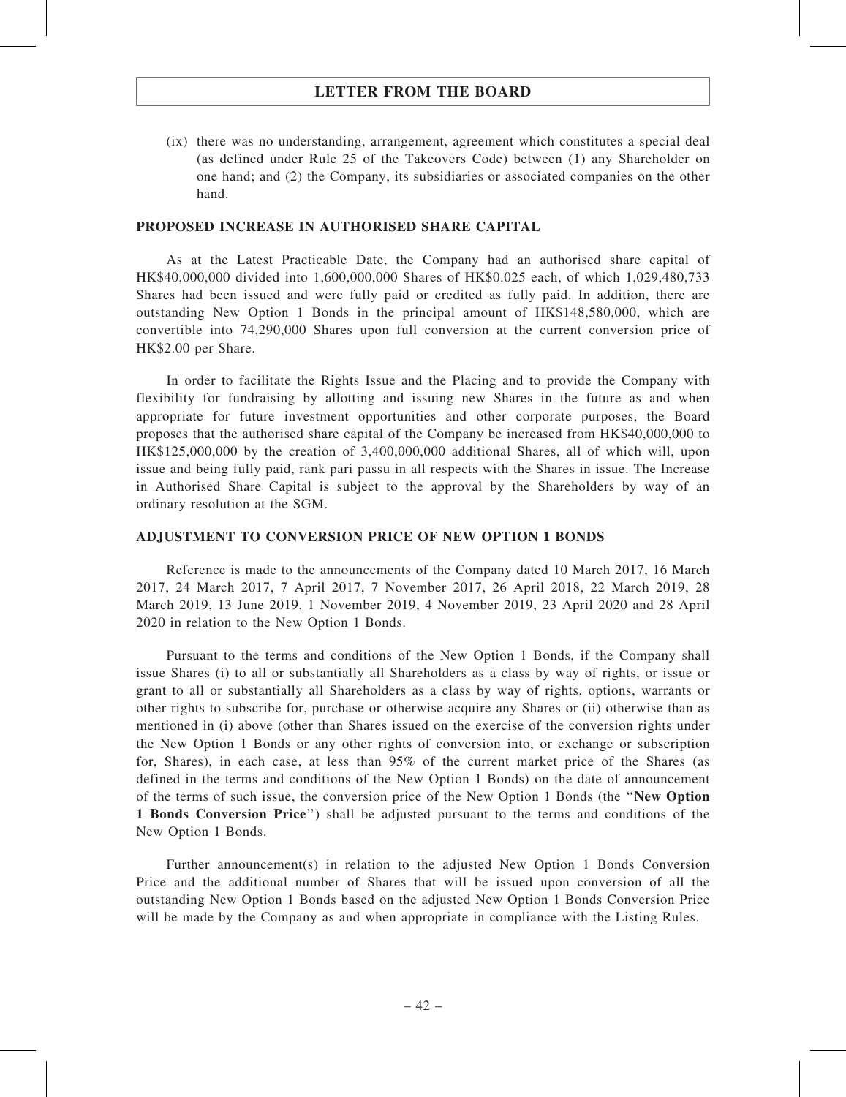(ix) there was no understanding, arrangement, agreement which constitutes a special deal (as defined under Rule 25 of the Takeovers Code) between (1) any Shareholder on one hand; and (2) the Company, its subsidiaries or associated companies on the other hand.

### PROPOSED INCREASE IN AUTHORISED SHARE CAPITAL

As at the Latest Practicable Date, the Company had an authorised share capital of HK\$40,000,000 divided into 1,600,000,000 Shares of HK\$0.025 each, of which 1,029,480,733 Shares had been issued and were fully paid or credited as fully paid. In addition, there are outstanding New Option 1 Bonds in the principal amount of HK\$148,580,000, which are convertible into 74,290,000 Shares upon full conversion at the current conversion price of HK\$2.00 per Share.

In order to facilitate the Rights Issue and the Placing and to provide the Company with flexibility for fundraising by allotting and issuing new Shares in the future as and when appropriate for future investment opportunities and other corporate purposes, the Board proposes that the authorised share capital of the Company be increased from HK\$40,000,000 to HK\$125,000,000 by the creation of 3,400,000,000 additional Shares, all of which will, upon issue and being fully paid, rank pari passu in all respects with the Shares in issue. The Increase in Authorised Share Capital is subject to the approval by the Shareholders by way of an ordinary resolution at the SGM.

### ADJUSTMENT TO CONVERSION PRICE OF NEW OPTION 1 BONDS

Reference is made to the announcements of the Company dated 10 March 2017, 16 March 2017, 24 March 2017, 7 April 2017, 7 November 2017, 26 April 2018, 22 March 2019, 28 March 2019, 13 June 2019, 1 November 2019, 4 November 2019, 23 April 2020 and 28 April 2020 in relation to the New Option 1 Bonds.

Pursuant to the terms and conditions of the New Option 1 Bonds, if the Company shall issue Shares (i) to all or substantially all Shareholders as a class by way of rights, or issue or grant to all or substantially all Shareholders as a class by way of rights, options, warrants or other rights to subscribe for, purchase or otherwise acquire any Shares or (ii) otherwise than as mentioned in (i) above (other than Shares issued on the exercise of the conversion rights under the New Option 1 Bonds or any other rights of conversion into, or exchange or subscription for, Shares), in each case, at less than 95% of the current market price of the Shares (as defined in the terms and conditions of the New Option 1 Bonds) on the date of announcement of the terms of such issue, the conversion price of the New Option 1 Bonds (the ''New Option 1 Bonds Conversion Price'') shall be adjusted pursuant to the terms and conditions of the New Option 1 Bonds.

Further announcement(s) in relation to the adjusted New Option 1 Bonds Conversion Price and the additional number of Shares that will be issued upon conversion of all the outstanding New Option 1 Bonds based on the adjusted New Option 1 Bonds Conversion Price will be made by the Company as and when appropriate in compliance with the Listing Rules.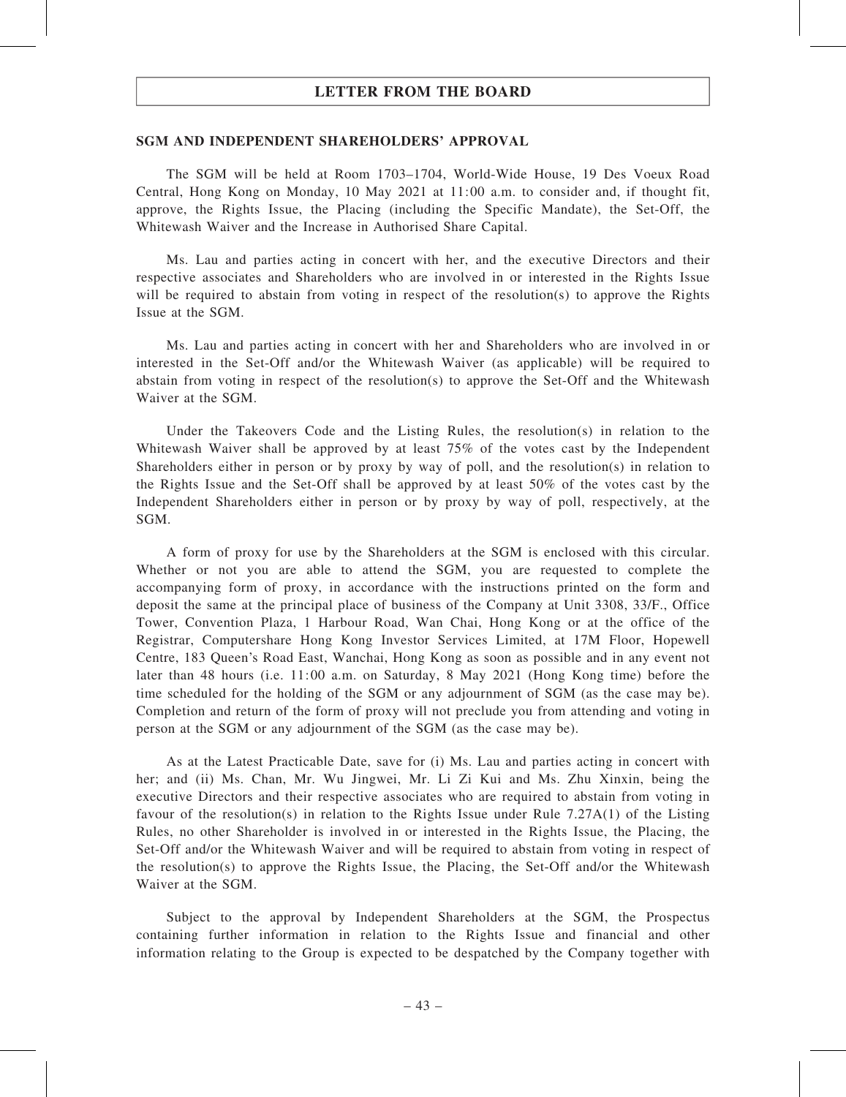#### SGM AND INDEPENDENT SHAREHOLDERS' APPROVAL

The SGM will be held at Room 1703–1704, World-Wide House, 19 Des Voeux Road Central, Hong Kong on Monday, 10 May 2021 at 11:00 a.m. to consider and, if thought fit, approve, the Rights Issue, the Placing (including the Specific Mandate), the Set-Off, the Whitewash Waiver and the Increase in Authorised Share Capital.

Ms. Lau and parties acting in concert with her, and the executive Directors and their respective associates and Shareholders who are involved in or interested in the Rights Issue will be required to abstain from voting in respect of the resolution(s) to approve the Rights Issue at the SGM.

Ms. Lau and parties acting in concert with her and Shareholders who are involved in or interested in the Set-Off and/or the Whitewash Waiver (as applicable) will be required to abstain from voting in respect of the resolution(s) to approve the Set-Off and the Whitewash Waiver at the SGM

Under the Takeovers Code and the Listing Rules, the resolution(s) in relation to the Whitewash Waiver shall be approved by at least 75% of the votes cast by the Independent Shareholders either in person or by proxy by way of poll, and the resolution(s) in relation to the Rights Issue and the Set-Off shall be approved by at least 50% of the votes cast by the Independent Shareholders either in person or by proxy by way of poll, respectively, at the SGM.

A form of proxy for use by the Shareholders at the SGM is enclosed with this circular. Whether or not you are able to attend the SGM, you are requested to complete the accompanying form of proxy, in accordance with the instructions printed on the form and deposit the same at the principal place of business of the Company at Unit 3308, 33/F., Office Tower, Convention Plaza, 1 Harbour Road, Wan Chai, Hong Kong or at the office of the Registrar, Computershare Hong Kong Investor Services Limited, at 17M Floor, Hopewell Centre, 183 Queen's Road East, Wanchai, Hong Kong as soon as possible and in any event not later than 48 hours (i.e. 11:00 a.m. on Saturday, 8 May 2021 (Hong Kong time) before the time scheduled for the holding of the SGM or any adjournment of SGM (as the case may be). Completion and return of the form of proxy will not preclude you from attending and voting in person at the SGM or any adjournment of the SGM (as the case may be).

As at the Latest Practicable Date, save for (i) Ms. Lau and parties acting in concert with her; and (ii) Ms. Chan, Mr. Wu Jingwei, Mr. Li Zi Kui and Ms. Zhu Xinxin, being the executive Directors and their respective associates who are required to abstain from voting in favour of the resolution(s) in relation to the Rights Issue under Rule  $7.27A(1)$  of the Listing Rules, no other Shareholder is involved in or interested in the Rights Issue, the Placing, the Set-Off and/or the Whitewash Waiver and will be required to abstain from voting in respect of the resolution(s) to approve the Rights Issue, the Placing, the Set-Off and/or the Whitewash Waiver at the SGM.

Subject to the approval by Independent Shareholders at the SGM, the Prospectus containing further information in relation to the Rights Issue and financial and other information relating to the Group is expected to be despatched by the Company together with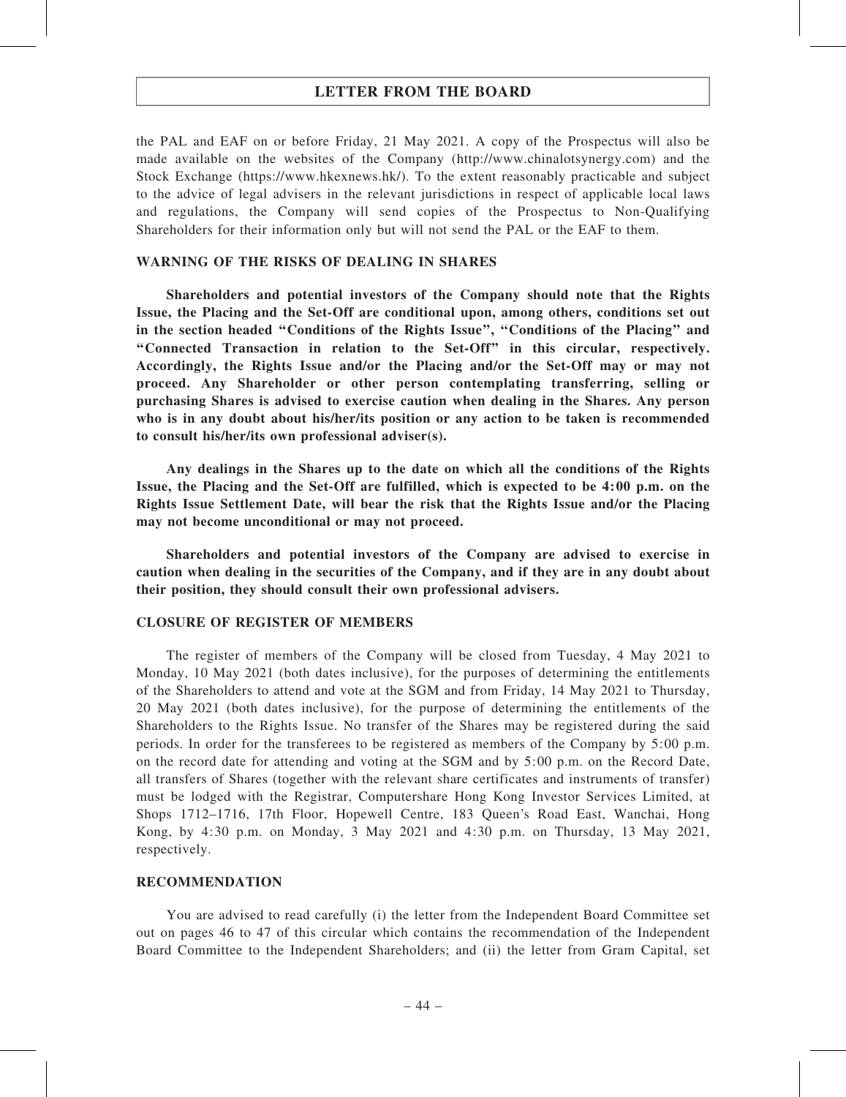the PAL and EAF on or before Friday, 21 May 2021. A copy of the Prospectus will also be made available on the websites of the Company (http://www.chinalotsynergy.com) and the Stock Exchange (https://www.hkexnews.hk/). To the extent reasonably practicable and subject to the advice of legal advisers in the relevant jurisdictions in respect of applicable local laws and regulations, the Company will send copies of the Prospectus to Non-Qualifying Shareholders for their information only but will not send the PAL or the EAF to them.

### WARNING OF THE RISKS OF DEALING IN SHARES

Shareholders and potential investors of the Company should note that the Rights Issue, the Placing and the Set-Off are conditional upon, among others, conditions set out in the section headed ''Conditions of the Rights Issue'', ''Conditions of the Placing'' and ''Connected Transaction in relation to the Set-Off'' in this circular, respectively. Accordingly, the Rights Issue and/or the Placing and/or the Set-Off may or may not proceed. Any Shareholder or other person contemplating transferring, selling or purchasing Shares is advised to exercise caution when dealing in the Shares. Any person who is in any doubt about his/her/its position or any action to be taken is recommended to consult his/her/its own professional adviser(s).

Any dealings in the Shares up to the date on which all the conditions of the Rights Issue, the Placing and the Set-Off are fulfilled, which is expected to be 4:00 p.m. on the Rights Issue Settlement Date, will bear the risk that the Rights Issue and/or the Placing may not become unconditional or may not proceed.

Shareholders and potential investors of the Company are advised to exercise in caution when dealing in the securities of the Company, and if they are in any doubt about their position, they should consult their own professional advisers.

### CLOSURE OF REGISTER OF MEMBERS

The register of members of the Company will be closed from Tuesday, 4 May 2021 to Monday, 10 May 2021 (both dates inclusive), for the purposes of determining the entitlements of the Shareholders to attend and vote at the SGM and from Friday, 14 May 2021 to Thursday, 20 May 2021 (both dates inclusive), for the purpose of determining the entitlements of the Shareholders to the Rights Issue. No transfer of the Shares may be registered during the said periods. In order for the transferees to be registered as members of the Company by 5:00 p.m. on the record date for attending and voting at the SGM and by 5:00 p.m. on the Record Date, all transfers of Shares (together with the relevant share certificates and instruments of transfer) must be lodged with the Registrar, Computershare Hong Kong Investor Services Limited, at Shops 1712–1716, 17th Floor, Hopewell Centre, 183 Queen's Road East, Wanchai, Hong Kong, by 4:30 p.m. on Monday, 3 May 2021 and 4:30 p.m. on Thursday, 13 May 2021, respectively.

### RECOMMENDATION

You are advised to read carefully (i) the letter from the Independent Board Committee set out on pages 46 to 47 of this circular which contains the recommendation of the Independent Board Committee to the Independent Shareholders; and (ii) the letter from Gram Capital, set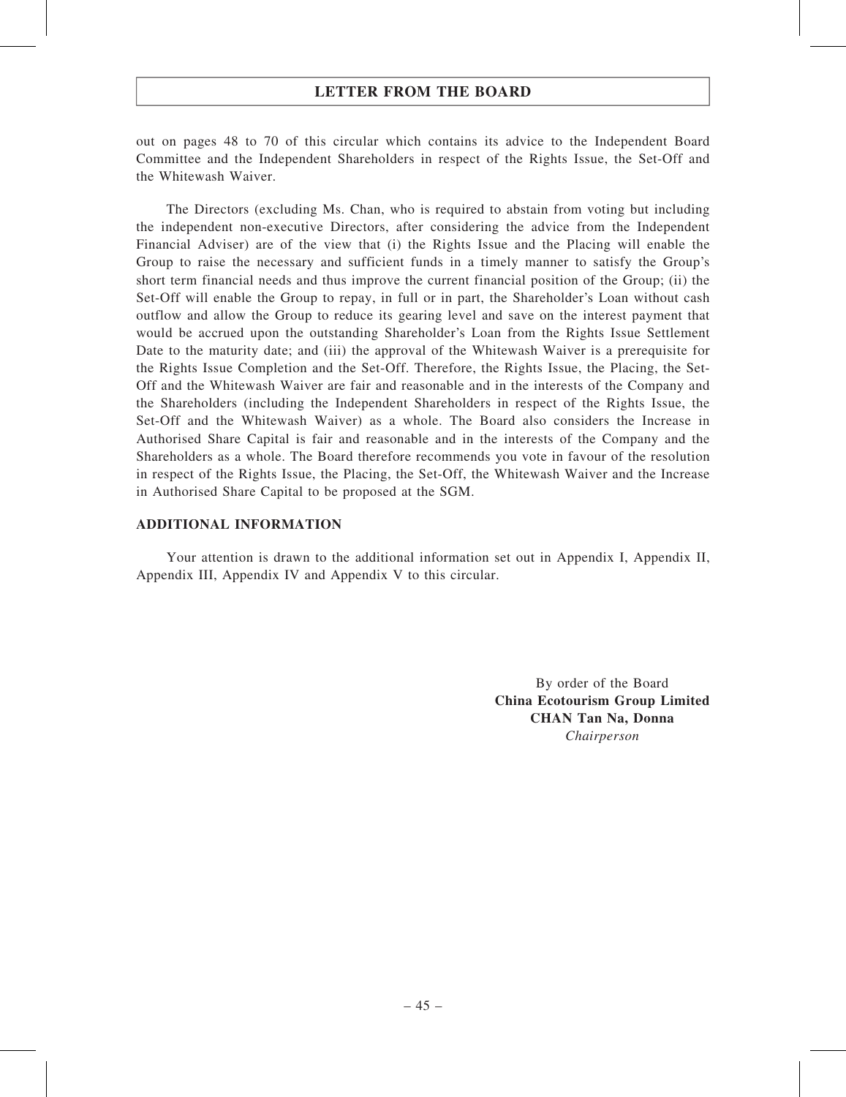out on pages 48 to 70 of this circular which contains its advice to the Independent Board Committee and the Independent Shareholders in respect of the Rights Issue, the Set-Off and the Whitewash Waiver.

The Directors (excluding Ms. Chan, who is required to abstain from voting but including the independent non-executive Directors, after considering the advice from the Independent Financial Adviser) are of the view that (i) the Rights Issue and the Placing will enable the Group to raise the necessary and sufficient funds in a timely manner to satisfy the Group's short term financial needs and thus improve the current financial position of the Group; (ii) the Set-Off will enable the Group to repay, in full or in part, the Shareholder's Loan without cash outflow and allow the Group to reduce its gearing level and save on the interest payment that would be accrued upon the outstanding Shareholder's Loan from the Rights Issue Settlement Date to the maturity date; and (iii) the approval of the Whitewash Waiver is a prerequisite for the Rights Issue Completion and the Set-Off. Therefore, the Rights Issue, the Placing, the Set-Off and the Whitewash Waiver are fair and reasonable and in the interests of the Company and the Shareholders (including the Independent Shareholders in respect of the Rights Issue, the Set-Off and the Whitewash Waiver) as a whole. The Board also considers the Increase in Authorised Share Capital is fair and reasonable and in the interests of the Company and the Shareholders as a whole. The Board therefore recommends you vote in favour of the resolution in respect of the Rights Issue, the Placing, the Set-Off, the Whitewash Waiver and the Increase in Authorised Share Capital to be proposed at the SGM.

#### ADDITIONAL INFORMATION

Your attention is drawn to the additional information set out in Appendix I, Appendix II, Appendix III, Appendix IV and Appendix V to this circular.

> By order of the Board China Ecotourism Group Limited CHAN Tan Na, Donna Chairperson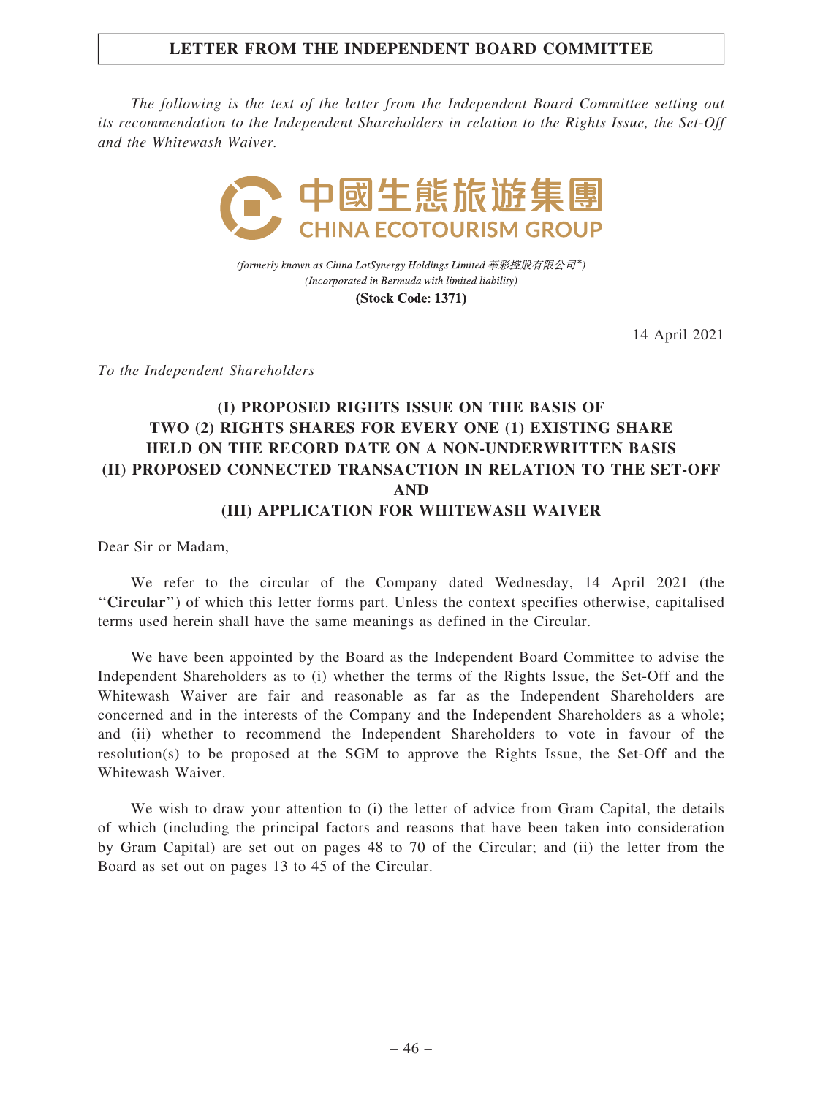### LETTER FROM THE INDEPENDENT BOARD COMMITTEE

The following is the text of the letter from the Independent Board Committee setting out its recommendation to the Independent Shareholders in relation to the Rights Issue, the Set-Off and the Whitewash Waiver.



(formerly known as China LotSynergy Holdings Limited 華彩控股有限公司\*) (Incorporated in Bermuda with limited liability)

**(Stock Code: 1371)** 

14 April 2021

To the Independent Shareholders

# (I) PROPOSED RIGHTS ISSUE ON THE BASIS OF TWO (2) RIGHTS SHARES FOR EVERY ONE (1) EXISTING SHARE HELD ON THE RECORD DATE ON A NON-UNDERWRITTEN BASIS (II) PROPOSED CONNECTED TRANSACTION IN RELATION TO THE SET-OFF AND (III) APPLICATION FOR WHITEWASH WAIVER

Dear Sir or Madam,

We refer to the circular of the Company dated Wednesday, 14 April 2021 (the ''Circular'') of which this letter forms part. Unless the context specifies otherwise, capitalised terms used herein shall have the same meanings as defined in the Circular.

We have been appointed by the Board as the Independent Board Committee to advise the Independent Shareholders as to (i) whether the terms of the Rights Issue, the Set-Off and the Whitewash Waiver are fair and reasonable as far as the Independent Shareholders are concerned and in the interests of the Company and the Independent Shareholders as a whole; and (ii) whether to recommend the Independent Shareholders to vote in favour of the resolution(s) to be proposed at the SGM to approve the Rights Issue, the Set-Off and the Whitewash Waiver.

We wish to draw your attention to (i) the letter of advice from Gram Capital, the details of which (including the principal factors and reasons that have been taken into consideration by Gram Capital) are set out on pages 48 to 70 of the Circular; and (ii) the letter from the Board as set out on pages 13 to 45 of the Circular.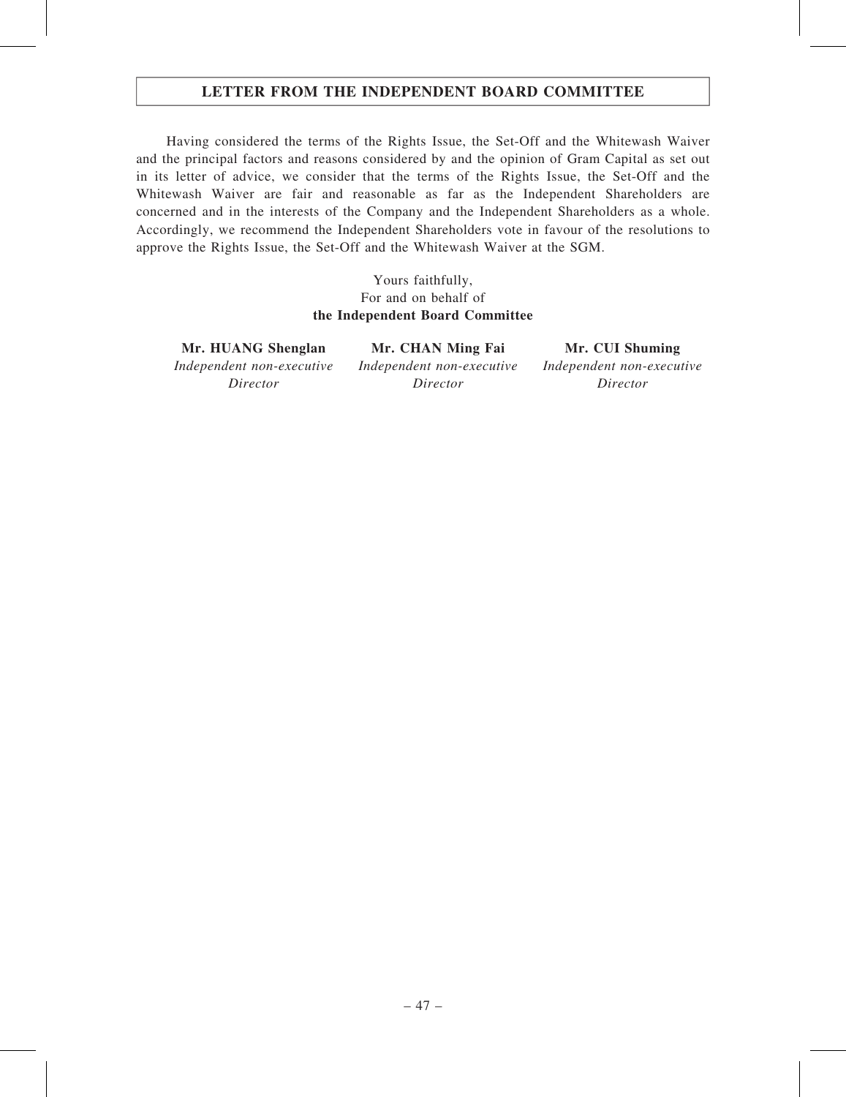### LETTER FROM THE INDEPENDENT BOARD COMMITTEE

Having considered the terms of the Rights Issue, the Set-Off and the Whitewash Waiver and the principal factors and reasons considered by and the opinion of Gram Capital as set out in its letter of advice, we consider that the terms of the Rights Issue, the Set-Off and the Whitewash Waiver are fair and reasonable as far as the Independent Shareholders are concerned and in the interests of the Company and the Independent Shareholders as a whole. Accordingly, we recommend the Independent Shareholders vote in favour of the resolutions to approve the Rights Issue, the Set-Off and the Whitewash Waiver at the SGM.

> Yours faithfully, For and on behalf of the Independent Board Committee

Mr. HUANG Shenglan Mr. CHAN Ming Fai Mr. CUI Shuming Independent non-executive Director

Independent non-executive Director

Independent non-executive Director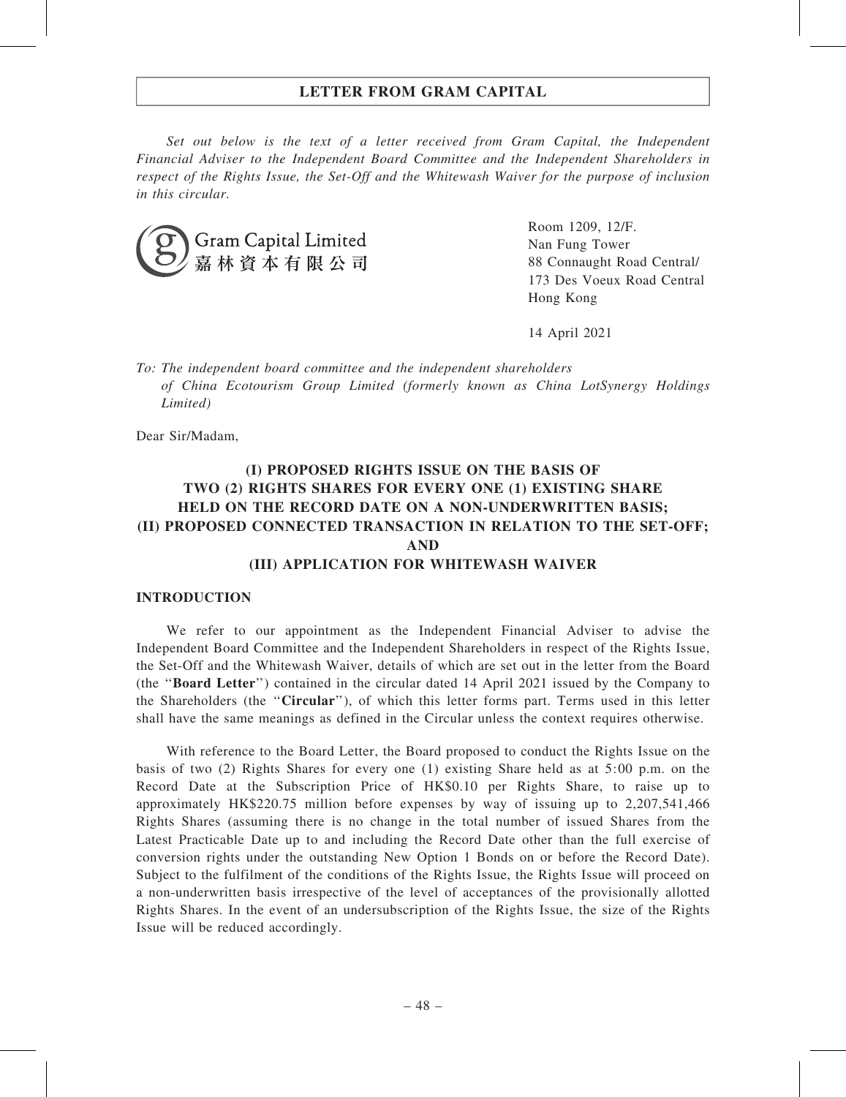Set out below is the text of a letter received from Gram Capital, the Independent Financial Adviser to the Independent Board Committee and the Independent Shareholders in respect of the Rights Issue, the Set-Off and the Whitewash Waiver for the purpose of inclusion in this circular.



Room 1209, 12/F. Nan Fung Tower 88 Connaught Road Central/ 173 Des Voeux Road Central Hong Kong

14 April 2021

To: The independent board committee and the independent shareholders of China Ecotourism Group Limited (formerly known as China LotSynergy Holdings Limited)

Dear Sir/Madam,

### (I) PROPOSED RIGHTS ISSUE ON THE BASIS OF TWO (2) RIGHTS SHARES FOR EVERY ONE (1) EXISTING SHARE HELD ON THE RECORD DATE ON A NON-UNDERWRITTEN BASIS; (II) PROPOSED CONNECTED TRANSACTION IN RELATION TO THE SET-OFF; AND (III) APPLICATION FOR WHITEWASH WAIVER

#### INTRODUCTION

We refer to our appointment as the Independent Financial Adviser to advise the Independent Board Committee and the Independent Shareholders in respect of the Rights Issue, the Set-Off and the Whitewash Waiver, details of which are set out in the letter from the Board (the ''Board Letter'') contained in the circular dated 14 April 2021 issued by the Company to the Shareholders (the ''Circular''), of which this letter forms part. Terms used in this letter shall have the same meanings as defined in the Circular unless the context requires otherwise.

With reference to the Board Letter, the Board proposed to conduct the Rights Issue on the basis of two (2) Rights Shares for every one (1) existing Share held as at 5:00 p.m. on the Record Date at the Subscription Price of HK\$0.10 per Rights Share, to raise up to approximately HK\$220.75 million before expenses by way of issuing up to 2,207,541,466 Rights Shares (assuming there is no change in the total number of issued Shares from the Latest Practicable Date up to and including the Record Date other than the full exercise of conversion rights under the outstanding New Option 1 Bonds on or before the Record Date). Subject to the fulfilment of the conditions of the Rights Issue, the Rights Issue will proceed on a non-underwritten basis irrespective of the level of acceptances of the provisionally allotted Rights Shares. In the event of an undersubscription of the Rights Issue, the size of the Rights Issue will be reduced accordingly.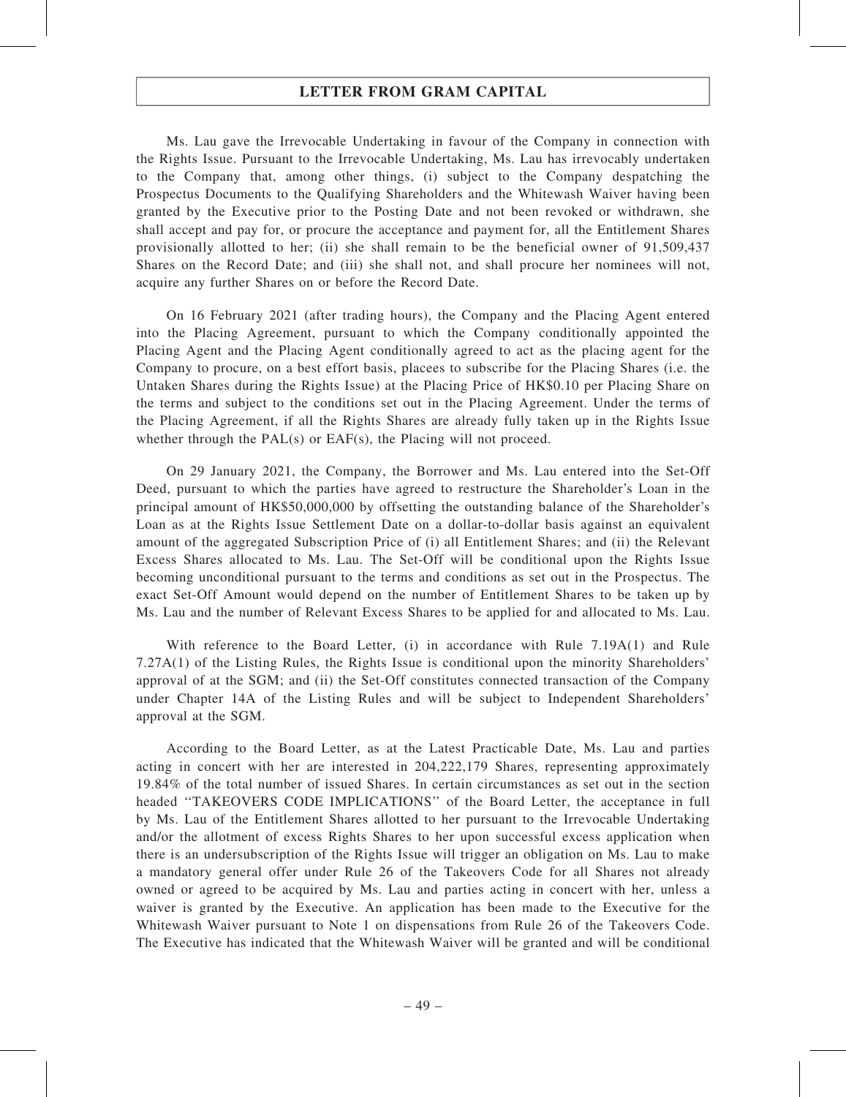Ms. Lau gave the Irrevocable Undertaking in favour of the Company in connection with the Rights Issue. Pursuant to the Irrevocable Undertaking, Ms. Lau has irrevocably undertaken to the Company that, among other things, (i) subject to the Company despatching the Prospectus Documents to the Qualifying Shareholders and the Whitewash Waiver having been granted by the Executive prior to the Posting Date and not been revoked or withdrawn, she shall accept and pay for, or procure the acceptance and payment for, all the Entitlement Shares provisionally allotted to her; (ii) she shall remain to be the beneficial owner of 91,509,437 Shares on the Record Date; and (iii) she shall not, and shall procure her nominees will not, acquire any further Shares on or before the Record Date.

On 16 February 2021 (after trading hours), the Company and the Placing Agent entered into the Placing Agreement, pursuant to which the Company conditionally appointed the Placing Agent and the Placing Agent conditionally agreed to act as the placing agent for the Company to procure, on a best effort basis, placees to subscribe for the Placing Shares (i.e. the Untaken Shares during the Rights Issue) at the Placing Price of HK\$0.10 per Placing Share on the terms and subject to the conditions set out in the Placing Agreement. Under the terms of the Placing Agreement, if all the Rights Shares are already fully taken up in the Rights Issue whether through the PAL(s) or EAF(s), the Placing will not proceed.

On 29 January 2021, the Company, the Borrower and Ms. Lau entered into the Set-Off Deed, pursuant to which the parties have agreed to restructure the Shareholder's Loan in the principal amount of HK\$50,000,000 by offsetting the outstanding balance of the Shareholder's Loan as at the Rights Issue Settlement Date on a dollar-to-dollar basis against an equivalent amount of the aggregated Subscription Price of (i) all Entitlement Shares; and (ii) the Relevant Excess Shares allocated to Ms. Lau. The Set-Off will be conditional upon the Rights Issue becoming unconditional pursuant to the terms and conditions as set out in the Prospectus. The exact Set-Off Amount would depend on the number of Entitlement Shares to be taken up by Ms. Lau and the number of Relevant Excess Shares to be applied for and allocated to Ms. Lau.

With reference to the Board Letter, (i) in accordance with Rule 7.19A(1) and Rule 7.27A(1) of the Listing Rules, the Rights Issue is conditional upon the minority Shareholders' approval of at the SGM; and (ii) the Set-Off constitutes connected transaction of the Company under Chapter 14A of the Listing Rules and will be subject to Independent Shareholders' approval at the SGM.

According to the Board Letter, as at the Latest Practicable Date, Ms. Lau and parties acting in concert with her are interested in 204,222,179 Shares, representing approximately 19.84% of the total number of issued Shares. In certain circumstances as set out in the section headed ''TAKEOVERS CODE IMPLICATIONS'' of the Board Letter, the acceptance in full by Ms. Lau of the Entitlement Shares allotted to her pursuant to the Irrevocable Undertaking and/or the allotment of excess Rights Shares to her upon successful excess application when there is an undersubscription of the Rights Issue will trigger an obligation on Ms. Lau to make a mandatory general offer under Rule 26 of the Takeovers Code for all Shares not already owned or agreed to be acquired by Ms. Lau and parties acting in concert with her, unless a waiver is granted by the Executive. An application has been made to the Executive for the Whitewash Waiver pursuant to Note 1 on dispensations from Rule 26 of the Takeovers Code. The Executive has indicated that the Whitewash Waiver will be granted and will be conditional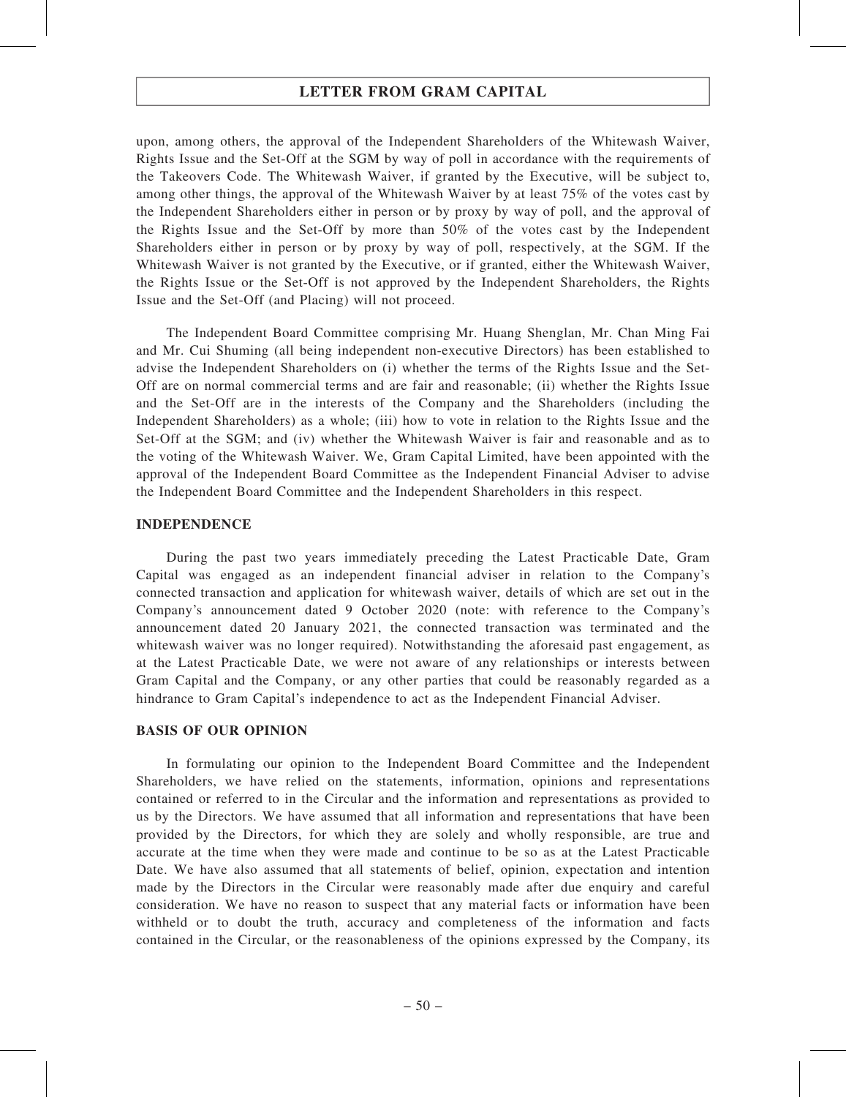upon, among others, the approval of the Independent Shareholders of the Whitewash Waiver, Rights Issue and the Set-Off at the SGM by way of poll in accordance with the requirements of the Takeovers Code. The Whitewash Waiver, if granted by the Executive, will be subject to, among other things, the approval of the Whitewash Waiver by at least 75% of the votes cast by the Independent Shareholders either in person or by proxy by way of poll, and the approval of the Rights Issue and the Set-Off by more than 50% of the votes cast by the Independent Shareholders either in person or by proxy by way of poll, respectively, at the SGM. If the Whitewash Waiver is not granted by the Executive, or if granted, either the Whitewash Waiver, the Rights Issue or the Set-Off is not approved by the Independent Shareholders, the Rights Issue and the Set-Off (and Placing) will not proceed.

The Independent Board Committee comprising Mr. Huang Shenglan, Mr. Chan Ming Fai and Mr. Cui Shuming (all being independent non-executive Directors) has been established to advise the Independent Shareholders on (i) whether the terms of the Rights Issue and the Set-Off are on normal commercial terms and are fair and reasonable; (ii) whether the Rights Issue and the Set-Off are in the interests of the Company and the Shareholders (including the Independent Shareholders) as a whole; (iii) how to vote in relation to the Rights Issue and the Set-Off at the SGM; and (iv) whether the Whitewash Waiver is fair and reasonable and as to the voting of the Whitewash Waiver. We, Gram Capital Limited, have been appointed with the approval of the Independent Board Committee as the Independent Financial Adviser to advise the Independent Board Committee and the Independent Shareholders in this respect.

#### INDEPENDENCE

During the past two years immediately preceding the Latest Practicable Date, Gram Capital was engaged as an independent financial adviser in relation to the Company's connected transaction and application for whitewash waiver, details of which are set out in the Company's announcement dated 9 October 2020 (note: with reference to the Company's announcement dated 20 January 2021, the connected transaction was terminated and the whitewash waiver was no longer required). Notwithstanding the aforesaid past engagement, as at the Latest Practicable Date, we were not aware of any relationships or interests between Gram Capital and the Company, or any other parties that could be reasonably regarded as a hindrance to Gram Capital's independence to act as the Independent Financial Adviser.

#### BASIS OF OUR OPINION

In formulating our opinion to the Independent Board Committee and the Independent Shareholders, we have relied on the statements, information, opinions and representations contained or referred to in the Circular and the information and representations as provided to us by the Directors. We have assumed that all information and representations that have been provided by the Directors, for which they are solely and wholly responsible, are true and accurate at the time when they were made and continue to be so as at the Latest Practicable Date. We have also assumed that all statements of belief, opinion, expectation and intention made by the Directors in the Circular were reasonably made after due enquiry and careful consideration. We have no reason to suspect that any material facts or information have been withheld or to doubt the truth, accuracy and completeness of the information and facts contained in the Circular, or the reasonableness of the opinions expressed by the Company, its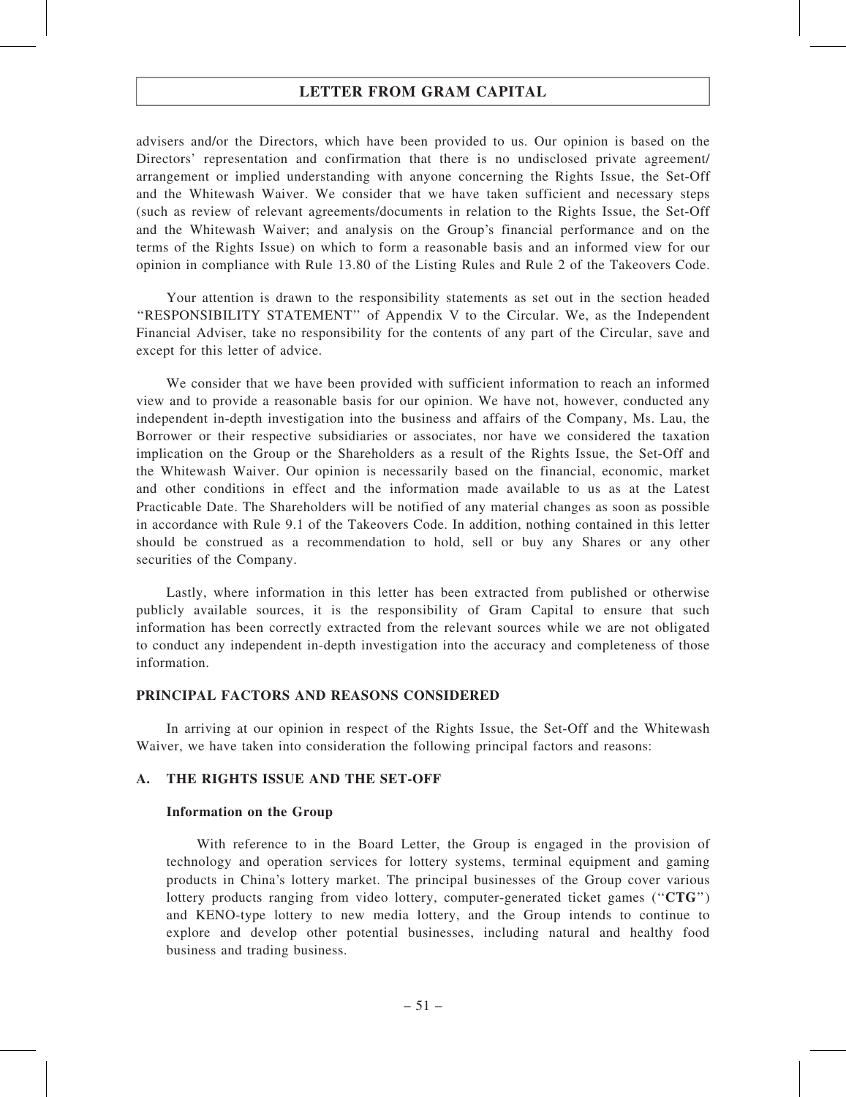advisers and/or the Directors, which have been provided to us. Our opinion is based on the Directors' representation and confirmation that there is no undisclosed private agreement/ arrangement or implied understanding with anyone concerning the Rights Issue, the Set-Off and the Whitewash Waiver. We consider that we have taken sufficient and necessary steps (such as review of relevant agreements/documents in relation to the Rights Issue, the Set-Off and the Whitewash Waiver; and analysis on the Group's financial performance and on the terms of the Rights Issue) on which to form a reasonable basis and an informed view for our opinion in compliance with Rule 13.80 of the Listing Rules and Rule 2 of the Takeovers Code.

Your attention is drawn to the responsibility statements as set out in the section headed ''RESPONSIBILITY STATEMENT'' of Appendix V to the Circular. We, as the Independent Financial Adviser, take no responsibility for the contents of any part of the Circular, save and except for this letter of advice.

We consider that we have been provided with sufficient information to reach an informed view and to provide a reasonable basis for our opinion. We have not, however, conducted any independent in-depth investigation into the business and affairs of the Company, Ms. Lau, the Borrower or their respective subsidiaries or associates, nor have we considered the taxation implication on the Group or the Shareholders as a result of the Rights Issue, the Set-Off and the Whitewash Waiver. Our opinion is necessarily based on the financial, economic, market and other conditions in effect and the information made available to us as at the Latest Practicable Date. The Shareholders will be notified of any material changes as soon as possible in accordance with Rule 9.1 of the Takeovers Code. In addition, nothing contained in this letter should be construed as a recommendation to hold, sell or buy any Shares or any other securities of the Company.

Lastly, where information in this letter has been extracted from published or otherwise publicly available sources, it is the responsibility of Gram Capital to ensure that such information has been correctly extracted from the relevant sources while we are not obligated to conduct any independent in-depth investigation into the accuracy and completeness of those information.

### PRINCIPAL FACTORS AND REASONS CONSIDERED

In arriving at our opinion in respect of the Rights Issue, the Set-Off and the Whitewash Waiver, we have taken into consideration the following principal factors and reasons:

#### A. THE RIGHTS ISSUE AND THE SET-OFF

#### Information on the Group

With reference to in the Board Letter, the Group is engaged in the provision of technology and operation services for lottery systems, terminal equipment and gaming products in China's lottery market. The principal businesses of the Group cover various lottery products ranging from video lottery, computer-generated ticket games (" $CTG$ ") and KENO-type lottery to new media lottery, and the Group intends to continue to explore and develop other potential businesses, including natural and healthy food business and trading business.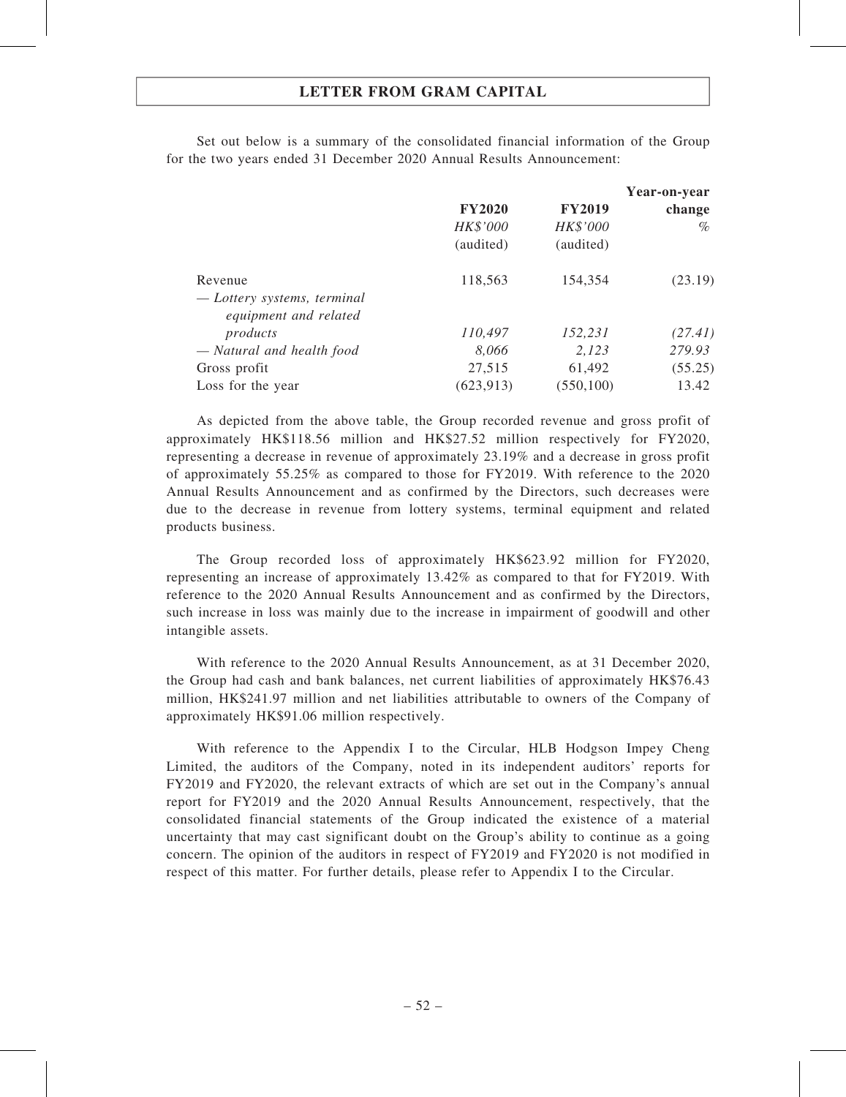Set out below is a summary of the consolidated financial information of the Group for the two years ended 31 December 2020 Annual Results Announcement:

|                             |               |               | Year-on-year |
|-----------------------------|---------------|---------------|--------------|
|                             | <b>FY2020</b> | <b>FY2019</b> | change       |
|                             | HK\$'000      | HK\$'000      | $\%$         |
|                             | (audited)     | (audited)     |              |
| Revenue                     | 118,563       | 154,354       | (23.19)      |
| — Lottery systems, terminal |               |               |              |
| equipment and related       |               |               |              |
| products                    | 110,497       | 152,231       | (27.41)      |
| - Natural and health food   | 8,066         | 2,123         | 279.93       |
| Gross profit                | 27,515        | 61,492        | (55.25)      |
| Loss for the year           | (623, 913)    | (550, 100)    | 13.42        |

As depicted from the above table, the Group recorded revenue and gross profit of approximately HK\$118.56 million and HK\$27.52 million respectively for FY2020, representing a decrease in revenue of approximately 23.19% and a decrease in gross profit of approximately 55.25% as compared to those for FY2019. With reference to the 2020 Annual Results Announcement and as confirmed by the Directors, such decreases were due to the decrease in revenue from lottery systems, terminal equipment and related products business.

The Group recorded loss of approximately HK\$623.92 million for FY2020, representing an increase of approximately 13.42% as compared to that for FY2019. With reference to the 2020 Annual Results Announcement and as confirmed by the Directors, such increase in loss was mainly due to the increase in impairment of goodwill and other intangible assets.

With reference to the 2020 Annual Results Announcement, as at 31 December 2020, the Group had cash and bank balances, net current liabilities of approximately HK\$76.43 million, HK\$241.97 million and net liabilities attributable to owners of the Company of approximately HK\$91.06 million respectively.

With reference to the Appendix I to the Circular, HLB Hodgson Impey Cheng Limited, the auditors of the Company, noted in its independent auditors' reports for FY2019 and FY2020, the relevant extracts of which are set out in the Company's annual report for FY2019 and the 2020 Annual Results Announcement, respectively, that the consolidated financial statements of the Group indicated the existence of a material uncertainty that may cast significant doubt on the Group's ability to continue as a going concern. The opinion of the auditors in respect of FY2019 and FY2020 is not modified in respect of this matter. For further details, please refer to Appendix I to the Circular.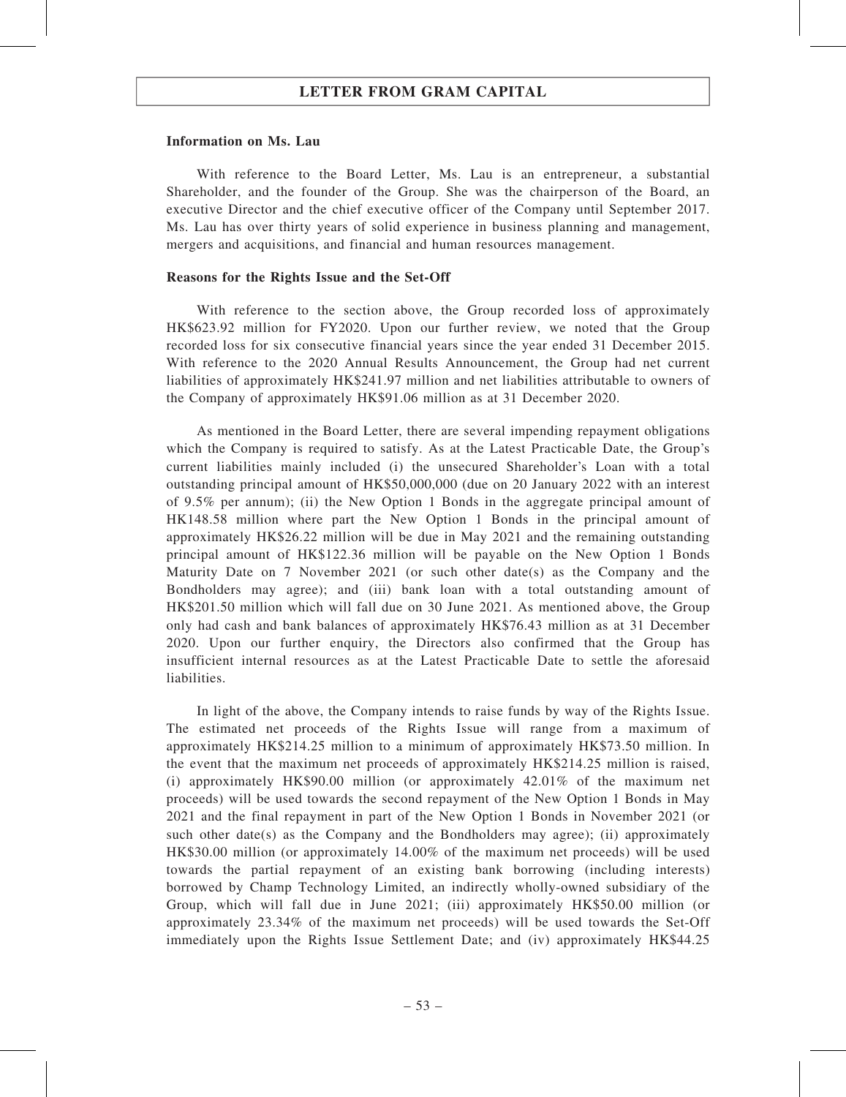#### Information on Ms. Lau

With reference to the Board Letter, Ms. Lau is an entrepreneur, a substantial Shareholder, and the founder of the Group. She was the chairperson of the Board, an executive Director and the chief executive officer of the Company until September 2017. Ms. Lau has over thirty years of solid experience in business planning and management, mergers and acquisitions, and financial and human resources management.

#### Reasons for the Rights Issue and the Set-Off

With reference to the section above, the Group recorded loss of approximately HK\$623.92 million for FY2020. Upon our further review, we noted that the Group recorded loss for six consecutive financial years since the year ended 31 December 2015. With reference to the 2020 Annual Results Announcement, the Group had net current liabilities of approximately HK\$241.97 million and net liabilities attributable to owners of the Company of approximately HK\$91.06 million as at 31 December 2020.

As mentioned in the Board Letter, there are several impending repayment obligations which the Company is required to satisfy. As at the Latest Practicable Date, the Group's current liabilities mainly included (i) the unsecured Shareholder's Loan with a total outstanding principal amount of HK\$50,000,000 (due on 20 January 2022 with an interest of 9.5% per annum); (ii) the New Option 1 Bonds in the aggregate principal amount of HK148.58 million where part the New Option 1 Bonds in the principal amount of approximately HK\$26.22 million will be due in May 2021 and the remaining outstanding principal amount of HK\$122.36 million will be payable on the New Option 1 Bonds Maturity Date on 7 November 2021 (or such other date(s) as the Company and the Bondholders may agree); and (iii) bank loan with a total outstanding amount of HK\$201.50 million which will fall due on 30 June 2021. As mentioned above, the Group only had cash and bank balances of approximately HK\$76.43 million as at 31 December 2020. Upon our further enquiry, the Directors also confirmed that the Group has insufficient internal resources as at the Latest Practicable Date to settle the aforesaid liabilities.

In light of the above, the Company intends to raise funds by way of the Rights Issue. The estimated net proceeds of the Rights Issue will range from a maximum of approximately HK\$214.25 million to a minimum of approximately HK\$73.50 million. In the event that the maximum net proceeds of approximately HK\$214.25 million is raised, (i) approximately HK\$90.00 million (or approximately 42.01% of the maximum net proceeds) will be used towards the second repayment of the New Option 1 Bonds in May 2021 and the final repayment in part of the New Option 1 Bonds in November 2021 (or such other date(s) as the Company and the Bondholders may agree); (ii) approximately HK\$30.00 million (or approximately 14.00% of the maximum net proceeds) will be used towards the partial repayment of an existing bank borrowing (including interests) borrowed by Champ Technology Limited, an indirectly wholly-owned subsidiary of the Group, which will fall due in June 2021; (iii) approximately HK\$50.00 million (or approximately 23.34% of the maximum net proceeds) will be used towards the Set-Off immediately upon the Rights Issue Settlement Date; and (iv) approximately HK\$44.25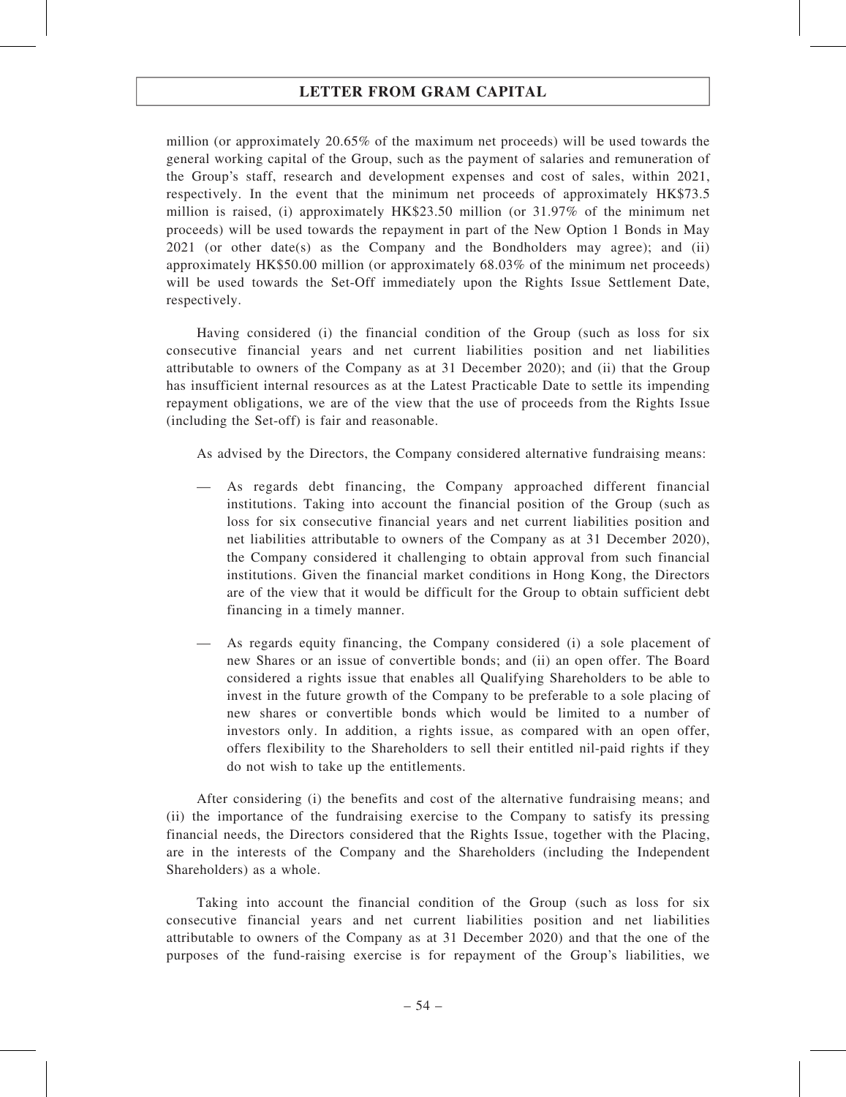million (or approximately 20.65% of the maximum net proceeds) will be used towards the general working capital of the Group, such as the payment of salaries and remuneration of the Group's staff, research and development expenses and cost of sales, within 2021, respectively. In the event that the minimum net proceeds of approximately HK\$73.5 million is raised, (i) approximately HK\$23.50 million (or 31.97% of the minimum net proceeds) will be used towards the repayment in part of the New Option 1 Bonds in May  $2021$  (or other date(s) as the Company and the Bondholders may agree); and (ii) approximately HK\$50.00 million (or approximately 68.03% of the minimum net proceeds) will be used towards the Set-Off immediately upon the Rights Issue Settlement Date, respectively.

Having considered (i) the financial condition of the Group (such as loss for six consecutive financial years and net current liabilities position and net liabilities attributable to owners of the Company as at 31 December 2020); and (ii) that the Group has insufficient internal resources as at the Latest Practicable Date to settle its impending repayment obligations, we are of the view that the use of proceeds from the Rights Issue (including the Set-off) is fair and reasonable.

As advised by the Directors, the Company considered alternative fundraising means:

- As regards debt financing, the Company approached different financial institutions. Taking into account the financial position of the Group (such as loss for six consecutive financial years and net current liabilities position and net liabilities attributable to owners of the Company as at 31 December 2020), the Company considered it challenging to obtain approval from such financial institutions. Given the financial market conditions in Hong Kong, the Directors are of the view that it would be difficult for the Group to obtain sufficient debt financing in a timely manner.
- As regards equity financing, the Company considered (i) a sole placement of new Shares or an issue of convertible bonds; and (ii) an open offer. The Board considered a rights issue that enables all Qualifying Shareholders to be able to invest in the future growth of the Company to be preferable to a sole placing of new shares or convertible bonds which would be limited to a number of investors only. In addition, a rights issue, as compared with an open offer, offers flexibility to the Shareholders to sell their entitled nil-paid rights if they do not wish to take up the entitlements.

After considering (i) the benefits and cost of the alternative fundraising means; and (ii) the importance of the fundraising exercise to the Company to satisfy its pressing financial needs, the Directors considered that the Rights Issue, together with the Placing, are in the interests of the Company and the Shareholders (including the Independent Shareholders) as a whole.

Taking into account the financial condition of the Group (such as loss for six consecutive financial years and net current liabilities position and net liabilities attributable to owners of the Company as at 31 December 2020) and that the one of the purposes of the fund-raising exercise is for repayment of the Group's liabilities, we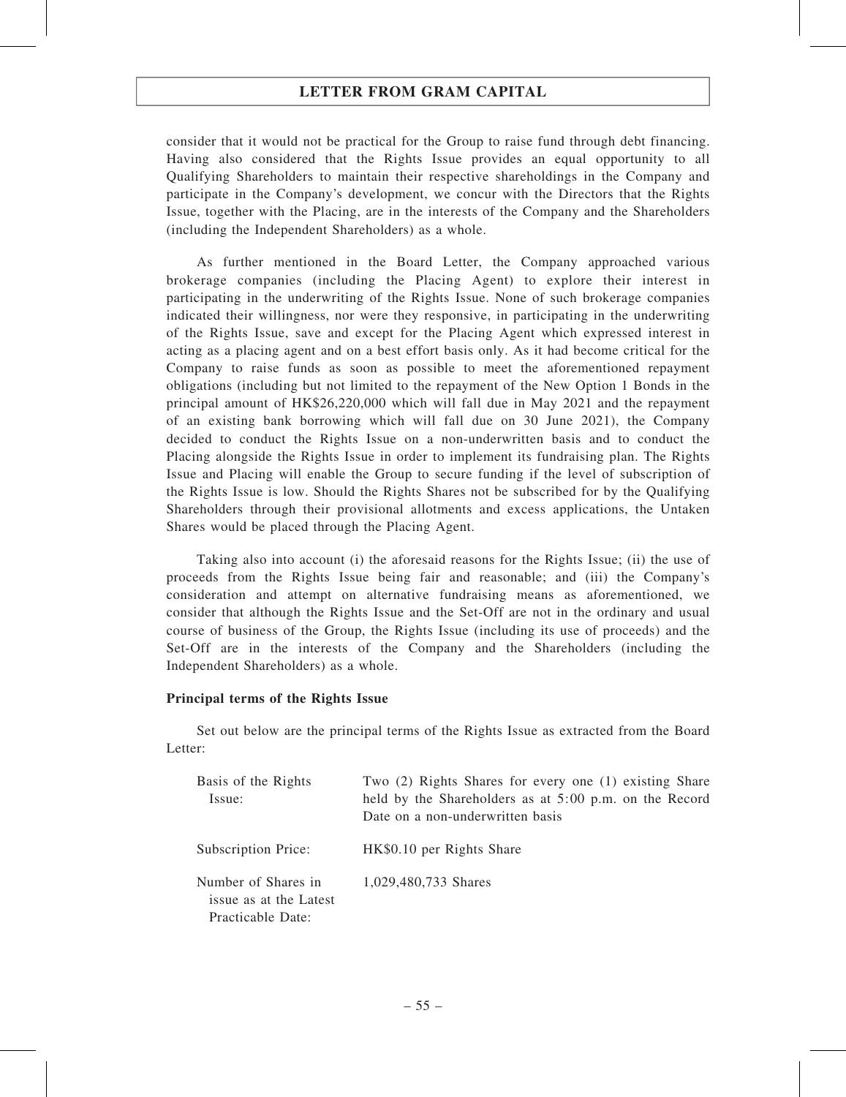consider that it would not be practical for the Group to raise fund through debt financing. Having also considered that the Rights Issue provides an equal opportunity to all Qualifying Shareholders to maintain their respective shareholdings in the Company and participate in the Company's development, we concur with the Directors that the Rights Issue, together with the Placing, are in the interests of the Company and the Shareholders (including the Independent Shareholders) as a whole.

As further mentioned in the Board Letter, the Company approached various brokerage companies (including the Placing Agent) to explore their interest in participating in the underwriting of the Rights Issue. None of such brokerage companies indicated their willingness, nor were they responsive, in participating in the underwriting of the Rights Issue, save and except for the Placing Agent which expressed interest in acting as a placing agent and on a best effort basis only. As it had become critical for the Company to raise funds as soon as possible to meet the aforementioned repayment obligations (including but not limited to the repayment of the New Option 1 Bonds in the principal amount of HK\$26,220,000 which will fall due in May 2021 and the repayment of an existing bank borrowing which will fall due on 30 June 2021), the Company decided to conduct the Rights Issue on a non-underwritten basis and to conduct the Placing alongside the Rights Issue in order to implement its fundraising plan. The Rights Issue and Placing will enable the Group to secure funding if the level of subscription of the Rights Issue is low. Should the Rights Shares not be subscribed for by the Qualifying Shareholders through their provisional allotments and excess applications, the Untaken Shares would be placed through the Placing Agent.

Taking also into account (i) the aforesaid reasons for the Rights Issue; (ii) the use of proceeds from the Rights Issue being fair and reasonable; and (iii) the Company's consideration and attempt on alternative fundraising means as aforementioned, we consider that although the Rights Issue and the Set-Off are not in the ordinary and usual course of business of the Group, the Rights Issue (including its use of proceeds) and the Set-Off are in the interests of the Company and the Shareholders (including the Independent Shareholders) as a whole.

### Principal terms of the Rights Issue

Set out below are the principal terms of the Rights Issue as extracted from the Board Letter:

| Basis of the Rights<br>Issue:                                      | Two (2) Rights Shares for every one (1) existing Share<br>held by the Shareholders as at 5:00 p.m. on the Record<br>Date on a non-underwritten basis |
|--------------------------------------------------------------------|------------------------------------------------------------------------------------------------------------------------------------------------------|
| Subscription Price:                                                | HK\$0.10 per Rights Share                                                                                                                            |
| Number of Shares in<br>issue as at the Latest<br>Practicable Date: | 1,029,480,733 Shares                                                                                                                                 |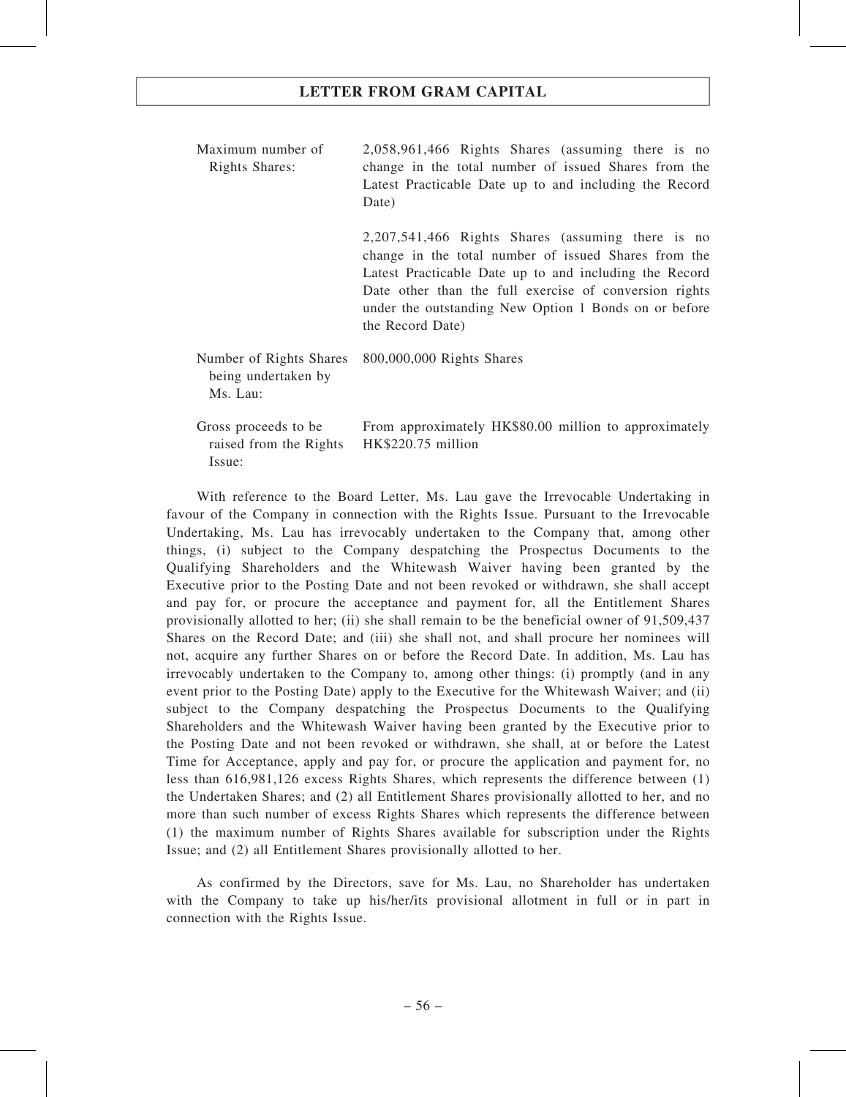| Maximum number of<br>Rights Shares:                        | 2,058,961,466 Rights Shares (assuming there is no<br>change in the total number of issued Shares from the<br>Latest Practicable Date up to and including the Record<br>Date)                                                                                                                               |
|------------------------------------------------------------|------------------------------------------------------------------------------------------------------------------------------------------------------------------------------------------------------------------------------------------------------------------------------------------------------------|
|                                                            | 2,207,541,466 Rights Shares (assuming there is no<br>change in the total number of issued Shares from the<br>Latest Practicable Date up to and including the Record<br>Date other than the full exercise of conversion rights<br>under the outstanding New Option 1 Bonds on or before<br>the Record Date) |
| Number of Rights Shares<br>being undertaken by<br>Ms. Lau: | 800,000,000 Rights Shares                                                                                                                                                                                                                                                                                  |
| Gross proceeds to be<br>raised from the Rights<br>Issue:   | From approximately HK\$80.00 million to approximately<br>HK\$220.75 million                                                                                                                                                                                                                                |

With reference to the Board Letter, Ms. Lau gave the Irrevocable Undertaking in favour of the Company in connection with the Rights Issue. Pursuant to the Irrevocable Undertaking, Ms. Lau has irrevocably undertaken to the Company that, among other things, (i) subject to the Company despatching the Prospectus Documents to the Qualifying Shareholders and the Whitewash Waiver having been granted by the Executive prior to the Posting Date and not been revoked or withdrawn, she shall accept and pay for, or procure the acceptance and payment for, all the Entitlement Shares provisionally allotted to her; (ii) she shall remain to be the beneficial owner of 91,509,437 Shares on the Record Date; and (iii) she shall not, and shall procure her nominees will not, acquire any further Shares on or before the Record Date. In addition, Ms. Lau has irrevocably undertaken to the Company to, among other things: (i) promptly (and in any event prior to the Posting Date) apply to the Executive for the Whitewash Waiver; and (ii) subject to the Company despatching the Prospectus Documents to the Qualifying Shareholders and the Whitewash Waiver having been granted by the Executive prior to the Posting Date and not been revoked or withdrawn, she shall, at or before the Latest Time for Acceptance, apply and pay for, or procure the application and payment for, no less than 616,981,126 excess Rights Shares, which represents the difference between (1) the Undertaken Shares; and (2) all Entitlement Shares provisionally allotted to her, and no more than such number of excess Rights Shares which represents the difference between (1) the maximum number of Rights Shares available for subscription under the Rights Issue; and (2) all Entitlement Shares provisionally allotted to her.

As confirmed by the Directors, save for Ms. Lau, no Shareholder has undertaken with the Company to take up his/her/its provisional allotment in full or in part in connection with the Rights Issue.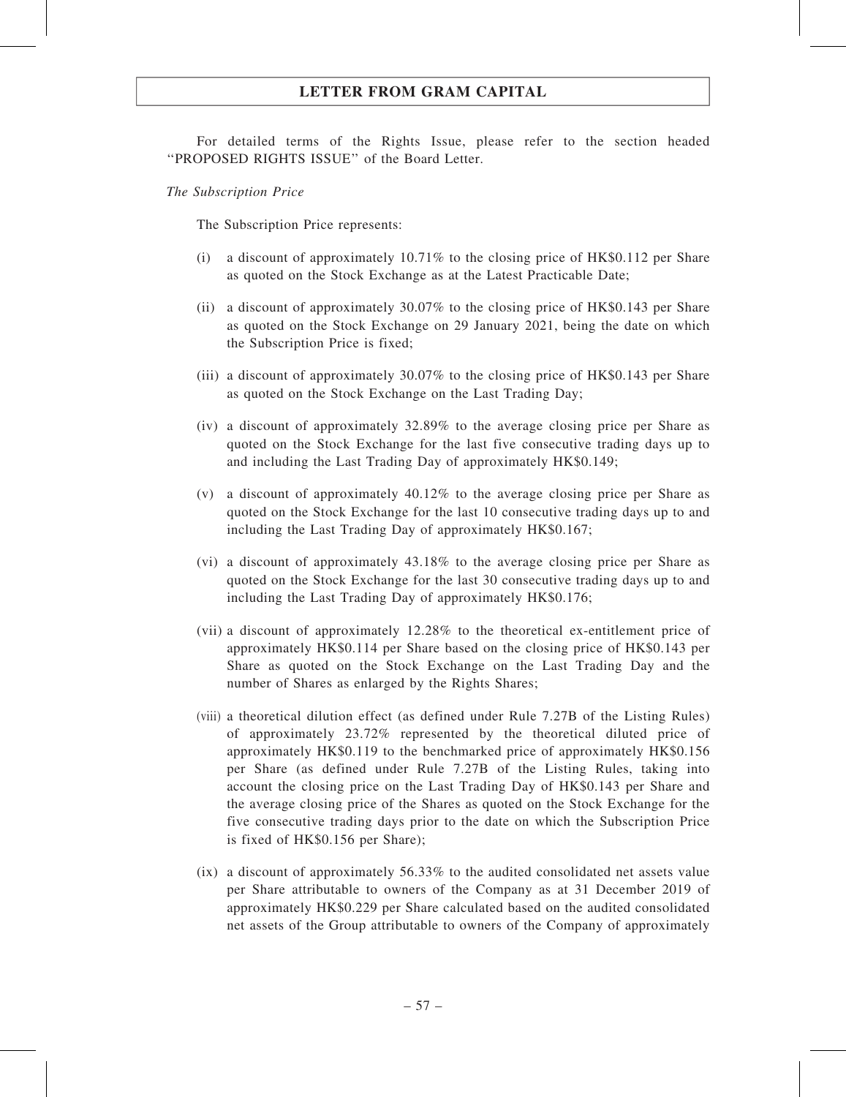For detailed terms of the Rights Issue, please refer to the section headed ''PROPOSED RIGHTS ISSUE'' of the Board Letter.

The Subscription Price

The Subscription Price represents:

- (i) a discount of approximately 10.71% to the closing price of HK\$0.112 per Share as quoted on the Stock Exchange as at the Latest Practicable Date;
- (ii) a discount of approximately 30.07% to the closing price of HK\$0.143 per Share as quoted on the Stock Exchange on 29 January 2021, being the date on which the Subscription Price is fixed;
- (iii) a discount of approximately 30.07% to the closing price of HK\$0.143 per Share as quoted on the Stock Exchange on the Last Trading Day;
- (iv) a discount of approximately 32.89% to the average closing price per Share as quoted on the Stock Exchange for the last five consecutive trading days up to and including the Last Trading Day of approximately HK\$0.149;
- (v) a discount of approximately 40.12% to the average closing price per Share as quoted on the Stock Exchange for the last 10 consecutive trading days up to and including the Last Trading Day of approximately HK\$0.167;
- (vi) a discount of approximately 43.18% to the average closing price per Share as quoted on the Stock Exchange for the last 30 consecutive trading days up to and including the Last Trading Day of approximately HK\$0.176;
- (vii) a discount of approximately 12.28% to the theoretical ex-entitlement price of approximately HK\$0.114 per Share based on the closing price of HK\$0.143 per Share as quoted on the Stock Exchange on the Last Trading Day and the number of Shares as enlarged by the Rights Shares;
- (viii) a theoretical dilution effect (as defined under Rule 7.27B of the Listing Rules) of approximately 23.72% represented by the theoretical diluted price of approximately HK\$0.119 to the benchmarked price of approximately HK\$0.156 per Share (as defined under Rule 7.27B of the Listing Rules, taking into account the closing price on the Last Trading Day of HK\$0.143 per Share and the average closing price of the Shares as quoted on the Stock Exchange for the five consecutive trading days prior to the date on which the Subscription Price is fixed of HK\$0.156 per Share);
- (ix) a discount of approximately 56.33% to the audited consolidated net assets value per Share attributable to owners of the Company as at 31 December 2019 of approximately HK\$0.229 per Share calculated based on the audited consolidated net assets of the Group attributable to owners of the Company of approximately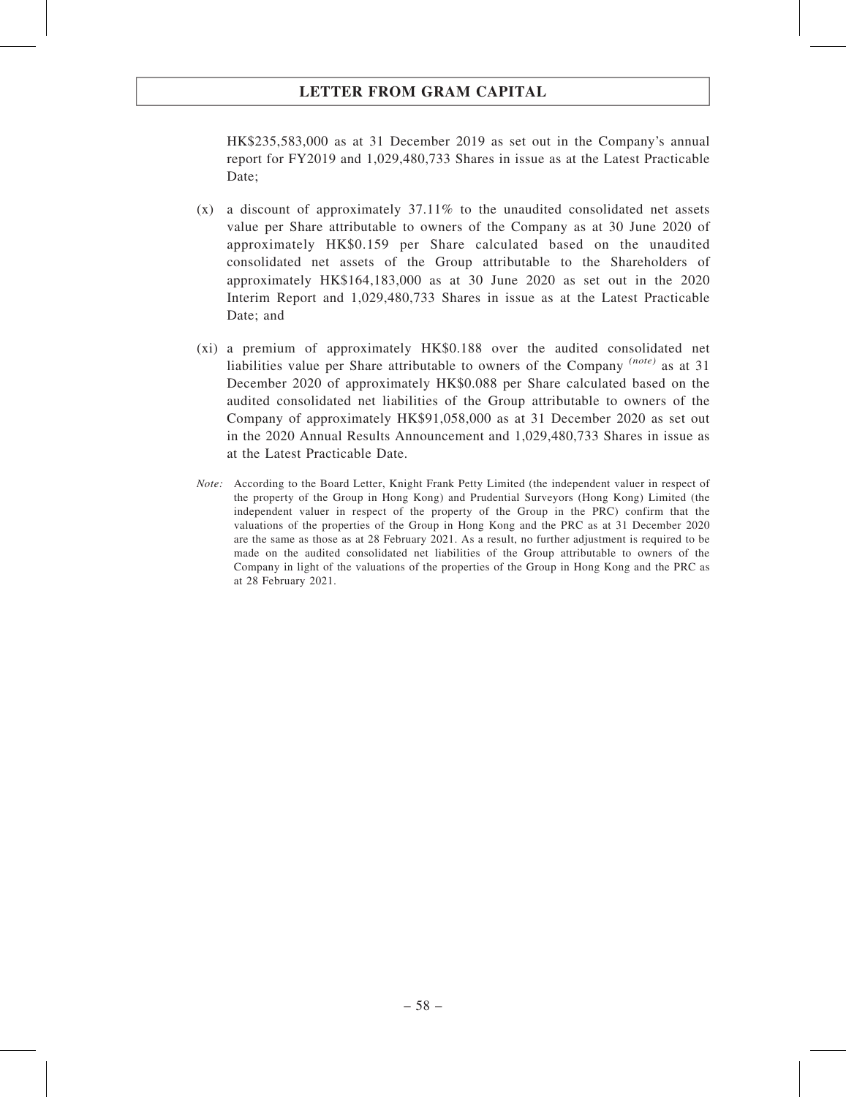HK\$235,583,000 as at 31 December 2019 as set out in the Company's annual report for FY2019 and 1,029,480,733 Shares in issue as at the Latest Practicable Date:

- (x) a discount of approximately 37.11% to the unaudited consolidated net assets value per Share attributable to owners of the Company as at 30 June 2020 of approximately HK\$0.159 per Share calculated based on the unaudited consolidated net assets of the Group attributable to the Shareholders of approximately HK\$164,183,000 as at 30 June 2020 as set out in the 2020 Interim Report and 1,029,480,733 Shares in issue as at the Latest Practicable Date; and
- (xi) a premium of approximately HK\$0.188 over the audited consolidated net liabilities value per Share attributable to owners of the Company (note) as at 31 December 2020 of approximately HK\$0.088 per Share calculated based on the audited consolidated net liabilities of the Group attributable to owners of the Company of approximately HK\$91,058,000 as at 31 December 2020 as set out in the 2020 Annual Results Announcement and 1,029,480,733 Shares in issue as at the Latest Practicable Date.
- Note: According to the Board Letter, Knight Frank Petty Limited (the independent valuer in respect of the property of the Group in Hong Kong) and Prudential Surveyors (Hong Kong) Limited (the independent valuer in respect of the property of the Group in the PRC) confirm that the valuations of the properties of the Group in Hong Kong and the PRC as at 31 December 2020 are the same as those as at 28 February 2021. As a result, no further adjustment is required to be made on the audited consolidated net liabilities of the Group attributable to owners of the Company in light of the valuations of the properties of the Group in Hong Kong and the PRC as at 28 February 2021.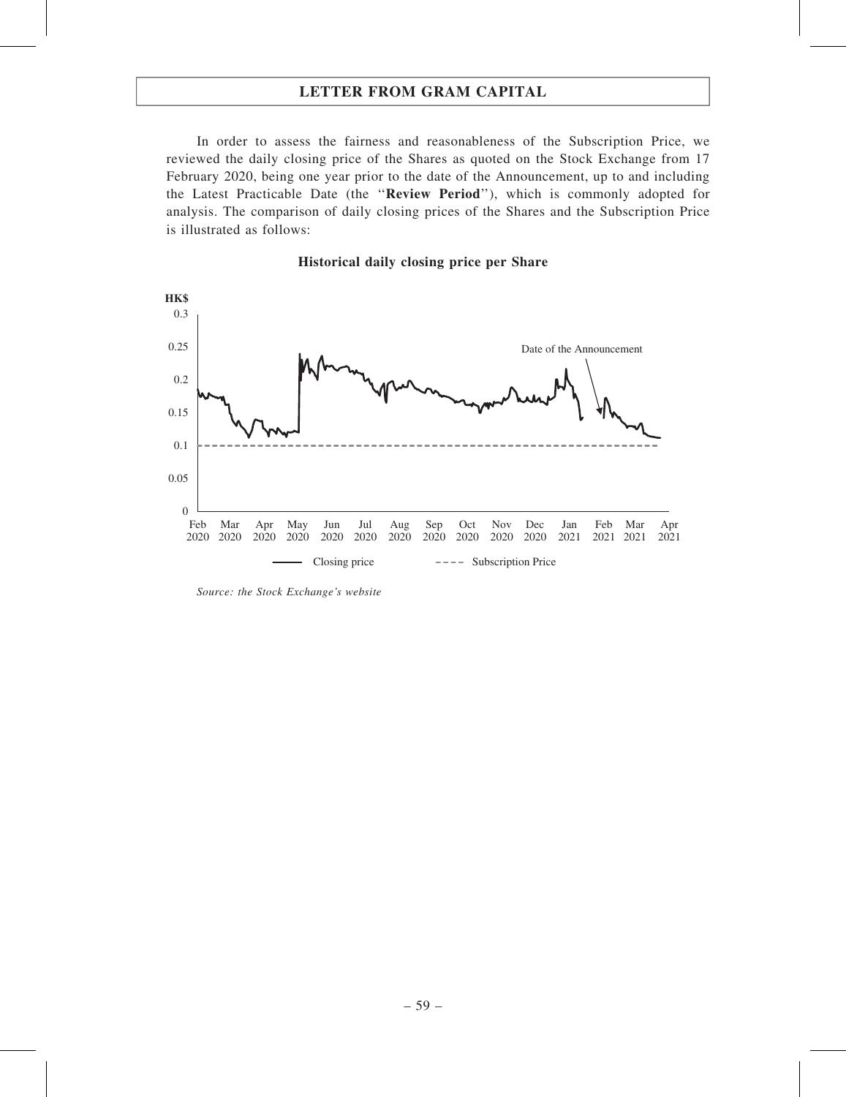In order to assess the fairness and reasonableness of the Subscription Price, we reviewed the daily closing price of the Shares as quoted on the Stock Exchange from 17 February 2020, being one year prior to the date of the Announcement, up to and including the Latest Practicable Date (the ''Review Period''), which is commonly adopted for analysis. The comparison of daily closing prices of the Shares and the Subscription Price is illustrated as follows:

#### Historical daily closing price per Share



Source: the Stock Exchange's website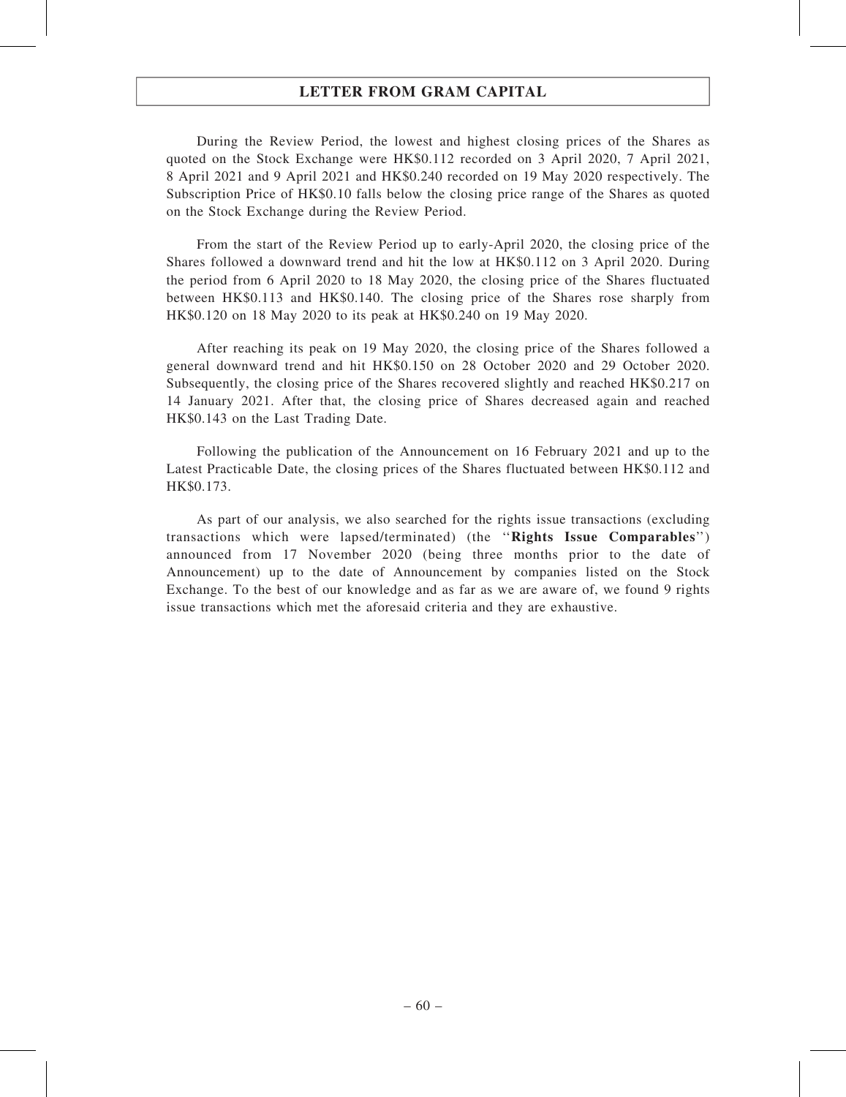During the Review Period, the lowest and highest closing prices of the Shares as quoted on the Stock Exchange were HK\$0.112 recorded on 3 April 2020, 7 April 2021, 8 April 2021 and 9 April 2021 and HK\$0.240 recorded on 19 May 2020 respectively. The Subscription Price of HK\$0.10 falls below the closing price range of the Shares as quoted on the Stock Exchange during the Review Period.

From the start of the Review Period up to early-April 2020, the closing price of the Shares followed a downward trend and hit the low at HK\$0.112 on 3 April 2020. During the period from 6 April 2020 to 18 May 2020, the closing price of the Shares fluctuated between HK\$0.113 and HK\$0.140. The closing price of the Shares rose sharply from HK\$0.120 on 18 May 2020 to its peak at HK\$0.240 on 19 May 2020.

After reaching its peak on 19 May 2020, the closing price of the Shares followed a general downward trend and hit HK\$0.150 on 28 October 2020 and 29 October 2020. Subsequently, the closing price of the Shares recovered slightly and reached HK\$0.217 on 14 January 2021. After that, the closing price of Shares decreased again and reached HK\$0.143 on the Last Trading Date.

Following the publication of the Announcement on 16 February 2021 and up to the Latest Practicable Date, the closing prices of the Shares fluctuated between HK\$0.112 and HK\$0.173.

As part of our analysis, we also searched for the rights issue transactions (excluding transactions which were lapsed/terminated) (the ''Rights Issue Comparables'') announced from 17 November 2020 (being three months prior to the date of Announcement) up to the date of Announcement by companies listed on the Stock Exchange. To the best of our knowledge and as far as we are aware of, we found 9 rights issue transactions which met the aforesaid criteria and they are exhaustive.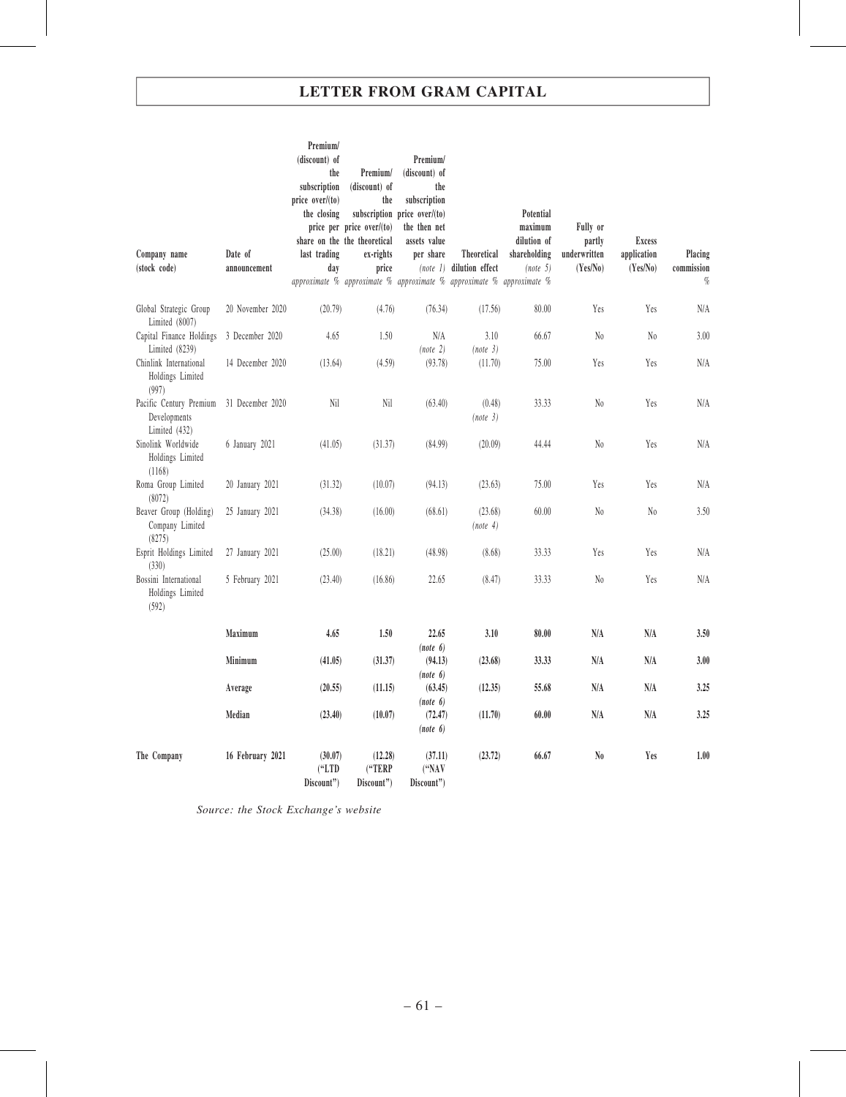| Company name<br>(stock code)                               | Date of<br>announcement | Premium/<br>(discount) of<br>the<br>subscription<br>price over/(to)<br>the closing<br>last trading<br>day | Premium/<br>(discount) of<br>the<br>price per price over/(to)<br>share on the the theoretical<br>ex-rights<br>price | Premium/<br>(discount) of<br>the<br>subscription<br>subscription price over/(to)<br>the then net<br>assets value<br>per share | Theoretical<br>(note 1) dilution effect<br>approximate % approximate % approximate % approximate % approximate % | Potential<br>maximum<br>dilution of<br>shareholding<br>(note 5) | Fully or<br>partly<br>underwritten<br>(Yes/No) | <b>Excess</b><br>application<br>(Yes/No) | Placing<br>commission<br>$q_{\!\scriptscriptstyle\! 0}$ |
|------------------------------------------------------------|-------------------------|-----------------------------------------------------------------------------------------------------------|---------------------------------------------------------------------------------------------------------------------|-------------------------------------------------------------------------------------------------------------------------------|------------------------------------------------------------------------------------------------------------------|-----------------------------------------------------------------|------------------------------------------------|------------------------------------------|---------------------------------------------------------|
| Global Strategic Group<br>Limited (8007)                   | 20 November 2020        | (20.79)                                                                                                   | (4.76)                                                                                                              | (76.34)                                                                                                                       | (17.56)                                                                                                          | 80.00                                                           | Yes                                            | Yes                                      | N/A                                                     |
| Capital Finance Holdings<br>Limited $(8239)$               | 3 December 2020         | 4.65                                                                                                      | 1.50                                                                                                                | N/A<br>(note 2)                                                                                                               | 3.10<br>(note 3)                                                                                                 | 66.67                                                           | $\mathrm{N}_0$                                 | No                                       | 3.00                                                    |
| Chinlink International<br>Holdings Limited<br>(997)        | 14 December 2020        | (13.64)                                                                                                   | (4.59)                                                                                                              | (93.78)                                                                                                                       | (11.70)                                                                                                          | 75.00                                                           | Yes                                            | Yes                                      | N/A                                                     |
| Pacific Century Premium<br>Developments<br>Limited $(432)$ | 31 December 2020        | Nil                                                                                                       | Nil                                                                                                                 | (63.40)                                                                                                                       | (0.48)<br>(note 3)                                                                                               | 33.33                                                           | $\rm No$                                       | Yes                                      | N/A                                                     |
| Sinolink Worldwide<br>Holdings Limited<br>(1168)           | 6 January 2021          | (41.05)                                                                                                   | (31.37)                                                                                                             | (84.99)                                                                                                                       | (20.09)                                                                                                          | 44.44                                                           | $\rm No$                                       | Yes                                      | N/A                                                     |
| Roma Group Limited<br>(8072)                               | 20 January 2021         | (31.32)                                                                                                   | (10.07)                                                                                                             | (94.13)                                                                                                                       | (23.63)                                                                                                          | 75.00                                                           | Yes                                            | Yes                                      | N/A                                                     |
| Beaver Group (Holding)<br>Company Limited<br>(8275)        | 25 January 2021         | (34.38)                                                                                                   | (16.00)                                                                                                             | (68.61)                                                                                                                       | (23.68)<br>(note 4)                                                                                              | 60.00                                                           | $\rm No$                                       | $\rm N_0$                                | 3.50                                                    |
| Esprit Holdings Limited<br>(330)                           | 27 January 2021         | (25.00)                                                                                                   | (18.21)                                                                                                             | (48.98)                                                                                                                       | (8.68)                                                                                                           | 33.33                                                           | Yes                                            | Yes                                      | N/A                                                     |
| Bossini International<br>Holdings Limited<br>(592)         | 5 February 2021         | (23.40)                                                                                                   | (16.86)                                                                                                             | 22.65                                                                                                                         | (8.47)                                                                                                           | 33.33                                                           | $\rm No$                                       | Yes                                      | N/A                                                     |
|                                                            | Maximum                 | 4.65                                                                                                      | 1.50                                                                                                                | 22.65<br>(note 6)                                                                                                             | 3.10                                                                                                             | 80.00                                                           | N/A                                            | N/A                                      | 3.50                                                    |
|                                                            | Minimum                 | (41.05)                                                                                                   | (31.37)                                                                                                             | (94.13)<br>(note 6)                                                                                                           | (23.68)                                                                                                          | 33.33                                                           | N/A                                            | N/A                                      | 3.00                                                    |
|                                                            | Average                 | (20.55)                                                                                                   | (11.15)                                                                                                             | (63.45)<br>(note 6)                                                                                                           | (12.35)                                                                                                          | 55.68                                                           | N/A                                            | N/A                                      | 3.25                                                    |
|                                                            | Median                  | (23.40)                                                                                                   | (10.07)                                                                                                             | (72.47)<br>(note 6)                                                                                                           | (11.70)                                                                                                          | 60.00                                                           | N/A                                            | N/A                                      | 3.25                                                    |
| The Company                                                | 16 February 2021        | (30.07)<br>("LTD")<br>Discount")                                                                          | (12.28)<br>("TERP<br>Discount")                                                                                     | (37.11)<br>("NAV<br>Discount")                                                                                                | (23.72)                                                                                                          | 66.67                                                           | N <sub>0</sub>                                 | Yes                                      | 1.00                                                    |

Source: the Stock Exchange's website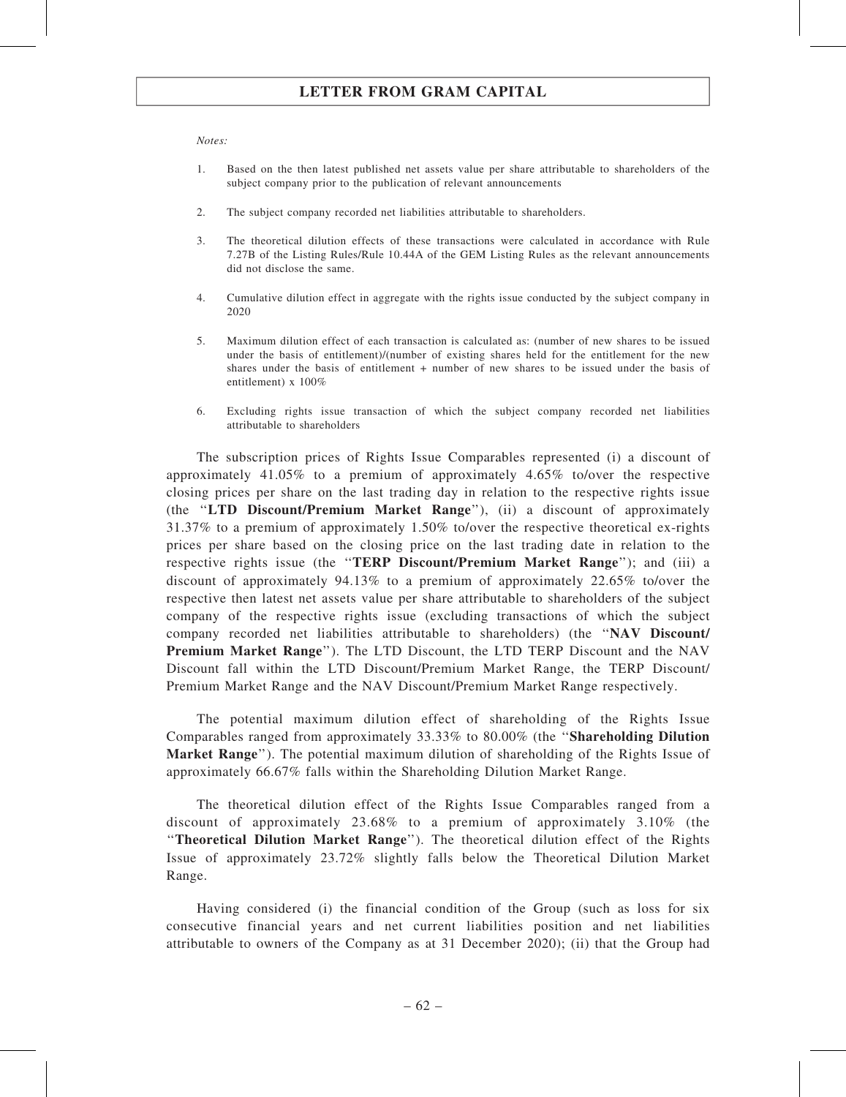#### Notes:

- 1. Based on the then latest published net assets value per share attributable to shareholders of the subject company prior to the publication of relevant announcements
- 2. The subject company recorded net liabilities attributable to shareholders.
- 3. The theoretical dilution effects of these transactions were calculated in accordance with Rule 7.27B of the Listing Rules/Rule 10.44A of the GEM Listing Rules as the relevant announcements did not disclose the same.
- 4. Cumulative dilution effect in aggregate with the rights issue conducted by the subject company in 2020
- 5. Maximum dilution effect of each transaction is calculated as: (number of new shares to be issued under the basis of entitlement)/(number of existing shares held for the entitlement for the new shares under the basis of entitlement + number of new shares to be issued under the basis of entitlement) x 100%
- 6. Excluding rights issue transaction of which the subject company recorded net liabilities attributable to shareholders

The subscription prices of Rights Issue Comparables represented (i) a discount of approximately 41.05% to a premium of approximately 4.65% to/over the respective closing prices per share on the last trading day in relation to the respective rights issue (the ''LTD Discount/Premium Market Range''), (ii) a discount of approximately 31.37% to a premium of approximately 1.50% to/over the respective theoretical ex-rights prices per share based on the closing price on the last trading date in relation to the respective rights issue (the ''TERP Discount/Premium Market Range''); and (iii) a discount of approximately 94.13% to a premium of approximately 22.65% to/over the respective then latest net assets value per share attributable to shareholders of the subject company of the respective rights issue (excluding transactions of which the subject company recorded net liabilities attributable to shareholders) (the ''NAV Discount/ Premium Market Range''). The LTD Discount, the LTD TERP Discount and the NAV Discount fall within the LTD Discount/Premium Market Range, the TERP Discount/ Premium Market Range and the NAV Discount/Premium Market Range respectively.

The potential maximum dilution effect of shareholding of the Rights Issue Comparables ranged from approximately 33.33% to 80.00% (the ''Shareholding Dilution Market Range''). The potential maximum dilution of shareholding of the Rights Issue of approximately 66.67% falls within the Shareholding Dilution Market Range.

The theoretical dilution effect of the Rights Issue Comparables ranged from a discount of approximately 23.68% to a premium of approximately 3.10% (the ''Theoretical Dilution Market Range''). The theoretical dilution effect of the Rights Issue of approximately 23.72% slightly falls below the Theoretical Dilution Market Range.

Having considered (i) the financial condition of the Group (such as loss for six consecutive financial years and net current liabilities position and net liabilities attributable to owners of the Company as at 31 December 2020); (ii) that the Group had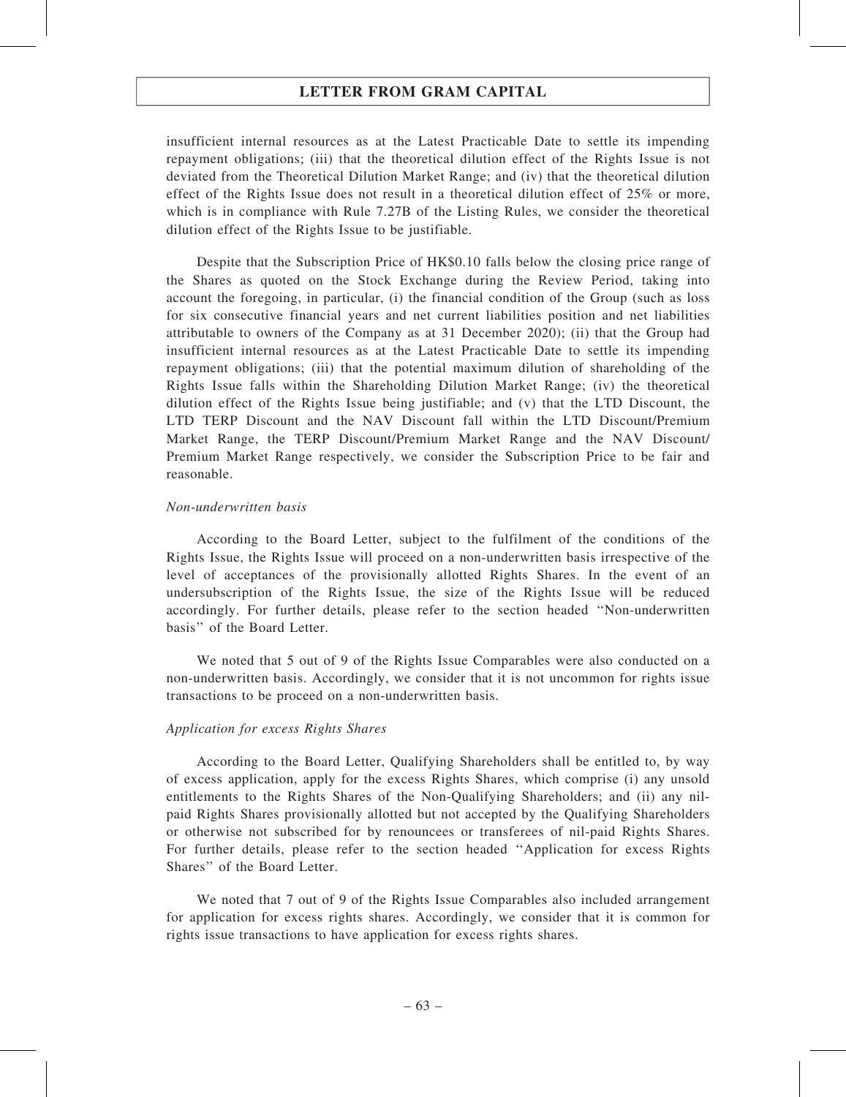insufficient internal resources as at the Latest Practicable Date to settle its impending repayment obligations; (iii) that the theoretical dilution effect of the Rights Issue is not deviated from the Theoretical Dilution Market Range; and (iv) that the theoretical dilution effect of the Rights Issue does not result in a theoretical dilution effect of 25% or more, which is in compliance with Rule 7.27B of the Listing Rules, we consider the theoretical dilution effect of the Rights Issue to be justifiable.

Despite that the Subscription Price of HK\$0.10 falls below the closing price range of the Shares as quoted on the Stock Exchange during the Review Period, taking into account the foregoing, in particular, (i) the financial condition of the Group (such as loss for six consecutive financial years and net current liabilities position and net liabilities attributable to owners of the Company as at 31 December 2020); (ii) that the Group had insufficient internal resources as at the Latest Practicable Date to settle its impending repayment obligations; (iii) that the potential maximum dilution of shareholding of the Rights Issue falls within the Shareholding Dilution Market Range; (iv) the theoretical dilution effect of the Rights Issue being justifiable; and (v) that the LTD Discount, the LTD TERP Discount and the NAV Discount fall within the LTD Discount/Premium Market Range, the TERP Discount/Premium Market Range and the NAV Discount/ Premium Market Range respectively, we consider the Subscription Price to be fair and reasonable.

#### Non-underwritten basis

According to the Board Letter, subject to the fulfilment of the conditions of the Rights Issue, the Rights Issue will proceed on a non-underwritten basis irrespective of the level of acceptances of the provisionally allotted Rights Shares. In the event of an undersubscription of the Rights Issue, the size of the Rights Issue will be reduced accordingly. For further details, please refer to the section headed ''Non-underwritten basis'' of the Board Letter.

We noted that 5 out of 9 of the Rights Issue Comparables were also conducted on a non-underwritten basis. Accordingly, we consider that it is not uncommon for rights issue transactions to be proceed on a non-underwritten basis.

#### Application for excess Rights Shares

According to the Board Letter, Qualifying Shareholders shall be entitled to, by way of excess application, apply for the excess Rights Shares, which comprise (i) any unsold entitlements to the Rights Shares of the Non-Qualifying Shareholders; and (ii) any nilpaid Rights Shares provisionally allotted but not accepted by the Qualifying Shareholders or otherwise not subscribed for by renouncees or transferees of nil-paid Rights Shares. For further details, please refer to the section headed ''Application for excess Rights Shares'' of the Board Letter.

We noted that 7 out of 9 of the Rights Issue Comparables also included arrangement for application for excess rights shares. Accordingly, we consider that it is common for rights issue transactions to have application for excess rights shares.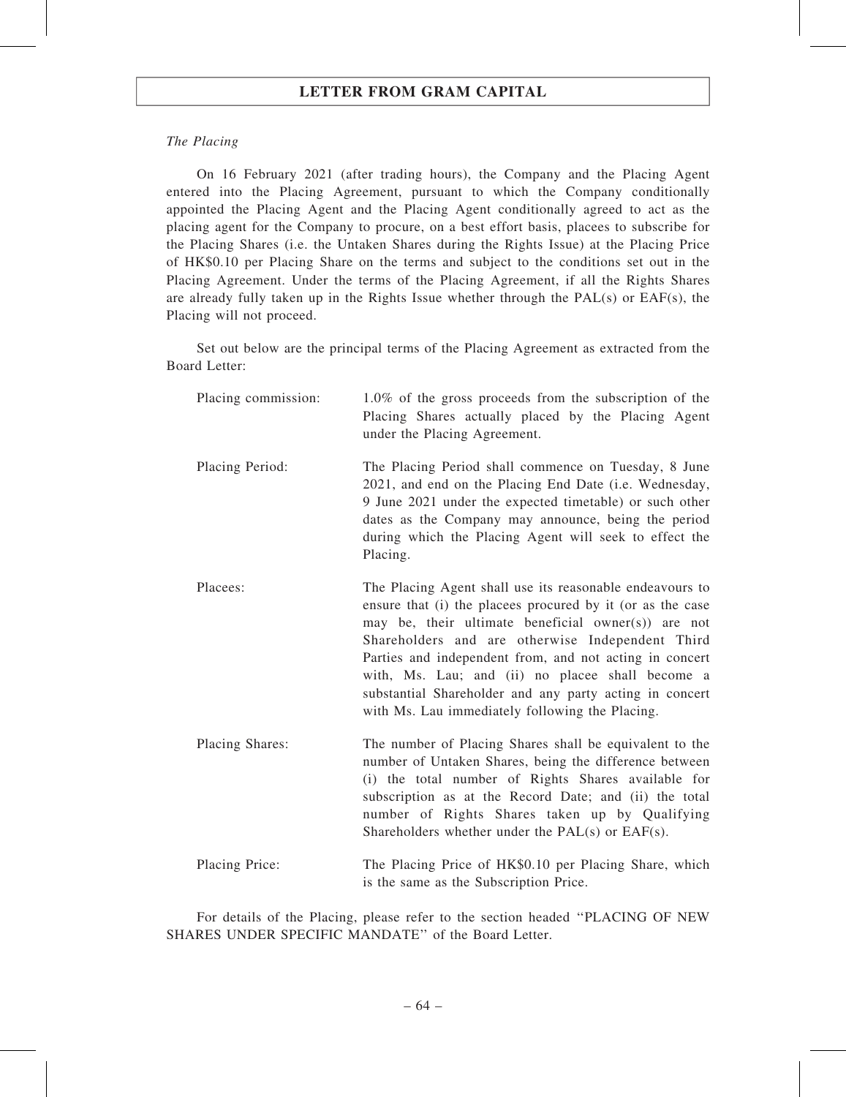### The Placing

On 16 February 2021 (after trading hours), the Company and the Placing Agent entered into the Placing Agreement, pursuant to which the Company conditionally appointed the Placing Agent and the Placing Agent conditionally agreed to act as the placing agent for the Company to procure, on a best effort basis, placees to subscribe for the Placing Shares (i.e. the Untaken Shares during the Rights Issue) at the Placing Price of HK\$0.10 per Placing Share on the terms and subject to the conditions set out in the Placing Agreement. Under the terms of the Placing Agreement, if all the Rights Shares are already fully taken up in the Rights Issue whether through the PAL(s) or EAF(s), the Placing will not proceed.

Set out below are the principal terms of the Placing Agreement as extracted from the Board Letter:

| Placing commission: | $1.0\%$ of the gross proceeds from the subscription of the<br>Placing Shares actually placed by the Placing Agent<br>under the Placing Agreement.                                                                                                                                                                                                                                                                                                              |
|---------------------|----------------------------------------------------------------------------------------------------------------------------------------------------------------------------------------------------------------------------------------------------------------------------------------------------------------------------------------------------------------------------------------------------------------------------------------------------------------|
| Placing Period:     | The Placing Period shall commence on Tuesday, 8 June<br>2021, and end on the Placing End Date (i.e. Wednesday,<br>9 June 2021 under the expected timetable) or such other<br>dates as the Company may announce, being the period<br>during which the Placing Agent will seek to effect the<br>Placing.                                                                                                                                                         |
| Placees:            | The Placing Agent shall use its reasonable endeavours to<br>ensure that (i) the placees procured by it (or as the case<br>may be, their ultimate beneficial owner(s)) are not<br>Shareholders and are otherwise Independent Third<br>Parties and independent from, and not acting in concert<br>with, Ms. Lau; and (ii) no placee shall become a<br>substantial Shareholder and any party acting in concert<br>with Ms. Lau immediately following the Placing. |
| Placing Shares:     | The number of Placing Shares shall be equivalent to the<br>number of Untaken Shares, being the difference between<br>(i) the total number of Rights Shares available for<br>subscription as at the Record Date; and (ii) the total<br>number of Rights Shares taken up by Qualifying<br>Shareholders whether under the PAL(s) or EAF(s).                                                                                                                       |
| Placing Price:      | The Placing Price of HK\$0.10 per Placing Share, which<br>is the same as the Subscription Price.                                                                                                                                                                                                                                                                                                                                                               |

For details of the Placing, please refer to the section headed ''PLACING OF NEW SHARES UNDER SPECIFIC MANDATE'' of the Board Letter.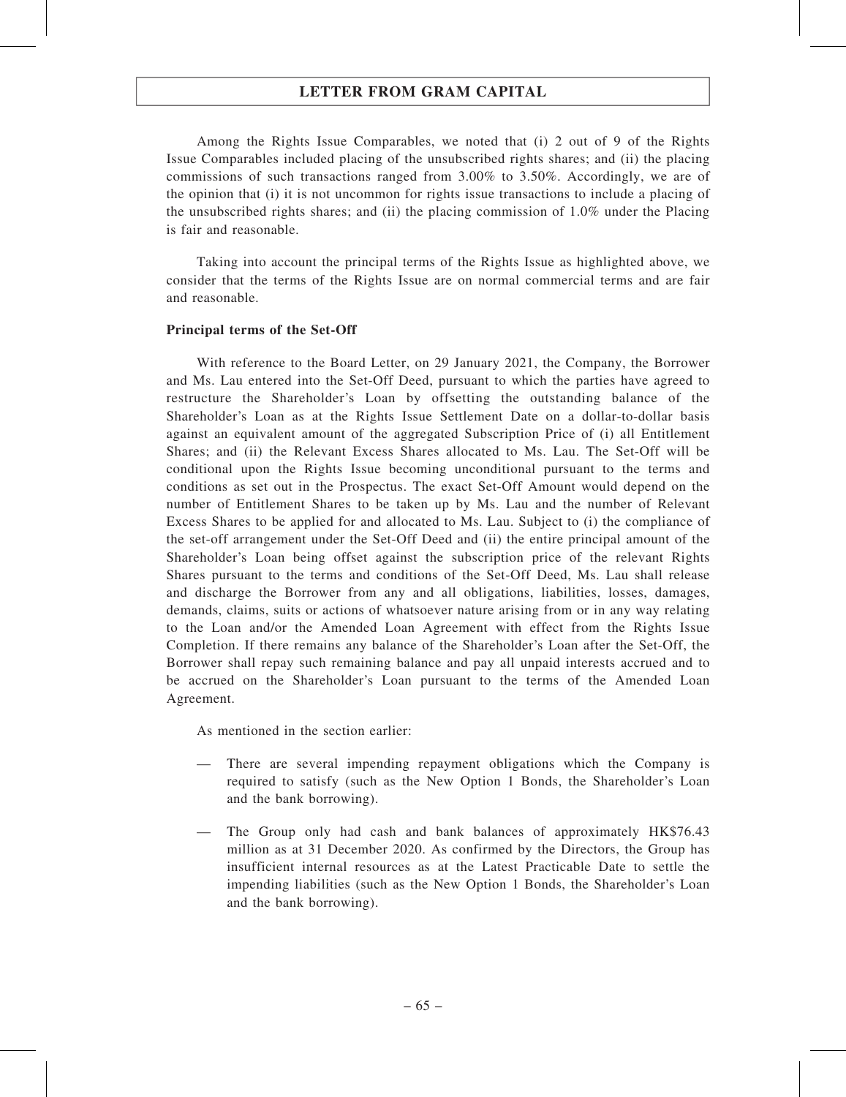Among the Rights Issue Comparables, we noted that (i) 2 out of 9 of the Rights Issue Comparables included placing of the unsubscribed rights shares; and (ii) the placing commissions of such transactions ranged from 3.00% to 3.50%. Accordingly, we are of the opinion that (i) it is not uncommon for rights issue transactions to include a placing of the unsubscribed rights shares; and (ii) the placing commission of 1.0% under the Placing is fair and reasonable.

Taking into account the principal terms of the Rights Issue as highlighted above, we consider that the terms of the Rights Issue are on normal commercial terms and are fair and reasonable.

### Principal terms of the Set-Off

With reference to the Board Letter, on 29 January 2021, the Company, the Borrower and Ms. Lau entered into the Set-Off Deed, pursuant to which the parties have agreed to restructure the Shareholder's Loan by offsetting the outstanding balance of the Shareholder's Loan as at the Rights Issue Settlement Date on a dollar-to-dollar basis against an equivalent amount of the aggregated Subscription Price of (i) all Entitlement Shares; and (ii) the Relevant Excess Shares allocated to Ms. Lau. The Set-Off will be conditional upon the Rights Issue becoming unconditional pursuant to the terms and conditions as set out in the Prospectus. The exact Set-Off Amount would depend on the number of Entitlement Shares to be taken up by Ms. Lau and the number of Relevant Excess Shares to be applied for and allocated to Ms. Lau. Subject to (i) the compliance of the set-off arrangement under the Set-Off Deed and (ii) the entire principal amount of the Shareholder's Loan being offset against the subscription price of the relevant Rights Shares pursuant to the terms and conditions of the Set-Off Deed, Ms. Lau shall release and discharge the Borrower from any and all obligations, liabilities, losses, damages, demands, claims, suits or actions of whatsoever nature arising from or in any way relating to the Loan and/or the Amended Loan Agreement with effect from the Rights Issue Completion. If there remains any balance of the Shareholder's Loan after the Set-Off, the Borrower shall repay such remaining balance and pay all unpaid interests accrued and to be accrued on the Shareholder's Loan pursuant to the terms of the Amended Loan Agreement.

As mentioned in the section earlier:

- There are several impending repayment obligations which the Company is required to satisfy (such as the New Option 1 Bonds, the Shareholder's Loan and the bank borrowing).
- The Group only had cash and bank balances of approximately HK\$76.43 million as at 31 December 2020. As confirmed by the Directors, the Group has insufficient internal resources as at the Latest Practicable Date to settle the impending liabilities (such as the New Option 1 Bonds, the Shareholder's Loan and the bank borrowing).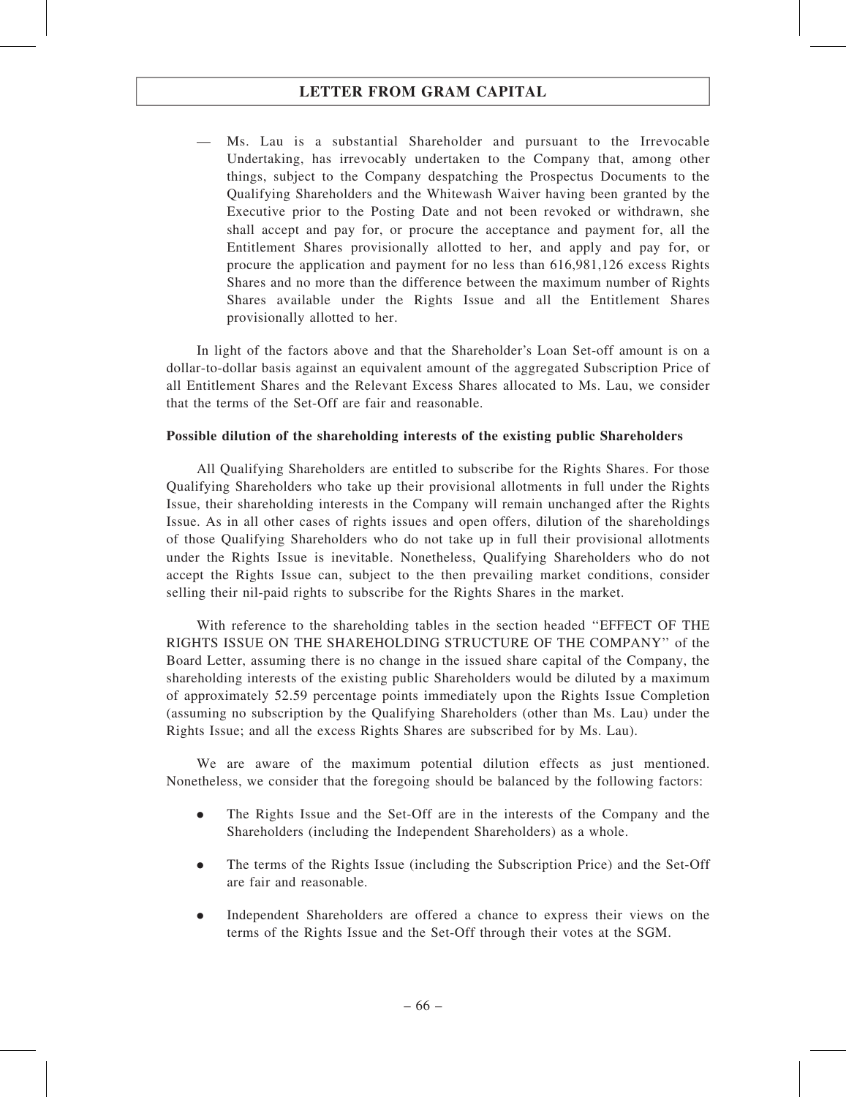— Ms. Lau is a substantial Shareholder and pursuant to the Irrevocable Undertaking, has irrevocably undertaken to the Company that, among other things, subject to the Company despatching the Prospectus Documents to the Qualifying Shareholders and the Whitewash Waiver having been granted by the Executive prior to the Posting Date and not been revoked or withdrawn, she shall accept and pay for, or procure the acceptance and payment for, all the Entitlement Shares provisionally allotted to her, and apply and pay for, or procure the application and payment for no less than 616,981,126 excess Rights Shares and no more than the difference between the maximum number of Rights Shares available under the Rights Issue and all the Entitlement Shares provisionally allotted to her.

In light of the factors above and that the Shareholder's Loan Set-off amount is on a dollar-to-dollar basis against an equivalent amount of the aggregated Subscription Price of all Entitlement Shares and the Relevant Excess Shares allocated to Ms. Lau, we consider that the terms of the Set-Off are fair and reasonable.

### Possible dilution of the shareholding interests of the existing public Shareholders

All Qualifying Shareholders are entitled to subscribe for the Rights Shares. For those Qualifying Shareholders who take up their provisional allotments in full under the Rights Issue, their shareholding interests in the Company will remain unchanged after the Rights Issue. As in all other cases of rights issues and open offers, dilution of the shareholdings of those Qualifying Shareholders who do not take up in full their provisional allotments under the Rights Issue is inevitable. Nonetheless, Qualifying Shareholders who do not accept the Rights Issue can, subject to the then prevailing market conditions, consider selling their nil-paid rights to subscribe for the Rights Shares in the market.

With reference to the shareholding tables in the section headed ''EFFECT OF THE RIGHTS ISSUE ON THE SHAREHOLDING STRUCTURE OF THE COMPANY'' of the Board Letter, assuming there is no change in the issued share capital of the Company, the shareholding interests of the existing public Shareholders would be diluted by a maximum of approximately 52.59 percentage points immediately upon the Rights Issue Completion (assuming no subscription by the Qualifying Shareholders (other than Ms. Lau) under the Rights Issue; and all the excess Rights Shares are subscribed for by Ms. Lau).

We are aware of the maximum potential dilution effects as just mentioned. Nonetheless, we consider that the foregoing should be balanced by the following factors:

- . The Rights Issue and the Set-Off are in the interests of the Company and the Shareholders (including the Independent Shareholders) as a whole.
- . The terms of the Rights Issue (including the Subscription Price) and the Set-Off are fair and reasonable.
- . Independent Shareholders are offered a chance to express their views on the terms of the Rights Issue and the Set-Off through their votes at the SGM.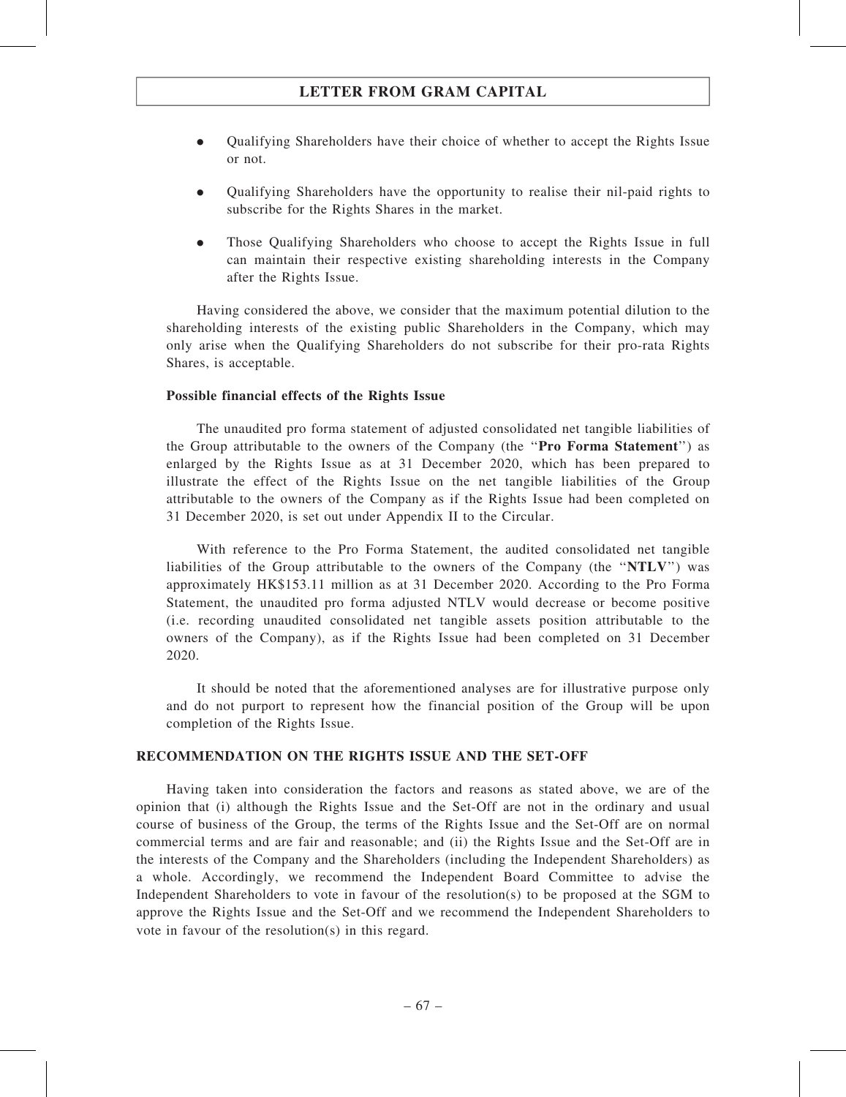- . Qualifying Shareholders have their choice of whether to accept the Rights Issue or not.
- . Qualifying Shareholders have the opportunity to realise their nil-paid rights to subscribe for the Rights Shares in the market.
- . Those Qualifying Shareholders who choose to accept the Rights Issue in full can maintain their respective existing shareholding interests in the Company after the Rights Issue.

Having considered the above, we consider that the maximum potential dilution to the shareholding interests of the existing public Shareholders in the Company, which may only arise when the Qualifying Shareholders do not subscribe for their pro-rata Rights Shares, is acceptable.

### Possible financial effects of the Rights Issue

The unaudited pro forma statement of adjusted consolidated net tangible liabilities of the Group attributable to the owners of the Company (the ''Pro Forma Statement'') as enlarged by the Rights Issue as at 31 December 2020, which has been prepared to illustrate the effect of the Rights Issue on the net tangible liabilities of the Group attributable to the owners of the Company as if the Rights Issue had been completed on 31 December 2020, is set out under Appendix II to the Circular.

With reference to the Pro Forma Statement, the audited consolidated net tangible liabilities of the Group attributable to the owners of the Company (the ''NTLV'') was approximately HK\$153.11 million as at 31 December 2020. According to the Pro Forma Statement, the unaudited pro forma adjusted NTLV would decrease or become positive (i.e. recording unaudited consolidated net tangible assets position attributable to the owners of the Company), as if the Rights Issue had been completed on 31 December 2020.

It should be noted that the aforementioned analyses are for illustrative purpose only and do not purport to represent how the financial position of the Group will be upon completion of the Rights Issue.

#### RECOMMENDATION ON THE RIGHTS ISSUE AND THE SET-OFF

Having taken into consideration the factors and reasons as stated above, we are of the opinion that (i) although the Rights Issue and the Set-Off are not in the ordinary and usual course of business of the Group, the terms of the Rights Issue and the Set-Off are on normal commercial terms and are fair and reasonable; and (ii) the Rights Issue and the Set-Off are in the interests of the Company and the Shareholders (including the Independent Shareholders) as a whole. Accordingly, we recommend the Independent Board Committee to advise the Independent Shareholders to vote in favour of the resolution(s) to be proposed at the SGM to approve the Rights Issue and the Set-Off and we recommend the Independent Shareholders to vote in favour of the resolution(s) in this regard.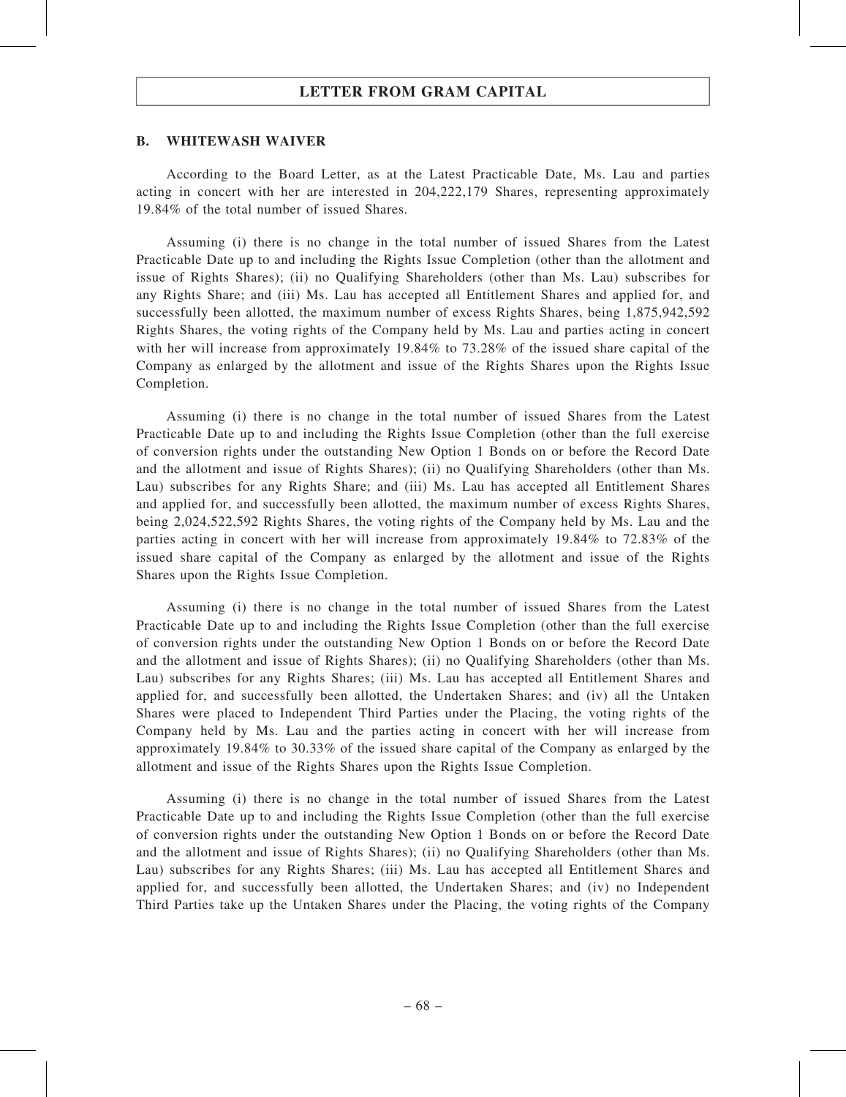#### B. WHITEWASH WAIVER

According to the Board Letter, as at the Latest Practicable Date, Ms. Lau and parties acting in concert with her are interested in 204,222,179 Shares, representing approximately 19.84% of the total number of issued Shares.

Assuming (i) there is no change in the total number of issued Shares from the Latest Practicable Date up to and including the Rights Issue Completion (other than the allotment and issue of Rights Shares); (ii) no Qualifying Shareholders (other than Ms. Lau) subscribes for any Rights Share; and (iii) Ms. Lau has accepted all Entitlement Shares and applied for, and successfully been allotted, the maximum number of excess Rights Shares, being 1,875,942,592 Rights Shares, the voting rights of the Company held by Ms. Lau and parties acting in concert with her will increase from approximately 19.84% to 73.28% of the issued share capital of the Company as enlarged by the allotment and issue of the Rights Shares upon the Rights Issue Completion.

Assuming (i) there is no change in the total number of issued Shares from the Latest Practicable Date up to and including the Rights Issue Completion (other than the full exercise of conversion rights under the outstanding New Option 1 Bonds on or before the Record Date and the allotment and issue of Rights Shares); (ii) no Qualifying Shareholders (other than Ms. Lau) subscribes for any Rights Share; and (iii) Ms. Lau has accepted all Entitlement Shares and applied for, and successfully been allotted, the maximum number of excess Rights Shares, being 2,024,522,592 Rights Shares, the voting rights of the Company held by Ms. Lau and the parties acting in concert with her will increase from approximately 19.84% to 72.83% of the issued share capital of the Company as enlarged by the allotment and issue of the Rights Shares upon the Rights Issue Completion.

Assuming (i) there is no change in the total number of issued Shares from the Latest Practicable Date up to and including the Rights Issue Completion (other than the full exercise of conversion rights under the outstanding New Option 1 Bonds on or before the Record Date and the allotment and issue of Rights Shares); (ii) no Qualifying Shareholders (other than Ms. Lau) subscribes for any Rights Shares; (iii) Ms. Lau has accepted all Entitlement Shares and applied for, and successfully been allotted, the Undertaken Shares; and (iv) all the Untaken Shares were placed to Independent Third Parties under the Placing, the voting rights of the Company held by Ms. Lau and the parties acting in concert with her will increase from approximately 19.84% to 30.33% of the issued share capital of the Company as enlarged by the allotment and issue of the Rights Shares upon the Rights Issue Completion.

Assuming (i) there is no change in the total number of issued Shares from the Latest Practicable Date up to and including the Rights Issue Completion (other than the full exercise of conversion rights under the outstanding New Option 1 Bonds on or before the Record Date and the allotment and issue of Rights Shares); (ii) no Qualifying Shareholders (other than Ms. Lau) subscribes for any Rights Shares; (iii) Ms. Lau has accepted all Entitlement Shares and applied for, and successfully been allotted, the Undertaken Shares; and (iv) no Independent Third Parties take up the Untaken Shares under the Placing, the voting rights of the Company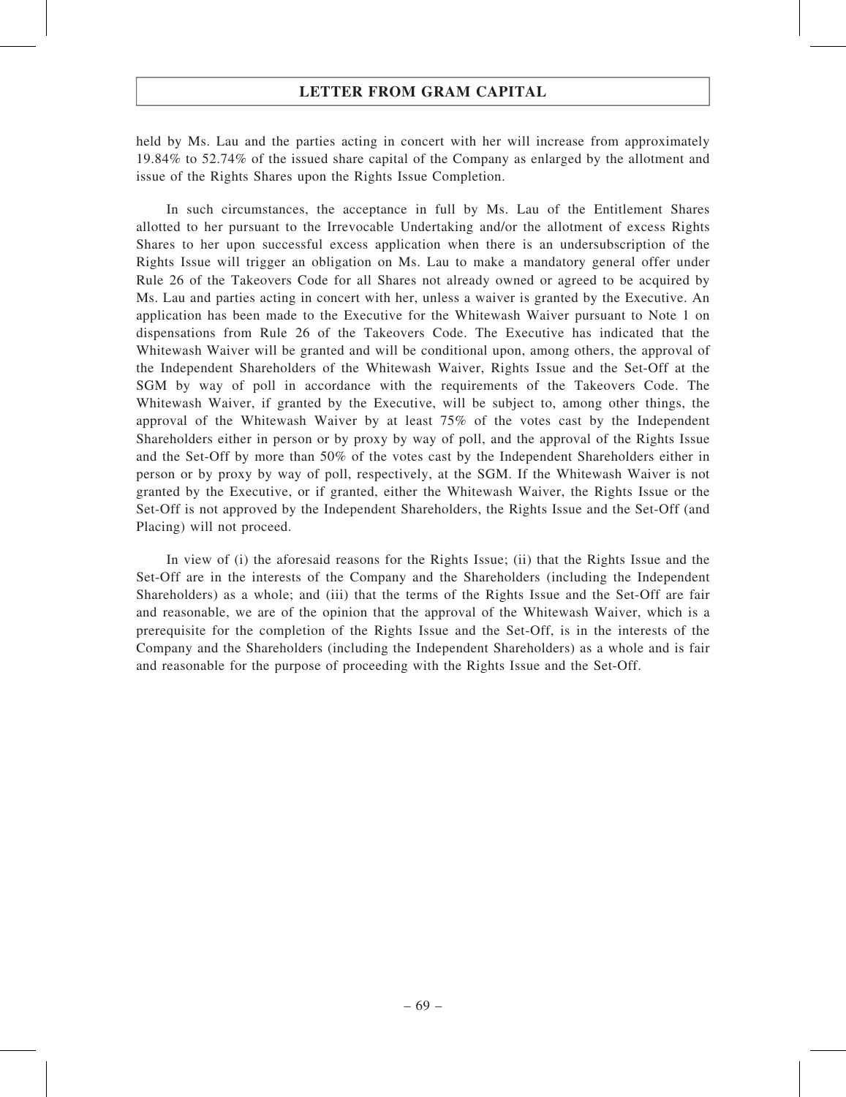# LETTER FROM GRAM CAPITAL

held by Ms. Lau and the parties acting in concert with her will increase from approximately 19.84% to 52.74% of the issued share capital of the Company as enlarged by the allotment and issue of the Rights Shares upon the Rights Issue Completion.

In such circumstances, the acceptance in full by Ms. Lau of the Entitlement Shares allotted to her pursuant to the Irrevocable Undertaking and/or the allotment of excess Rights Shares to her upon successful excess application when there is an undersubscription of the Rights Issue will trigger an obligation on Ms. Lau to make a mandatory general offer under Rule 26 of the Takeovers Code for all Shares not already owned or agreed to be acquired by Ms. Lau and parties acting in concert with her, unless a waiver is granted by the Executive. An application has been made to the Executive for the Whitewash Waiver pursuant to Note 1 on dispensations from Rule 26 of the Takeovers Code. The Executive has indicated that the Whitewash Waiver will be granted and will be conditional upon, among others, the approval of the Independent Shareholders of the Whitewash Waiver, Rights Issue and the Set-Off at the SGM by way of poll in accordance with the requirements of the Takeovers Code. The Whitewash Waiver, if granted by the Executive, will be subject to, among other things, the approval of the Whitewash Waiver by at least 75% of the votes cast by the Independent Shareholders either in person or by proxy by way of poll, and the approval of the Rights Issue and the Set-Off by more than 50% of the votes cast by the Independent Shareholders either in person or by proxy by way of poll, respectively, at the SGM. If the Whitewash Waiver is not granted by the Executive, or if granted, either the Whitewash Waiver, the Rights Issue or the Set-Off is not approved by the Independent Shareholders, the Rights Issue and the Set-Off (and Placing) will not proceed.

In view of (i) the aforesaid reasons for the Rights Issue; (ii) that the Rights Issue and the Set-Off are in the interests of the Company and the Shareholders (including the Independent Shareholders) as a whole; and (iii) that the terms of the Rights Issue and the Set-Off are fair and reasonable, we are of the opinion that the approval of the Whitewash Waiver, which is a prerequisite for the completion of the Rights Issue and the Set-Off, is in the interests of the Company and the Shareholders (including the Independent Shareholders) as a whole and is fair and reasonable for the purpose of proceeding with the Rights Issue and the Set-Off.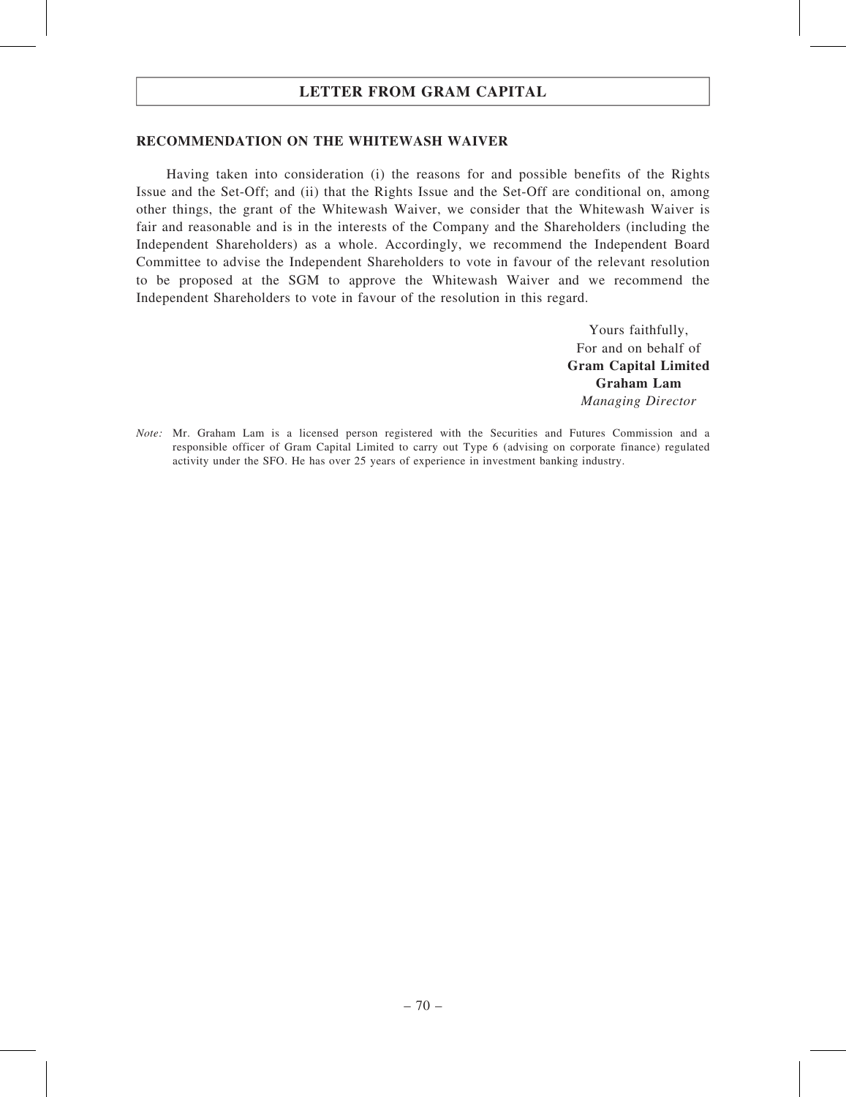# LETTER FROM GRAM CAPITAL

## RECOMMENDATION ON THE WHITEWASH WAIVER

Having taken into consideration (i) the reasons for and possible benefits of the Rights Issue and the Set-Off; and (ii) that the Rights Issue and the Set-Off are conditional on, among other things, the grant of the Whitewash Waiver, we consider that the Whitewash Waiver is fair and reasonable and is in the interests of the Company and the Shareholders (including the Independent Shareholders) as a whole. Accordingly, we recommend the Independent Board Committee to advise the Independent Shareholders to vote in favour of the relevant resolution to be proposed at the SGM to approve the Whitewash Waiver and we recommend the Independent Shareholders to vote in favour of the resolution in this regard.

> Yours faithfully, For and on behalf of Gram Capital Limited Graham Lam Managing Director

Note: Mr. Graham Lam is a licensed person registered with the Securities and Futures Commission and a responsible officer of Gram Capital Limited to carry out Type 6 (advising on corporate finance) regulated activity under the SFO. He has over 25 years of experience in investment banking industry.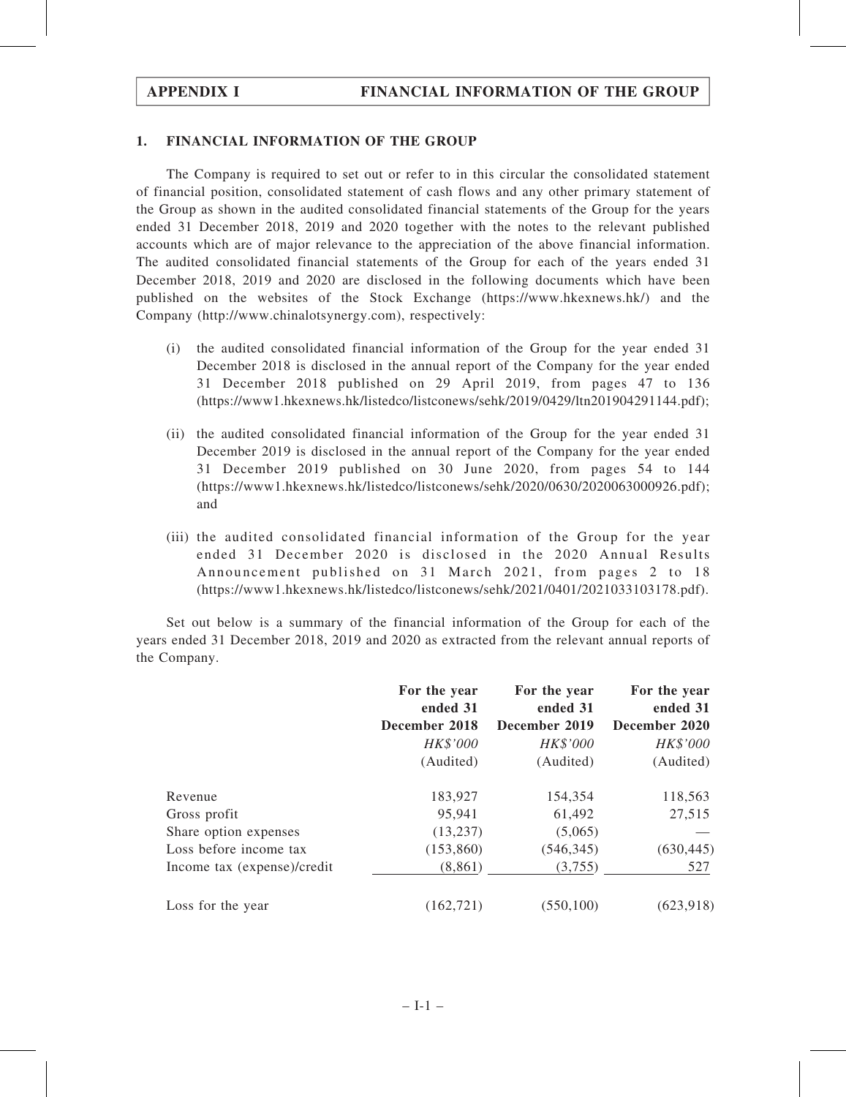# 1. FINANCIAL INFORMATION OF THE GROUP

The Company is required to set out or refer to in this circular the consolidated statement of financial position, consolidated statement of cash flows and any other primary statement of the Group as shown in the audited consolidated financial statements of the Group for the years ended 31 December 2018, 2019 and 2020 together with the notes to the relevant published accounts which are of major relevance to the appreciation of the above financial information. The audited consolidated financial statements of the Group for each of the years ended 31 December 2018, 2019 and 2020 are disclosed in the following documents which have been published on the websites of the Stock Exchange (https://www.hkexnews.hk/) and the Company (http://www.chinalotsynergy.com), respectively:

- (i) the audited consolidated financial information of the Group for the year ended 31 December 2018 is disclosed in the annual report of the Company for the year ended 31 December 2018 published on 29 April 2019, from pages 47 to 136 (https://www1.hkexnews.hk/listedco/listconews/sehk/2019/0429/ltn201904291144.pdf);
- (ii) the audited consolidated financial information of the Group for the year ended 31 December 2019 is disclosed in the annual report of the Company for the year ended 31 December 2019 published on 30 June 2020, from pages 54 to 144 (https://www1.hkexnews.hk/listedco/listconews/sehk/2020/0630/2020063000926.pdf); and
- (iii) the audited consolidated financial information of the Group for the year ended 31 December 2020 is disclosed in the 2020 Annual Results Announcement published on 31 March 2021, from pages 2 to 18 (https://www1.hkexnews.hk/listedco/listconews/sehk/2021/0401/2021033103178.pdf).

Set out below is a summary of the financial information of the Group for each of the years ended 31 December 2018, 2019 and 2020 as extracted from the relevant annual reports of the Company.

|                             | For the year<br>ended 31 | For the year<br>ended 31 | For the year<br>ended 31 |  |
|-----------------------------|--------------------------|--------------------------|--------------------------|--|
|                             | December 2018            | December 2019            | December 2020            |  |
|                             | HK\$'000                 | HK\$'000                 | HK\$'000                 |  |
|                             | (Audited)                | (Audited)                | (Audited)                |  |
| Revenue                     | 183,927                  | 154,354                  | 118,563                  |  |
| Gross profit                | 95,941                   | 61,492                   | 27,515                   |  |
| Share option expenses       | (13,237)                 | (5,065)                  |                          |  |
| Loss before income tax      | (153, 860)               | (546, 345)               | (630, 445)               |  |
| Income tax (expense)/credit | (8, 861)                 | (3,755)                  | 527                      |  |
| Loss for the year           | (162.721)                | (550, 100)               | (623, 918)               |  |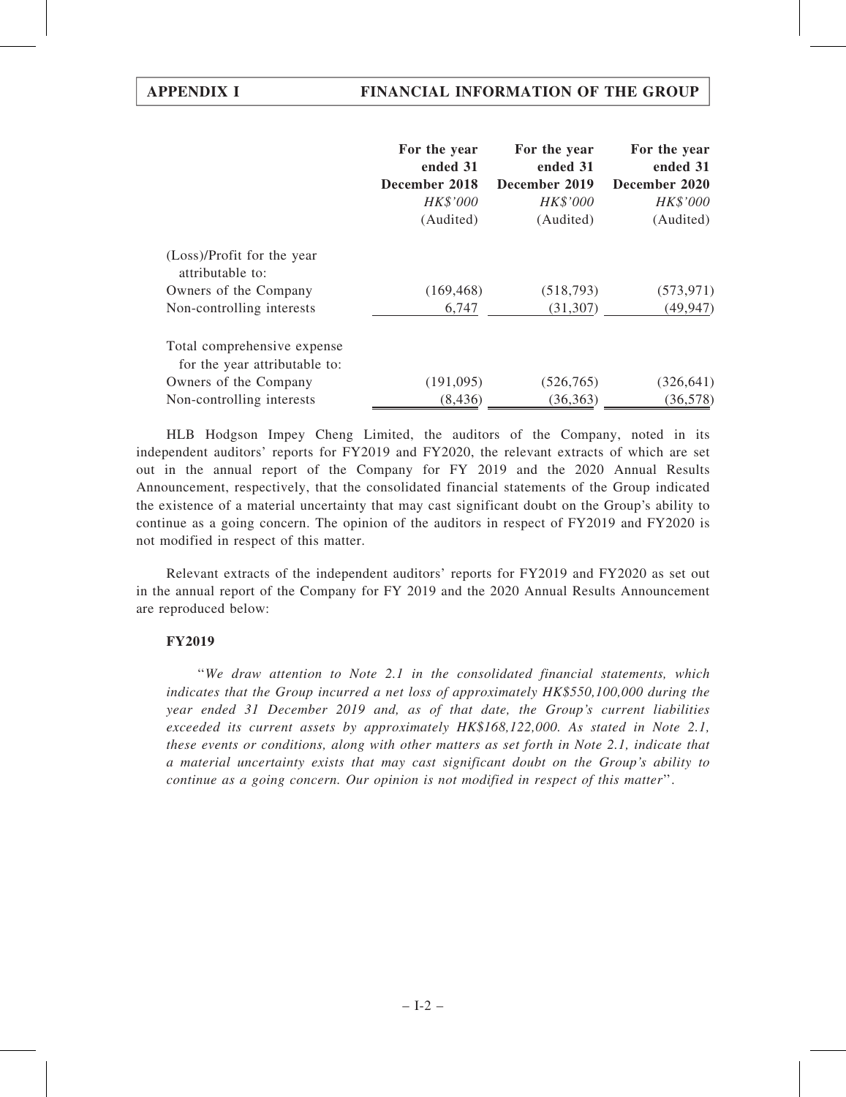|                                                              | For the year<br>ended 31<br>December 2018<br>HK\$'000 | For the year<br>ended 31<br>December 2019<br>HK\$'000 | For the year<br>ended 31<br>December 2020<br>HK\$'000 |
|--------------------------------------------------------------|-------------------------------------------------------|-------------------------------------------------------|-------------------------------------------------------|
|                                                              | (Audited)                                             | (Audited)                                             | (Audited)                                             |
| (Loss)/Profit for the year<br>attributable to:               |                                                       |                                                       |                                                       |
| Owners of the Company                                        | (169, 468)                                            | (518, 793)                                            | (573, 971)                                            |
| Non-controlling interests                                    | 6,747                                                 | (31, 307)                                             | (49, 947)                                             |
| Total comprehensive expense<br>for the year attributable to: |                                                       |                                                       |                                                       |
| Owners of the Company                                        | (191,095)                                             | (526, 765)                                            | (326, 641)                                            |
| Non-controlling interests                                    | (8, 436)                                              | (36, 363)                                             | (36, 578)                                             |

HLB Hodgson Impey Cheng Limited, the auditors of the Company, noted in its independent auditors' reports for FY2019 and FY2020, the relevant extracts of which are set out in the annual report of the Company for FY 2019 and the 2020 Annual Results Announcement, respectively, that the consolidated financial statements of the Group indicated the existence of a material uncertainty that may cast significant doubt on the Group's ability to continue as a going concern. The opinion of the auditors in respect of FY2019 and FY2020 is not modified in respect of this matter.

Relevant extracts of the independent auditors' reports for FY2019 and FY2020 as set out in the annual report of the Company for FY 2019 and the 2020 Annual Results Announcement are reproduced below:

# FY2019

''We draw attention to Note 2.1 in the consolidated financial statements, which indicates that the Group incurred a net loss of approximately HK\$550,100,000 during the year ended 31 December 2019 and, as of that date, the Group's current liabilities exceeded its current assets by approximately HK\$168,122,000. As stated in Note 2.1, these events or conditions, along with other matters as set forth in Note 2.1, indicate that a material uncertainty exists that may cast significant doubt on the Group's ability to continue as a going concern. Our opinion is not modified in respect of this matter''.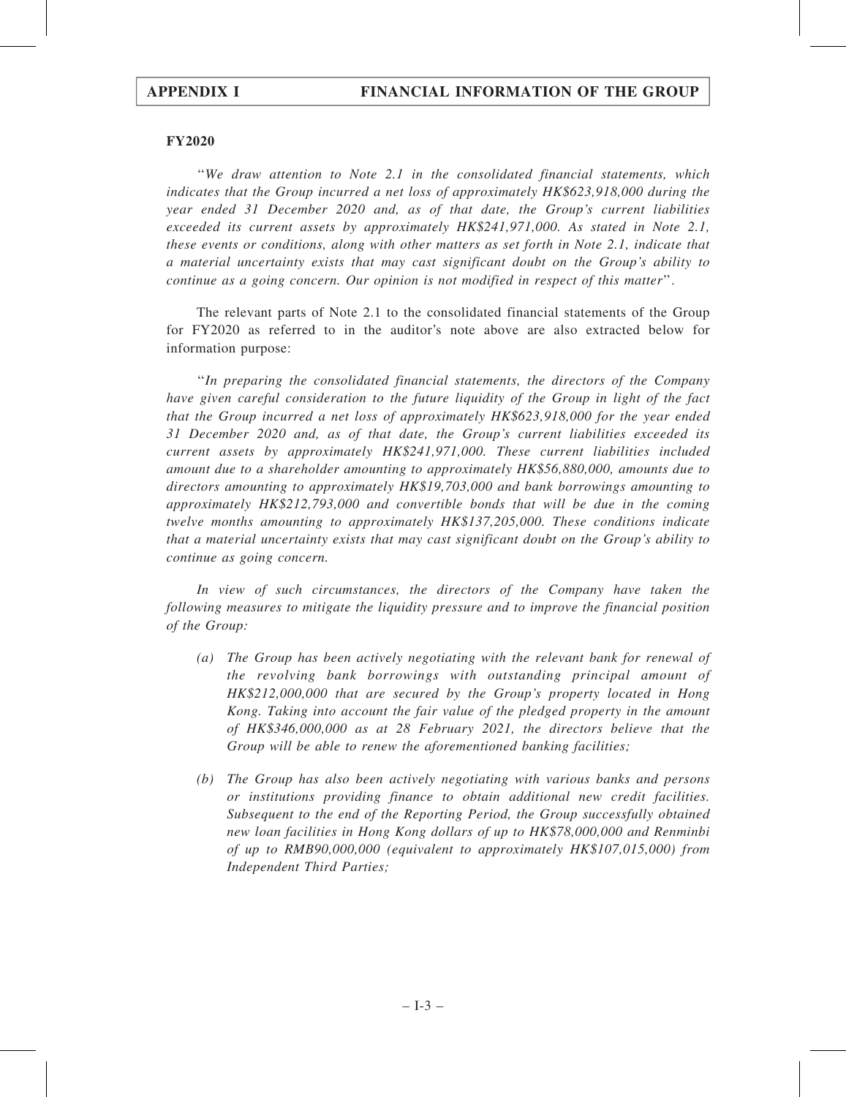## FY2020

''We draw attention to Note 2.1 in the consolidated financial statements, which indicates that the Group incurred a net loss of approximately HK\$623,918,000 during the year ended 31 December 2020 and, as of that date, the Group's current liabilities exceeded its current assets by approximately HK\$241,971,000. As stated in Note 2.1, these events or conditions, along with other matters as set forth in Note 2.1, indicate that a material uncertainty exists that may cast significant doubt on the Group's ability to continue as a going concern. Our opinion is not modified in respect of this matter''.

The relevant parts of Note 2.1 to the consolidated financial statements of the Group for FY2020 as referred to in the auditor's note above are also extracted below for information purpose:

''In preparing the consolidated financial statements, the directors of the Company have given careful consideration to the future liquidity of the Group in light of the fact that the Group incurred a net loss of approximately HK\$623,918,000 for the year ended 31 December 2020 and, as of that date, the Group's current liabilities exceeded its current assets by approximately HK\$241,971,000. These current liabilities included amount due to a shareholder amounting to approximately HK\$56,880,000, amounts due to directors amounting to approximately HK\$19,703,000 and bank borrowings amounting to approximately HK\$212,793,000 and convertible bonds that will be due in the coming twelve months amounting to approximately HK\$137,205,000. These conditions indicate that a material uncertainty exists that may cast significant doubt on the Group's ability to continue as going concern.

In view of such circumstances, the directors of the Company have taken the following measures to mitigate the liquidity pressure and to improve the financial position of the Group:

- (a) The Group has been actively negotiating with the relevant bank for renewal of the revolving bank borrowings with outstanding principal amount of HK\$212,000,000 that are secured by the Group's property located in Hong Kong. Taking into account the fair value of the pledged property in the amount of HK\$346,000,000 as at 28 February 2021, the directors believe that the Group will be able to renew the aforementioned banking facilities;
- (b) The Group has also been actively negotiating with various banks and persons or institutions providing finance to obtain additional new credit facilities. Subsequent to the end of the Reporting Period, the Group successfully obtained new loan facilities in Hong Kong dollars of up to HK\$78,000,000 and Renminbi of up to RMB90,000,000 (equivalent to approximately HK\$107,015,000) from Independent Third Parties;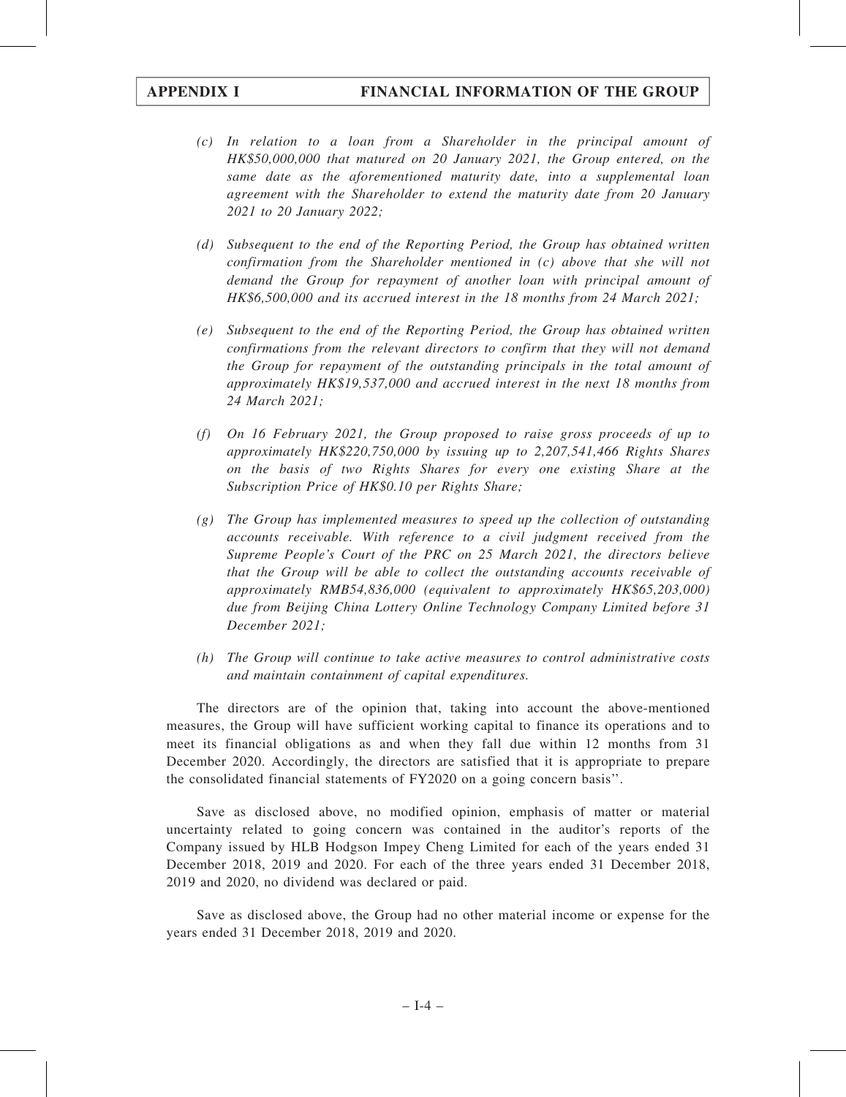- (c) In relation to a loan from a Shareholder in the principal amount of HK\$50,000,000 that matured on 20 January 2021, the Group entered, on the same date as the aforementioned maturity date, into a supplemental loan agreement with the Shareholder to extend the maturity date from 20 January 2021 to 20 January 2022;
- (d) Subsequent to the end of the Reporting Period, the Group has obtained written confirmation from the Shareholder mentioned in (c) above that she will not demand the Group for repayment of another loan with principal amount of HK\$6,500,000 and its accrued interest in the 18 months from 24 March 2021;
- (e) Subsequent to the end of the Reporting Period, the Group has obtained written confirmations from the relevant directors to confirm that they will not demand the Group for repayment of the outstanding principals in the total amount of approximately HK\$19,537,000 and accrued interest in the next 18 months from 24 March 2021;
- (f) On 16 February 2021, the Group proposed to raise gross proceeds of up to approximately HK\$220,750,000 by issuing up to 2,207,541,466 Rights Shares on the basis of two Rights Shares for every one existing Share at the Subscription Price of HK\$0.10 per Rights Share;
- (g) The Group has implemented measures to speed up the collection of outstanding accounts receivable. With reference to a civil judgment received from the Supreme People's Court of the PRC on 25 March 2021, the directors believe that the Group will be able to collect the outstanding accounts receivable of approximately RMB54,836,000 (equivalent to approximately HK\$65,203,000) due from Beijing China Lottery Online Technology Company Limited before 31 December 2021;
- (h) The Group will continue to take active measures to control administrative costs and maintain containment of capital expenditures.

The directors are of the opinion that, taking into account the above-mentioned measures, the Group will have sufficient working capital to finance its operations and to meet its financial obligations as and when they fall due within 12 months from 31 December 2020. Accordingly, the directors are satisfied that it is appropriate to prepare the consolidated financial statements of FY2020 on a going concern basis''.

Save as disclosed above, no modified opinion, emphasis of matter or material uncertainty related to going concern was contained in the auditor's reports of the Company issued by HLB Hodgson Impey Cheng Limited for each of the years ended 31 December 2018, 2019 and 2020. For each of the three years ended 31 December 2018, 2019 and 2020, no dividend was declared or paid.

Save as disclosed above, the Group had no other material income or expense for the years ended 31 December 2018, 2019 and 2020.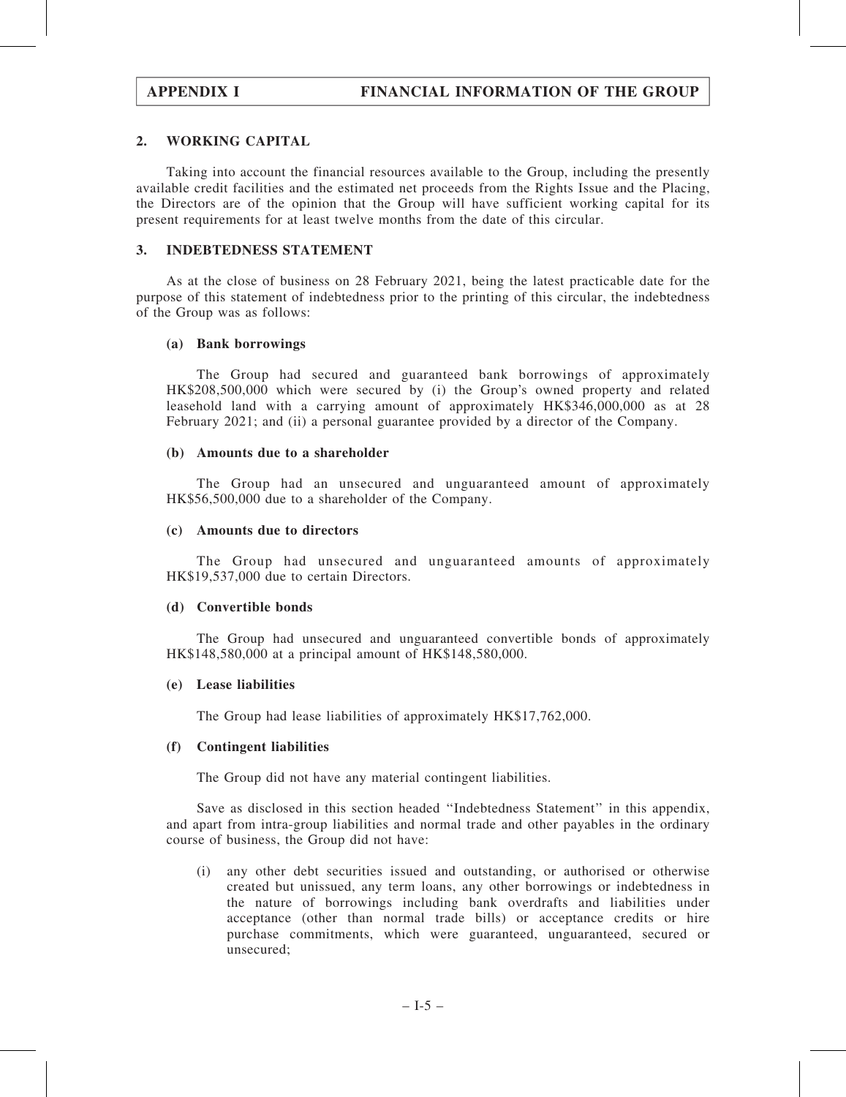# 2. WORKING CAPITAL

Taking into account the financial resources available to the Group, including the presently available credit facilities and the estimated net proceeds from the Rights Issue and the Placing, the Directors are of the opinion that the Group will have sufficient working capital for its present requirements for at least twelve months from the date of this circular.

## 3. INDEBTEDNESS STATEMENT

As at the close of business on 28 February 2021, being the latest practicable date for the purpose of this statement of indebtedness prior to the printing of this circular, the indebtedness of the Group was as follows:

## (a) Bank borrowings

The Group had secured and guaranteed bank borrowings of approximately HK\$208,500,000 which were secured by (i) the Group's owned property and related leasehold land with a carrying amount of approximately HK\$346,000,000 as at 28 February 2021; and (ii) a personal guarantee provided by a director of the Company.

### (b) Amounts due to a shareholder

The Group had an unsecured and unguaranteed amount of approximately HK\$56,500,000 due to a shareholder of the Company.

## (c) Amounts due to directors

The Group had unsecured and unguaranteed amounts of approximately HK\$19,537,000 due to certain Directors.

### (d) Convertible bonds

The Group had unsecured and unguaranteed convertible bonds of approximately HK\$148,580,000 at a principal amount of HK\$148,580,000.

### (e) Lease liabilities

The Group had lease liabilities of approximately HK\$17,762,000.

### (f) Contingent liabilities

The Group did not have any material contingent liabilities.

Save as disclosed in this section headed ''Indebtedness Statement'' in this appendix, and apart from intra-group liabilities and normal trade and other payables in the ordinary course of business, the Group did not have:

(i) any other debt securities issued and outstanding, or authorised or otherwise created but unissued, any term loans, any other borrowings or indebtedness in the nature of borrowings including bank overdrafts and liabilities under acceptance (other than normal trade bills) or acceptance credits or hire purchase commitments, which were guaranteed, unguaranteed, secured or unsecured;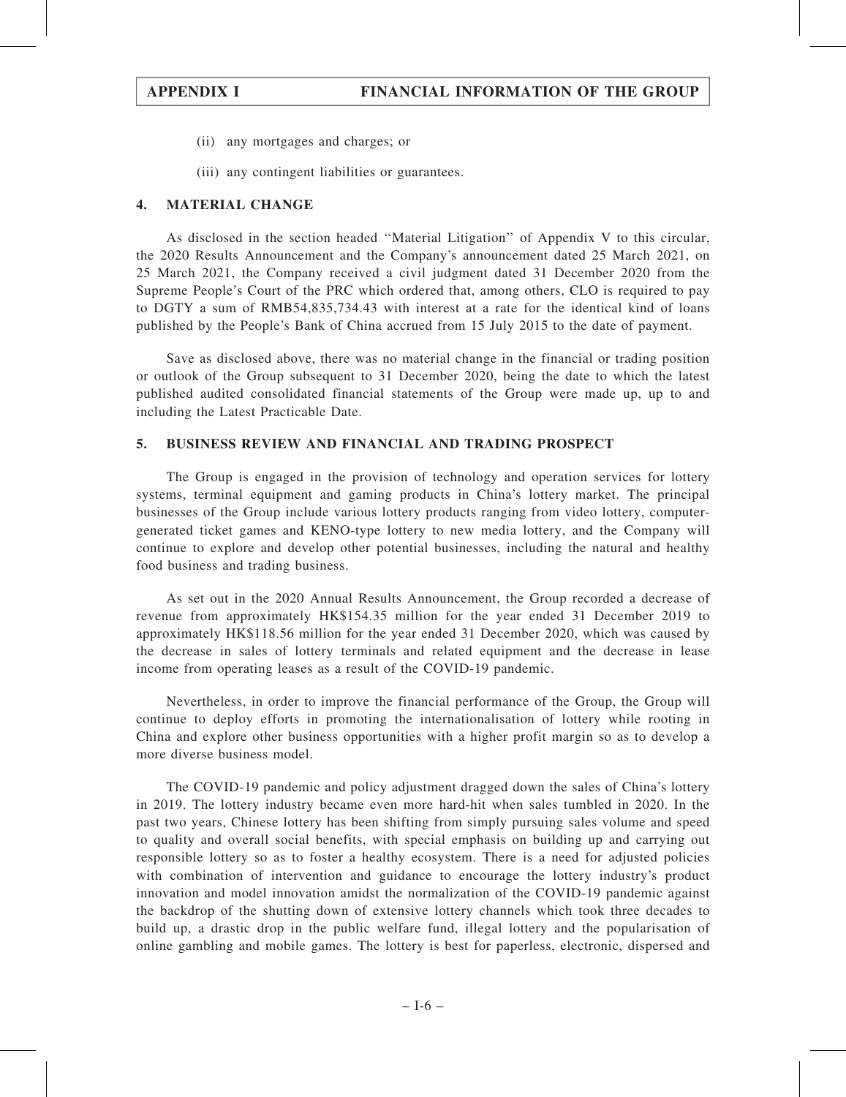- (ii) any mortgages and charges; or
- (iii) any contingent liabilities or guarantees.

## 4. MATERIAL CHANGE

As disclosed in the section headed ''Material Litigation'' of Appendix V to this circular, the 2020 Results Announcement and the Company's announcement dated 25 March 2021, on 25 March 2021, the Company received a civil judgment dated 31 December 2020 from the Supreme People's Court of the PRC which ordered that, among others, CLO is required to pay to DGTY a sum of RMB54,835,734.43 with interest at a rate for the identical kind of loans published by the People's Bank of China accrued from 15 July 2015 to the date of payment.

Save as disclosed above, there was no material change in the financial or trading position or outlook of the Group subsequent to 31 December 2020, being the date to which the latest published audited consolidated financial statements of the Group were made up, up to and including the Latest Practicable Date.

## 5. BUSINESS REVIEW AND FINANCIAL AND TRADING PROSPECT

The Group is engaged in the provision of technology and operation services for lottery systems, terminal equipment and gaming products in China's lottery market. The principal businesses of the Group include various lottery products ranging from video lottery, computergenerated ticket games and KENO-type lottery to new media lottery, and the Company will continue to explore and develop other potential businesses, including the natural and healthy food business and trading business.

As set out in the 2020 Annual Results Announcement, the Group recorded a decrease of revenue from approximately HK\$154.35 million for the year ended 31 December 2019 to approximately HK\$118.56 million for the year ended 31 December 2020, which was caused by the decrease in sales of lottery terminals and related equipment and the decrease in lease income from operating leases as a result of the COVID-19 pandemic.

Nevertheless, in order to improve the financial performance of the Group, the Group will continue to deploy efforts in promoting the internationalisation of lottery while rooting in China and explore other business opportunities with a higher profit margin so as to develop a more diverse business model.

The COVID-19 pandemic and policy adjustment dragged down the sales of China's lottery in 2019. The lottery industry became even more hard-hit when sales tumbled in 2020. In the past two years, Chinese lottery has been shifting from simply pursuing sales volume and speed to quality and overall social benefits, with special emphasis on building up and carrying out responsible lottery so as to foster a healthy ecosystem. There is a need for adjusted policies with combination of intervention and guidance to encourage the lottery industry's product innovation and model innovation amidst the normalization of the COVID-19 pandemic against the backdrop of the shutting down of extensive lottery channels which took three decades to build up, a drastic drop in the public welfare fund, illegal lottery and the popularisation of online gambling and mobile games. The lottery is best for paperless, electronic, dispersed and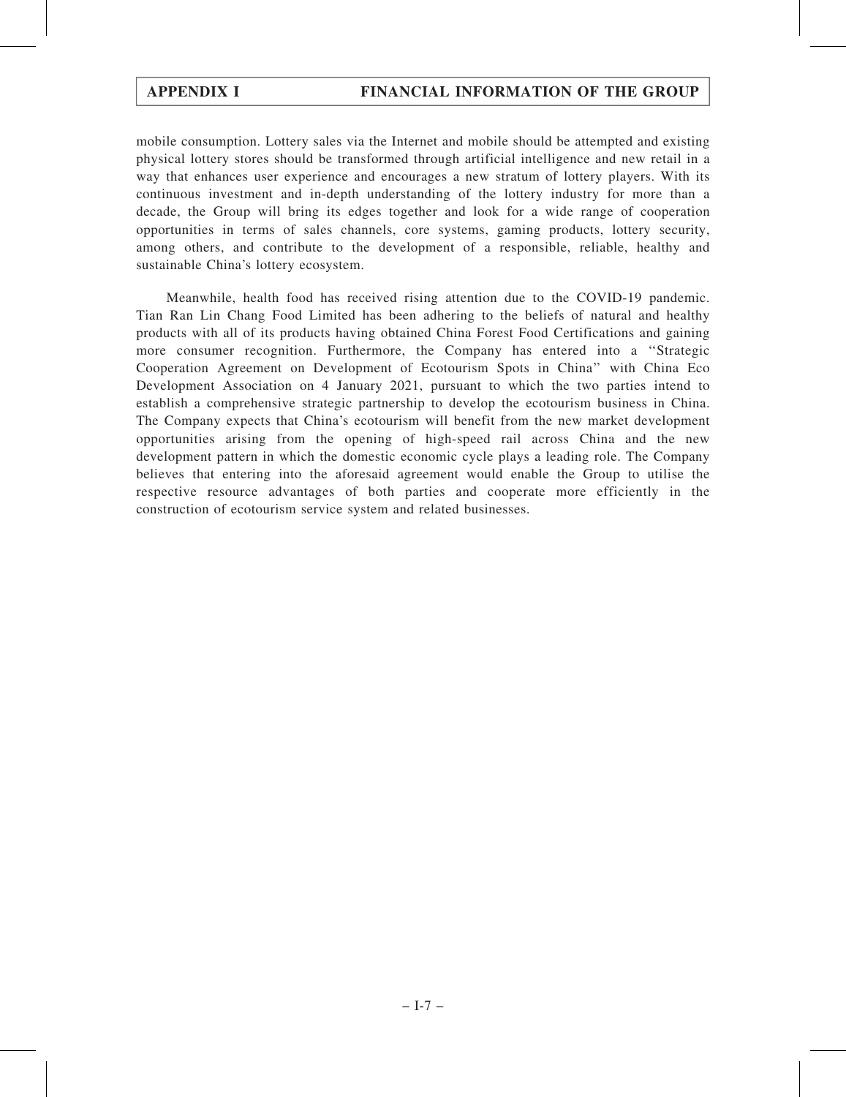mobile consumption. Lottery sales via the Internet and mobile should be attempted and existing physical lottery stores should be transformed through artificial intelligence and new retail in a way that enhances user experience and encourages a new stratum of lottery players. With its continuous investment and in-depth understanding of the lottery industry for more than a decade, the Group will bring its edges together and look for a wide range of cooperation opportunities in terms of sales channels, core systems, gaming products, lottery security, among others, and contribute to the development of a responsible, reliable, healthy and sustainable China's lottery ecosystem.

Meanwhile, health food has received rising attention due to the COVID-19 pandemic. Tian Ran Lin Chang Food Limited has been adhering to the beliefs of natural and healthy products with all of its products having obtained China Forest Food Certifications and gaining more consumer recognition. Furthermore, the Company has entered into a ''Strategic Cooperation Agreement on Development of Ecotourism Spots in China'' with China Eco Development Association on 4 January 2021, pursuant to which the two parties intend to establish a comprehensive strategic partnership to develop the ecotourism business in China. The Company expects that China's ecotourism will benefit from the new market development opportunities arising from the opening of high-speed rail across China and the new development pattern in which the domestic economic cycle plays a leading role. The Company believes that entering into the aforesaid agreement would enable the Group to utilise the respective resource advantages of both parties and cooperate more efficiently in the construction of ecotourism service system and related businesses.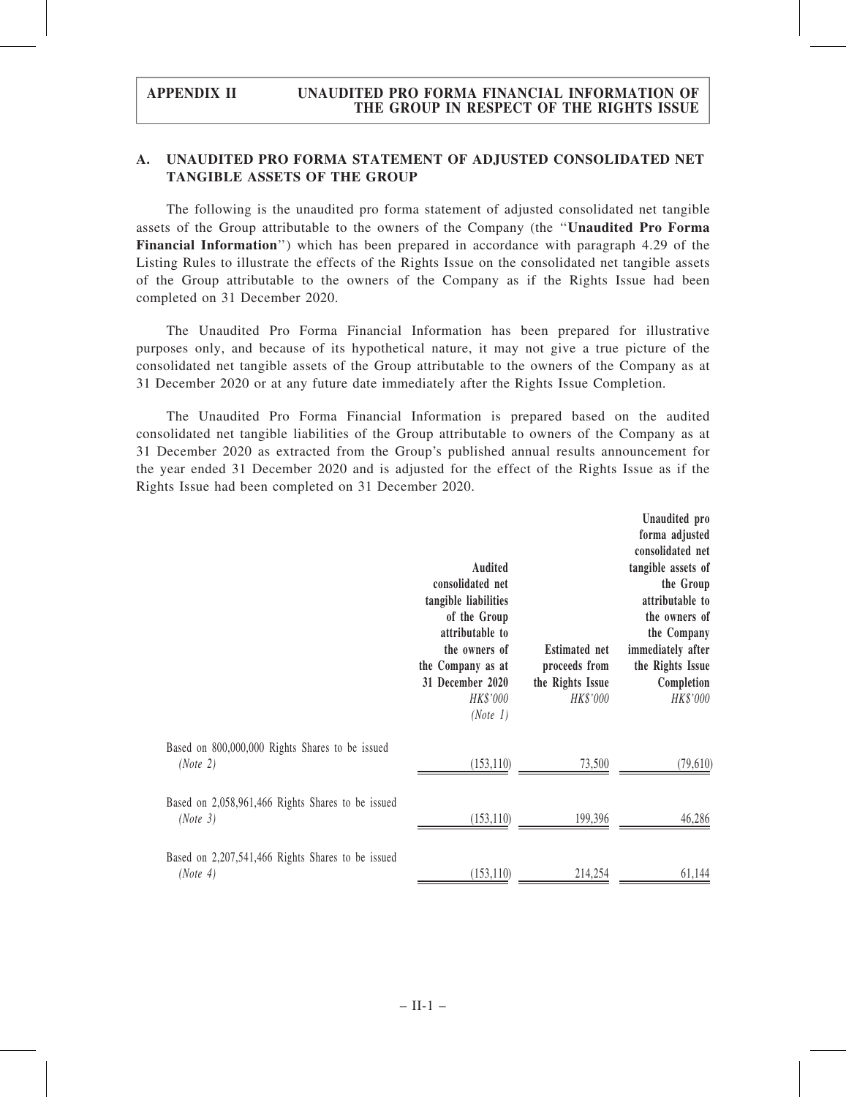# A. UNAUDITED PRO FORMA STATEMENT OF ADJUSTED CONSOLIDATED NET TANGIBLE ASSETS OF THE GROUP

The following is the unaudited pro forma statement of adjusted consolidated net tangible assets of the Group attributable to the owners of the Company (the ''Unaudited Pro Forma Financial Information'') which has been prepared in accordance with paragraph 4.29 of the Listing Rules to illustrate the effects of the Rights Issue on the consolidated net tangible assets of the Group attributable to the owners of the Company as if the Rights Issue had been completed on 31 December 2020.

The Unaudited Pro Forma Financial Information has been prepared for illustrative purposes only, and because of its hypothetical nature, it may not give a true picture of the consolidated net tangible assets of the Group attributable to the owners of the Company as at 31 December 2020 or at any future date immediately after the Rights Issue Completion.

The Unaudited Pro Forma Financial Information is prepared based on the audited consolidated net tangible liabilities of the Group attributable to owners of the Company as at 31 December 2020 as extracted from the Group's published annual results announcement for the year ended 31 December 2020 and is adjusted for the effect of the Rights Issue as if the Rights Issue had been completed on 31 December 2020.

|                                                               | <b>Audited</b><br>consolidated net<br>tangible liabilities<br>of the Group<br>attributable to<br>the owners of<br>the Company as at<br>31 December 2020<br>HK\$'000<br>(Note 1) | <b>Estimated net</b><br>proceeds from<br>the Rights Issue<br>HK\$'000 | Unaudited pro<br>forma adjusted<br>consolidated net<br>tangible assets of<br>the Group<br>attributable to<br>the owners of<br>the Company<br>immediately after<br>the Rights Issue<br>Completion<br>HK\$'000 |
|---------------------------------------------------------------|---------------------------------------------------------------------------------------------------------------------------------------------------------------------------------|-----------------------------------------------------------------------|--------------------------------------------------------------------------------------------------------------------------------------------------------------------------------------------------------------|
| Based on 800,000,000 Rights Shares to be issued<br>(Note 2)   | (153, 110)                                                                                                                                                                      | 73,500                                                                | (79,610)                                                                                                                                                                                                     |
| Based on 2,058,961,466 Rights Shares to be issued<br>(Note 3) | (153, 110)                                                                                                                                                                      | 199,396                                                               | 46,286                                                                                                                                                                                                       |
| Based on 2,207,541,466 Rights Shares to be issued<br>(Note 4) | (153, 110)                                                                                                                                                                      | 214,254                                                               | 61,144                                                                                                                                                                                                       |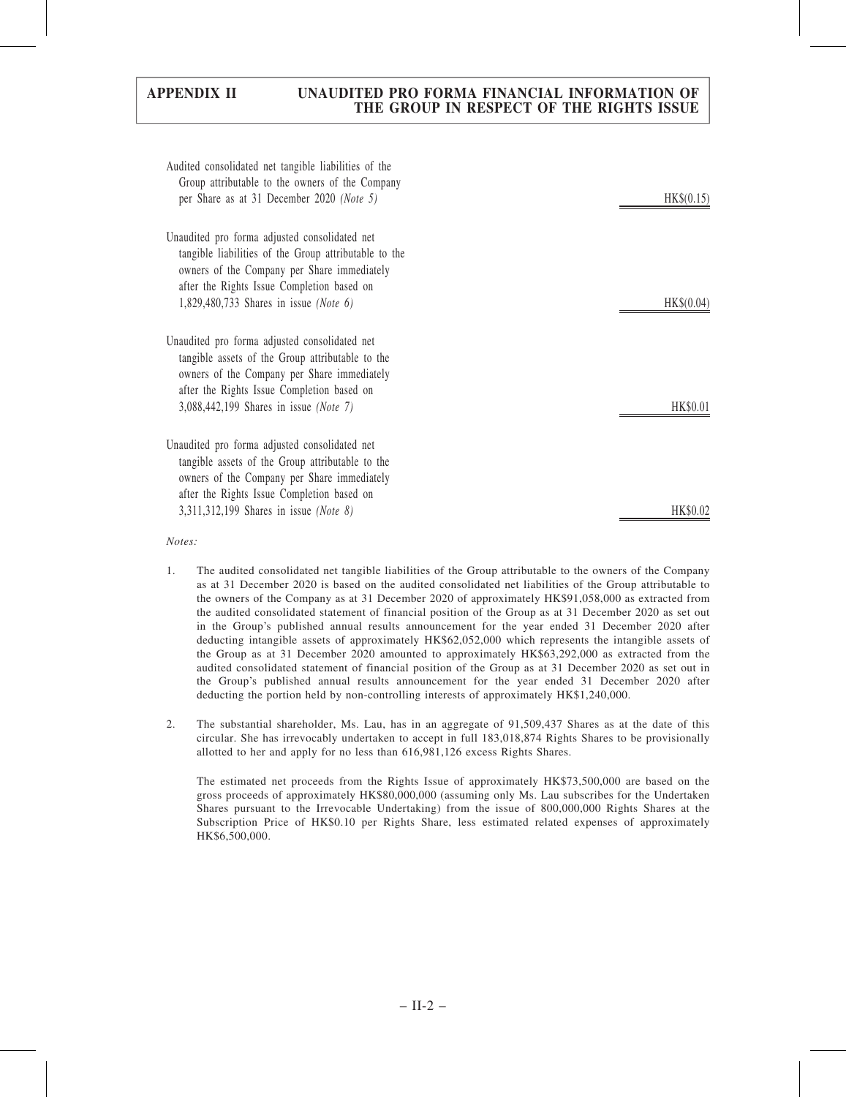| Audited consolidated net tangible liabilities of the<br>Group attributable to the owners of the Company |                 |
|---------------------------------------------------------------------------------------------------------|-----------------|
| per Share as at 31 December 2020 (Note 5)                                                               | HK\$(0.15)      |
| Unaudited pro forma adjusted consolidated net                                                           |                 |
| tangible liabilities of the Group attributable to the                                                   |                 |
| owners of the Company per Share immediately                                                             |                 |
| after the Rights Issue Completion based on                                                              |                 |
| 1,829,480,733 Shares in issue (Note 6)                                                                  | HK\$(0.04)      |
| Unaudited pro forma adjusted consolidated net                                                           |                 |
| tangible assets of the Group attributable to the                                                        |                 |
| owners of the Company per Share immediately                                                             |                 |
| after the Rights Issue Completion based on                                                              |                 |
| 3,088,442,199 Shares in issue (Note 7)                                                                  | <b>HK\$0.01</b> |
| Unaudited pro forma adjusted consolidated net                                                           |                 |
| tangible assets of the Group attributable to the                                                        |                 |
| owners of the Company per Share immediately                                                             |                 |
| after the Rights Issue Completion based on                                                              |                 |
| 3,311,312,199 Shares in issue (Note 8)                                                                  | HK\$0.02        |

#### Notes:

- 1. The audited consolidated net tangible liabilities of the Group attributable to the owners of the Company as at 31 December 2020 is based on the audited consolidated net liabilities of the Group attributable to the owners of the Company as at 31 December 2020 of approximately HK\$91,058,000 as extracted from the audited consolidated statement of financial position of the Group as at 31 December 2020 as set out in the Group's published annual results announcement for the year ended 31 December 2020 after deducting intangible assets of approximately HK\$62,052,000 which represents the intangible assets of the Group as at 31 December 2020 amounted to approximately HK\$63,292,000 as extracted from the audited consolidated statement of financial position of the Group as at 31 December 2020 as set out in the Group's published annual results announcement for the year ended 31 December 2020 after deducting the portion held by non-controlling interests of approximately HK\$1,240,000.
- 2. The substantial shareholder, Ms. Lau, has in an aggregate of 91,509,437 Shares as at the date of this circular. She has irrevocably undertaken to accept in full 183,018,874 Rights Shares to be provisionally allotted to her and apply for no less than 616,981,126 excess Rights Shares.

The estimated net proceeds from the Rights Issue of approximately HK\$73,500,000 are based on the gross proceeds of approximately HK\$80,000,000 (assuming only Ms. Lau subscribes for the Undertaken Shares pursuant to the Irrevocable Undertaking) from the issue of 800,000,000 Rights Shares at the Subscription Price of HK\$0.10 per Rights Share, less estimated related expenses of approximately HK\$6,500,000.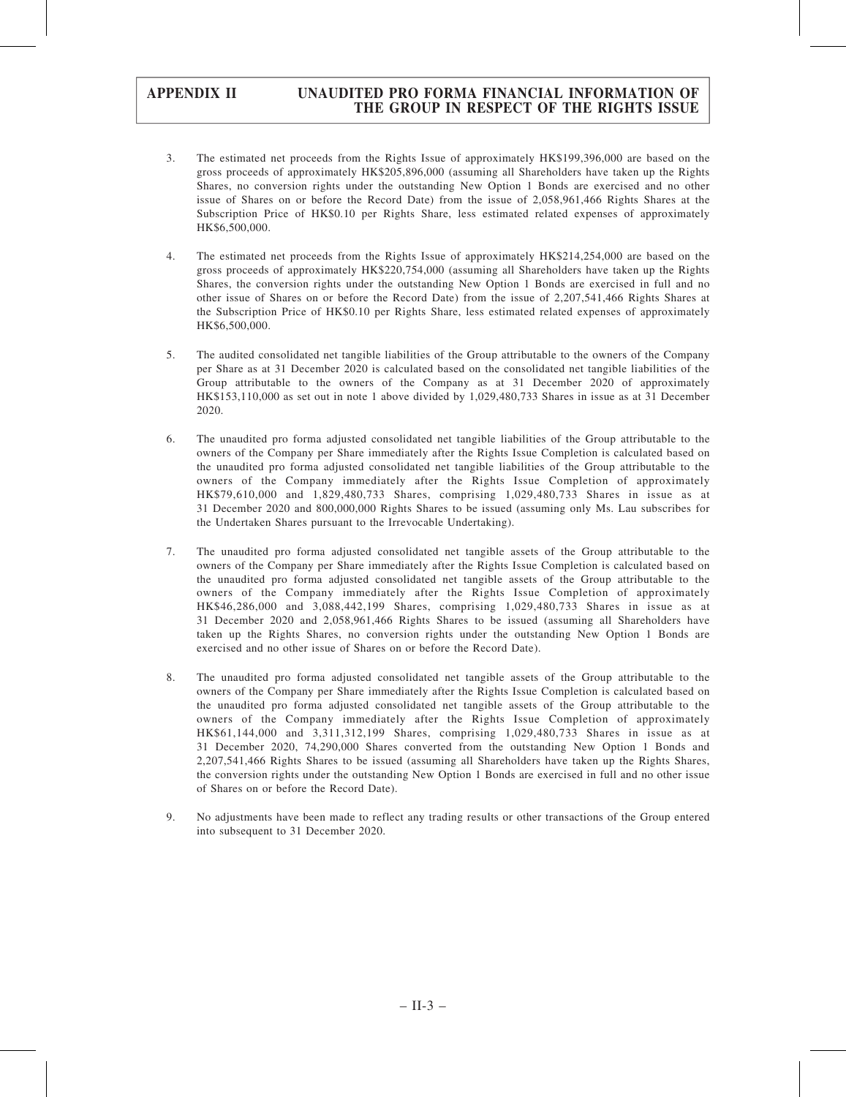- 3. The estimated net proceeds from the Rights Issue of approximately HK\$199,396,000 are based on the gross proceeds of approximately HK\$205,896,000 (assuming all Shareholders have taken up the Rights Shares, no conversion rights under the outstanding New Option 1 Bonds are exercised and no other issue of Shares on or before the Record Date) from the issue of 2,058,961,466 Rights Shares at the Subscription Price of HK\$0.10 per Rights Share, less estimated related expenses of approximately HK\$6,500,000.
- 4. The estimated net proceeds from the Rights Issue of approximately HK\$214,254,000 are based on the gross proceeds of approximately HK\$220,754,000 (assuming all Shareholders have taken up the Rights Shares, the conversion rights under the outstanding New Option 1 Bonds are exercised in full and no other issue of Shares on or before the Record Date) from the issue of 2,207,541,466 Rights Shares at the Subscription Price of HK\$0.10 per Rights Share, less estimated related expenses of approximately HK\$6,500,000.
- 5. The audited consolidated net tangible liabilities of the Group attributable to the owners of the Company per Share as at 31 December 2020 is calculated based on the consolidated net tangible liabilities of the Group attributable to the owners of the Company as at 31 December 2020 of approximately HK\$153,110,000 as set out in note 1 above divided by 1,029,480,733 Shares in issue as at 31 December 2020.
- 6. The unaudited pro forma adjusted consolidated net tangible liabilities of the Group attributable to the owners of the Company per Share immediately after the Rights Issue Completion is calculated based on the unaudited pro forma adjusted consolidated net tangible liabilities of the Group attributable to the owners of the Company immediately after the Rights Issue Completion of approximately HK\$79,610,000 and 1,829,480,733 Shares, comprising 1,029,480,733 Shares in issue as at 31 December 2020 and 800,000,000 Rights Shares to be issued (assuming only Ms. Lau subscribes for the Undertaken Shares pursuant to the Irrevocable Undertaking).
- 7. The unaudited pro forma adjusted consolidated net tangible assets of the Group attributable to the owners of the Company per Share immediately after the Rights Issue Completion is calculated based on the unaudited pro forma adjusted consolidated net tangible assets of the Group attributable to the owners of the Company immediately after the Rights Issue Completion of approximately HK\$46,286,000 and 3,088,442,199 Shares, comprising 1,029,480,733 Shares in issue as at 31 December 2020 and 2,058,961,466 Rights Shares to be issued (assuming all Shareholders have taken up the Rights Shares, no conversion rights under the outstanding New Option 1 Bonds are exercised and no other issue of Shares on or before the Record Date).
- 8. The unaudited pro forma adjusted consolidated net tangible assets of the Group attributable to the owners of the Company per Share immediately after the Rights Issue Completion is calculated based on the unaudited pro forma adjusted consolidated net tangible assets of the Group attributable to the owners of the Company immediately after the Rights Issue Completion of approximately HK\$61,144,000 and 3,311,312,199 Shares, comprising 1,029,480,733 Shares in issue as at 31 December 2020, 74,290,000 Shares converted from the outstanding New Option 1 Bonds and 2,207,541,466 Rights Shares to be issued (assuming all Shareholders have taken up the Rights Shares, the conversion rights under the outstanding New Option 1 Bonds are exercised in full and no other issue of Shares on or before the Record Date).
- 9. No adjustments have been made to reflect any trading results or other transactions of the Group entered into subsequent to 31 December 2020.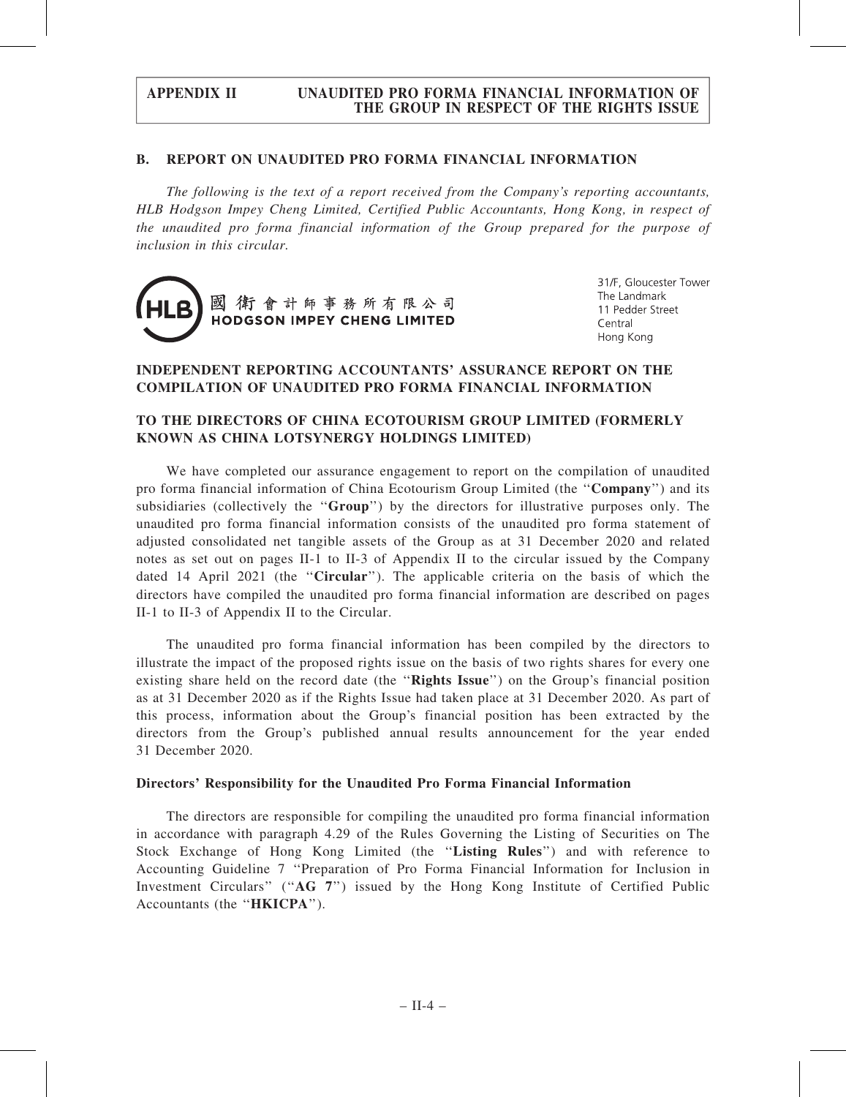## B. REPORT ON UNAUDITED PRO FORMA FINANCIAL INFORMATION

The following is the text of a report received from the Company's reporting accountants, HLB Hodgson Impey Cheng Limited, Certified Public Accountants, Hong Kong, in respect of the unaudited pro forma financial information of the Group prepared for the purpose of inclusion in this circular.



31/F, Gloucester Tower The Landmark 11 Pedder Street Central Hong Kong

# INDEPENDENT REPORTING ACCOUNTANTS' ASSURANCE REPORT ON THE COMPILATION OF UNAUDITED PRO FORMA FINANCIAL INFORMATION

# TO THE DIRECTORS OF CHINA ECOTOURISM GROUP LIMITED (FORMERLY KNOWN AS CHINA LOTSYNERGY HOLDINGS LIMITED)

We have completed our assurance engagement to report on the compilation of unaudited pro forma financial information of China Ecotourism Group Limited (the ''Company'') and its subsidiaries (collectively the "Group") by the directors for illustrative purposes only. The unaudited pro forma financial information consists of the unaudited pro forma statement of adjusted consolidated net tangible assets of the Group as at 31 December 2020 and related notes as set out on pages II-1 to II-3 of Appendix II to the circular issued by the Company dated 14 April 2021 (the ''Circular''). The applicable criteria on the basis of which the directors have compiled the unaudited pro forma financial information are described on pages II-1 to II-3 of Appendix II to the Circular.

The unaudited pro forma financial information has been compiled by the directors to illustrate the impact of the proposed rights issue on the basis of two rights shares for every one existing share held on the record date (the "Rights Issue") on the Group's financial position as at 31 December 2020 as if the Rights Issue had taken place at 31 December 2020. As part of this process, information about the Group's financial position has been extracted by the directors from the Group's published annual results announcement for the year ended 31 December 2020.

### Directors' Responsibility for the Unaudited Pro Forma Financial Information

The directors are responsible for compiling the unaudited pro forma financial information in accordance with paragraph 4.29 of the Rules Governing the Listing of Securities on The Stock Exchange of Hong Kong Limited (the "Listing Rules") and with reference to Accounting Guideline 7 ''Preparation of Pro Forma Financial Information for Inclusion in Investment Circulars" ("AG 7") issued by the Hong Kong Institute of Certified Public Accountants (the ''HKICPA'').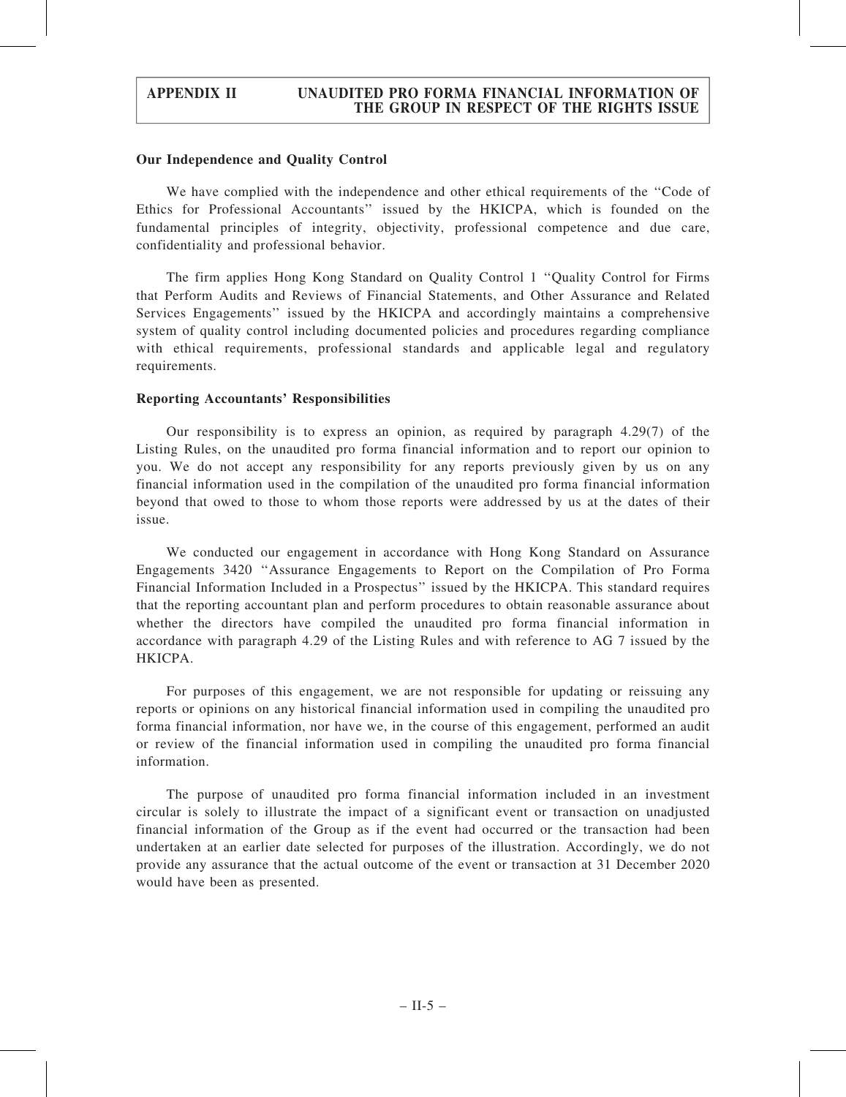### Our Independence and Quality Control

We have complied with the independence and other ethical requirements of the "Code of Ethics for Professional Accountants'' issued by the HKICPA, which is founded on the fundamental principles of integrity, objectivity, professional competence and due care, confidentiality and professional behavior.

The firm applies Hong Kong Standard on Quality Control 1 ''Quality Control for Firms that Perform Audits and Reviews of Financial Statements, and Other Assurance and Related Services Engagements'' issued by the HKICPA and accordingly maintains a comprehensive system of quality control including documented policies and procedures regarding compliance with ethical requirements, professional standards and applicable legal and regulatory requirements.

# Reporting Accountants' Responsibilities

Our responsibility is to express an opinion, as required by paragraph 4.29(7) of the Listing Rules, on the unaudited pro forma financial information and to report our opinion to you. We do not accept any responsibility for any reports previously given by us on any financial information used in the compilation of the unaudited pro forma financial information beyond that owed to those to whom those reports were addressed by us at the dates of their issue.

We conducted our engagement in accordance with Hong Kong Standard on Assurance Engagements 3420 ''Assurance Engagements to Report on the Compilation of Pro Forma Financial Information Included in a Prospectus'' issued by the HKICPA. This standard requires that the reporting accountant plan and perform procedures to obtain reasonable assurance about whether the directors have compiled the unaudited pro forma financial information in accordance with paragraph 4.29 of the Listing Rules and with reference to AG 7 issued by the HKICPA.

For purposes of this engagement, we are not responsible for updating or reissuing any reports or opinions on any historical financial information used in compiling the unaudited pro forma financial information, nor have we, in the course of this engagement, performed an audit or review of the financial information used in compiling the unaudited pro forma financial information.

The purpose of unaudited pro forma financial information included in an investment circular is solely to illustrate the impact of a significant event or transaction on unadjusted financial information of the Group as if the event had occurred or the transaction had been undertaken at an earlier date selected for purposes of the illustration. Accordingly, we do not provide any assurance that the actual outcome of the event or transaction at 31 December 2020 would have been as presented.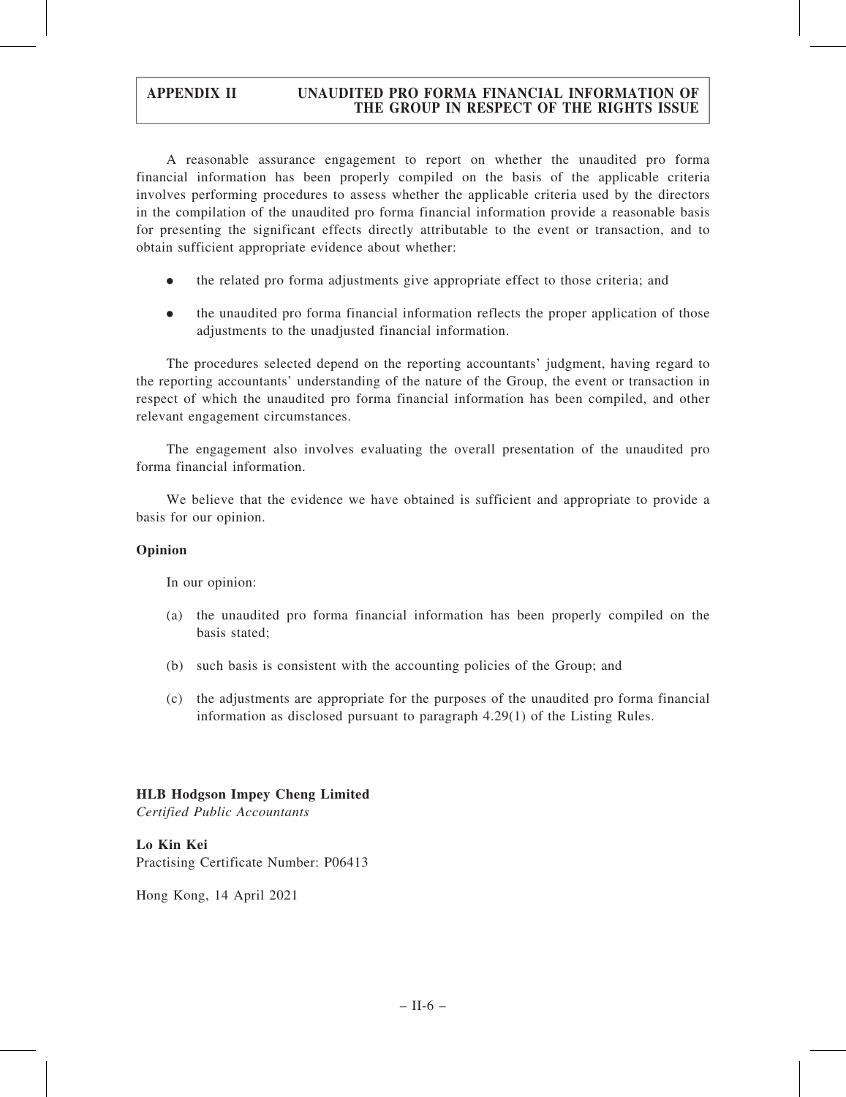A reasonable assurance engagement to report on whether the unaudited pro forma financial information has been properly compiled on the basis of the applicable criteria involves performing procedures to assess whether the applicable criteria used by the directors in the compilation of the unaudited pro forma financial information provide a reasonable basis for presenting the significant effects directly attributable to the event or transaction, and to obtain sufficient appropriate evidence about whether:

- . the related pro forma adjustments give appropriate effect to those criteria; and
- . the unaudited pro forma financial information reflects the proper application of those adjustments to the unadjusted financial information.

The procedures selected depend on the reporting accountants' judgment, having regard to the reporting accountants' understanding of the nature of the Group, the event or transaction in respect of which the unaudited pro forma financial information has been compiled, and other relevant engagement circumstances.

The engagement also involves evaluating the overall presentation of the unaudited pro forma financial information.

We believe that the evidence we have obtained is sufficient and appropriate to provide a basis for our opinion.

# Opinion

In our opinion:

- (a) the unaudited pro forma financial information has been properly compiled on the basis stated;
- (b) such basis is consistent with the accounting policies of the Group; and
- (c) the adjustments are appropriate for the purposes of the unaudited pro forma financial information as disclosed pursuant to paragraph 4.29(1) of the Listing Rules.

# HLB Hodgson Impey Cheng Limited

Certified Public Accountants

### Lo Kin Kei

Practising Certificate Number: P06413

Hong Kong, 14 April 2021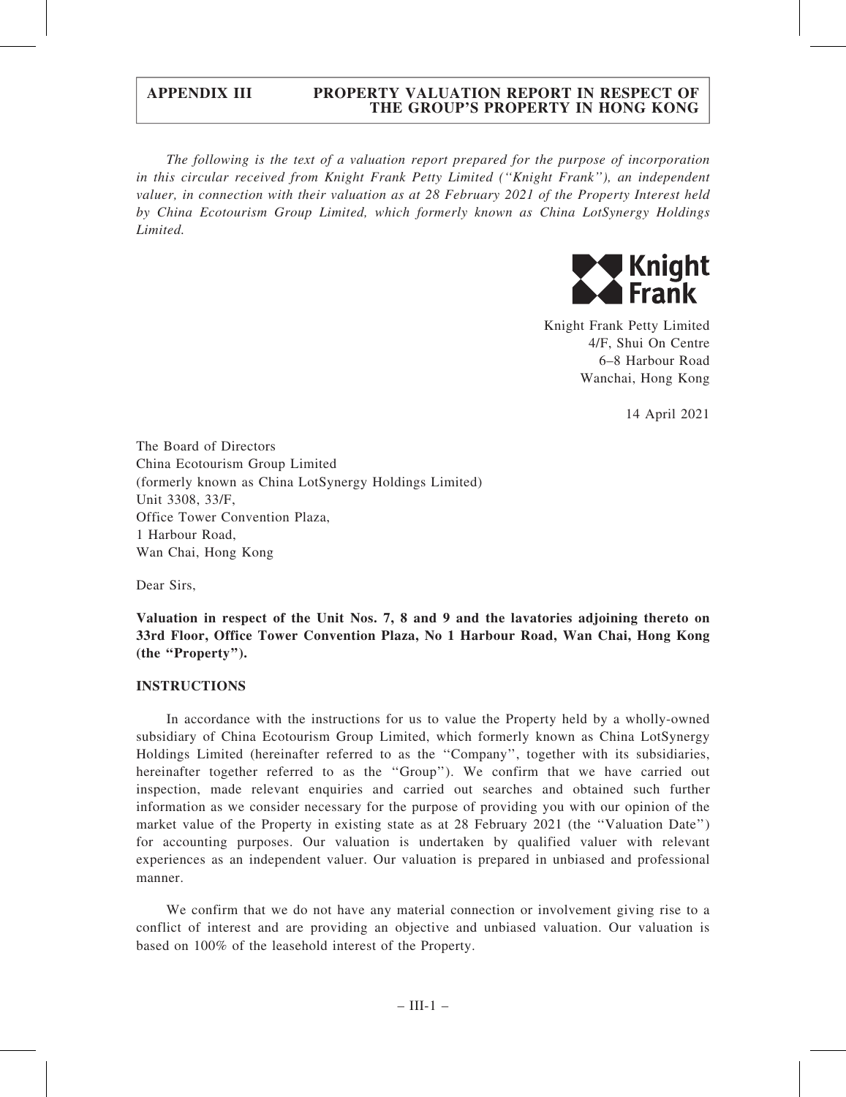The following is the text of a valuation report prepared for the purpose of incorporation in this circular received from Knight Frank Petty Limited (''Knight Frank''), an independent valuer, in connection with their valuation as at 28 February 2021 of the Property Interest held by China Ecotourism Group Limited, which formerly known as China LotSynergy Holdings Limited.



Knight Frank Petty Limited 4/F, Shui On Centre 6–8 Harbour Road Wanchai, Hong Kong

14 April 2021

The Board of Directors China Ecotourism Group Limited (formerly known as China LotSynergy Holdings Limited) Unit 3308, 33/F, Office Tower Convention Plaza, 1 Harbour Road, Wan Chai, Hong Kong

Dear Sirs,

Valuation in respect of the Unit Nos. 7, 8 and 9 and the lavatories adjoining thereto on 33rd Floor, Office Tower Convention Plaza, No 1 Harbour Road, Wan Chai, Hong Kong (the ''Property'').

### INSTRUCTIONS

In accordance with the instructions for us to value the Property held by a wholly-owned subsidiary of China Ecotourism Group Limited, which formerly known as China LotSynergy Holdings Limited (hereinafter referred to as the ''Company'', together with its subsidiaries, hereinafter together referred to as the "Group"). We confirm that we have carried out inspection, made relevant enquiries and carried out searches and obtained such further information as we consider necessary for the purpose of providing you with our opinion of the market value of the Property in existing state as at 28 February 2021 (the "Valuation Date") for accounting purposes. Our valuation is undertaken by qualified valuer with relevant experiences as an independent valuer. Our valuation is prepared in unbiased and professional manner.

We confirm that we do not have any material connection or involvement giving rise to a conflict of interest and are providing an objective and unbiased valuation. Our valuation is based on 100% of the leasehold interest of the Property.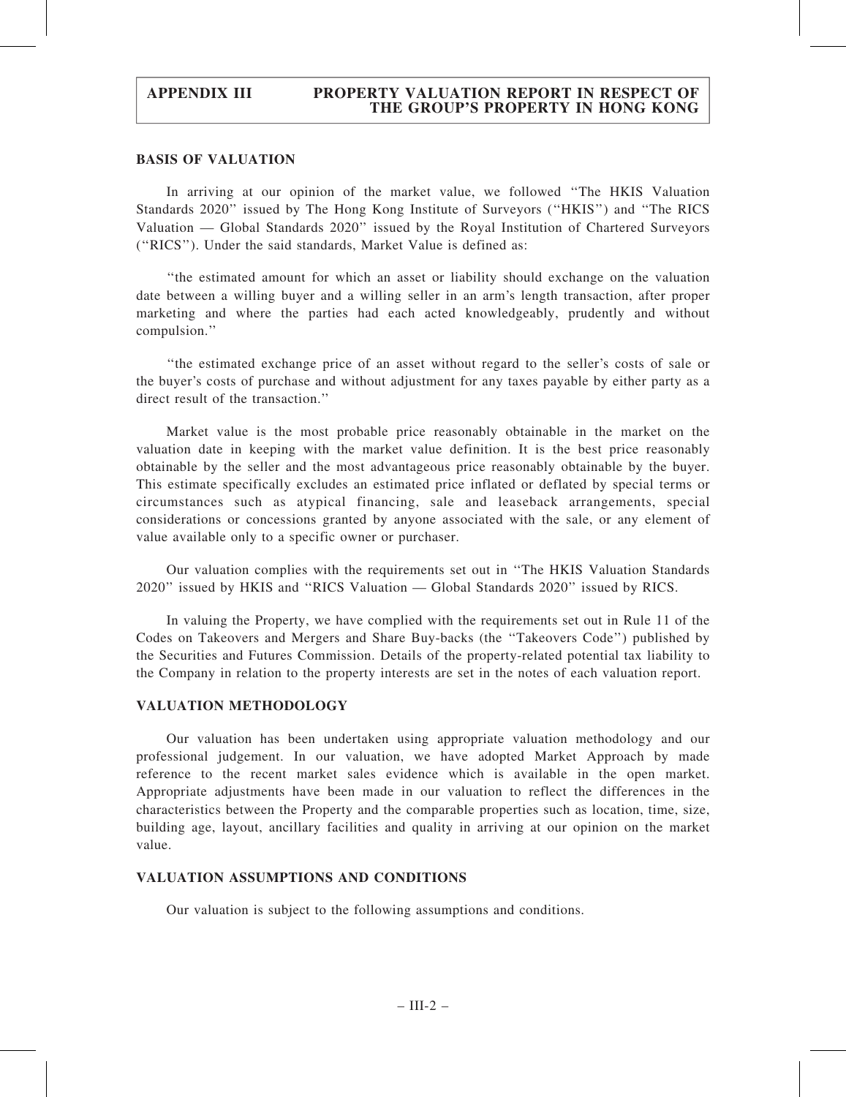## BASIS OF VALUATION

In arriving at our opinion of the market value, we followed ''The HKIS Valuation Standards 2020'' issued by The Hong Kong Institute of Surveyors (''HKIS'') and ''The RICS Valuation — Global Standards 2020'' issued by the Royal Institution of Chartered Surveyors (''RICS''). Under the said standards, Market Value is defined as:

''the estimated amount for which an asset or liability should exchange on the valuation date between a willing buyer and a willing seller in an arm's length transaction, after proper marketing and where the parties had each acted knowledgeably, prudently and without compulsion.''

''the estimated exchange price of an asset without regard to the seller's costs of sale or the buyer's costs of purchase and without adjustment for any taxes payable by either party as a direct result of the transaction."

Market value is the most probable price reasonably obtainable in the market on the valuation date in keeping with the market value definition. It is the best price reasonably obtainable by the seller and the most advantageous price reasonably obtainable by the buyer. This estimate specifically excludes an estimated price inflated or deflated by special terms or circumstances such as atypical financing, sale and leaseback arrangements, special considerations or concessions granted by anyone associated with the sale, or any element of value available only to a specific owner or purchaser.

Our valuation complies with the requirements set out in ''The HKIS Valuation Standards 2020'' issued by HKIS and ''RICS Valuation — Global Standards 2020'' issued by RICS.

In valuing the Property, we have complied with the requirements set out in Rule 11 of the Codes on Takeovers and Mergers and Share Buy-backs (the ''Takeovers Code'') published by the Securities and Futures Commission. Details of the property-related potential tax liability to the Company in relation to the property interests are set in the notes of each valuation report.

### VALUATION METHODOLOGY

Our valuation has been undertaken using appropriate valuation methodology and our professional judgement. In our valuation, we have adopted Market Approach by made reference to the recent market sales evidence which is available in the open market. Appropriate adjustments have been made in our valuation to reflect the differences in the characteristics between the Property and the comparable properties such as location, time, size, building age, layout, ancillary facilities and quality in arriving at our opinion on the market value.

### VALUATION ASSUMPTIONS AND CONDITIONS

Our valuation is subject to the following assumptions and conditions.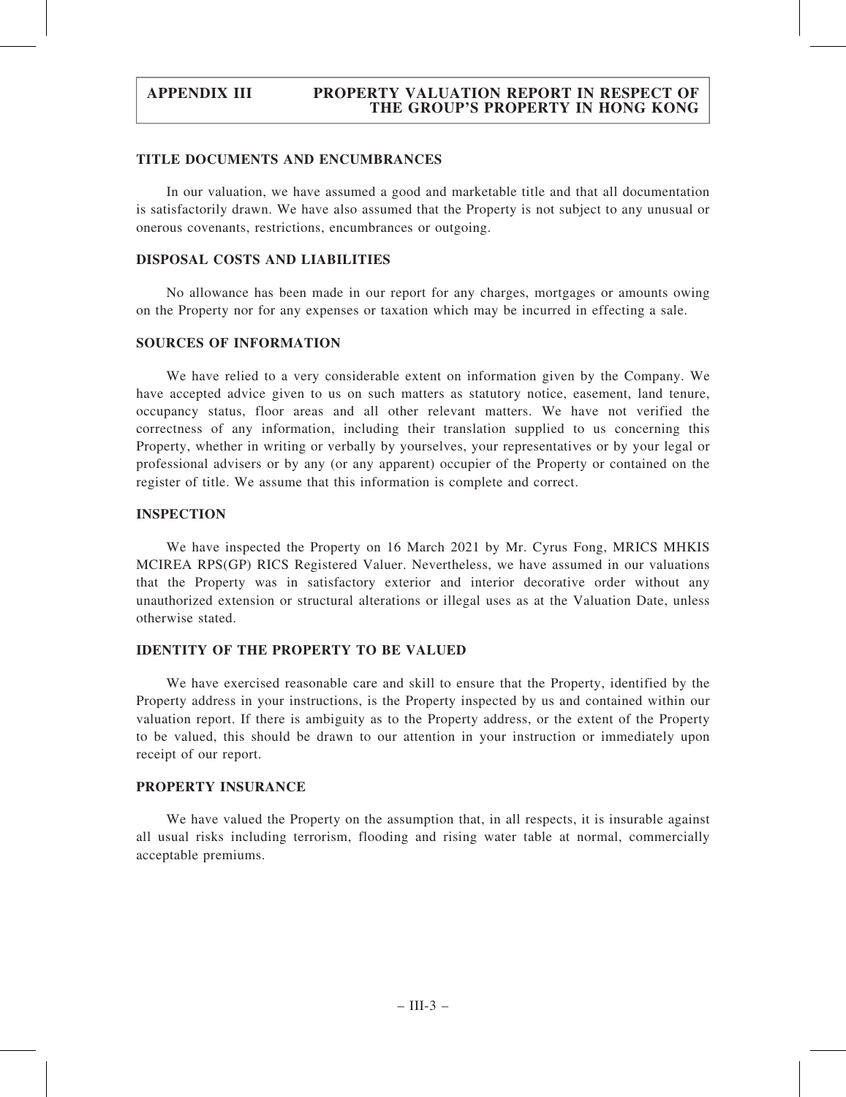### TITLE DOCUMENTS AND ENCUMBRANCES

In our valuation, we have assumed a good and marketable title and that all documentation is satisfactorily drawn. We have also assumed that the Property is not subject to any unusual or onerous covenants, restrictions, encumbrances or outgoing.

# DISPOSAL COSTS AND LIABILITIES

No allowance has been made in our report for any charges, mortgages or amounts owing on the Property nor for any expenses or taxation which may be incurred in effecting a sale.

## SOURCES OF INFORMATION

We have relied to a very considerable extent on information given by the Company. We have accepted advice given to us on such matters as statutory notice, easement, land tenure, occupancy status, floor areas and all other relevant matters. We have not verified the correctness of any information, including their translation supplied to us concerning this Property, whether in writing or verbally by yourselves, your representatives or by your legal or professional advisers or by any (or any apparent) occupier of the Property or contained on the register of title. We assume that this information is complete and correct.

## INSPECTION

We have inspected the Property on 16 March 2021 by Mr. Cyrus Fong, MRICS MHKIS MCIREA RPS(GP) RICS Registered Valuer. Nevertheless, we have assumed in our valuations that the Property was in satisfactory exterior and interior decorative order without any unauthorized extension or structural alterations or illegal uses as at the Valuation Date, unless otherwise stated.

# IDENTITY OF THE PROPERTY TO BE VALUED

We have exercised reasonable care and skill to ensure that the Property, identified by the Property address in your instructions, is the Property inspected by us and contained within our valuation report. If there is ambiguity as to the Property address, or the extent of the Property to be valued, this should be drawn to our attention in your instruction or immediately upon receipt of our report.

## PROPERTY INSURANCE

We have valued the Property on the assumption that, in all respects, it is insurable against all usual risks including terrorism, flooding and rising water table at normal, commercially acceptable premiums.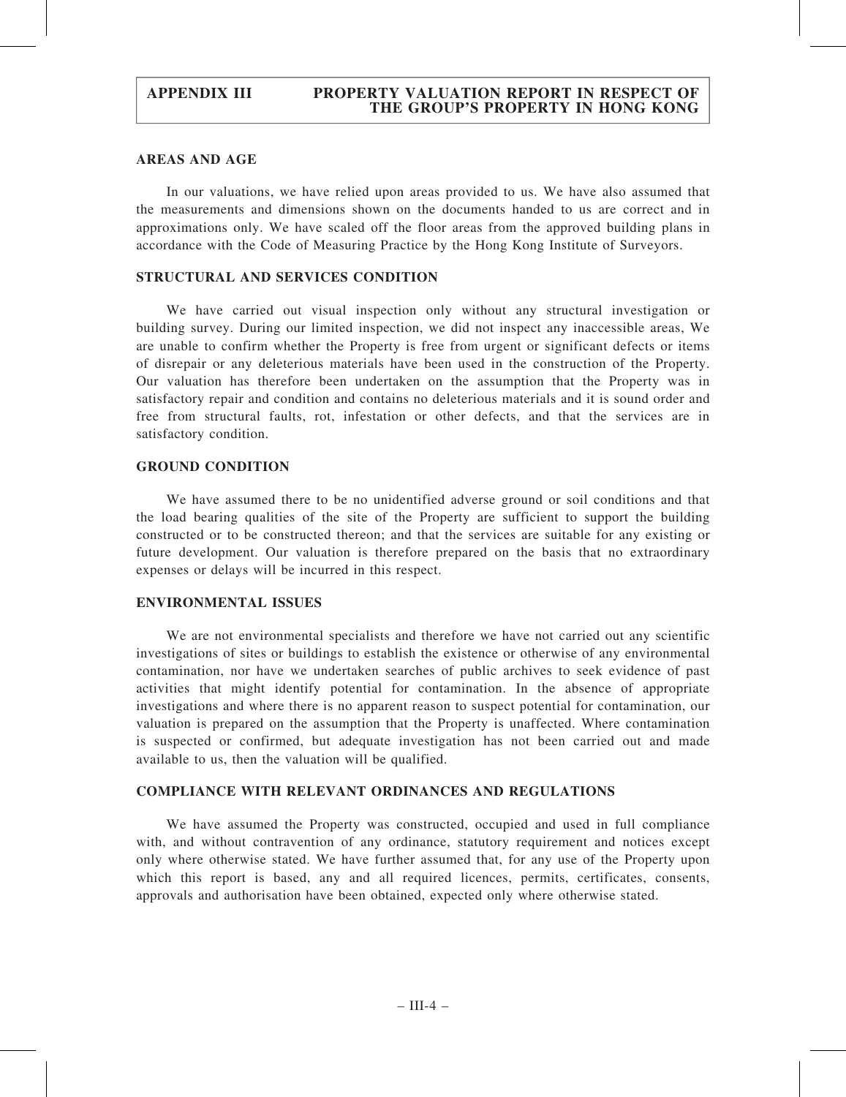# AREAS AND AGE

In our valuations, we have relied upon areas provided to us. We have also assumed that the measurements and dimensions shown on the documents handed to us are correct and in approximations only. We have scaled off the floor areas from the approved building plans in accordance with the Code of Measuring Practice by the Hong Kong Institute of Surveyors.

## STRUCTURAL AND SERVICES CONDITION

We have carried out visual inspection only without any structural investigation or building survey. During our limited inspection, we did not inspect any inaccessible areas, We are unable to confirm whether the Property is free from urgent or significant defects or items of disrepair or any deleterious materials have been used in the construction of the Property. Our valuation has therefore been undertaken on the assumption that the Property was in satisfactory repair and condition and contains no deleterious materials and it is sound order and free from structural faults, rot, infestation or other defects, and that the services are in satisfactory condition.

### GROUND CONDITION

We have assumed there to be no unidentified adverse ground or soil conditions and that the load bearing qualities of the site of the Property are sufficient to support the building constructed or to be constructed thereon; and that the services are suitable for any existing or future development. Our valuation is therefore prepared on the basis that no extraordinary expenses or delays will be incurred in this respect.

### ENVIRONMENTAL ISSUES

We are not environmental specialists and therefore we have not carried out any scientific investigations of sites or buildings to establish the existence or otherwise of any environmental contamination, nor have we undertaken searches of public archives to seek evidence of past activities that might identify potential for contamination. In the absence of appropriate investigations and where there is no apparent reason to suspect potential for contamination, our valuation is prepared on the assumption that the Property is unaffected. Where contamination is suspected or confirmed, but adequate investigation has not been carried out and made available to us, then the valuation will be qualified.

# COMPLIANCE WITH RELEVANT ORDINANCES AND REGULATIONS

We have assumed the Property was constructed, occupied and used in full compliance with, and without contravention of any ordinance, statutory requirement and notices except only where otherwise stated. We have further assumed that, for any use of the Property upon which this report is based, any and all required licences, permits, certificates, consents, approvals and authorisation have been obtained, expected only where otherwise stated.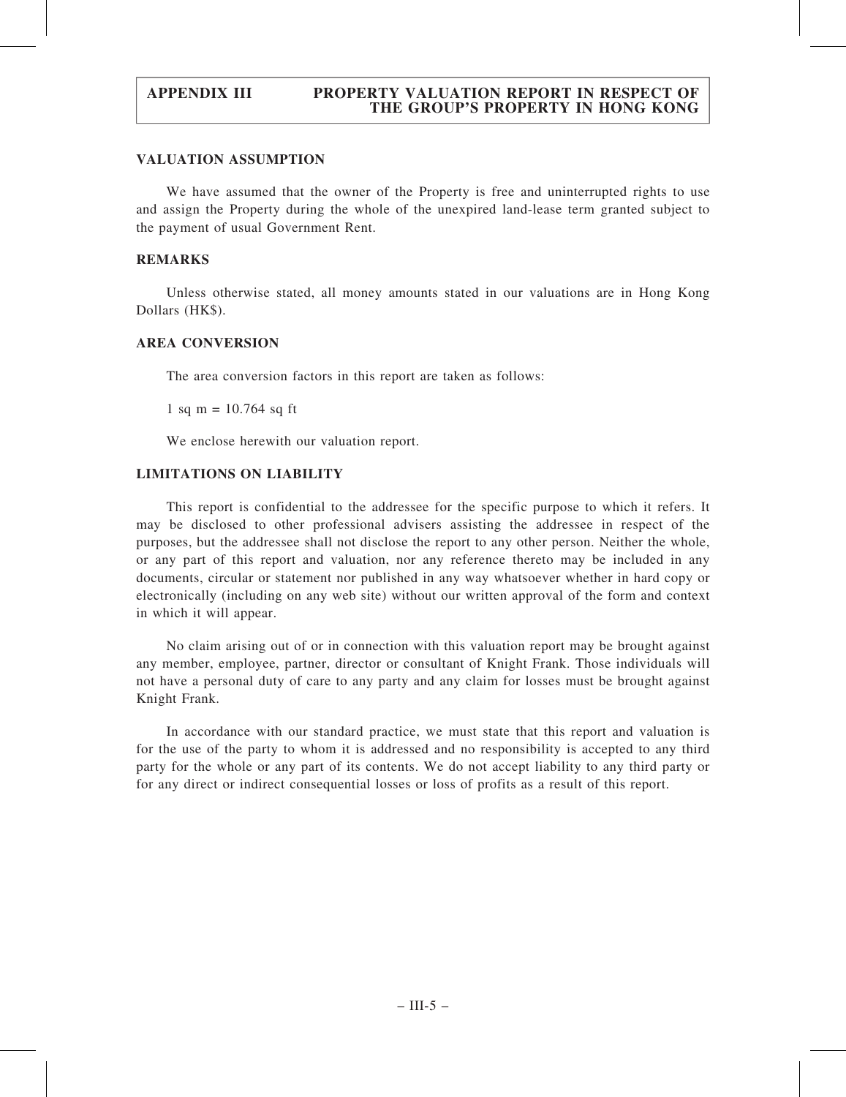# VALUATION ASSUMPTION

We have assumed that the owner of the Property is free and uninterrupted rights to use and assign the Property during the whole of the unexpired land-lease term granted subject to the payment of usual Government Rent.

# REMARKS

Unless otherwise stated, all money amounts stated in our valuations are in Hong Kong Dollars (HK\$).

# AREA CONVERSION

The area conversion factors in this report are taken as follows:

1 sq m =  $10.764$  sq ft

We enclose herewith our valuation report.

# LIMITATIONS ON LIABILITY

This report is confidential to the addressee for the specific purpose to which it refers. It may be disclosed to other professional advisers assisting the addressee in respect of the purposes, but the addressee shall not disclose the report to any other person. Neither the whole, or any part of this report and valuation, nor any reference thereto may be included in any documents, circular or statement nor published in any way whatsoever whether in hard copy or electronically (including on any web site) without our written approval of the form and context in which it will appear.

No claim arising out of or in connection with this valuation report may be brought against any member, employee, partner, director or consultant of Knight Frank. Those individuals will not have a personal duty of care to any party and any claim for losses must be brought against Knight Frank.

In accordance with our standard practice, we must state that this report and valuation is for the use of the party to whom it is addressed and no responsibility is accepted to any third party for the whole or any part of its contents. We do not accept liability to any third party or for any direct or indirect consequential losses or loss of profits as a result of this report.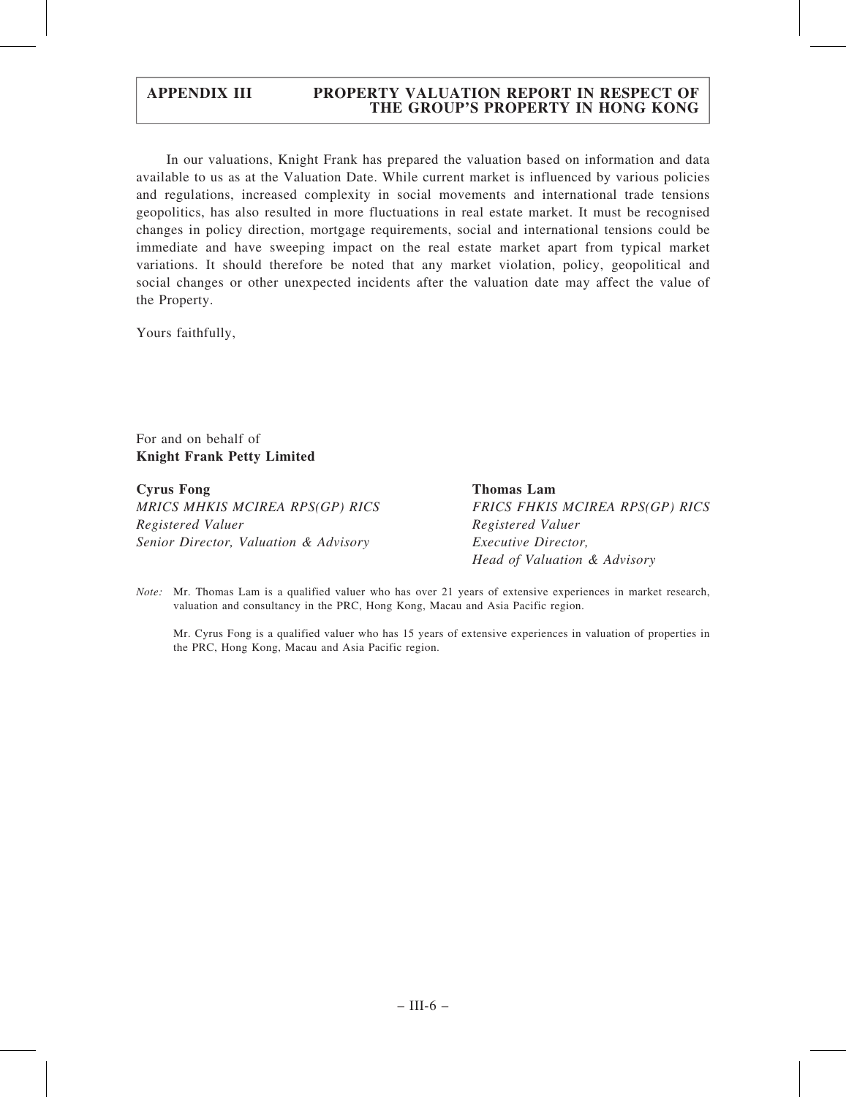In our valuations, Knight Frank has prepared the valuation based on information and data available to us as at the Valuation Date. While current market is influenced by various policies and regulations, increased complexity in social movements and international trade tensions geopolitics, has also resulted in more fluctuations in real estate market. It must be recognised changes in policy direction, mortgage requirements, social and international tensions could be immediate and have sweeping impact on the real estate market apart from typical market variations. It should therefore be noted that any market violation, policy, geopolitical and social changes or other unexpected incidents after the valuation date may affect the value of the Property.

Yours faithfully,

For and on behalf of Knight Frank Petty Limited

Cyrus Fong MRICS MHKIS MCIREA RPS(GP) RICS Registered Valuer Senior Director, Valuation & Advisory

Thomas Lam FRICS FHKIS MCIREA RPS(GP) RICS Registered Valuer Executive Director, Head of Valuation & Advisory

Note: Mr. Thomas Lam is a qualified valuer who has over 21 years of extensive experiences in market research, valuation and consultancy in the PRC, Hong Kong, Macau and Asia Pacific region.

Mr. Cyrus Fong is a qualified valuer who has 15 years of extensive experiences in valuation of properties in the PRC, Hong Kong, Macau and Asia Pacific region.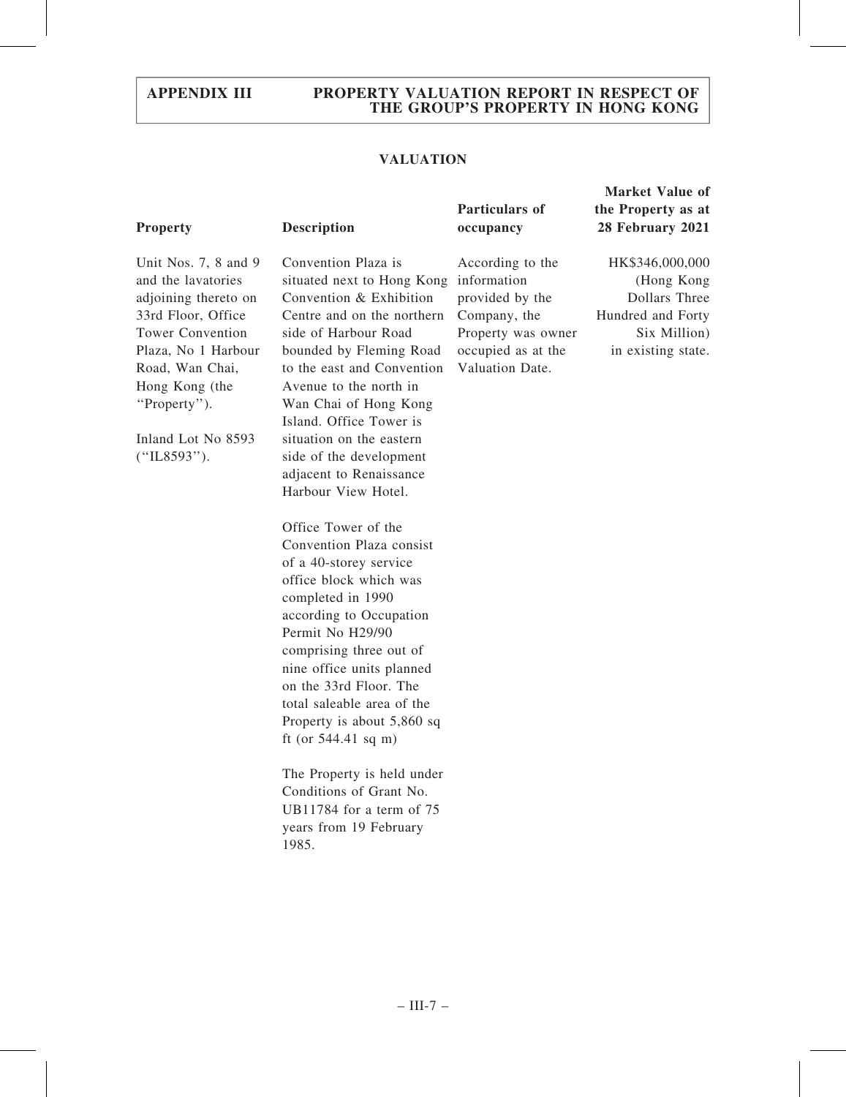# VALUATION

# Property Description

Unit Nos. 7, 8 and 9 and the lavatories adjoining thereto on 33rd Floor, Office Tower Convention Plaza, No 1 Harbour Road, Wan Chai, Hong Kong (the ''Property'').

Inland Lot No 8593 (''IL8593'').

Convention Plaza is situated next to Hong Kong Convention & Exhibition Centre and on the northern side of Harbour Road bounded by Fleming Road to the east and Convention Avenue to the north in Wan Chai of Hong Kong Island. Office Tower is situation on the eastern side of the development adjacent to Renaissance Harbour View Hotel.

Office Tower of the Convention Plaza consist of a 40-storey service office block which was completed in 1990 according to Occupation Permit No H29/90 comprising three out of nine office units planned on the 33rd Floor. The total saleable area of the Property is about 5,860 sq ft (or 544.41 sq m)

The Property is held under Conditions of Grant No. UB11784 for a term of 75 years from 19 February 1985.

## Particulars of occupancy

According to the information provided by the Company, the Property was owner occupied as at the Valuation Date.

Market Value of the Property as at 28 February 2021

HK\$346,000,000 (Hong Kong Dollars Three Hundred and Forty Six Million) in existing state.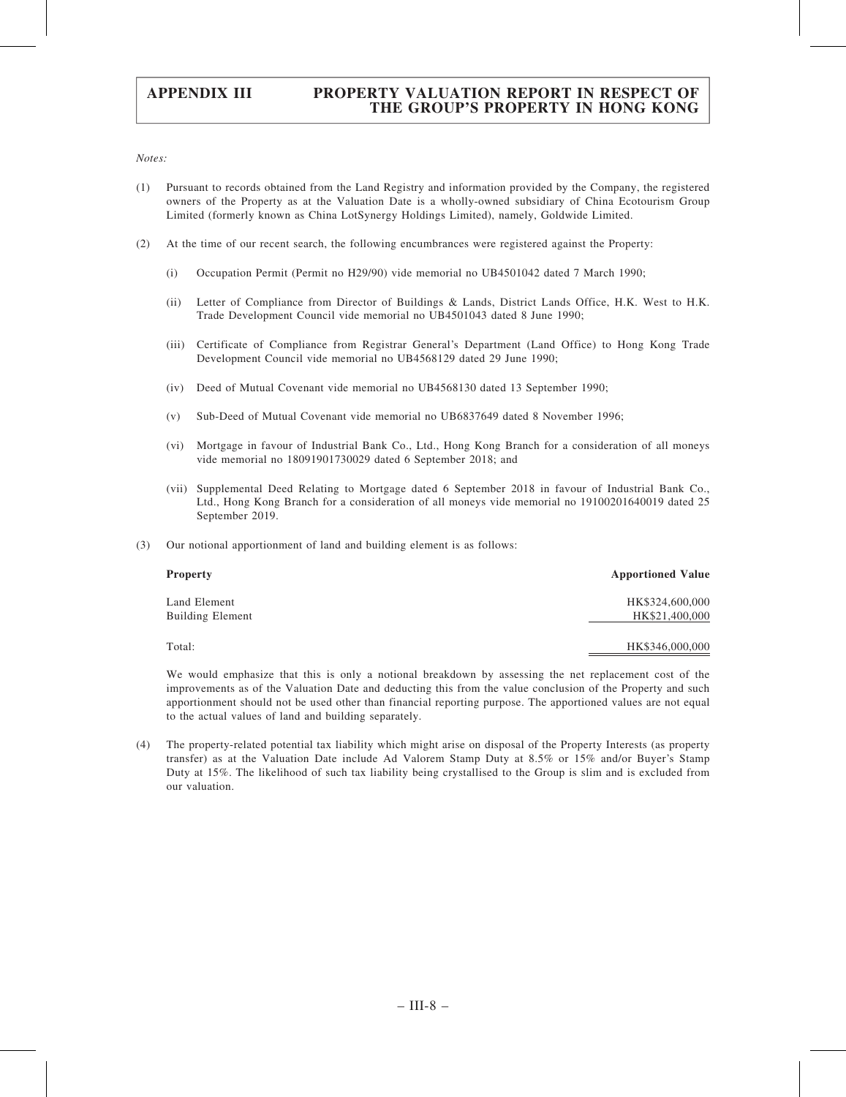Notes:

- (1) Pursuant to records obtained from the Land Registry and information provided by the Company, the registered owners of the Property as at the Valuation Date is a wholly-owned subsidiary of China Ecotourism Group Limited (formerly known as China LotSynergy Holdings Limited), namely, Goldwide Limited.
- (2) At the time of our recent search, the following encumbrances were registered against the Property:
	- (i) Occupation Permit (Permit no H29/90) vide memorial no UB4501042 dated 7 March 1990;
	- (ii) Letter of Compliance from Director of Buildings & Lands, District Lands Office, H.K. West to H.K. Trade Development Council vide memorial no UB4501043 dated 8 June 1990;
	- (iii) Certificate of Compliance from Registrar General's Department (Land Office) to Hong Kong Trade Development Council vide memorial no UB4568129 dated 29 June 1990;
	- (iv) Deed of Mutual Covenant vide memorial no UB4568130 dated 13 September 1990;
	- (v) Sub-Deed of Mutual Covenant vide memorial no UB6837649 dated 8 November 1996;
	- (vi) Mortgage in favour of Industrial Bank Co., Ltd., Hong Kong Branch for a consideration of all moneys vide memorial no 18091901730029 dated 6 September 2018; and
	- (vii) Supplemental Deed Relating to Mortgage dated 6 September 2018 in favour of Industrial Bank Co., Ltd., Hong Kong Branch for a consideration of all moneys vide memorial no 19100201640019 dated 25 September 2019.
- (3) Our notional apportionment of land and building element is as follows:

| <b>Property</b>         | <b>Apportioned Value</b> |
|-------------------------|--------------------------|
| Land Element            | HK\$324,600,000          |
| <b>Building Element</b> | HK\$21,400,000           |
| Total:                  | HK\$346,000,000          |

We would emphasize that this is only a notional breakdown by assessing the net replacement cost of the improvements as of the Valuation Date and deducting this from the value conclusion of the Property and such apportionment should not be used other than financial reporting purpose. The apportioned values are not equal to the actual values of land and building separately.

(4) The property-related potential tax liability which might arise on disposal of the Property Interests (as property transfer) as at the Valuation Date include Ad Valorem Stamp Duty at 8.5% or 15% and/or Buyer's Stamp Duty at 15%. The likelihood of such tax liability being crystallised to the Group is slim and is excluded from our valuation.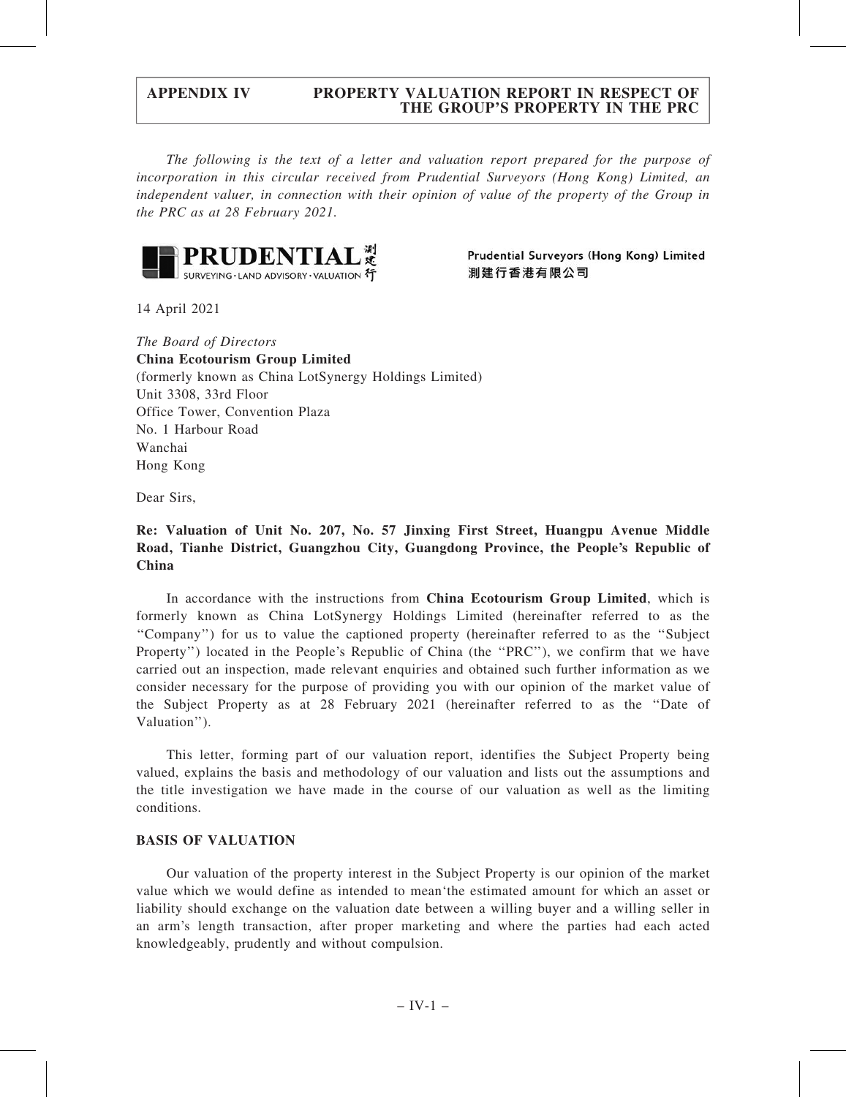The following is the text of a letter and valuation report prepared for the purpose of incorporation in this circular received from Prudential Surveyors (Hong Kong) Limited, an independent valuer, in connection with their opinion of value of the property of the Group in the PRC as at 28 February 2021.



Prudential Surveyors (Hong Kong) Limited 測建行香港有限公司

14 April 2021

The Board of Directors China Ecotourism Group Limited (formerly known as China LotSynergy Holdings Limited) Unit 3308, 33rd Floor Office Tower, Convention Plaza No. 1 Harbour Road Wanchai Hong Kong

Dear Sirs,

# Re: Valuation of Unit No. 207, No. 57 Jinxing First Street, Huangpu Avenue Middle Road, Tianhe District, Guangzhou City, Guangdong Province, the People's Republic of China

In accordance with the instructions from China Ecotourism Group Limited, which is formerly known as China LotSynergy Holdings Limited (hereinafter referred to as the ''Company'') for us to value the captioned property (hereinafter referred to as the ''Subject Property'') located in the People's Republic of China (the ''PRC''), we confirm that we have carried out an inspection, made relevant enquiries and obtained such further information as we consider necessary for the purpose of providing you with our opinion of the market value of the Subject Property as at 28 February 2021 (hereinafter referred to as the ''Date of Valuation'').

This letter, forming part of our valuation report, identifies the Subject Property being valued, explains the basis and methodology of our valuation and lists out the assumptions and the title investigation we have made in the course of our valuation as well as the limiting conditions.

### BASIS OF VALUATION

Our valuation of the property interest in the Subject Property is our opinion of the market value which we would define as intended to mean'the estimated amount for which an asset or liability should exchange on the valuation date between a willing buyer and a willing seller in an arm's length transaction, after proper marketing and where the parties had each acted knowledgeably, prudently and without compulsion.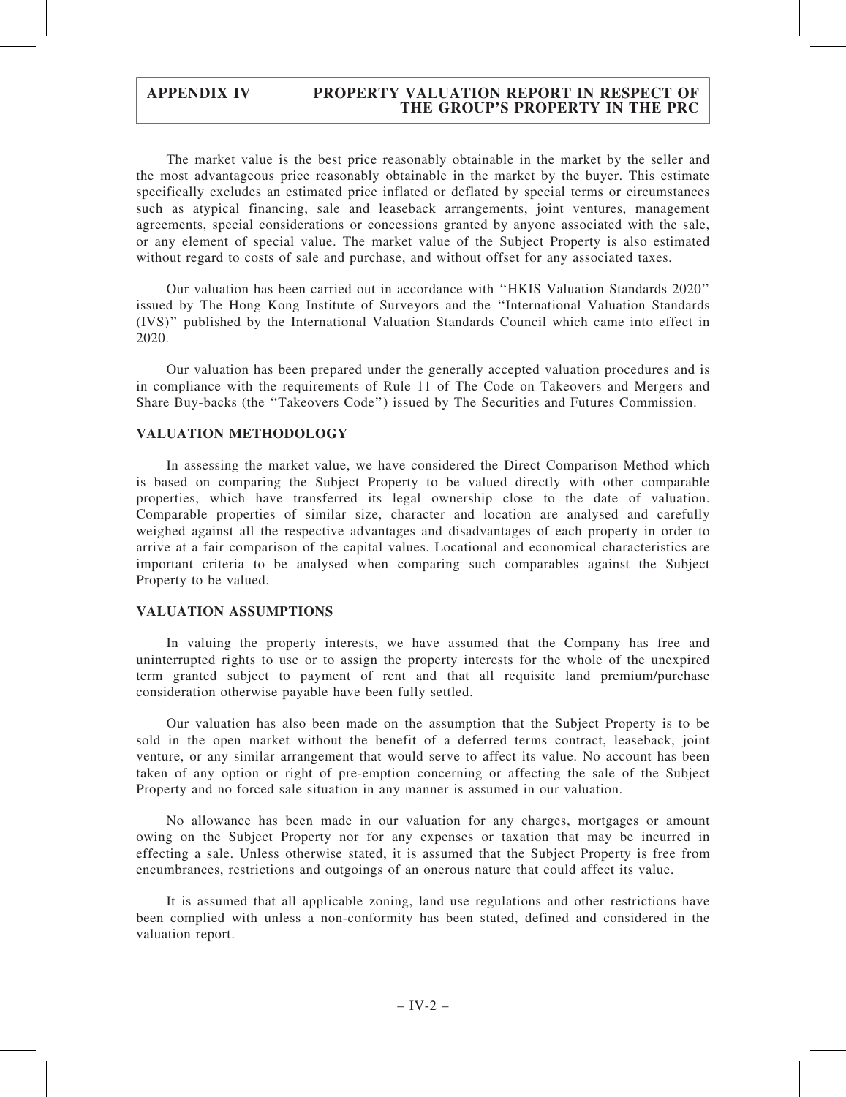The market value is the best price reasonably obtainable in the market by the seller and the most advantageous price reasonably obtainable in the market by the buyer. This estimate specifically excludes an estimated price inflated or deflated by special terms or circumstances such as atypical financing, sale and leaseback arrangements, joint ventures, management agreements, special considerations or concessions granted by anyone associated with the sale, or any element of special value. The market value of the Subject Property is also estimated without regard to costs of sale and purchase, and without offset for any associated taxes.

Our valuation has been carried out in accordance with ''HKIS Valuation Standards 2020'' issued by The Hong Kong Institute of Surveyors and the ''International Valuation Standards (IVS)'' published by the International Valuation Standards Council which came into effect in 2020.

Our valuation has been prepared under the generally accepted valuation procedures and is in compliance with the requirements of Rule 11 of The Code on Takeovers and Mergers and Share Buy-backs (the ''Takeovers Code'') issued by The Securities and Futures Commission.

## VALUATION METHODOLOGY

In assessing the market value, we have considered the Direct Comparison Method which is based on comparing the Subject Property to be valued directly with other comparable properties, which have transferred its legal ownership close to the date of valuation. Comparable properties of similar size, character and location are analysed and carefully weighed against all the respective advantages and disadvantages of each property in order to arrive at a fair comparison of the capital values. Locational and economical characteristics are important criteria to be analysed when comparing such comparables against the Subject Property to be valued.

### VALUATION ASSUMPTIONS

In valuing the property interests, we have assumed that the Company has free and uninterrupted rights to use or to assign the property interests for the whole of the unexpired term granted subject to payment of rent and that all requisite land premium/purchase consideration otherwise payable have been fully settled.

Our valuation has also been made on the assumption that the Subject Property is to be sold in the open market without the benefit of a deferred terms contract, leaseback, joint venture, or any similar arrangement that would serve to affect its value. No account has been taken of any option or right of pre-emption concerning or affecting the sale of the Subject Property and no forced sale situation in any manner is assumed in our valuation.

No allowance has been made in our valuation for any charges, mortgages or amount owing on the Subject Property nor for any expenses or taxation that may be incurred in effecting a sale. Unless otherwise stated, it is assumed that the Subject Property is free from encumbrances, restrictions and outgoings of an onerous nature that could affect its value.

It is assumed that all applicable zoning, land use regulations and other restrictions have been complied with unless a non-conformity has been stated, defined and considered in the valuation report.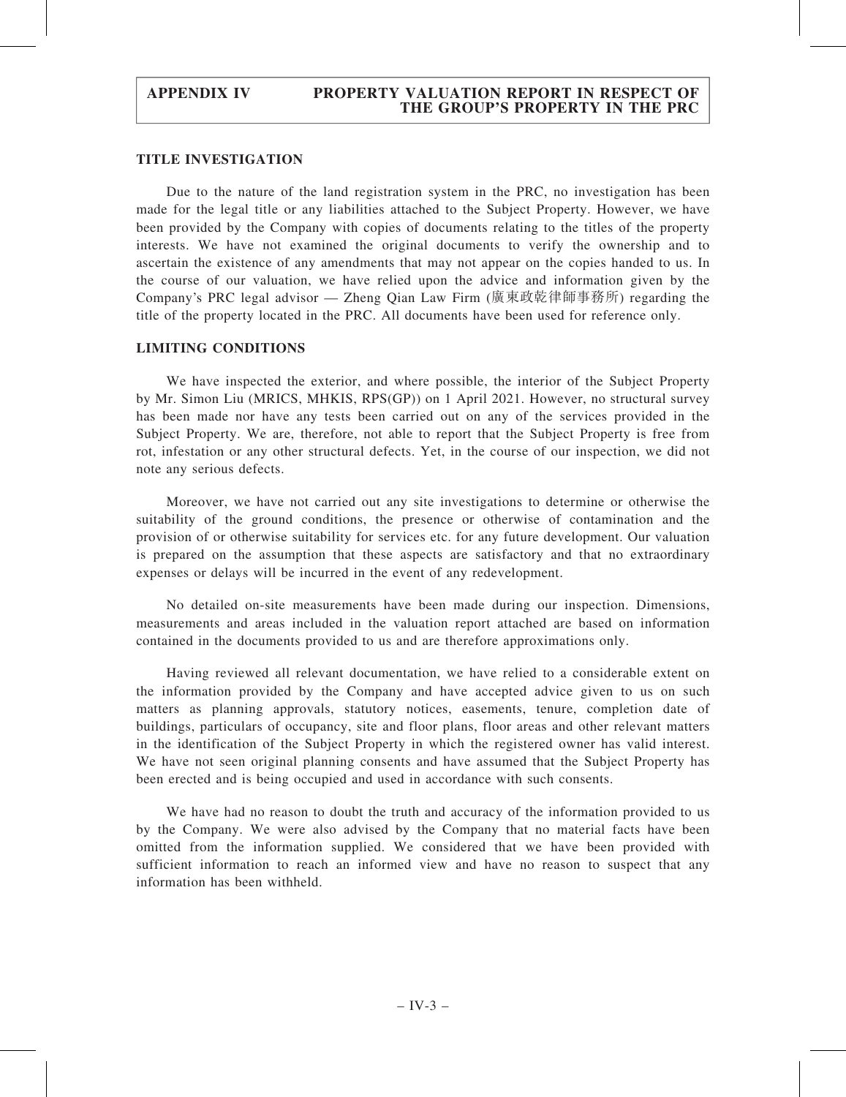## TITLE INVESTIGATION

Due to the nature of the land registration system in the PRC, no investigation has been made for the legal title or any liabilities attached to the Subject Property. However, we have been provided by the Company with copies of documents relating to the titles of the property interests. We have not examined the original documents to verify the ownership and to ascertain the existence of any amendments that may not appear on the copies handed to us. In the course of our valuation, we have relied upon the advice and information given by the Company's PRC legal advisor — Zheng Qian Law Firm (廣東政乾律師事務所) regarding the title of the property located in the PRC. All documents have been used for reference only.

### LIMITING CONDITIONS

We have inspected the exterior, and where possible, the interior of the Subject Property by Mr. Simon Liu (MRICS, MHKIS, RPS(GP)) on 1 April 2021. However, no structural survey has been made nor have any tests been carried out on any of the services provided in the Subject Property. We are, therefore, not able to report that the Subject Property is free from rot, infestation or any other structural defects. Yet, in the course of our inspection, we did not note any serious defects.

Moreover, we have not carried out any site investigations to determine or otherwise the suitability of the ground conditions, the presence or otherwise of contamination and the provision of or otherwise suitability for services etc. for any future development. Our valuation is prepared on the assumption that these aspects are satisfactory and that no extraordinary expenses or delays will be incurred in the event of any redevelopment.

No detailed on-site measurements have been made during our inspection. Dimensions, measurements and areas included in the valuation report attached are based on information contained in the documents provided to us and are therefore approximations only.

Having reviewed all relevant documentation, we have relied to a considerable extent on the information provided by the Company and have accepted advice given to us on such matters as planning approvals, statutory notices, easements, tenure, completion date of buildings, particulars of occupancy, site and floor plans, floor areas and other relevant matters in the identification of the Subject Property in which the registered owner has valid interest. We have not seen original planning consents and have assumed that the Subject Property has been erected and is being occupied and used in accordance with such consents.

We have had no reason to doubt the truth and accuracy of the information provided to us by the Company. We were also advised by the Company that no material facts have been omitted from the information supplied. We considered that we have been provided with sufficient information to reach an informed view and have no reason to suspect that any information has been withheld.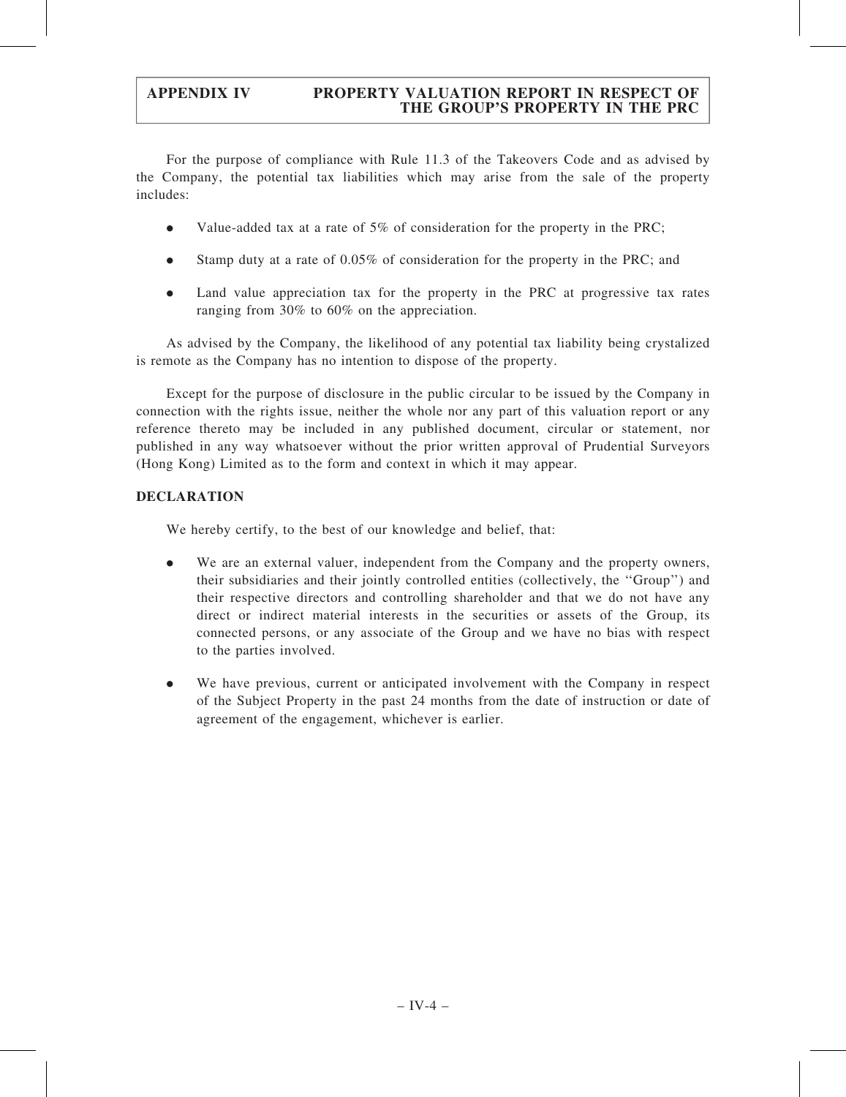For the purpose of compliance with Rule 11.3 of the Takeovers Code and as advised by the Company, the potential tax liabilities which may arise from the sale of the property includes:

- . Value-added tax at a rate of 5% of consideration for the property in the PRC;
- . Stamp duty at a rate of 0.05% of consideration for the property in the PRC; and
- . Land value appreciation tax for the property in the PRC at progressive tax rates ranging from 30% to 60% on the appreciation.

As advised by the Company, the likelihood of any potential tax liability being crystalized is remote as the Company has no intention to dispose of the property.

Except for the purpose of disclosure in the public circular to be issued by the Company in connection with the rights issue, neither the whole nor any part of this valuation report or any reference thereto may be included in any published document, circular or statement, nor published in any way whatsoever without the prior written approval of Prudential Surveyors (Hong Kong) Limited as to the form and context in which it may appear.

# DECLARATION

We hereby certify, to the best of our knowledge and belief, that:

- . We are an external valuer, independent from the Company and the property owners, their subsidiaries and their jointly controlled entities (collectively, the ''Group'') and their respective directors and controlling shareholder and that we do not have any direct or indirect material interests in the securities or assets of the Group, its connected persons, or any associate of the Group and we have no bias with respect to the parties involved.
- . We have previous, current or anticipated involvement with the Company in respect of the Subject Property in the past 24 months from the date of instruction or date of agreement of the engagement, whichever is earlier.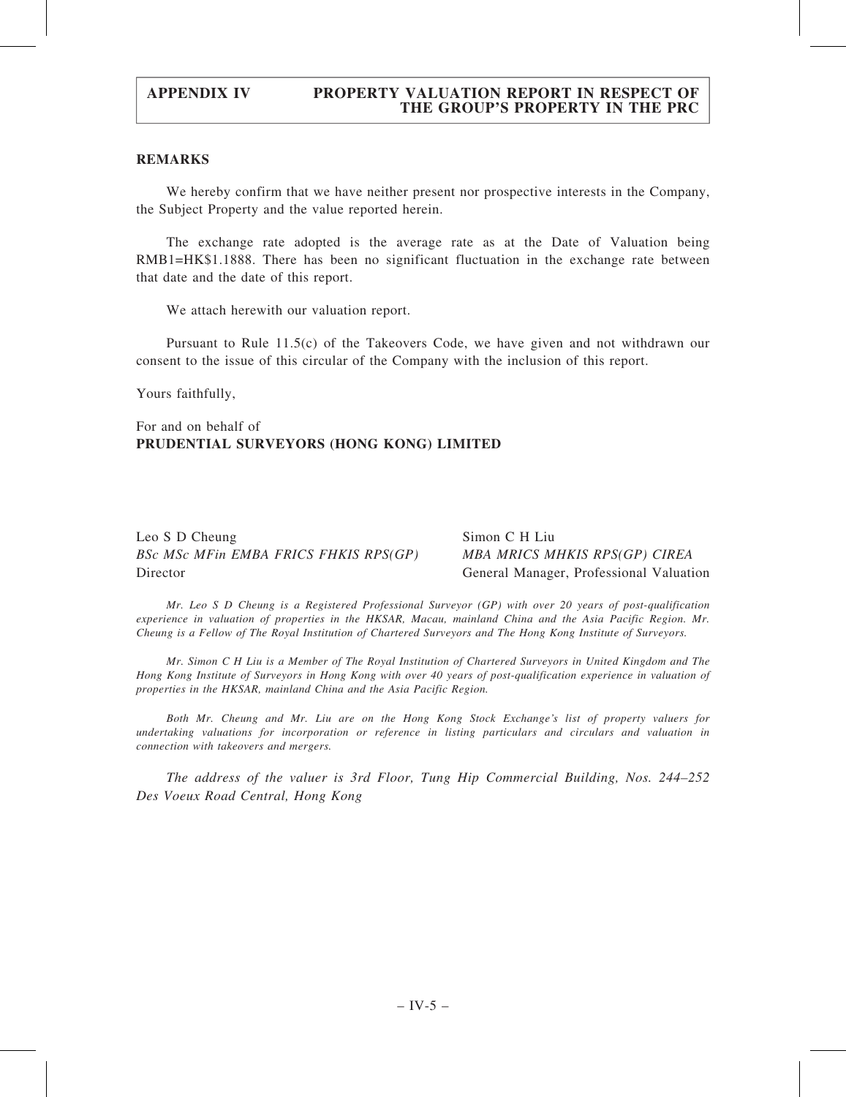# REMARKS

We hereby confirm that we have neither present nor prospective interests in the Company, the Subject Property and the value reported herein.

The exchange rate adopted is the average rate as at the Date of Valuation being RMB1=HK\$1.1888. There has been no significant fluctuation in the exchange rate between that date and the date of this report.

We attach herewith our valuation report.

Pursuant to Rule 11.5(c) of the Takeovers Code, we have given and not withdrawn our consent to the issue of this circular of the Company with the inclusion of this report.

Yours faithfully,

For and on behalf of PRUDENTIAL SURVEYORS (HONG KONG) LIMITED

Leo S D Cheung BSc MSc MFin EMBA FRICS FHKIS RPS(GP) Director

Simon C H Liu MBA MRICS MHKIS RPS(GP) CIREA General Manager, Professional Valuation

Mr. Leo S D Cheung is a Registered Professional Surveyor (GP) with over 20 years of post-qualification experience in valuation of properties in the HKSAR, Macau, mainland China and the Asia Pacific Region. Mr. Cheung is a Fellow of The Royal Institution of Chartered Surveyors and The Hong Kong Institute of Surveyors.

Mr. Simon C H Liu is a Member of The Royal Institution of Chartered Surveyors in United Kingdom and The Hong Kong Institute of Surveyors in Hong Kong with over 40 years of post-qualification experience in valuation of properties in the HKSAR, mainland China and the Asia Pacific Region.

Both Mr. Cheung and Mr. Liu are on the Hong Kong Stock Exchange's list of property valuers for undertaking valuations for incorporation or reference in listing particulars and circulars and valuation in connection with takeovers and mergers.

The address of the valuer is 3rd Floor, Tung Hip Commercial Building, Nos. 244–252 Des Voeux Road Central, Hong Kong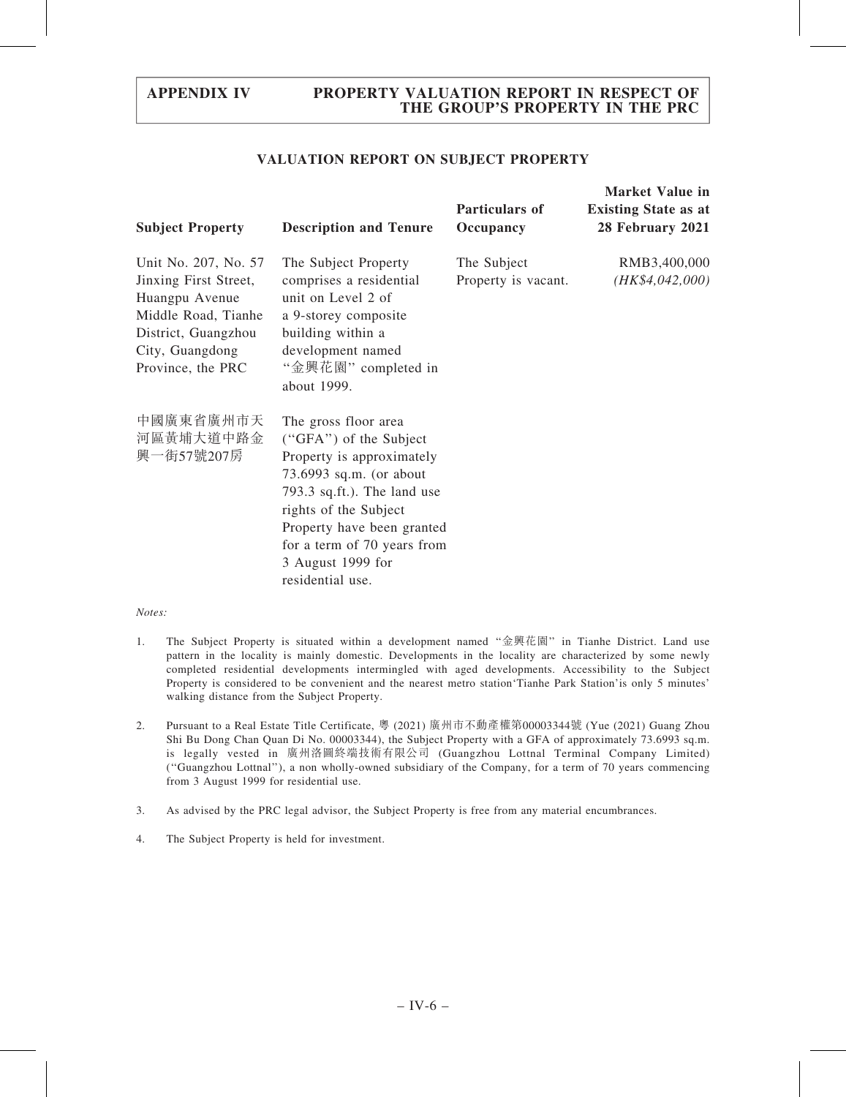## VALUATION REPORT ON SUBJECT PROPERTY

| <b>Subject Property</b>                                                                                                                               | <b>Description and Tenure</b>                                                                                                                                                                                                                                        | <b>Particulars of</b><br>Occupancy | <b>Market Value in</b><br><b>Existing State as at</b><br>28 February 2021 |
|-------------------------------------------------------------------------------------------------------------------------------------------------------|----------------------------------------------------------------------------------------------------------------------------------------------------------------------------------------------------------------------------------------------------------------------|------------------------------------|---------------------------------------------------------------------------|
| Unit No. 207, No. 57<br>Jinxing First Street,<br>Huangpu Avenue<br>Middle Road, Tianhe<br>District, Guangzhou<br>City, Guangdong<br>Province, the PRC | The Subject Property<br>comprises a residential<br>unit on Level 2 of<br>a 9-storey composite<br>building within a<br>development named<br>"金興花園" completed in<br>about 1999.                                                                                        | The Subject<br>Property is vacant. | RMB3,400,000<br>(HK\$4,042,000)                                           |
| 中國廣東省廣州市天<br>河區黃埔大道中路金<br>興一街57號207房                                                                                                                  | The gross floor area<br>("GFA") of the Subject<br>Property is approximately<br>73.6993 sq.m. (or about<br>793.3 sq.ft.). The land use<br>rights of the Subject<br>Property have been granted<br>for a term of 70 years from<br>3 August 1999 for<br>residential use. |                                    |                                                                           |

#### Notes:

- 1. The Subject Property is situated within a development named ''金興花園'' in Tianhe District. Land use pattern in the locality is mainly domestic. Developments in the locality are characterized by some newly completed residential developments intermingled with aged developments. Accessibility to the Subject Property is considered to be convenient and the nearest metro station'Tianhe Park Station'is only 5 minutes' walking distance from the Subject Property.
- 2. Pursuant to a Real Estate Title Certificate, 粵 (2021) 廣州市不動產權第00003344號 (Yue (2021) Guang Zhou Shi Bu Dong Chan Quan Di No. 00003344), the Subject Property with a GFA of approximately 73.6993 sq.m. is legally vested in 廣州洛圖終端技術有限公司 (Guangzhou Lottnal Terminal Company Limited) (''Guangzhou Lottnal''), a non wholly-owned subsidiary of the Company, for a term of 70 years commencing from 3 August 1999 for residential use.
- 3. As advised by the PRC legal advisor, the Subject Property is free from any material encumbrances.
- 4. The Subject Property is held for investment.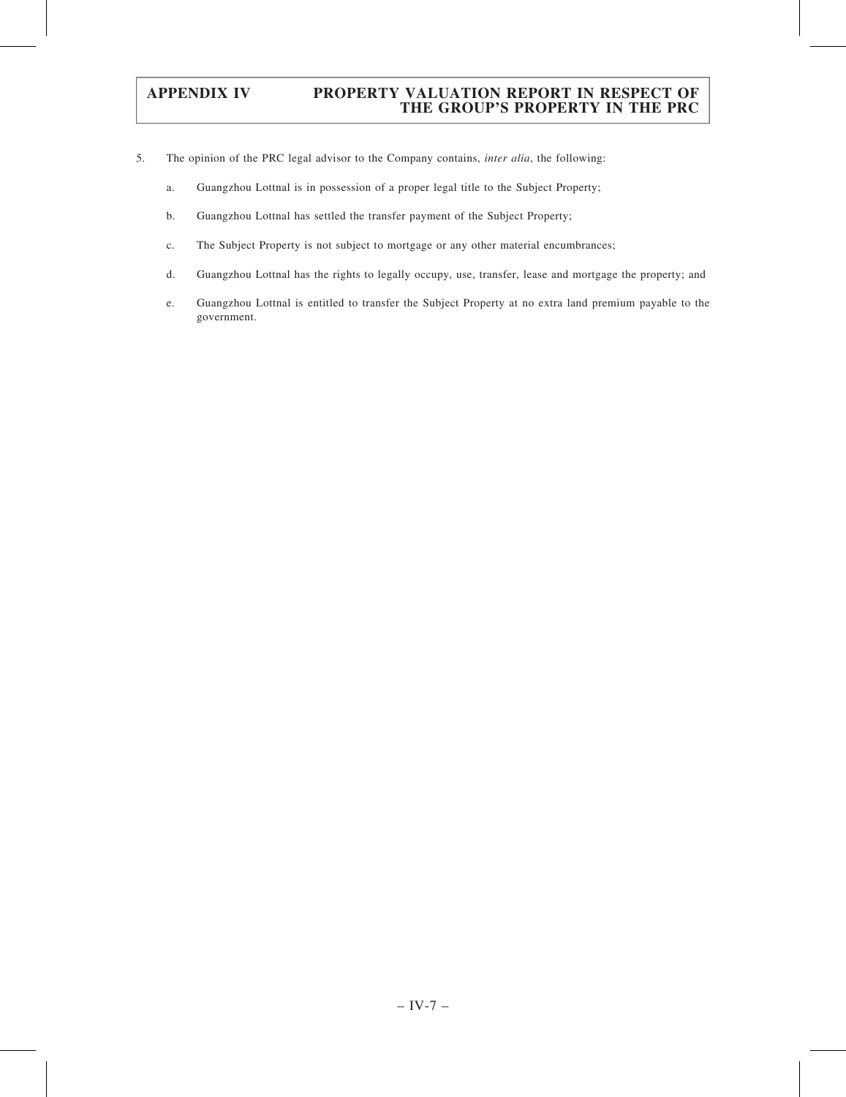- 5. The opinion of the PRC legal advisor to the Company contains, inter alia, the following:
	- a. Guangzhou Lottnal is in possession of a proper legal title to the Subject Property;
	- b. Guangzhou Lottnal has settled the transfer payment of the Subject Property;
	- c. The Subject Property is not subject to mortgage or any other material encumbrances;
	- d. Guangzhou Lottnal has the rights to legally occupy, use, transfer, lease and mortgage the property; and
	- e. Guangzhou Lottnal is entitled to transfer the Subject Property at no extra land premium payable to the government.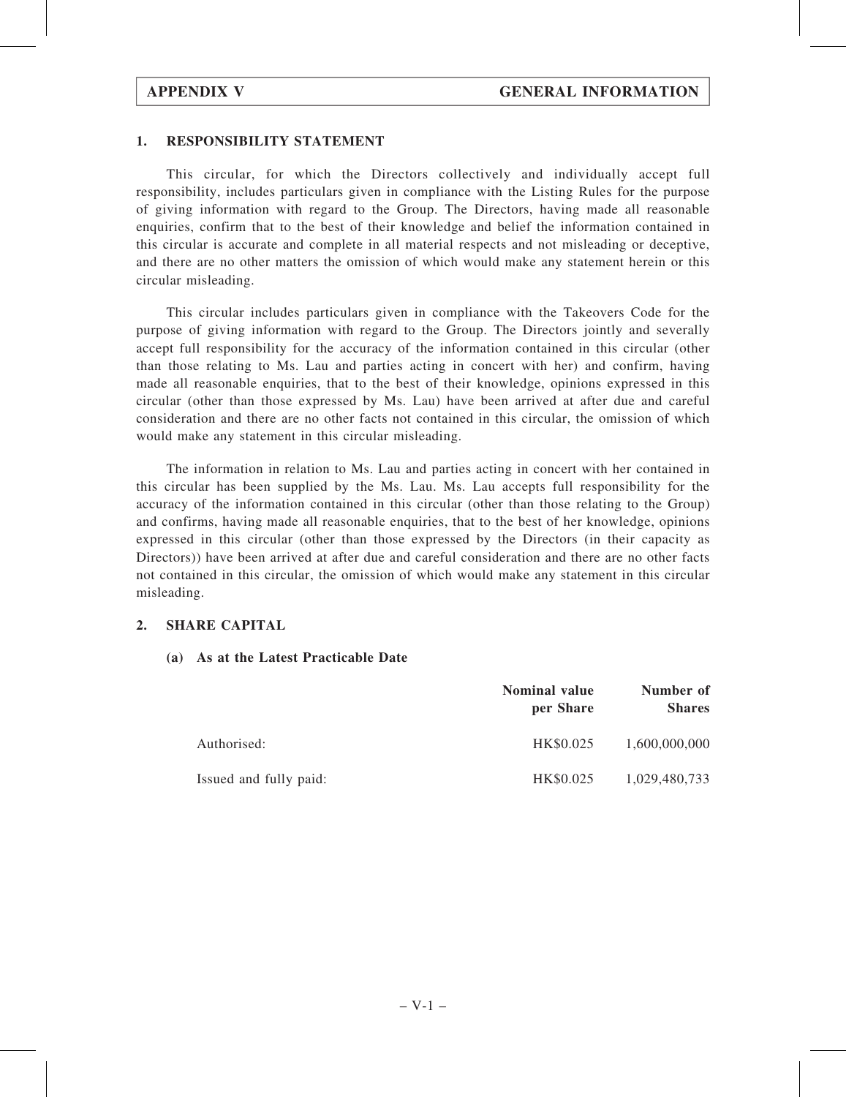# 1. RESPONSIBILITY STATEMENT

This circular, for which the Directors collectively and individually accept full responsibility, includes particulars given in compliance with the Listing Rules for the purpose of giving information with regard to the Group. The Directors, having made all reasonable enquiries, confirm that to the best of their knowledge and belief the information contained in this circular is accurate and complete in all material respects and not misleading or deceptive, and there are no other matters the omission of which would make any statement herein or this circular misleading.

This circular includes particulars given in compliance with the Takeovers Code for the purpose of giving information with regard to the Group. The Directors jointly and severally accept full responsibility for the accuracy of the information contained in this circular (other than those relating to Ms. Lau and parties acting in concert with her) and confirm, having made all reasonable enquiries, that to the best of their knowledge, opinions expressed in this circular (other than those expressed by Ms. Lau) have been arrived at after due and careful consideration and there are no other facts not contained in this circular, the omission of which would make any statement in this circular misleading.

The information in relation to Ms. Lau and parties acting in concert with her contained in this circular has been supplied by the Ms. Lau. Ms. Lau accepts full responsibility for the accuracy of the information contained in this circular (other than those relating to the Group) and confirms, having made all reasonable enquiries, that to the best of her knowledge, opinions expressed in this circular (other than those expressed by the Directors (in their capacity as Directors)) have been arrived at after due and careful consideration and there are no other facts not contained in this circular, the omission of which would make any statement in this circular misleading.

# 2. SHARE CAPITAL

# (a) As at the Latest Practicable Date

|                        | <b>Nominal value</b><br>per Share | Number of<br><b>Shares</b> |
|------------------------|-----------------------------------|----------------------------|
| Authorised:            | HK\$0.025                         | 1,600,000,000              |
| Issued and fully paid: | HK\$0.025                         | 1,029,480,733              |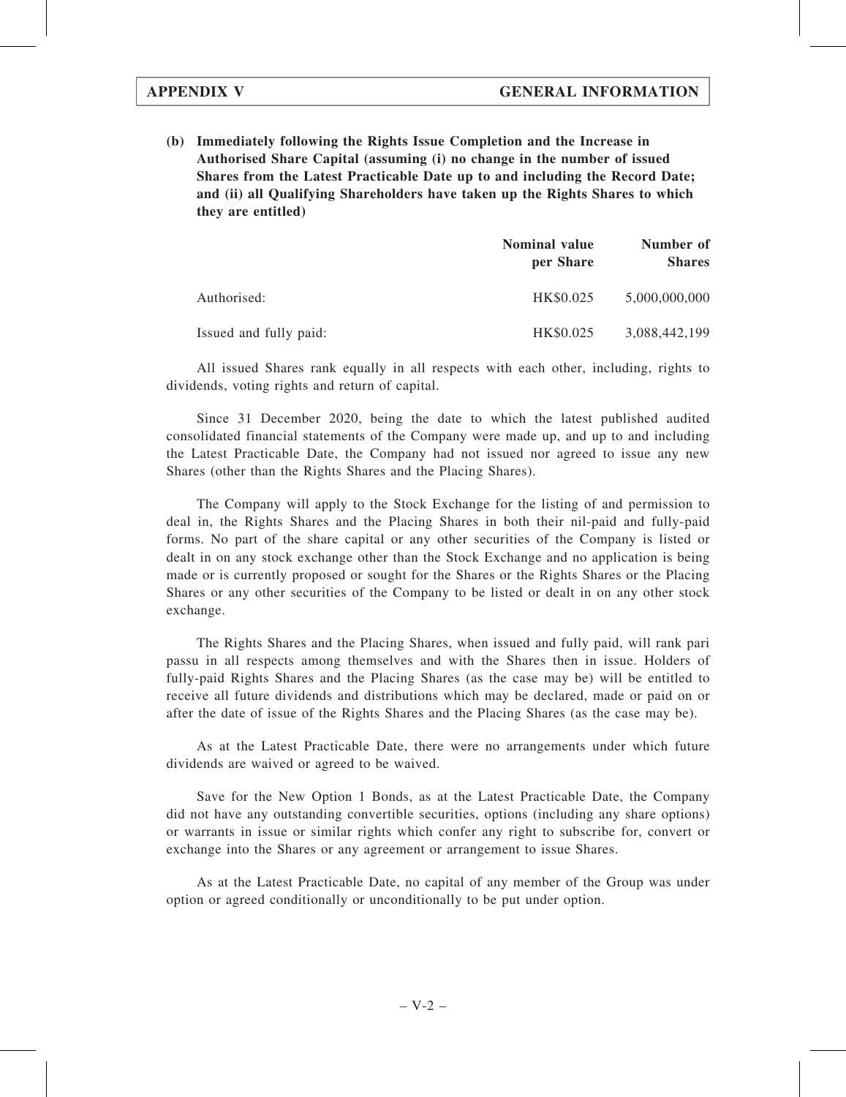(b) Immediately following the Rights Issue Completion and the Increase in Authorised Share Capital (assuming (i) no change in the number of issued Shares from the Latest Practicable Date up to and including the Record Date; and (ii) all Qualifying Shareholders have taken up the Rights Shares to which they are entitled)

|                        | <b>Nominal value</b><br>per Share | Number of<br><b>Shares</b> |  |
|------------------------|-----------------------------------|----------------------------|--|
| Authorised:            | HK\$0.025                         | 5,000,000,000              |  |
| Issued and fully paid: | HK\$0.025                         | 3,088,442,199              |  |

All issued Shares rank equally in all respects with each other, including, rights to dividends, voting rights and return of capital.

Since 31 December 2020, being the date to which the latest published audited consolidated financial statements of the Company were made up, and up to and including the Latest Practicable Date, the Company had not issued nor agreed to issue any new Shares (other than the Rights Shares and the Placing Shares).

The Company will apply to the Stock Exchange for the listing of and permission to deal in, the Rights Shares and the Placing Shares in both their nil-paid and fully-paid forms. No part of the share capital or any other securities of the Company is listed or dealt in on any stock exchange other than the Stock Exchange and no application is being made or is currently proposed or sought for the Shares or the Rights Shares or the Placing Shares or any other securities of the Company to be listed or dealt in on any other stock exchange.

The Rights Shares and the Placing Shares, when issued and fully paid, will rank pari passu in all respects among themselves and with the Shares then in issue. Holders of fully-paid Rights Shares and the Placing Shares (as the case may be) will be entitled to receive all future dividends and distributions which may be declared, made or paid on or after the date of issue of the Rights Shares and the Placing Shares (as the case may be).

As at the Latest Practicable Date, there were no arrangements under which future dividends are waived or agreed to be waived.

Save for the New Option 1 Bonds, as at the Latest Practicable Date, the Company did not have any outstanding convertible securities, options (including any share options) or warrants in issue or similar rights which confer any right to subscribe for, convert or exchange into the Shares or any agreement or arrangement to issue Shares.

As at the Latest Practicable Date, no capital of any member of the Group was under option or agreed conditionally or unconditionally to be put under option.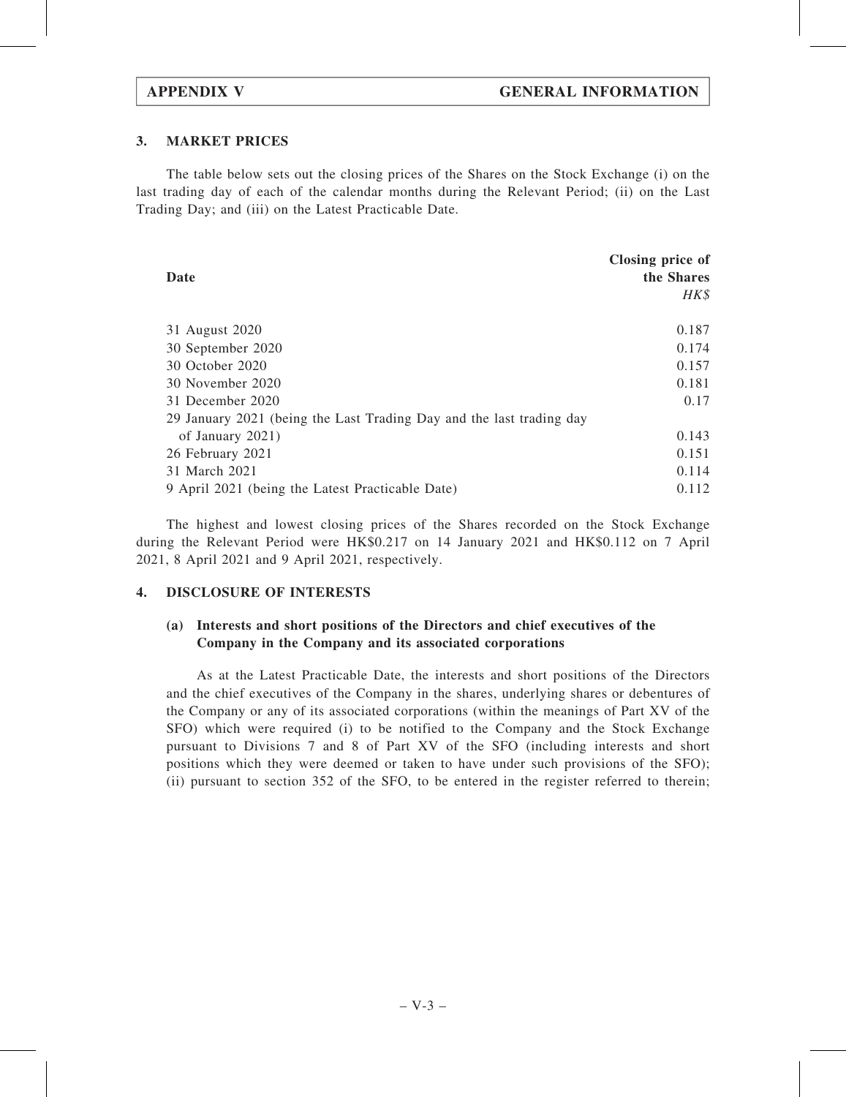# 3. MARKET PRICES

The table below sets out the closing prices of the Shares on the Stock Exchange (i) on the last trading day of each of the calendar months during the Relevant Period; (ii) on the Last Trading Day; and (iii) on the Latest Practicable Date.

| Date                                                                 | Closing price of<br>the Shares<br>HK\$ |
|----------------------------------------------------------------------|----------------------------------------|
| 31 August 2020                                                       | 0.187                                  |
| 30 September 2020                                                    | 0.174                                  |
| 30 October 2020                                                      | 0.157                                  |
| 30 November 2020                                                     | 0.181                                  |
| 31 December 2020                                                     | 0.17                                   |
| 29 January 2021 (being the Last Trading Day and the last trading day |                                        |
| of January 2021)                                                     | 0.143                                  |
| 26 February 2021                                                     | 0.151                                  |
| 31 March 2021                                                        | 0.114                                  |
| 9 April 2021 (being the Latest Practicable Date)                     | 0.112                                  |

The highest and lowest closing prices of the Shares recorded on the Stock Exchange during the Relevant Period were HK\$0.217 on 14 January 2021 and HK\$0.112 on 7 April 2021, 8 April 2021 and 9 April 2021, respectively.

### 4. DISCLOSURE OF INTERESTS

# (a) Interests and short positions of the Directors and chief executives of the Company in the Company and its associated corporations

As at the Latest Practicable Date, the interests and short positions of the Directors and the chief executives of the Company in the shares, underlying shares or debentures of the Company or any of its associated corporations (within the meanings of Part XV of the SFO) which were required (i) to be notified to the Company and the Stock Exchange pursuant to Divisions 7 and 8 of Part XV of the SFO (including interests and short positions which they were deemed or taken to have under such provisions of the SFO); (ii) pursuant to section 352 of the SFO, to be entered in the register referred to therein;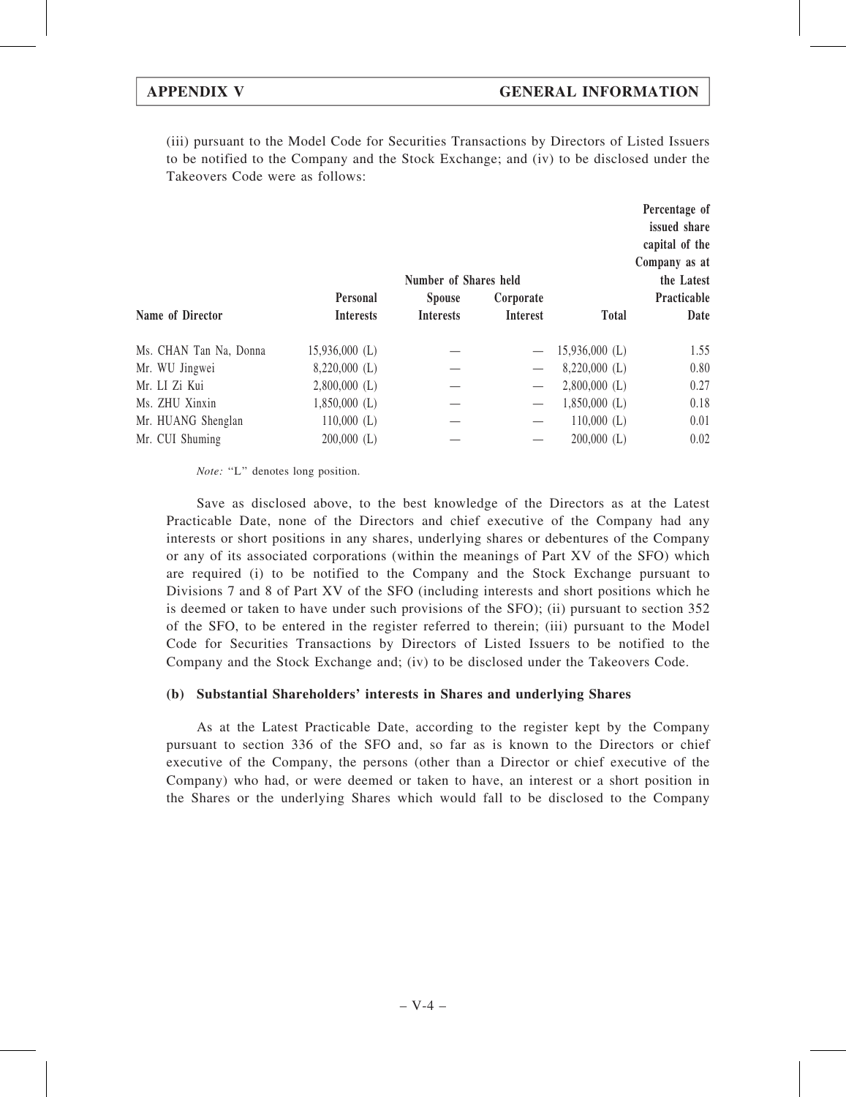(iii) pursuant to the Model Code for Securities Transactions by Directors of Listed Issuers to be notified to the Company and the Stock Exchange; and (iv) to be disclosed under the Takeovers Code were as follows:

|                        |                  | Number of Shares held |                 |                  | Percentage of<br>issued share<br>capital of the<br>Company as at<br>the Latest |
|------------------------|------------------|-----------------------|-----------------|------------------|--------------------------------------------------------------------------------|
|                        | <b>Personal</b>  | <b>Spouse</b>         | Corporate       |                  | Practicable                                                                    |
| Name of Director       | <b>Interests</b> | <b>Interests</b>      | <b>Interest</b> | <b>Total</b>     | Date                                                                           |
| Ms. CHAN Tan Na, Donna | $15,936,000$ (L) |                       |                 | $15,936,000$ (L) | 1.55                                                                           |
| Mr. WU Jingwei         | $8,220,000$ (L)  |                       |                 | $8,220,000$ (L)  | 0.80                                                                           |
| Mr. LI Zi Kui          | $2,800,000$ (L)  |                       |                 | $2,800,000$ (L)  | 0.27                                                                           |
| Ms. ZHU Xinxin         | $1,850,000$ (L)  |                       |                 | $1,850,000$ (L)  | 0.18                                                                           |
| Mr. HUANG Shenglan     | $110,000$ (L)    |                       |                 | $110,000$ (L)    | 0.01                                                                           |
| Mr. CUI Shuming        | $200,000$ (L)    |                       |                 | $200,000$ (L)    | 0.02                                                                           |
|                        |                  |                       |                 |                  |                                                                                |

Note: "L" denotes long position.

Save as disclosed above, to the best knowledge of the Directors as at the Latest Practicable Date, none of the Directors and chief executive of the Company had any interests or short positions in any shares, underlying shares or debentures of the Company or any of its associated corporations (within the meanings of Part XV of the SFO) which are required (i) to be notified to the Company and the Stock Exchange pursuant to Divisions 7 and 8 of Part XV of the SFO (including interests and short positions which he is deemed or taken to have under such provisions of the SFO); (ii) pursuant to section 352 of the SFO, to be entered in the register referred to therein; (iii) pursuant to the Model Code for Securities Transactions by Directors of Listed Issuers to be notified to the Company and the Stock Exchange and; (iv) to be disclosed under the Takeovers Code.

# (b) Substantial Shareholders' interests in Shares and underlying Shares

As at the Latest Practicable Date, according to the register kept by the Company pursuant to section 336 of the SFO and, so far as is known to the Directors or chief executive of the Company, the persons (other than a Director or chief executive of the Company) who had, or were deemed or taken to have, an interest or a short position in the Shares or the underlying Shares which would fall to be disclosed to the Company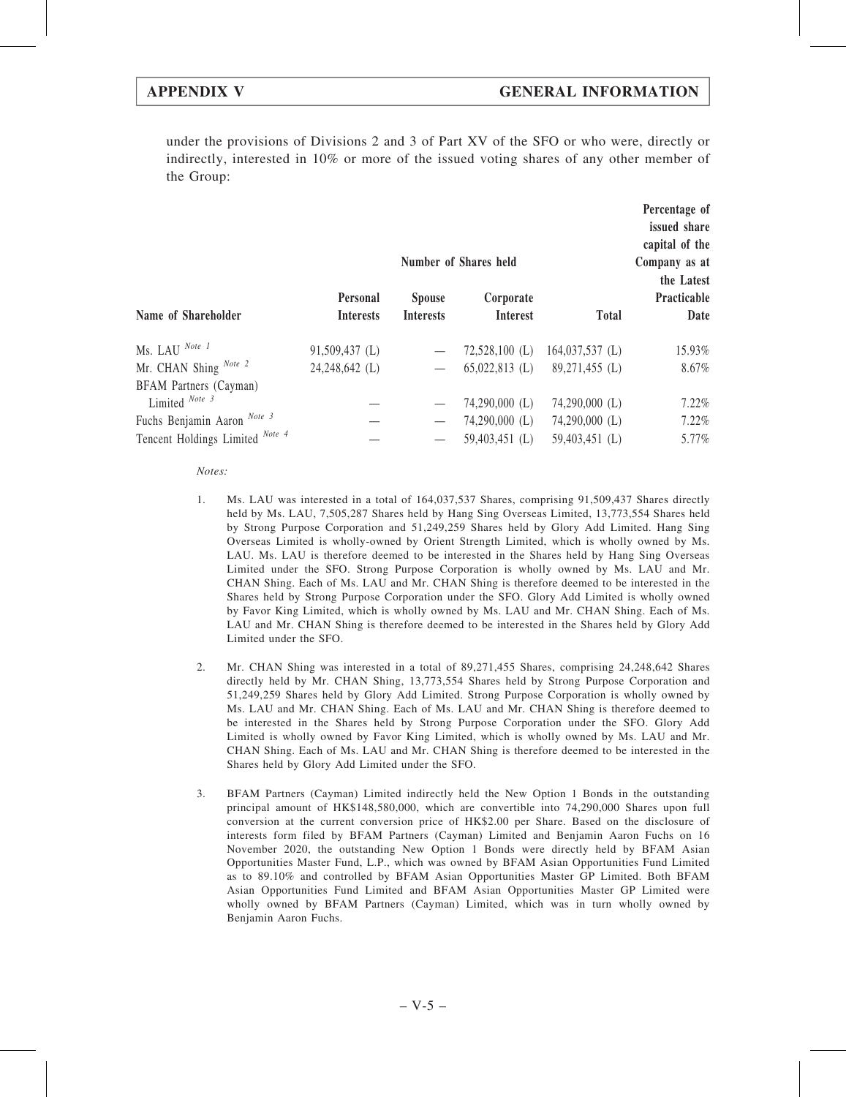under the provisions of Divisions 2 and 3 of Part XV of the SFO or who were, directly or indirectly, interested in 10% or more of the issued voting shares of any other member of the Group:

|                                 |                  |                  | Number of Shares held |                   | Percentage of<br>issued share<br>capital of the<br>Company as at<br>the Latest |
|---------------------------------|------------------|------------------|-----------------------|-------------------|--------------------------------------------------------------------------------|
|                                 | <b>Personal</b>  | <b>Spouse</b>    | Corporate             |                   | Practicable                                                                    |
| Name of Shareholder             | <b>Interests</b> | <b>Interests</b> | <b>Interest</b>       | <b>Total</b>      | Date                                                                           |
| Ms. LAU Note 1                  | $91,509,437$ (L) |                  | $72,528,100$ (L)      | $164,037,537$ (L) | 15.93%                                                                         |
| Mr. CHAN Shing Note 2           | 24,248,642 (L)   |                  | $65,022,813$ (L)      | 89,271,455 (L)    | 8.67%                                                                          |
| BFAM Partners (Cayman)          |                  |                  |                       |                   |                                                                                |
| Limited Note 3                  |                  |                  | $74,290,000$ (L)      | $74,290,000$ (L)  | 7.22%                                                                          |
| Fuchs Benjamin Aaron Note 3     |                  |                  | $74,290,000$ (L)      | $74,290,000$ (L)  | 7.22%                                                                          |
| Tencent Holdings Limited Note 4 |                  |                  | 59,403,451 (L)        | 59,403,451 (L)    | 5.77%                                                                          |

Notes:

- 1. Ms. LAU was interested in a total of 164,037,537 Shares, comprising 91,509,437 Shares directly held by Ms. LAU, 7,505,287 Shares held by Hang Sing Overseas Limited, 13,773,554 Shares held by Strong Purpose Corporation and 51,249,259 Shares held by Glory Add Limited. Hang Sing Overseas Limited is wholly-owned by Orient Strength Limited, which is wholly owned by Ms. LAU. Ms. LAU is therefore deemed to be interested in the Shares held by Hang Sing Overseas Limited under the SFO. Strong Purpose Corporation is wholly owned by Ms. LAU and Mr. CHAN Shing. Each of Ms. LAU and Mr. CHAN Shing is therefore deemed to be interested in the Shares held by Strong Purpose Corporation under the SFO. Glory Add Limited is wholly owned by Favor King Limited, which is wholly owned by Ms. LAU and Mr. CHAN Shing. Each of Ms. LAU and Mr. CHAN Shing is therefore deemed to be interested in the Shares held by Glory Add Limited under the SFO.
- 2. Mr. CHAN Shing was interested in a total of 89,271,455 Shares, comprising 24,248,642 Shares directly held by Mr. CHAN Shing, 13,773,554 Shares held by Strong Purpose Corporation and 51,249,259 Shares held by Glory Add Limited. Strong Purpose Corporation is wholly owned by Ms. LAU and Mr. CHAN Shing. Each of Ms. LAU and Mr. CHAN Shing is therefore deemed to be interested in the Shares held by Strong Purpose Corporation under the SFO. Glory Add Limited is wholly owned by Favor King Limited, which is wholly owned by Ms. LAU and Mr. CHAN Shing. Each of Ms. LAU and Mr. CHAN Shing is therefore deemed to be interested in the Shares held by Glory Add Limited under the SFO.
- 3. BFAM Partners (Cayman) Limited indirectly held the New Option 1 Bonds in the outstanding principal amount of HK\$148,580,000, which are convertible into 74,290,000 Shares upon full conversion at the current conversion price of HK\$2.00 per Share. Based on the disclosure of interests form filed by BFAM Partners (Cayman) Limited and Benjamin Aaron Fuchs on 16 November 2020, the outstanding New Option 1 Bonds were directly held by BFAM Asian Opportunities Master Fund, L.P., which was owned by BFAM Asian Opportunities Fund Limited as to 89.10% and controlled by BFAM Asian Opportunities Master GP Limited. Both BFAM Asian Opportunities Fund Limited and BFAM Asian Opportunities Master GP Limited were wholly owned by BFAM Partners (Cayman) Limited, which was in turn wholly owned by Benjamin Aaron Fuchs.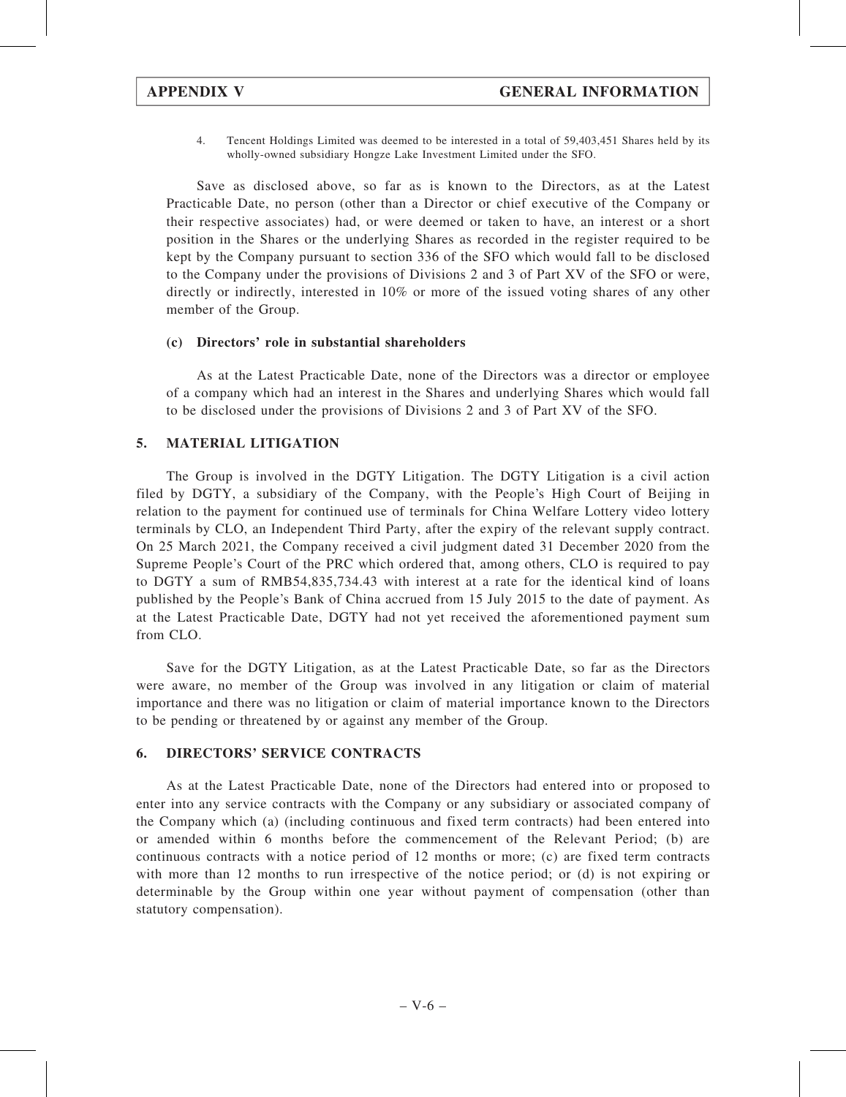4. Tencent Holdings Limited was deemed to be interested in a total of 59,403,451 Shares held by its wholly-owned subsidiary Hongze Lake Investment Limited under the SFO.

Save as disclosed above, so far as is known to the Directors, as at the Latest Practicable Date, no person (other than a Director or chief executive of the Company or their respective associates) had, or were deemed or taken to have, an interest or a short position in the Shares or the underlying Shares as recorded in the register required to be kept by the Company pursuant to section 336 of the SFO which would fall to be disclosed to the Company under the provisions of Divisions 2 and 3 of Part XV of the SFO or were, directly or indirectly, interested in 10% or more of the issued voting shares of any other member of the Group.

## (c) Directors' role in substantial shareholders

As at the Latest Practicable Date, none of the Directors was a director or employee of a company which had an interest in the Shares and underlying Shares which would fall to be disclosed under the provisions of Divisions 2 and 3 of Part XV of the SFO.

# 5. MATERIAL LITIGATION

The Group is involved in the DGTY Litigation. The DGTY Litigation is a civil action filed by DGTY, a subsidiary of the Company, with the People's High Court of Beijing in relation to the payment for continued use of terminals for China Welfare Lottery video lottery terminals by CLO, an Independent Third Party, after the expiry of the relevant supply contract. On 25 March 2021, the Company received a civil judgment dated 31 December 2020 from the Supreme People's Court of the PRC which ordered that, among others, CLO is required to pay to DGTY a sum of RMB54,835,734.43 with interest at a rate for the identical kind of loans published by the People's Bank of China accrued from 15 July 2015 to the date of payment. As at the Latest Practicable Date, DGTY had not yet received the aforementioned payment sum from CLO.

Save for the DGTY Litigation, as at the Latest Practicable Date, so far as the Directors were aware, no member of the Group was involved in any litigation or claim of material importance and there was no litigation or claim of material importance known to the Directors to be pending or threatened by or against any member of the Group.

# 6. DIRECTORS' SERVICE CONTRACTS

As at the Latest Practicable Date, none of the Directors had entered into or proposed to enter into any service contracts with the Company or any subsidiary or associated company of the Company which (a) (including continuous and fixed term contracts) had been entered into or amended within 6 months before the commencement of the Relevant Period; (b) are continuous contracts with a notice period of 12 months or more; (c) are fixed term contracts with more than 12 months to run irrespective of the notice period; or (d) is not expiring or determinable by the Group within one year without payment of compensation (other than statutory compensation).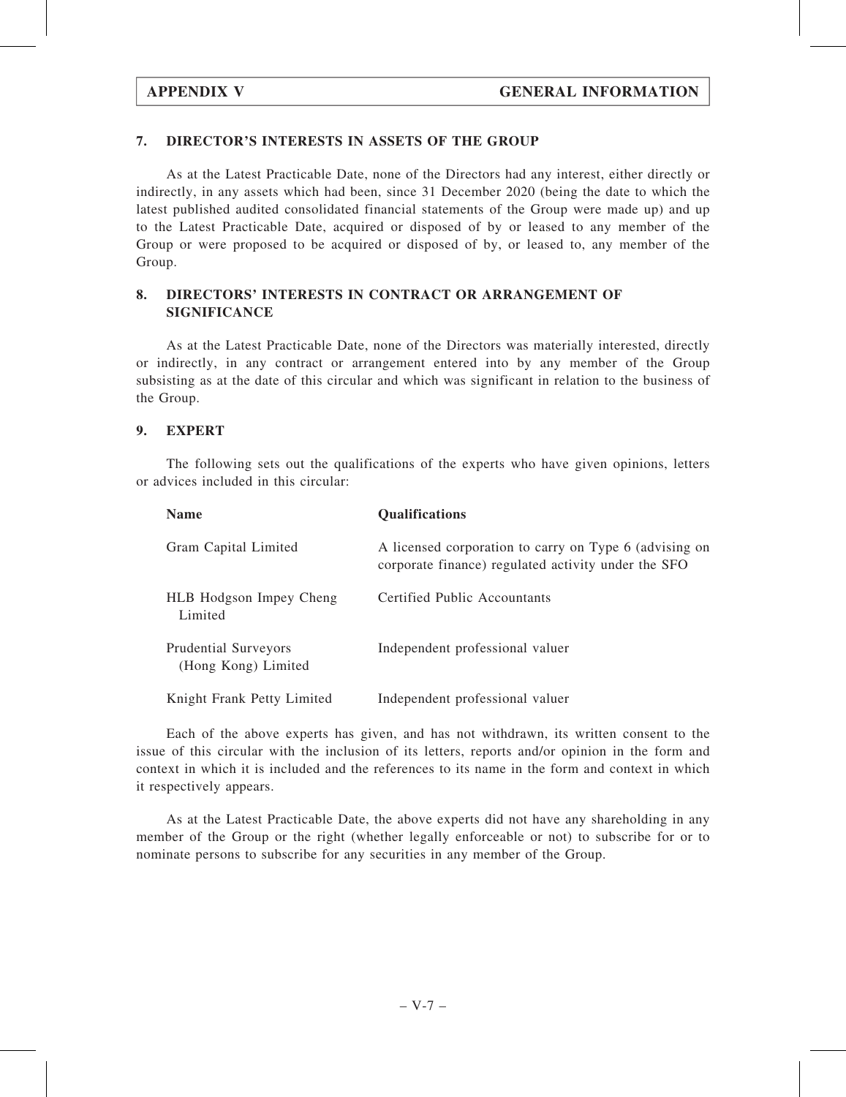# 7. DIRECTOR'S INTERESTS IN ASSETS OF THE GROUP

As at the Latest Practicable Date, none of the Directors had any interest, either directly or indirectly, in any assets which had been, since 31 December 2020 (being the date to which the latest published audited consolidated financial statements of the Group were made up) and up to the Latest Practicable Date, acquired or disposed of by or leased to any member of the Group or were proposed to be acquired or disposed of by, or leased to, any member of the Group.

# 8. DIRECTORS' INTERESTS IN CONTRACT OR ARRANGEMENT OF SIGNIFICANCE

As at the Latest Practicable Date, none of the Directors was materially interested, directly or indirectly, in any contract or arrangement entered into by any member of the Group subsisting as at the date of this circular and which was significant in relation to the business of the Group.

# 9. EXPERT

The following sets out the qualifications of the experts who have given opinions, letters or advices included in this circular:

| <b>Name</b>                                        | <b>Qualifications</b>                                                                                         |
|----------------------------------------------------|---------------------------------------------------------------------------------------------------------------|
| Gram Capital Limited                               | A licensed corporation to carry on Type 6 (advising on<br>corporate finance) regulated activity under the SFO |
| HLB Hodgson Impey Cheng<br>Limited                 | Certified Public Accountants                                                                                  |
| <b>Prudential Surveyors</b><br>(Hong Kong) Limited | Independent professional valuer                                                                               |
| Knight Frank Petty Limited                         | Independent professional valuer                                                                               |

Each of the above experts has given, and has not withdrawn, its written consent to the issue of this circular with the inclusion of its letters, reports and/or opinion in the form and context in which it is included and the references to its name in the form and context in which it respectively appears.

As at the Latest Practicable Date, the above experts did not have any shareholding in any member of the Group or the right (whether legally enforceable or not) to subscribe for or to nominate persons to subscribe for any securities in any member of the Group.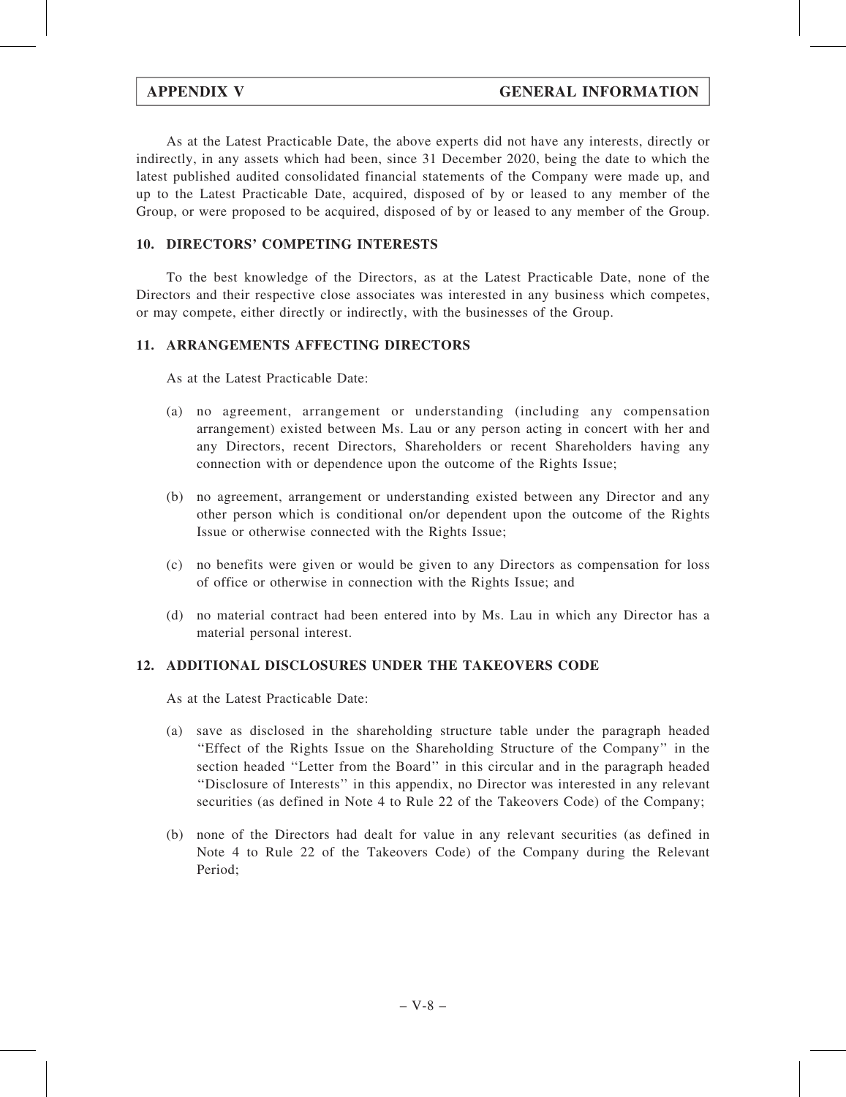As at the Latest Practicable Date, the above experts did not have any interests, directly or indirectly, in any assets which had been, since 31 December 2020, being the date to which the latest published audited consolidated financial statements of the Company were made up, and up to the Latest Practicable Date, acquired, disposed of by or leased to any member of the Group, or were proposed to be acquired, disposed of by or leased to any member of the Group.

# 10. DIRECTORS' COMPETING INTERESTS

To the best knowledge of the Directors, as at the Latest Practicable Date, none of the Directors and their respective close associates was interested in any business which competes, or may compete, either directly or indirectly, with the businesses of the Group.

# 11. ARRANGEMENTS AFFECTING DIRECTORS

As at the Latest Practicable Date:

- (a) no agreement, arrangement or understanding (including any compensation arrangement) existed between Ms. Lau or any person acting in concert with her and any Directors, recent Directors, Shareholders or recent Shareholders having any connection with or dependence upon the outcome of the Rights Issue;
- (b) no agreement, arrangement or understanding existed between any Director and any other person which is conditional on/or dependent upon the outcome of the Rights Issue or otherwise connected with the Rights Issue;
- (c) no benefits were given or would be given to any Directors as compensation for loss of office or otherwise in connection with the Rights Issue; and
- (d) no material contract had been entered into by Ms. Lau in which any Director has a material personal interest.

# 12. ADDITIONAL DISCLOSURES UNDER THE TAKEOVERS CODE

As at the Latest Practicable Date:

- (a) save as disclosed in the shareholding structure table under the paragraph headed ''Effect of the Rights Issue on the Shareholding Structure of the Company'' in the section headed ''Letter from the Board'' in this circular and in the paragraph headed ''Disclosure of Interests'' in this appendix, no Director was interested in any relevant securities (as defined in Note 4 to Rule 22 of the Takeovers Code) of the Company;
- (b) none of the Directors had dealt for value in any relevant securities (as defined in Note 4 to Rule 22 of the Takeovers Code) of the Company during the Relevant Period;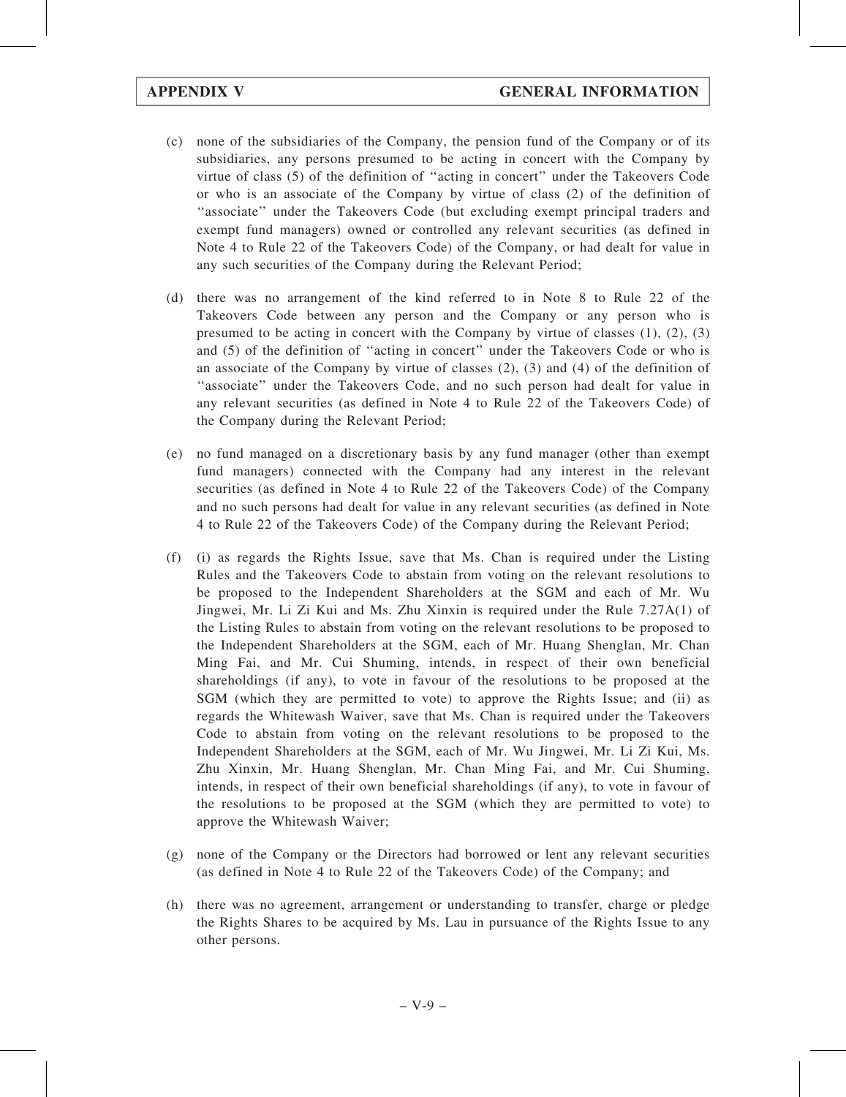- (c) none of the subsidiaries of the Company, the pension fund of the Company or of its subsidiaries, any persons presumed to be acting in concert with the Company by virtue of class (5) of the definition of ''acting in concert'' under the Takeovers Code or who is an associate of the Company by virtue of class (2) of the definition of ''associate'' under the Takeovers Code (but excluding exempt principal traders and exempt fund managers) owned or controlled any relevant securities (as defined in Note 4 to Rule 22 of the Takeovers Code) of the Company, or had dealt for value in any such securities of the Company during the Relevant Period;
- (d) there was no arrangement of the kind referred to in Note 8 to Rule 22 of the Takeovers Code between any person and the Company or any person who is presumed to be acting in concert with the Company by virtue of classes  $(1)$ ,  $(2)$ ,  $(3)$ and (5) of the definition of ''acting in concert'' under the Takeovers Code or who is an associate of the Company by virtue of classes (2), (3) and (4) of the definition of ''associate'' under the Takeovers Code, and no such person had dealt for value in any relevant securities (as defined in Note 4 to Rule 22 of the Takeovers Code) of the Company during the Relevant Period;
- (e) no fund managed on a discretionary basis by any fund manager (other than exempt fund managers) connected with the Company had any interest in the relevant securities (as defined in Note 4 to Rule 22 of the Takeovers Code) of the Company and no such persons had dealt for value in any relevant securities (as defined in Note 4 to Rule 22 of the Takeovers Code) of the Company during the Relevant Period;
- (f) (i) as regards the Rights Issue, save that Ms. Chan is required under the Listing Rules and the Takeovers Code to abstain from voting on the relevant resolutions to be proposed to the Independent Shareholders at the SGM and each of Mr. Wu Jingwei, Mr. Li Zi Kui and Ms. Zhu Xinxin is required under the Rule 7.27A(1) of the Listing Rules to abstain from voting on the relevant resolutions to be proposed to the Independent Shareholders at the SGM, each of Mr. Huang Shenglan, Mr. Chan Ming Fai, and Mr. Cui Shuming, intends, in respect of their own beneficial shareholdings (if any), to vote in favour of the resolutions to be proposed at the SGM (which they are permitted to vote) to approve the Rights Issue; and (ii) as regards the Whitewash Waiver, save that Ms. Chan is required under the Takeovers Code to abstain from voting on the relevant resolutions to be proposed to the Independent Shareholders at the SGM, each of Mr. Wu Jingwei, Mr. Li Zi Kui, Ms. Zhu Xinxin, Mr. Huang Shenglan, Mr. Chan Ming Fai, and Mr. Cui Shuming, intends, in respect of their own beneficial shareholdings (if any), to vote in favour of the resolutions to be proposed at the SGM (which they are permitted to vote) to approve the Whitewash Waiver;
- (g) none of the Company or the Directors had borrowed or lent any relevant securities (as defined in Note 4 to Rule 22 of the Takeovers Code) of the Company; and
- (h) there was no agreement, arrangement or understanding to transfer, charge or pledge the Rights Shares to be acquired by Ms. Lau in pursuance of the Rights Issue to any other persons.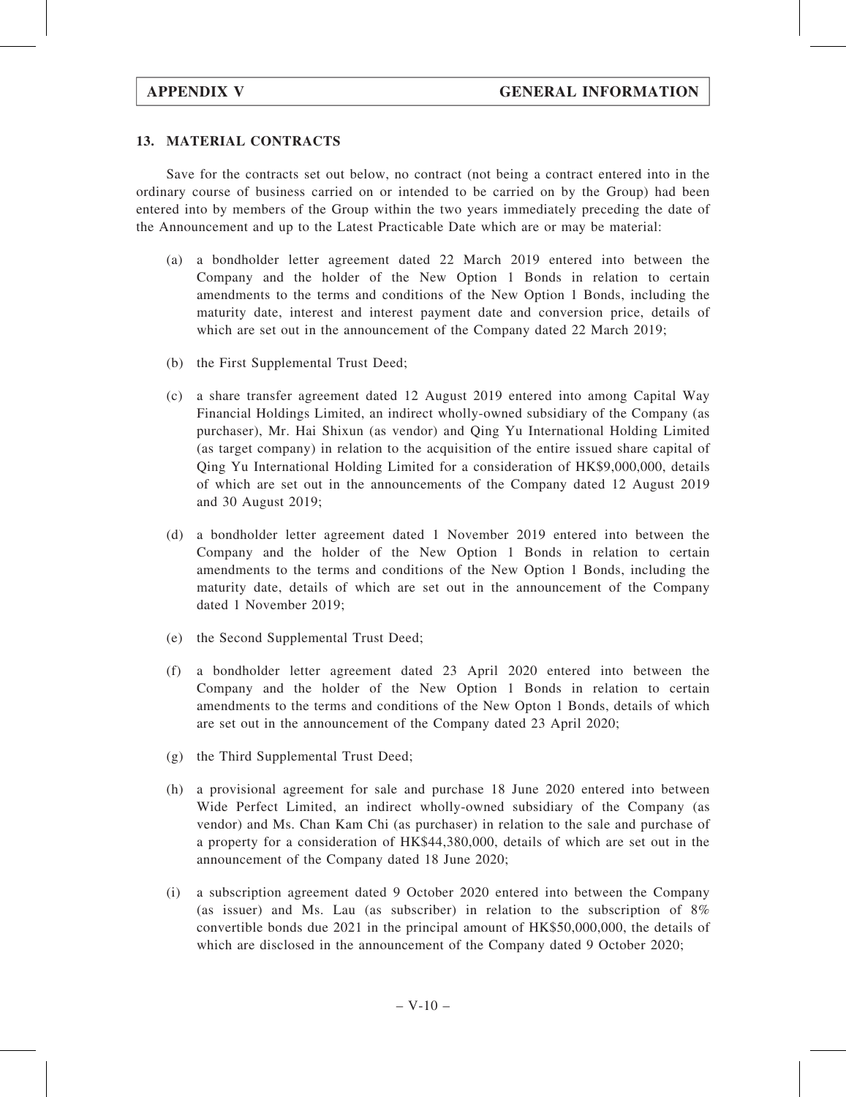# 13. MATERIAL CONTRACTS

Save for the contracts set out below, no contract (not being a contract entered into in the ordinary course of business carried on or intended to be carried on by the Group) had been entered into by members of the Group within the two years immediately preceding the date of the Announcement and up to the Latest Practicable Date which are or may be material:

- (a) a bondholder letter agreement dated 22 March 2019 entered into between the Company and the holder of the New Option 1 Bonds in relation to certain amendments to the terms and conditions of the New Option 1 Bonds, including the maturity date, interest and interest payment date and conversion price, details of which are set out in the announcement of the Company dated 22 March 2019;
- (b) the First Supplemental Trust Deed;
- (c) a share transfer agreement dated 12 August 2019 entered into among Capital Way Financial Holdings Limited, an indirect wholly-owned subsidiary of the Company (as purchaser), Mr. Hai Shixun (as vendor) and Qing Yu International Holding Limited (as target company) in relation to the acquisition of the entire issued share capital of Qing Yu International Holding Limited for a consideration of HK\$9,000,000, details of which are set out in the announcements of the Company dated 12 August 2019 and 30 August 2019;
- (d) a bondholder letter agreement dated 1 November 2019 entered into between the Company and the holder of the New Option 1 Bonds in relation to certain amendments to the terms and conditions of the New Option 1 Bonds, including the maturity date, details of which are set out in the announcement of the Company dated 1 November 2019;
- (e) the Second Supplemental Trust Deed;
- (f) a bondholder letter agreement dated 23 April 2020 entered into between the Company and the holder of the New Option 1 Bonds in relation to certain amendments to the terms and conditions of the New Opton 1 Bonds, details of which are set out in the announcement of the Company dated 23 April 2020;
- (g) the Third Supplemental Trust Deed;
- (h) a provisional agreement for sale and purchase 18 June 2020 entered into between Wide Perfect Limited, an indirect wholly-owned subsidiary of the Company (as vendor) and Ms. Chan Kam Chi (as purchaser) in relation to the sale and purchase of a property for a consideration of HK\$44,380,000, details of which are set out in the announcement of the Company dated 18 June 2020;
- (i) a subscription agreement dated 9 October 2020 entered into between the Company (as issuer) and Ms. Lau (as subscriber) in relation to the subscription of 8% convertible bonds due 2021 in the principal amount of HK\$50,000,000, the details of which are disclosed in the announcement of the Company dated 9 October 2020;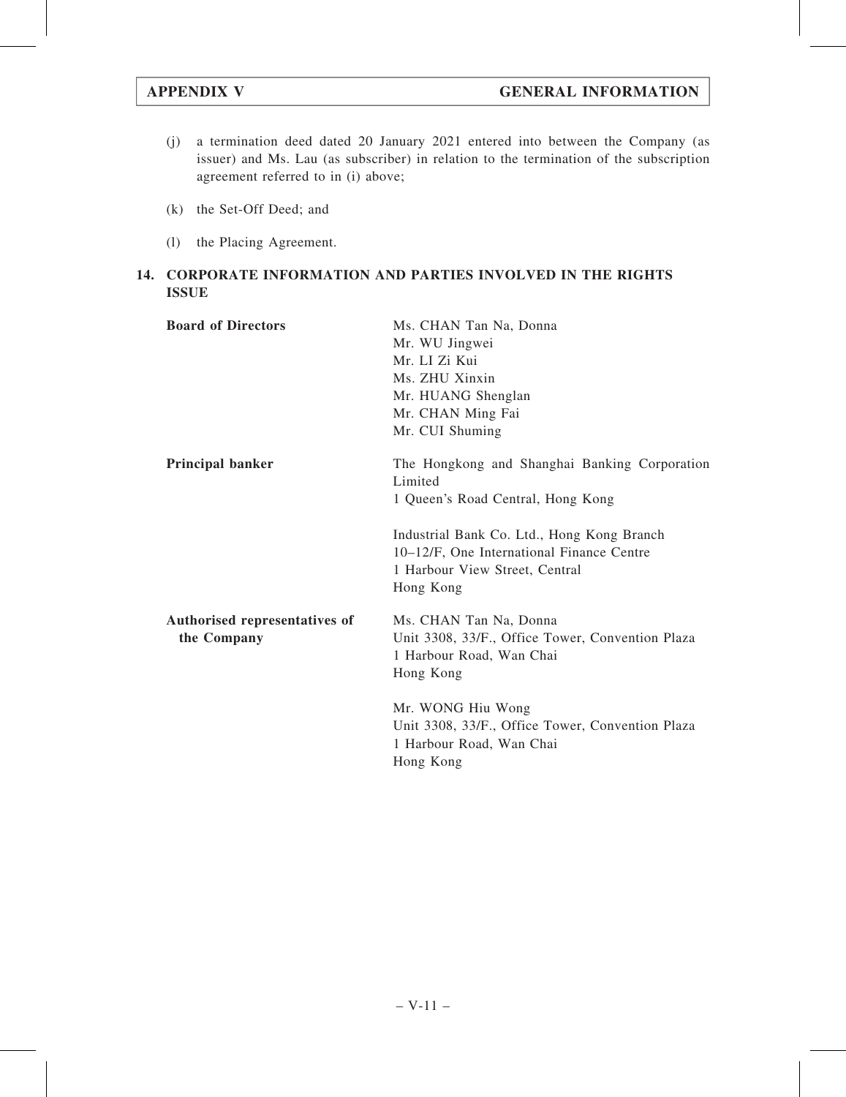- (j) a termination deed dated 20 January 2021 entered into between the Company (as issuer) and Ms. Lau (as subscriber) in relation to the termination of the subscription agreement referred to in (i) above;
- (k) the Set-Off Deed; and
- (l) the Placing Agreement.

# 14. CORPORATE INFORMATION AND PARTIES INVOLVED IN THE RIGHTS ISSUE

| <b>Board of Directors</b>                    | Ms. CHAN Tan Na, Donna<br>Mr. WU Jingwei<br>Mr. LI Zi Kui<br>Ms. ZHU Xinxin<br>Mr. HUANG Shenglan<br>Mr. CHAN Ming Fai<br>Mr. CUI Shuming |
|----------------------------------------------|-------------------------------------------------------------------------------------------------------------------------------------------|
| <b>Principal banker</b>                      | The Hongkong and Shanghai Banking Corporation<br>Limited<br>1 Queen's Road Central, Hong Kong                                             |
|                                              | Industrial Bank Co. Ltd., Hong Kong Branch<br>10–12/F, One International Finance Centre<br>1 Harbour View Street, Central<br>Hong Kong    |
| Authorised representatives of<br>the Company | Ms. CHAN Tan Na, Donna<br>Unit 3308, 33/F., Office Tower, Convention Plaza<br>1 Harbour Road, Wan Chai<br>Hong Kong                       |
|                                              | Mr. WONG Hiu Wong<br>Unit 3308, 33/F., Office Tower, Convention Plaza<br>1 Harbour Road, Wan Chai<br>Hong Kong                            |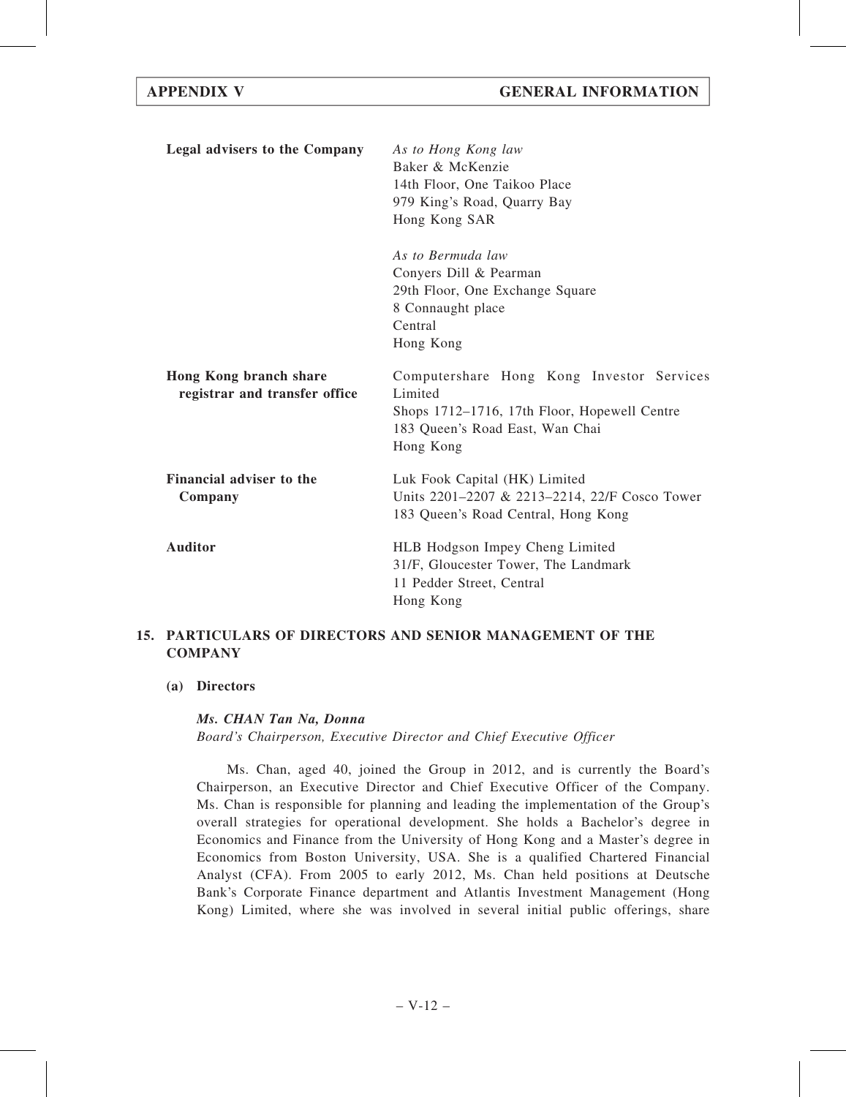| Legal advisers to the Company                           | As to Hong Kong law<br>Baker & McKenzie<br>14th Floor, One Taikoo Place<br>979 King's Road, Quarry Bay<br>Hong Kong SAR                              |
|---------------------------------------------------------|------------------------------------------------------------------------------------------------------------------------------------------------------|
|                                                         | As to Bermuda law<br>Conyers Dill & Pearman<br>29th Floor, One Exchange Square<br>8 Connaught place<br>Central<br>Hong Kong                          |
| Hong Kong branch share<br>registrar and transfer office | Computershare Hong Kong Investor Services<br>Limited<br>Shops 1712–1716, 17th Floor, Hopewell Centre<br>183 Queen's Road East, Wan Chai<br>Hong Kong |
| Financial adviser to the<br>Company                     | Luk Fook Capital (HK) Limited<br>Units 2201-2207 & 2213-2214, 22/F Cosco Tower<br>183 Queen's Road Central, Hong Kong                                |
| <b>Auditor</b>                                          | HLB Hodgson Impey Cheng Limited<br>31/F, Gloucester Tower, The Landmark<br>11 Pedder Street, Central<br>Hong Kong                                    |

# 15. PARTICULARS OF DIRECTORS AND SENIOR MANAGEMENT OF THE **COMPANY**

# (a) Directors

# Ms. CHAN Tan Na, Donna

Board's Chairperson, Executive Director and Chief Executive Officer

Ms. Chan, aged 40, joined the Group in 2012, and is currently the Board's Chairperson, an Executive Director and Chief Executive Officer of the Company. Ms. Chan is responsible for planning and leading the implementation of the Group's overall strategies for operational development. She holds a Bachelor's degree in Economics and Finance from the University of Hong Kong and a Master's degree in Economics from Boston University, USA. She is a qualified Chartered Financial Analyst (CFA). From 2005 to early 2012, Ms. Chan held positions at Deutsche Bank's Corporate Finance department and Atlantis Investment Management (Hong Kong) Limited, where she was involved in several initial public offerings, share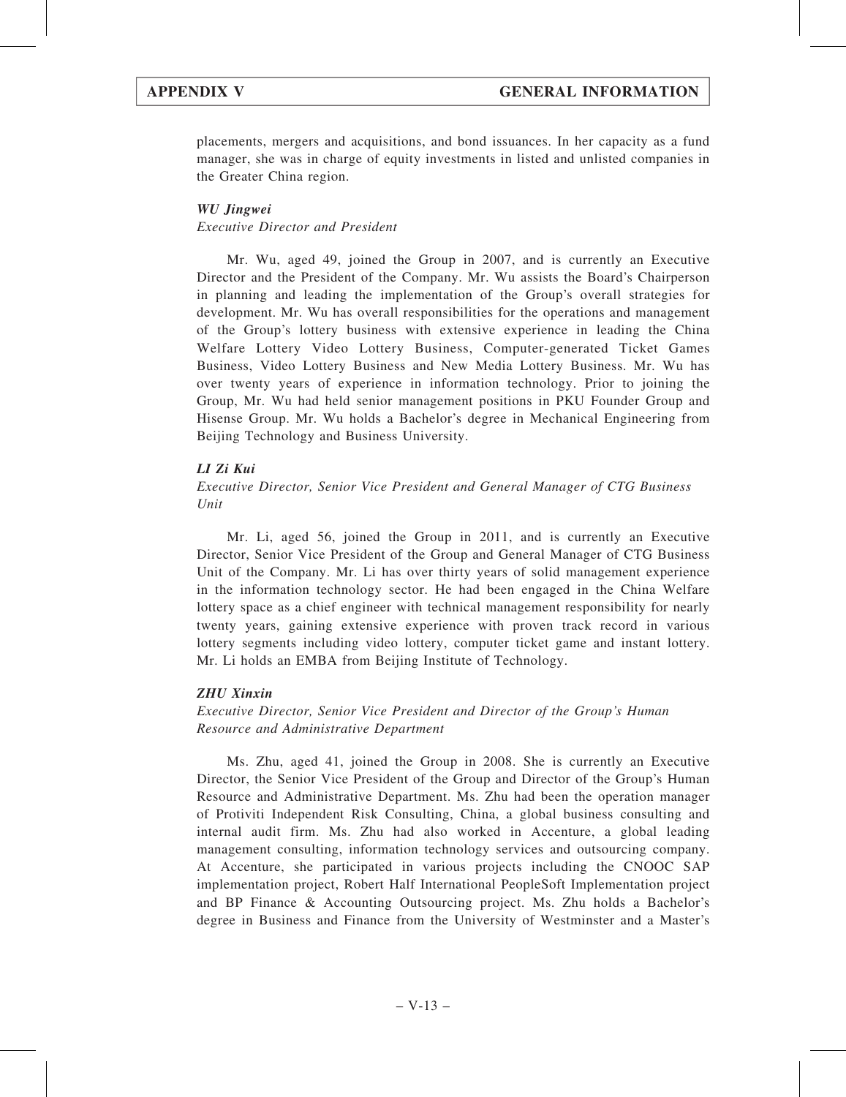placements, mergers and acquisitions, and bond issuances. In her capacity as a fund manager, she was in charge of equity investments in listed and unlisted companies in the Greater China region.

# WU Jingwei

# Executive Director and President

Mr. Wu, aged 49, joined the Group in 2007, and is currently an Executive Director and the President of the Company. Mr. Wu assists the Board's Chairperson in planning and leading the implementation of the Group's overall strategies for development. Mr. Wu has overall responsibilities for the operations and management of the Group's lottery business with extensive experience in leading the China Welfare Lottery Video Lottery Business, Computer-generated Ticket Games Business, Video Lottery Business and New Media Lottery Business. Mr. Wu has over twenty years of experience in information technology. Prior to joining the Group, Mr. Wu had held senior management positions in PKU Founder Group and Hisense Group. Mr. Wu holds a Bachelor's degree in Mechanical Engineering from Beijing Technology and Business University.

# LI Zi Kui

Executive Director, Senior Vice President and General Manager of CTG Business Unit

Mr. Li, aged 56, joined the Group in 2011, and is currently an Executive Director, Senior Vice President of the Group and General Manager of CTG Business Unit of the Company. Mr. Li has over thirty years of solid management experience in the information technology sector. He had been engaged in the China Welfare lottery space as a chief engineer with technical management responsibility for nearly twenty years, gaining extensive experience with proven track record in various lottery segments including video lottery, computer ticket game and instant lottery. Mr. Li holds an EMBA from Beijing Institute of Technology.

# ZHU Xinxin

Executive Director, Senior Vice President and Director of the Group's Human Resource and Administrative Department

Ms. Zhu, aged 41, joined the Group in 2008. She is currently an Executive Director, the Senior Vice President of the Group and Director of the Group's Human Resource and Administrative Department. Ms. Zhu had been the operation manager of Protiviti Independent Risk Consulting, China, a global business consulting and internal audit firm. Ms. Zhu had also worked in Accenture, a global leading management consulting, information technology services and outsourcing company. At Accenture, she participated in various projects including the CNOOC SAP implementation project, Robert Half International PeopleSoft Implementation project and BP Finance & Accounting Outsourcing project. Ms. Zhu holds a Bachelor's degree in Business and Finance from the University of Westminster and a Master's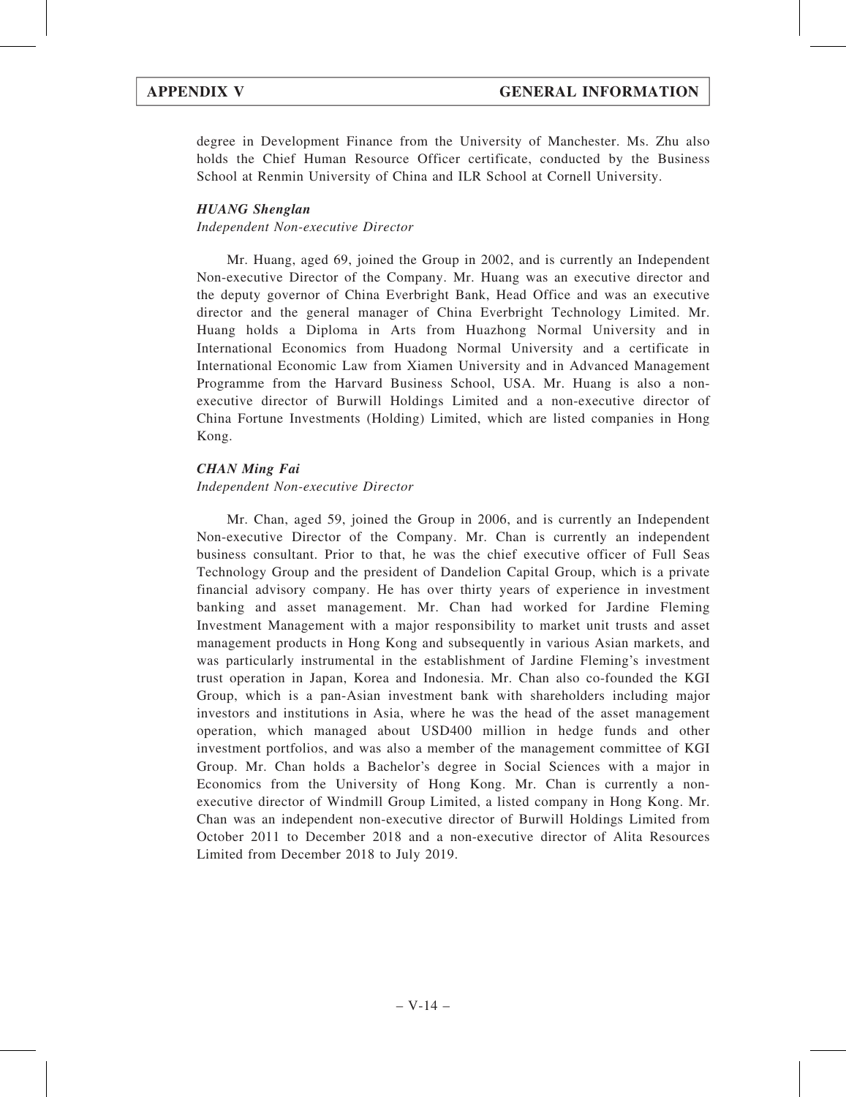degree in Development Finance from the University of Manchester. Ms. Zhu also holds the Chief Human Resource Officer certificate, conducted by the Business School at Renmin University of China and ILR School at Cornell University.

# HUANG Shenglan

Independent Non-executive Director

Mr. Huang, aged 69, joined the Group in 2002, and is currently an Independent Non-executive Director of the Company. Mr. Huang was an executive director and the deputy governor of China Everbright Bank, Head Office and was an executive director and the general manager of China Everbright Technology Limited. Mr. Huang holds a Diploma in Arts from Huazhong Normal University and in International Economics from Huadong Normal University and a certificate in International Economic Law from Xiamen University and in Advanced Management Programme from the Harvard Business School, USA. Mr. Huang is also a nonexecutive director of Burwill Holdings Limited and a non-executive director of China Fortune Investments (Holding) Limited, which are listed companies in Hong Kong.

# CHAN Ming Fai

# Independent Non-executive Director

Mr. Chan, aged 59, joined the Group in 2006, and is currently an Independent Non-executive Director of the Company. Mr. Chan is currently an independent business consultant. Prior to that, he was the chief executive officer of Full Seas Technology Group and the president of Dandelion Capital Group, which is a private financial advisory company. He has over thirty years of experience in investment banking and asset management. Mr. Chan had worked for Jardine Fleming Investment Management with a major responsibility to market unit trusts and asset management products in Hong Kong and subsequently in various Asian markets, and was particularly instrumental in the establishment of Jardine Fleming's investment trust operation in Japan, Korea and Indonesia. Mr. Chan also co-founded the KGI Group, which is a pan-Asian investment bank with shareholders including major investors and institutions in Asia, where he was the head of the asset management operation, which managed about USD400 million in hedge funds and other investment portfolios, and was also a member of the management committee of KGI Group. Mr. Chan holds a Bachelor's degree in Social Sciences with a major in Economics from the University of Hong Kong. Mr. Chan is currently a nonexecutive director of Windmill Group Limited, a listed company in Hong Kong. Mr. Chan was an independent non-executive director of Burwill Holdings Limited from October 2011 to December 2018 and a non-executive director of Alita Resources Limited from December 2018 to July 2019.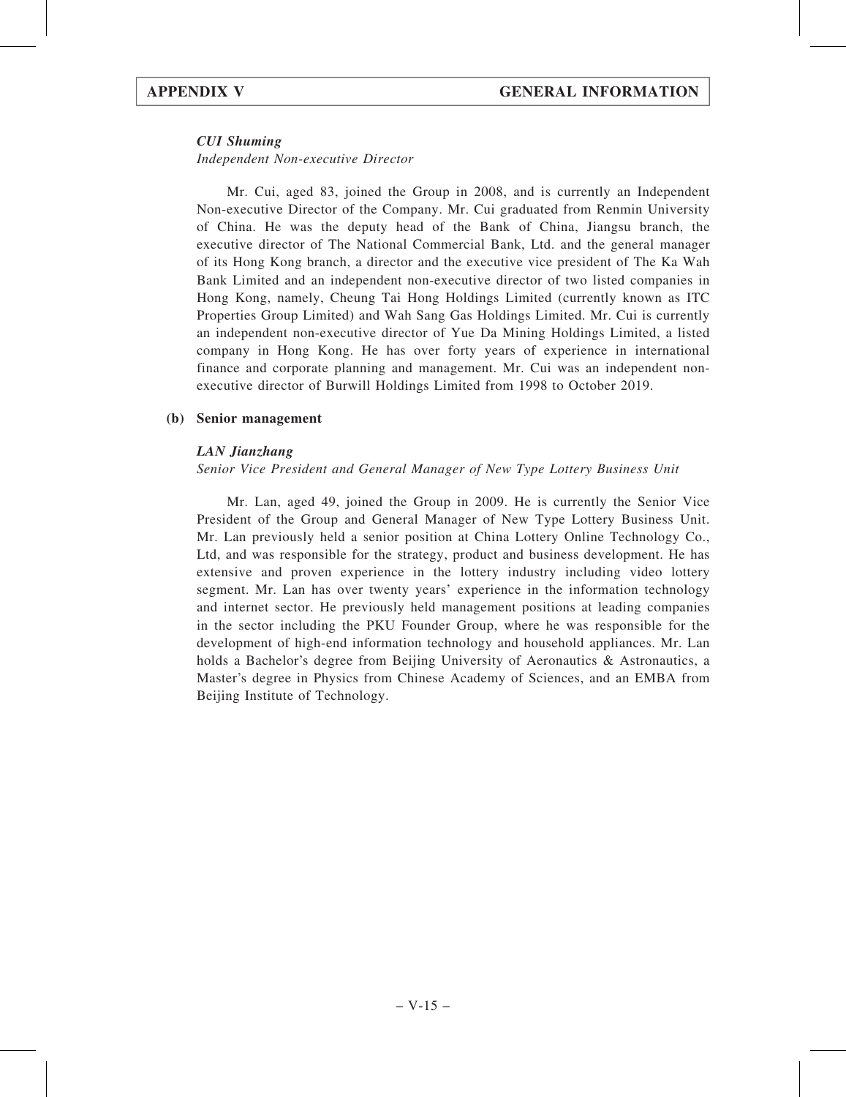# CUI Shuming

Independent Non-executive Director

Mr. Cui, aged 83, joined the Group in 2008, and is currently an Independent Non-executive Director of the Company. Mr. Cui graduated from Renmin University of China. He was the deputy head of the Bank of China, Jiangsu branch, the executive director of The National Commercial Bank, Ltd. and the general manager of its Hong Kong branch, a director and the executive vice president of The Ka Wah Bank Limited and an independent non-executive director of two listed companies in Hong Kong, namely, Cheung Tai Hong Holdings Limited (currently known as ITC Properties Group Limited) and Wah Sang Gas Holdings Limited. Mr. Cui is currently an independent non-executive director of Yue Da Mining Holdings Limited, a listed company in Hong Kong. He has over forty years of experience in international finance and corporate planning and management. Mr. Cui was an independent nonexecutive director of Burwill Holdings Limited from 1998 to October 2019.

# (b) Senior management

### LAN Jianzhang

Senior Vice President and General Manager of New Type Lottery Business Unit

Mr. Lan, aged 49, joined the Group in 2009. He is currently the Senior Vice President of the Group and General Manager of New Type Lottery Business Unit. Mr. Lan previously held a senior position at China Lottery Online Technology Co., Ltd, and was responsible for the strategy, product and business development. He has extensive and proven experience in the lottery industry including video lottery segment. Mr. Lan has over twenty years' experience in the information technology and internet sector. He previously held management positions at leading companies in the sector including the PKU Founder Group, where he was responsible for the development of high-end information technology and household appliances. Mr. Lan holds a Bachelor's degree from Beijing University of Aeronautics & Astronautics, a Master's degree in Physics from Chinese Academy of Sciences, and an EMBA from Beijing Institute of Technology.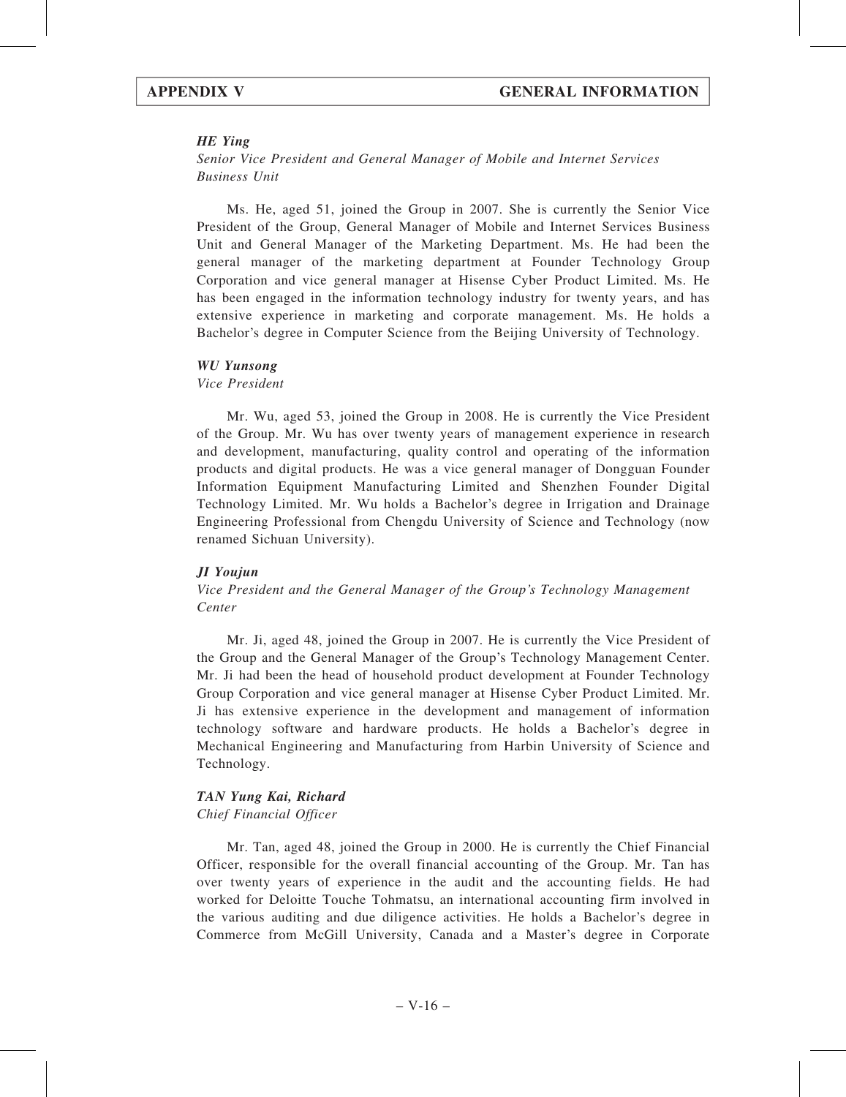### HE Ying

Senior Vice President and General Manager of Mobile and Internet Services Business Unit

Ms. He, aged 51, joined the Group in 2007. She is currently the Senior Vice President of the Group, General Manager of Mobile and Internet Services Business Unit and General Manager of the Marketing Department. Ms. He had been the general manager of the marketing department at Founder Technology Group Corporation and vice general manager at Hisense Cyber Product Limited. Ms. He has been engaged in the information technology industry for twenty years, and has extensive experience in marketing and corporate management. Ms. He holds a Bachelor's degree in Computer Science from the Beijing University of Technology.

### WU Yunsong

Vice President

Mr. Wu, aged 53, joined the Group in 2008. He is currently the Vice President of the Group. Mr. Wu has over twenty years of management experience in research and development, manufacturing, quality control and operating of the information products and digital products. He was a vice general manager of Dongguan Founder Information Equipment Manufacturing Limited and Shenzhen Founder Digital Technology Limited. Mr. Wu holds a Bachelor's degree in Irrigation and Drainage Engineering Professional from Chengdu University of Science and Technology (now renamed Sichuan University).

### JI Youjun

Vice President and the General Manager of the Group's Technology Management Center

Mr. Ji, aged 48, joined the Group in 2007. He is currently the Vice President of the Group and the General Manager of the Group's Technology Management Center. Mr. Ji had been the head of household product development at Founder Technology Group Corporation and vice general manager at Hisense Cyber Product Limited. Mr. Ji has extensive experience in the development and management of information technology software and hardware products. He holds a Bachelor's degree in Mechanical Engineering and Manufacturing from Harbin University of Science and Technology.

### TAN Yung Kai, Richard

### Chief Financial Officer

Mr. Tan, aged 48, joined the Group in 2000. He is currently the Chief Financial Officer, responsible for the overall financial accounting of the Group. Mr. Tan has over twenty years of experience in the audit and the accounting fields. He had worked for Deloitte Touche Tohmatsu, an international accounting firm involved in the various auditing and due diligence activities. He holds a Bachelor's degree in Commerce from McGill University, Canada and a Master's degree in Corporate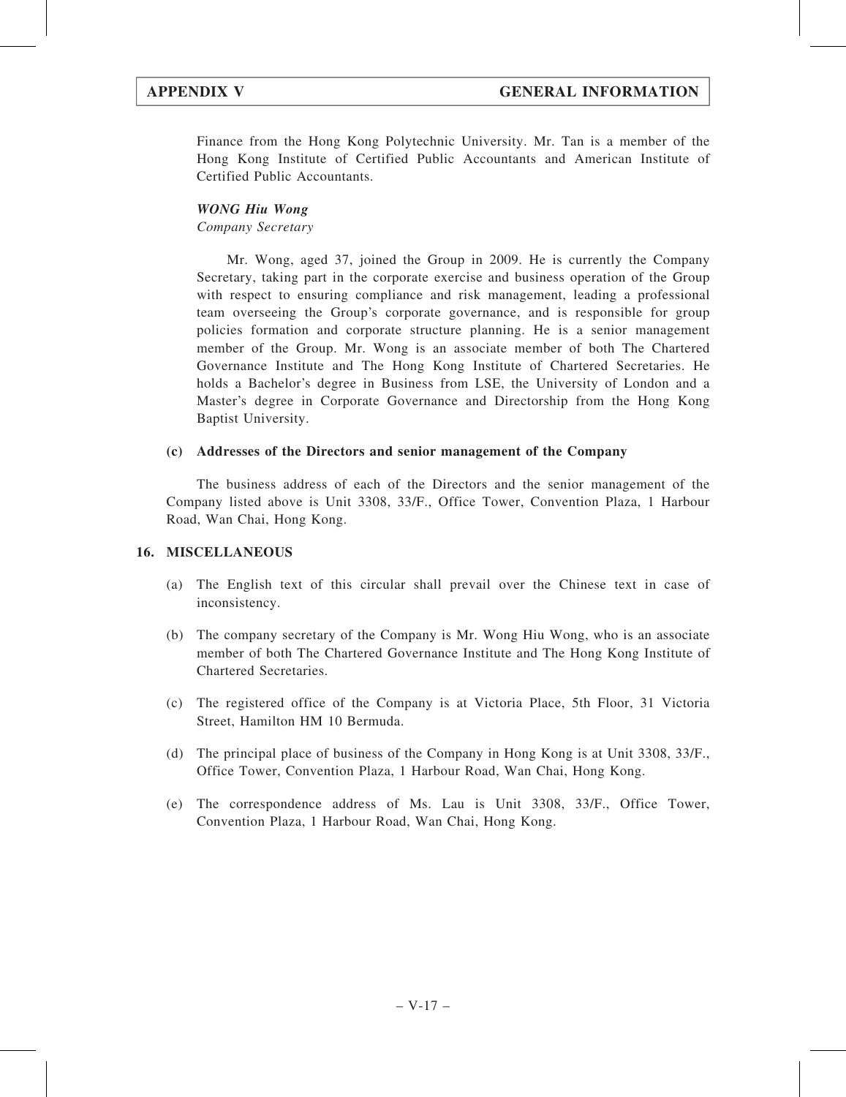Finance from the Hong Kong Polytechnic University. Mr. Tan is a member of the Hong Kong Institute of Certified Public Accountants and American Institute of Certified Public Accountants.

## WONG Hiu Wong

Company Secretary

Mr. Wong, aged 37, joined the Group in 2009. He is currently the Company Secretary, taking part in the corporate exercise and business operation of the Group with respect to ensuring compliance and risk management, leading a professional team overseeing the Group's corporate governance, and is responsible for group policies formation and corporate structure planning. He is a senior management member of the Group. Mr. Wong is an associate member of both The Chartered Governance Institute and The Hong Kong Institute of Chartered Secretaries. He holds a Bachelor's degree in Business from LSE, the University of London and a Master's degree in Corporate Governance and Directorship from the Hong Kong Baptist University.

### (c) Addresses of the Directors and senior management of the Company

The business address of each of the Directors and the senior management of the Company listed above is Unit 3308, 33/F., Office Tower, Convention Plaza, 1 Harbour Road, Wan Chai, Hong Kong.

# 16. MISCELLANEOUS

- (a) The English text of this circular shall prevail over the Chinese text in case of inconsistency.
- (b) The company secretary of the Company is Mr. Wong Hiu Wong, who is an associate member of both The Chartered Governance Institute and The Hong Kong Institute of Chartered Secretaries.
- (c) The registered office of the Company is at Victoria Place, 5th Floor, 31 Victoria Street, Hamilton HM 10 Bermuda.
- (d) The principal place of business of the Company in Hong Kong is at Unit 3308, 33/F., Office Tower, Convention Plaza, 1 Harbour Road, Wan Chai, Hong Kong.
- (e) The correspondence address of Ms. Lau is Unit 3308, 33/F., Office Tower, Convention Plaza, 1 Harbour Road, Wan Chai, Hong Kong.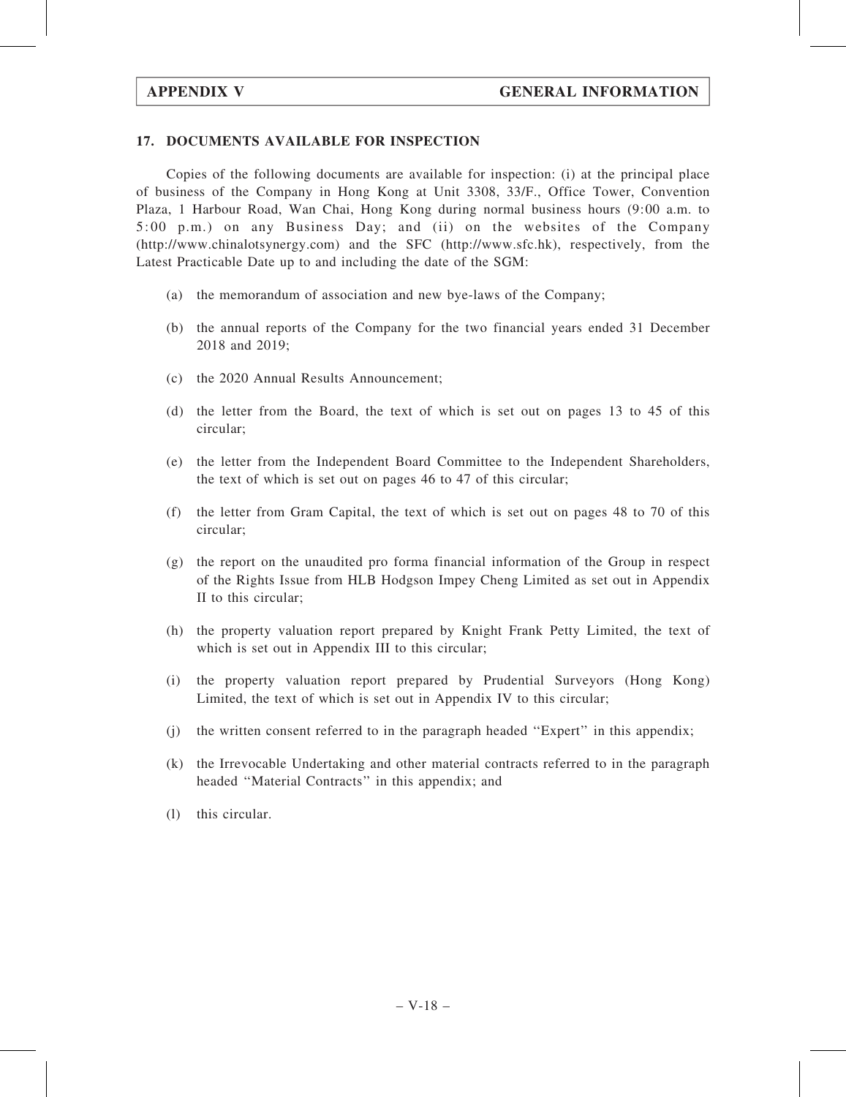# 17. DOCUMENTS AVAILABLE FOR INSPECTION

Copies of the following documents are available for inspection: (i) at the principal place of business of the Company in Hong Kong at Unit 3308, 33/F., Office Tower, Convention Plaza, 1 Harbour Road, Wan Chai, Hong Kong during normal business hours (9:00 a.m. to 5:00 p.m.) on any Business Day; and (ii) on the websites of the Company (http://www.chinalotsynergy.com) and the SFC (http://www.sfc.hk), respectively, from the Latest Practicable Date up to and including the date of the SGM:

- (a) the memorandum of association and new bye-laws of the Company;
- (b) the annual reports of the Company for the two financial years ended 31 December 2018 and 2019;
- (c) the 2020 Annual Results Announcement;
- (d) the letter from the Board, the text of which is set out on pages 13 to 45 of this circular;
- (e) the letter from the Independent Board Committee to the Independent Shareholders, the text of which is set out on pages 46 to 47 of this circular;
- (f) the letter from Gram Capital, the text of which is set out on pages 48 to 70 of this circular;
- (g) the report on the unaudited pro forma financial information of the Group in respect of the Rights Issue from HLB Hodgson Impey Cheng Limited as set out in Appendix II to this circular;
- (h) the property valuation report prepared by Knight Frank Petty Limited, the text of which is set out in Appendix III to this circular;
- (i) the property valuation report prepared by Prudential Surveyors (Hong Kong) Limited, the text of which is set out in Appendix IV to this circular;
- (j) the written consent referred to in the paragraph headed ''Expert'' in this appendix;
- (k) the Irrevocable Undertaking and other material contracts referred to in the paragraph headed ''Material Contracts'' in this appendix; and
- (l) this circular.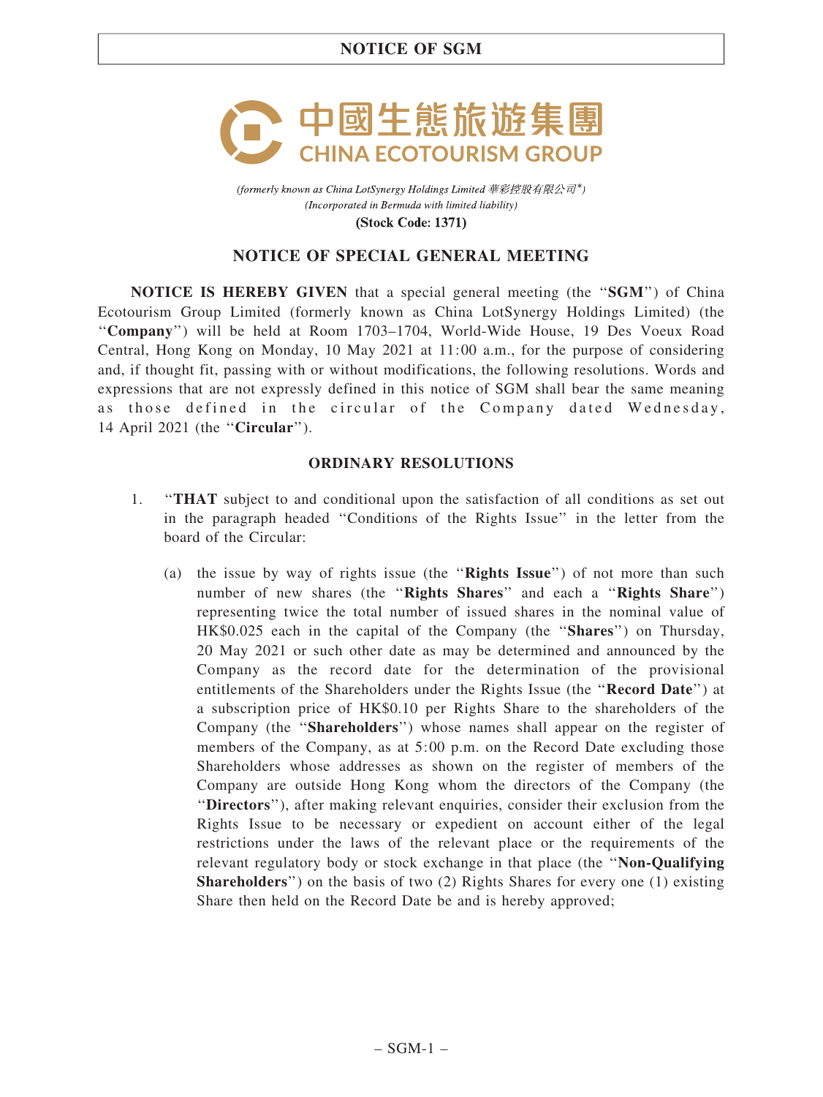

(formerly known as China LotSynergy Holdings Limited 華彩控股有限公司\*) (Incorporated in Bermuda with limited liability)

**(Stock Code: 1371)** 

# NOTICE OF SPECIAL GENERAL MEETING

**NOTICE IS HEREBY GIVEN** that a special general meeting (the "SGM") of China Ecotourism Group Limited (formerly known as China LotSynergy Holdings Limited) (the ''Company'') will be held at Room 1703–1704, World-Wide House, 19 Des Voeux Road Central, Hong Kong on Monday, 10 May 2021 at 11:00 a.m., for the purpose of considering and, if thought fit, passing with or without modifications, the following resolutions. Words and expressions that are not expressly defined in this notice of SGM shall bear the same meaning as those defined in the circular of the Company dated Wednesday, 14 April 2021 (the ''Circular'').

# ORDINARY RESOLUTIONS

- 1. ''THAT subject to and conditional upon the satisfaction of all conditions as set out in the paragraph headed ''Conditions of the Rights Issue'' in the letter from the board of the Circular:
	- (a) the issue by way of rights issue (the "Rights Issue") of not more than such number of new shares (the "Rights Shares" and each a "Rights Share") representing twice the total number of issued shares in the nominal value of HK\$0.025 each in the capital of the Company (the ''Shares'') on Thursday, 20 May 2021 or such other date as may be determined and announced by the Company as the record date for the determination of the provisional entitlements of the Shareholders under the Rights Issue (the "Record Date") at a subscription price of HK\$0.10 per Rights Share to the shareholders of the Company (the "Shareholders") whose names shall appear on the register of members of the Company, as at 5:00 p.m. on the Record Date excluding those Shareholders whose addresses as shown on the register of members of the Company are outside Hong Kong whom the directors of the Company (the ''Directors''), after making relevant enquiries, consider their exclusion from the Rights Issue to be necessary or expedient on account either of the legal restrictions under the laws of the relevant place or the requirements of the relevant regulatory body or stock exchange in that place (the "Non-Qualifying Shareholders'') on the basis of two (2) Rights Shares for every one (1) existing Share then held on the Record Date be and is hereby approved;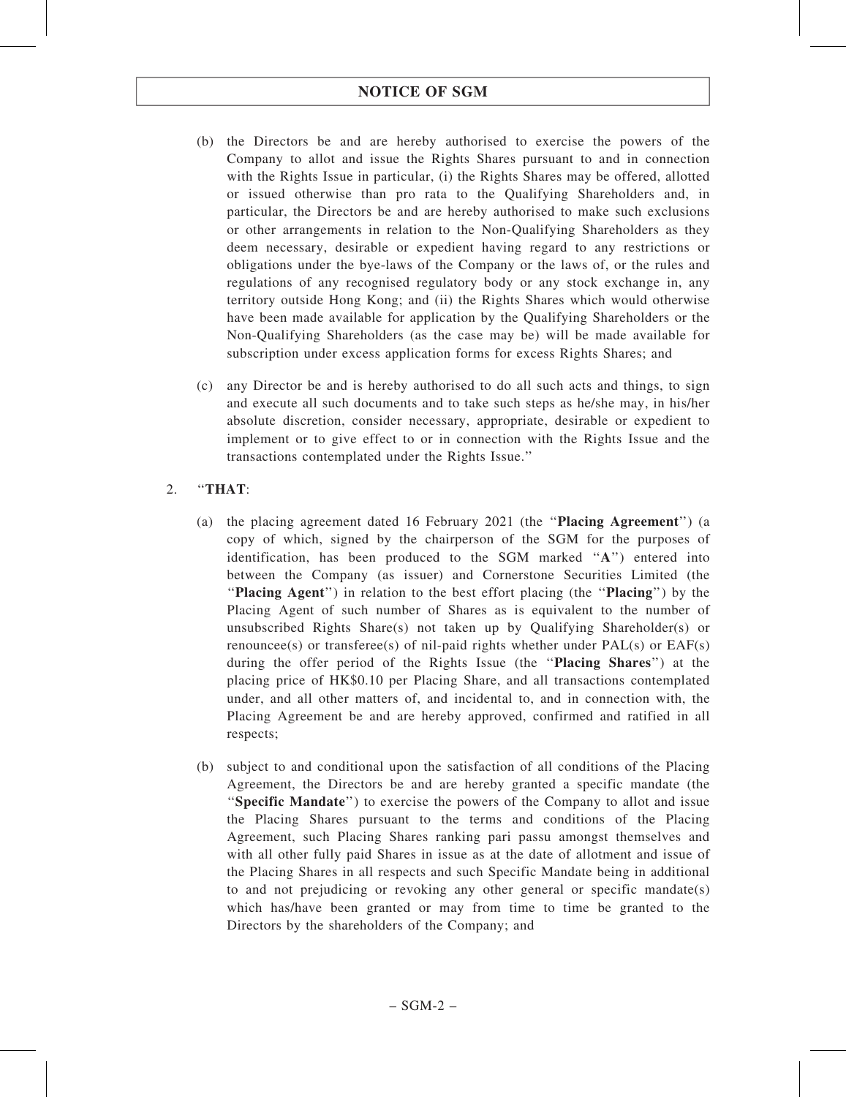# NOTICE OF SGM

- (b) the Directors be and are hereby authorised to exercise the powers of the Company to allot and issue the Rights Shares pursuant to and in connection with the Rights Issue in particular, (i) the Rights Shares may be offered, allotted or issued otherwise than pro rata to the Qualifying Shareholders and, in particular, the Directors be and are hereby authorised to make such exclusions or other arrangements in relation to the Non-Qualifying Shareholders as they deem necessary, desirable or expedient having regard to any restrictions or obligations under the bye-laws of the Company or the laws of, or the rules and regulations of any recognised regulatory body or any stock exchange in, any territory outside Hong Kong; and (ii) the Rights Shares which would otherwise have been made available for application by the Qualifying Shareholders or the Non-Qualifying Shareholders (as the case may be) will be made available for subscription under excess application forms for excess Rights Shares; and
- (c) any Director be and is hereby authorised to do all such acts and things, to sign and execute all such documents and to take such steps as he/she may, in his/her absolute discretion, consider necessary, appropriate, desirable or expedient to implement or to give effect to or in connection with the Rights Issue and the transactions contemplated under the Rights Issue.''

# 2. ''THAT:

- (a) the placing agreement dated 16 February 2021 (the ''Placing Agreement'') (a copy of which, signed by the chairperson of the SGM for the purposes of identification, has been produced to the SGM marked ''A'') entered into between the Company (as issuer) and Cornerstone Securities Limited (the ''Placing Agent'') in relation to the best effort placing (the ''Placing'') by the Placing Agent of such number of Shares as is equivalent to the number of unsubscribed Rights Share(s) not taken up by Qualifying Shareholder(s) or renouncee(s) or transferee(s) of nil-paid rights whether under  $PAL(s)$  or  $EAF(s)$ during the offer period of the Rights Issue (the "Placing Shares") at the placing price of HK\$0.10 per Placing Share, and all transactions contemplated under, and all other matters of, and incidental to, and in connection with, the Placing Agreement be and are hereby approved, confirmed and ratified in all respects;
- (b) subject to and conditional upon the satisfaction of all conditions of the Placing Agreement, the Directors be and are hereby granted a specific mandate (the ''Specific Mandate'') to exercise the powers of the Company to allot and issue the Placing Shares pursuant to the terms and conditions of the Placing Agreement, such Placing Shares ranking pari passu amongst themselves and with all other fully paid Shares in issue as at the date of allotment and issue of the Placing Shares in all respects and such Specific Mandate being in additional to and not prejudicing or revoking any other general or specific mandate(s) which has/have been granted or may from time to time be granted to the Directors by the shareholders of the Company; and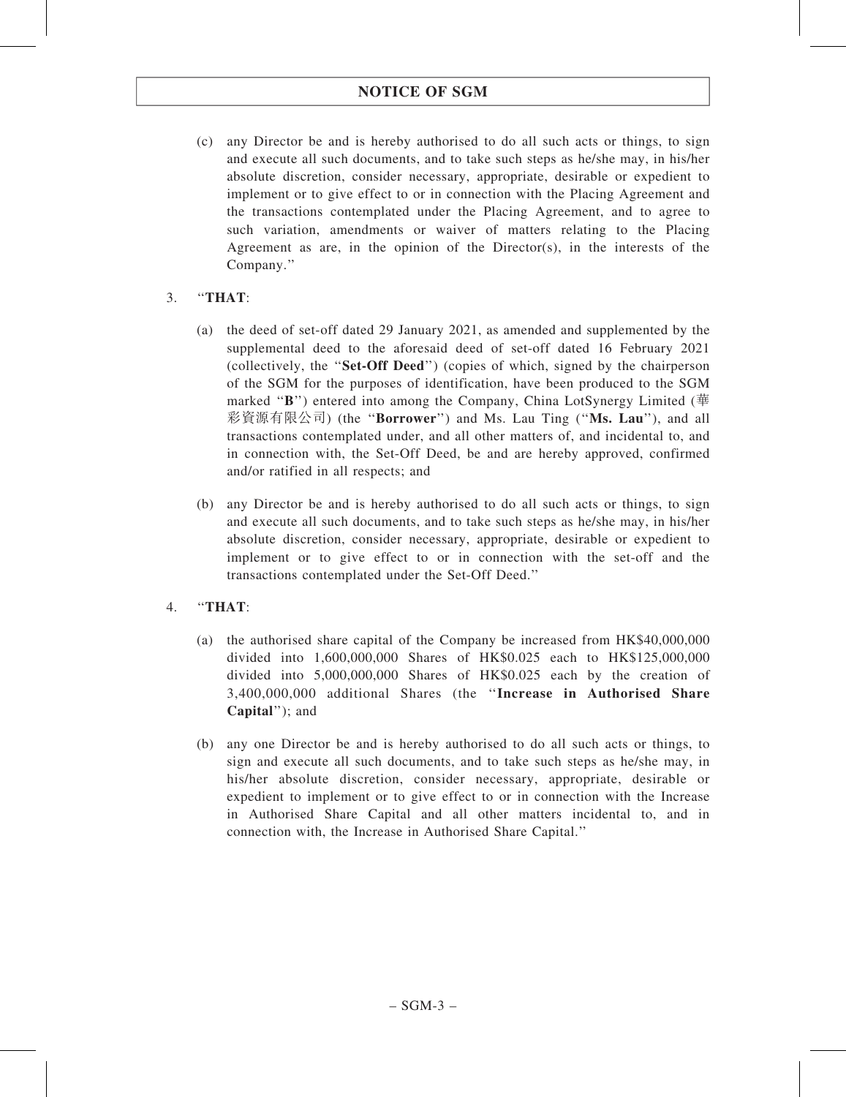(c) any Director be and is hereby authorised to do all such acts or things, to sign and execute all such documents, and to take such steps as he/she may, in his/her absolute discretion, consider necessary, appropriate, desirable or expedient to implement or to give effect to or in connection with the Placing Agreement and the transactions contemplated under the Placing Agreement, and to agree to such variation, amendments or waiver of matters relating to the Placing Agreement as are, in the opinion of the Director(s), in the interests of the Company.''

# 3. ''THAT:

- (a) the deed of set-off dated 29 January 2021, as amended and supplemented by the supplemental deed to the aforesaid deed of set-off dated 16 February 2021 (collectively, the ''Set-Off Deed'') (copies of which, signed by the chairperson of the SGM for the purposes of identification, have been produced to the SGM marked "B") entered into among the Company, China LotSynergy Limited (華 彩資源有限公司) (the ''Borrower'') and Ms. Lau Ting (''Ms. Lau''), and all transactions contemplated under, and all other matters of, and incidental to, and in connection with, the Set-Off Deed, be and are hereby approved, confirmed and/or ratified in all respects; and
- (b) any Director be and is hereby authorised to do all such acts or things, to sign and execute all such documents, and to take such steps as he/she may, in his/her absolute discretion, consider necessary, appropriate, desirable or expedient to implement or to give effect to or in connection with the set-off and the transactions contemplated under the Set-Off Deed.''
- 4. ''THAT:
	- (a) the authorised share capital of the Company be increased from HK\$40,000,000 divided into 1,600,000,000 Shares of HK\$0.025 each to HK\$125,000,000 divided into 5,000,000,000 Shares of HK\$0.025 each by the creation of 3,400,000,000 additional Shares (the ''Increase in Authorised Share Capital''); and
	- (b) any one Director be and is hereby authorised to do all such acts or things, to sign and execute all such documents, and to take such steps as he/she may, in his/her absolute discretion, consider necessary, appropriate, desirable or expedient to implement or to give effect to or in connection with the Increase in Authorised Share Capital and all other matters incidental to, and in connection with, the Increase in Authorised Share Capital.''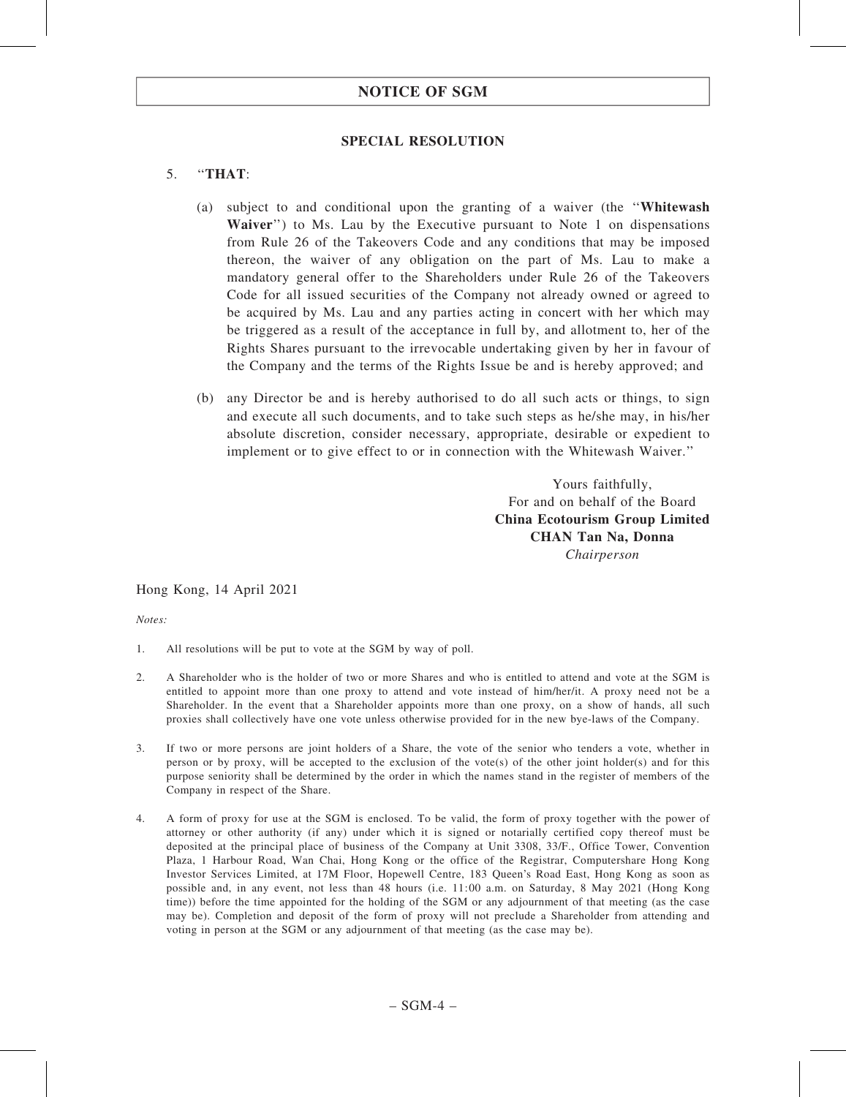### SPECIAL RESOLUTION

# 5. ''THAT:

- (a) subject to and conditional upon the granting of a waiver (the ''Whitewash Waiver") to Ms. Lau by the Executive pursuant to Note 1 on dispensations from Rule 26 of the Takeovers Code and any conditions that may be imposed thereon, the waiver of any obligation on the part of Ms. Lau to make a mandatory general offer to the Shareholders under Rule 26 of the Takeovers Code for all issued securities of the Company not already owned or agreed to be acquired by Ms. Lau and any parties acting in concert with her which may be triggered as a result of the acceptance in full by, and allotment to, her of the Rights Shares pursuant to the irrevocable undertaking given by her in favour of the Company and the terms of the Rights Issue be and is hereby approved; and
- (b) any Director be and is hereby authorised to do all such acts or things, to sign and execute all such documents, and to take such steps as he/she may, in his/her absolute discretion, consider necessary, appropriate, desirable or expedient to implement or to give effect to or in connection with the Whitewash Waiver.''

Yours faithfully, For and on behalf of the Board China Ecotourism Group Limited CHAN Tan Na, Donna Chairperson

Hong Kong, 14 April 2021

Notes:

- 1. All resolutions will be put to vote at the SGM by way of poll.
- 2. A Shareholder who is the holder of two or more Shares and who is entitled to attend and vote at the SGM is entitled to appoint more than one proxy to attend and vote instead of him/her/it. A proxy need not be a Shareholder. In the event that a Shareholder appoints more than one proxy, on a show of hands, all such proxies shall collectively have one vote unless otherwise provided for in the new bye-laws of the Company.
- 3. If two or more persons are joint holders of a Share, the vote of the senior who tenders a vote, whether in person or by proxy, will be accepted to the exclusion of the vote(s) of the other joint holder(s) and for this purpose seniority shall be determined by the order in which the names stand in the register of members of the Company in respect of the Share.
- 4. A form of proxy for use at the SGM is enclosed. To be valid, the form of proxy together with the power of attorney or other authority (if any) under which it is signed or notarially certified copy thereof must be deposited at the principal place of business of the Company at Unit 3308, 33/F., Office Tower, Convention Plaza, 1 Harbour Road, Wan Chai, Hong Kong or the office of the Registrar, Computershare Hong Kong Investor Services Limited, at 17M Floor, Hopewell Centre, 183 Queen's Road East, Hong Kong as soon as possible and, in any event, not less than 48 hours (i.e. 11:00 a.m. on Saturday, 8 May 2021 (Hong Kong time)) before the time appointed for the holding of the SGM or any adjournment of that meeting (as the case may be). Completion and deposit of the form of proxy will not preclude a Shareholder from attending and voting in person at the SGM or any adjournment of that meeting (as the case may be).